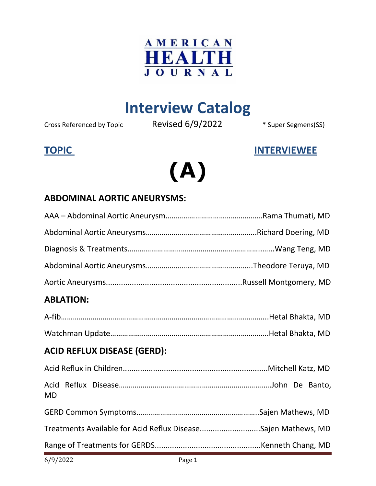

### **Interview Catalog**

Cross Referenced by Topic Revised 6/9/2022 \* Super Segmens(SS)

#### **TOPIC INTERVIEWEE**

## **(A)**

#### **ABDOMINAL AORTIC ANEURYSMS:**

| 6/9/2022                           | Page 1 |                                                               |
|------------------------------------|--------|---------------------------------------------------------------|
|                                    |        |                                                               |
|                                    |        | Treatments Available for Acid Reflux DiseaseSajen Mathews, MD |
|                                    |        |                                                               |
| <b>MD</b>                          |        |                                                               |
|                                    |        |                                                               |
| <b>ACID REFLUX DISEASE (GERD):</b> |        |                                                               |
|                                    |        |                                                               |
|                                    |        |                                                               |
| <b>ABLATION:</b>                   |        |                                                               |
|                                    |        |                                                               |
|                                    |        |                                                               |
|                                    |        |                                                               |
|                                    |        |                                                               |
|                                    |        |                                                               |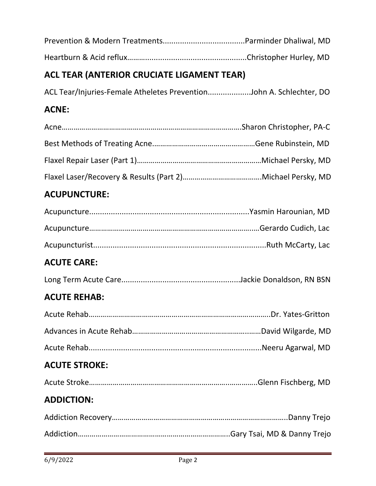### **ACL TEAR (ANTERIOR CRUCIATE LIGAMENT TEAR)**

ACL Tear/Injuries-Female Atheletes Prevention....................John A. Schlechter, DO

#### **ACNE:**

#### **ACUPUNCTURE:**

#### **ACUTE CARE:**

|--|--|--|--|

#### **ACUTE REHAB:**

#### **ACUTE STROKE:**

#### **ADDICTION:**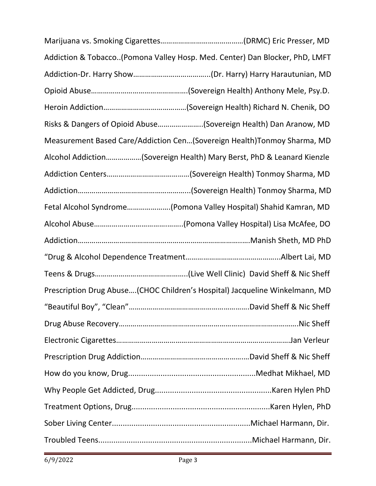| Addiction & Tobacco(Pomona Valley Hosp. Med. Center) Dan Blocker, PhD, LMFT |
|-----------------------------------------------------------------------------|
|                                                                             |
|                                                                             |
|                                                                             |
| Risks & Dangers of Opioid Abuse(Sovereign Health) Dan Aranow, MD            |
| Measurement Based Care/Addiction Cen(Sovereign Health)Tonmoy Sharma, MD     |
| Alcohol Addiction(Sovereign Health) Mary Berst, PhD & Leanard Kienzle       |
|                                                                             |
|                                                                             |
| Fetal Alcohol Syndrome(Pomona Valley Hospital) Shahid Kamran, MD            |
|                                                                             |
|                                                                             |
|                                                                             |
|                                                                             |
| Prescription Drug Abuse(CHOC Children's Hospital) Jacqueline Winkelmann, MD |
|                                                                             |
|                                                                             |
|                                                                             |
|                                                                             |
|                                                                             |
|                                                                             |
|                                                                             |
|                                                                             |
|                                                                             |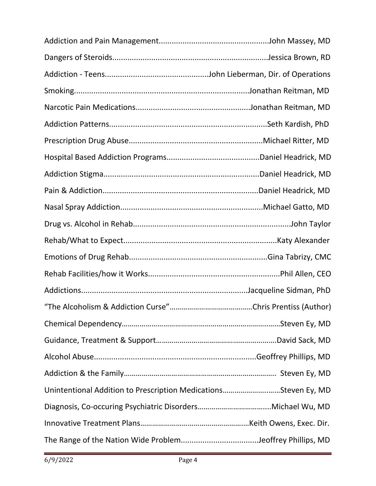| Unintentional Addition to Prescription MedicationsSteven Ey, MD |  |
|-----------------------------------------------------------------|--|
|                                                                 |  |
|                                                                 |  |
| The Range of the Nation Wide ProblemJeoffrey Phillips, MD       |  |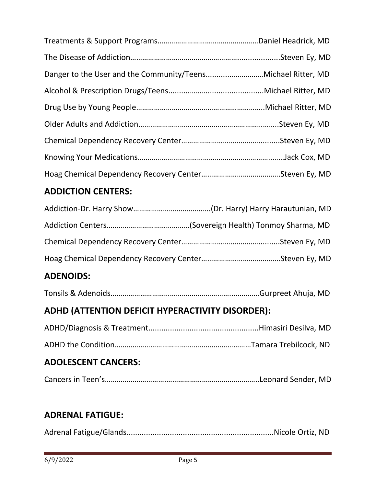#### **ADDICTION CENTERS:**

#### **ADENOIDS:**

|--|--|

#### **ADHD (ATTENTION DEFICIT HYPERACTIVITY DISORDER):**

| ADOI ECCENT CANCEDC. |  |
|----------------------|--|

#### **ADOLESCENT CANCERS:**

|--|--|--|--|

#### **ADRENAL FATIGUE:**

|--|--|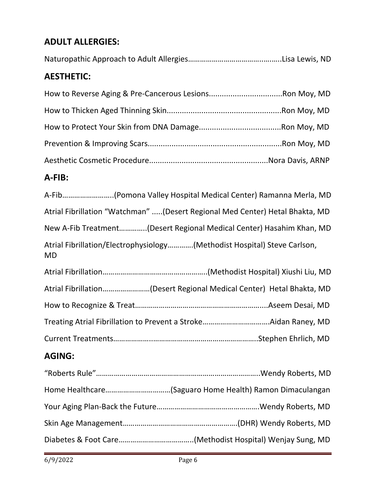#### **ADULT ALLERGIES:**

#### **A-FIB:**

| A-Fib(Pomona Valley Hospital Medical Center) Ramanna Merla, MD                        |
|---------------------------------------------------------------------------------------|
| Atrial Fibrillation "Watchman" (Desert Regional Med Center) Hetal Bhakta, MD          |
| New A-Fib Treatment(Desert Regional Medical Center) Hasahim Khan, MD                  |
| Atrial Fibrillation/Electrophysiology(Methodist Hospital) Steve Carlson,<br><b>MD</b> |
|                                                                                       |
| Atrial Fibrillation(Desert Regional Medical Center) Hetal Bhakta, MD                  |
|                                                                                       |
|                                                                                       |
|                                                                                       |
| $\mathbf{A}$                                                                          |

#### **AGING:**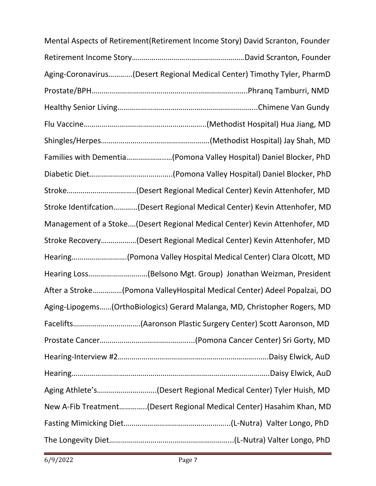| Mental Aspects of Retirement (Retirement Income Story) David Scranton, Founder |  |
|--------------------------------------------------------------------------------|--|
|                                                                                |  |
| Aging-Coronavirus(Desert Regional Medical Center) Timothy Tyler, PharmD        |  |
|                                                                                |  |
|                                                                                |  |
|                                                                                |  |
|                                                                                |  |
| Families with Dementia(Pomona Valley Hospital) Daniel Blocker, PhD             |  |
|                                                                                |  |
|                                                                                |  |
| Stroke Identifcation(Desert Regional Medical Center) Kevin Attenhofer, MD      |  |
| Management of a Stoke(Desert Regional Medical Center) Kevin Attenhofer, MD     |  |
| Stroke Recovery(Desert Regional Medical Center) Kevin Attenhofer, MD           |  |
| Hearing(Pomona Valley Hospital Medical Center) Clara Olcott, MD                |  |
| Hearing Loss(Belsono Mgt. Group) Jonathan Weizman, President                   |  |
| After a Stroke(Pomona ValleyHospital Medical Center) Adeel Popalzai, DO        |  |
| Aging-Lipogems(OrthoBiologics) Gerard Malanga, MD, Christopher Rogers, MD      |  |
|                                                                                |  |
|                                                                                |  |
|                                                                                |  |
|                                                                                |  |
| Aging Athlete's(Desert Regional Medical Center) Tyler Huish, MD                |  |
| New A-Fib Treatment(Desert Regional Medical Center) Hasahim Khan, MD           |  |
|                                                                                |  |
|                                                                                |  |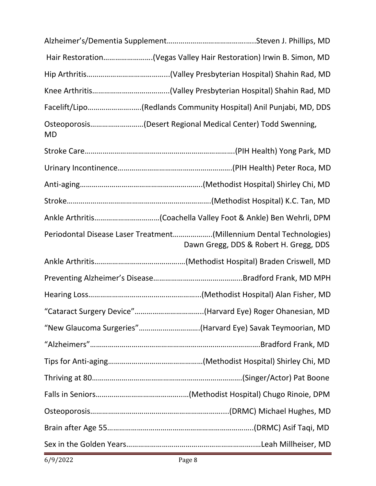|           | Hair Restoration(Vegas Valley Hair Restoration) Irwin B. Simon, MD                                            |  |
|-----------|---------------------------------------------------------------------------------------------------------------|--|
|           |                                                                                                               |  |
|           |                                                                                                               |  |
|           | Facelift/Lipo(Redlands Community Hospital) Anil Punjabi, MD, DDS                                              |  |
| <b>MD</b> | Osteoporosis(Desert Regional Medical Center) Todd Swenning,                                                   |  |
|           |                                                                                                               |  |
|           |                                                                                                               |  |
|           |                                                                                                               |  |
|           |                                                                                                               |  |
|           |                                                                                                               |  |
|           | Periodontal Disease Laser Treatment(Millennium Dental Technologies)<br>Dawn Gregg, DDS & Robert H. Gregg, DDS |  |
|           |                                                                                                               |  |
|           |                                                                                                               |  |
|           |                                                                                                               |  |
|           | "Cataract Surgery Device"(Harvard Eye) Roger Ohanesian, MD                                                    |  |
|           | "New Glaucoma Surgeries"(Harvard Eye) Savak Teymoorian, MD                                                    |  |
|           |                                                                                                               |  |
|           |                                                                                                               |  |
|           |                                                                                                               |  |
|           |                                                                                                               |  |
|           |                                                                                                               |  |
|           |                                                                                                               |  |
|           |                                                                                                               |  |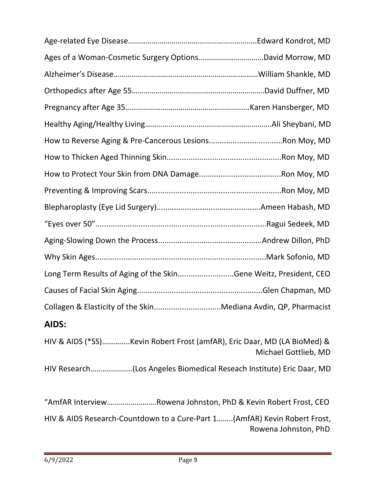| How to Reverse Aging & Pre-Cancerous LesionsRon Moy, MD                                         |
|-------------------------------------------------------------------------------------------------|
|                                                                                                 |
|                                                                                                 |
|                                                                                                 |
|                                                                                                 |
|                                                                                                 |
|                                                                                                 |
|                                                                                                 |
| Long Term Results of Aging of the SkinGene Weitz, President, CEO                                |
|                                                                                                 |
| Collagen & Elasticity of the SkinMediana Avdin, QP, Pharmacist                                  |
| AIDS:                                                                                           |
| HIV & AIDS (*SS)Kevin Robert Frost (amfAR), Eric Daar, MD (LA BioMed) &<br>Michael Gottlieb, MD |
| HIV Research(Los Angeles Biomedical Reseach Institute) Eric Daar, MD                            |
| "AmfAR InterviewRowena Johnston, PhD & Kevin Robert Frost, CEO                                  |

HIV & AIDS Research-Countdown to a Cure-Part 1……..(AmfAR) Kevin Robert Frost, Rowena Johnston, PhD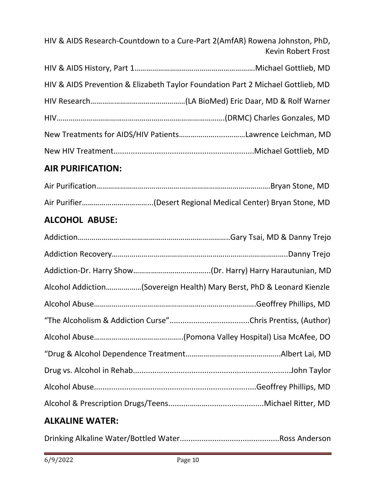HIV & AIDS Research-Countdown to a Cure-Part 2(AmfAR) Rowena Johnston, PhD, Kevin Robert Frost

| HIV & AIDS Prevention & Elizabeth Taylor Foundation Part 2 Michael Gottlieb, MD |
|---------------------------------------------------------------------------------|
|                                                                                 |
|                                                                                 |
|                                                                                 |
|                                                                                 |

#### **AIR PURIFICATION:**

#### **ALCOHOL ABUSE:**

| Alcohol Addiction(Sovereign Health) Mary Berst, PhD & Leonard Kienzle |  |
|-----------------------------------------------------------------------|--|
|                                                                       |  |
|                                                                       |  |
|                                                                       |  |
|                                                                       |  |
|                                                                       |  |
|                                                                       |  |
|                                                                       |  |
| <b>ALKALINE WATER:</b>                                                |  |

Drinking Alkaline Water/Bottled Water..............................................Ross Anderson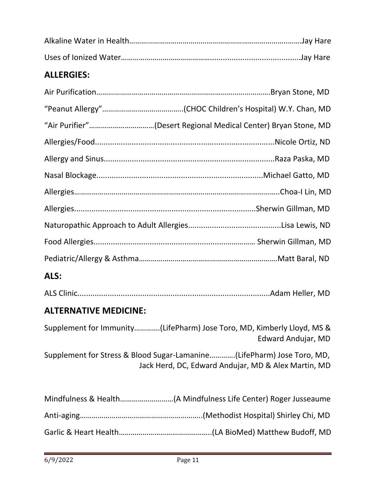#### **ALLERGIES:**

| "Air Purifier"(Desert Regional Medical Center) Bryan Stone, MD |
|----------------------------------------------------------------|
|                                                                |
|                                                                |
|                                                                |
|                                                                |
|                                                                |
|                                                                |
|                                                                |
|                                                                |
|                                                                |

#### **ALS:**

|--|--|

#### **ALTERNATIVE MEDICINE:**

Supplement for Immunity………….(LifePharm) Jose Toro, MD, Kimberly Lloyd, MS & Edward Andujar, MD

Supplement for Stress & Blood Sugar-Lamanine………….(LifePharm) Jose Toro, MD, Jack Herd, DC, Edward Andujar, MD & Alex Martin, MD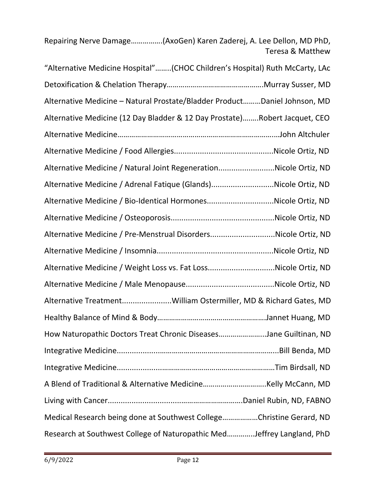Repairing Nerve Damage…………….(AxoGen) Karen Zaderej, A. Lee Dellon, MD PhD, Teresa & Matthew

| "Alternative Medicine Hospital"(CHOC Children's Hospital) Ruth McCarty, LAc |  |  |  |
|-----------------------------------------------------------------------------|--|--|--|
|                                                                             |  |  |  |
| Alternative Medicine - Natural Prostate/Bladder ProductDaniel Johnson, MD   |  |  |  |
| Alternative Medicine (12 Day Bladder & 12 Day Prostate)Robert Jacquet, CEO  |  |  |  |
|                                                                             |  |  |  |
|                                                                             |  |  |  |
| Alternative Medicine / Natural Joint RegenerationNicole Ortiz, ND           |  |  |  |
| Alternative Medicine / Adrenal Fatique (Glands)Nicole Ortiz, ND             |  |  |  |
| Alternative Medicine / Bio-Identical HormonesNicole Ortiz, ND               |  |  |  |
|                                                                             |  |  |  |
| Alternative Medicine / Pre-Menstrual DisordersNicole Ortiz, ND              |  |  |  |
|                                                                             |  |  |  |
| Alternative Medicine / Weight Loss vs. Fat LossNicole Ortiz, ND             |  |  |  |
|                                                                             |  |  |  |
| Alternative TreatmentWilliam Ostermiller, MD & Richard Gates, MD            |  |  |  |
|                                                                             |  |  |  |
| How Naturopathic Doctors Treat Chronic DiseasesJane Guiltinan, ND           |  |  |  |
|                                                                             |  |  |  |
|                                                                             |  |  |  |
|                                                                             |  |  |  |
|                                                                             |  |  |  |
| Medical Research being done at Southwest CollegeChristine Gerard, ND        |  |  |  |
| Research at Southwest College of Naturopathic MedJeffrey Langland, PhD      |  |  |  |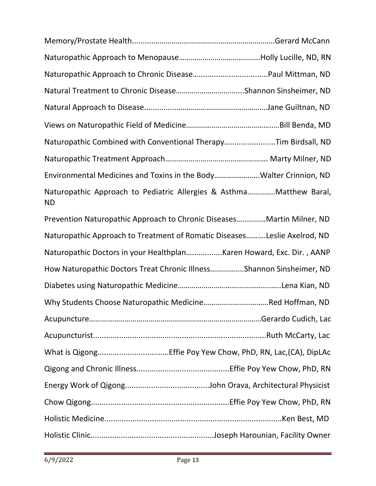| Naturopathic Combined with Conventional TherapyTim Birdsall, ND                   |  |
|-----------------------------------------------------------------------------------|--|
|                                                                                   |  |
| Environmental Medicines and Toxins in the BodyWalter Crinnion, ND                 |  |
| Naturopathic Approach to Pediatric Allergies & Asthma Matthew Baral,<br><b>ND</b> |  |
| Prevention Naturopathic Approach to Chronic DiseasesMartin Milner, ND             |  |
| Naturopathic Approach to Treatment of Romatic DiseasesLeslie Axelrod, ND          |  |
| Naturopathic Doctors in your HealthplanKaren Howard, Exc. Dir., AANP              |  |
| How Naturopathic Doctors Treat Chronic IllnessShannon Sinsheimer, ND              |  |
|                                                                                   |  |
|                                                                                   |  |
|                                                                                   |  |
|                                                                                   |  |
|                                                                                   |  |
|                                                                                   |  |
|                                                                                   |  |
|                                                                                   |  |
|                                                                                   |  |
|                                                                                   |  |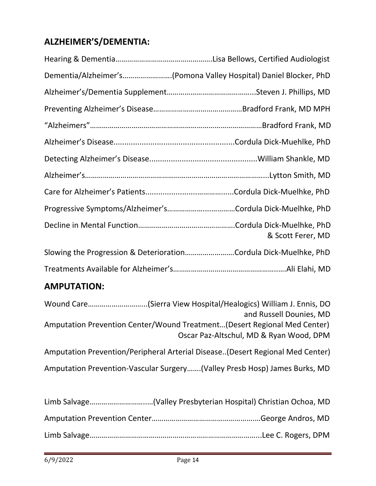#### **ALZHEIMER'S/DEMENTIA:**

| Dementia/Alzheimer's(Pomona Valley Hospital) Daniel Blocker, PhD |
|------------------------------------------------------------------|
|                                                                  |
|                                                                  |
|                                                                  |
|                                                                  |
|                                                                  |
|                                                                  |
|                                                                  |
| Progressive Symptoms/Alzheimer'sCordula Dick-Muelhke, PhD        |
| & Scott Ferer, MD                                                |
| Slowing the Progression & DeteriorationCordula Dick-Muelhke, PhD |
|                                                                  |

#### **AMPUTATION:**

| and Russell Dounies, MD                                                       |
|-------------------------------------------------------------------------------|
| Amputation Prevention Center/Wound Treatment(Desert Regional Med Center)      |
| Oscar Paz-Altschul, MD & Ryan Wood, DPM                                       |
| Amputation Prevention/Peripheral Arterial Disease(Desert Regional Med Center) |
| Amputation Prevention-Vascular Surgery(Valley Presb Hosp) James Burks, MD     |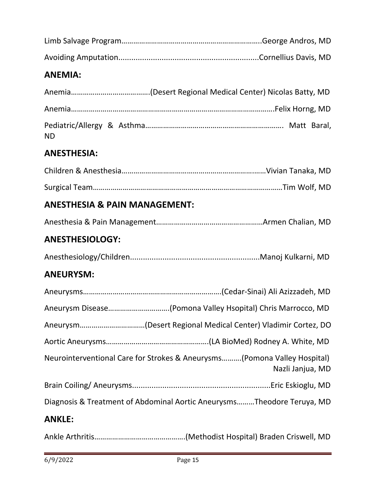#### **ANEMIA:**

| <b>ND</b> |  |  |
|-----------|--|--|

#### **ANESTHESIA:**

#### **ANESTHESIA & PAIN MANAGEMENT:**

|--|--|

#### **ANESTHESIOLOGY:**

|--|--|--|--|

#### **ANEURYSM:**

|               | Neurointerventional Care for Strokes & Aneurysms(Pomona Valley Hospital)<br>Nazli Janjua, MD |
|---------------|----------------------------------------------------------------------------------------------|
|               |                                                                                              |
|               | Diagnosis & Treatment of Abdominal Aortic AneurysmsTheodore Teruya, MD                       |
| <b>ANKLE:</b> |                                                                                              |

Ankle Arthritis……………………………………….(Methodist Hospital) Braden Criswell, MD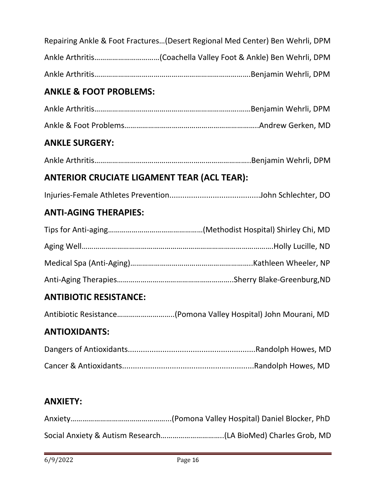| Repairing Ankle & Foot Fractures(Desert Regional Med Center) Ben Wehrli, DPM |
|------------------------------------------------------------------------------|
|                                                                              |
|                                                                              |
| <b>ANKLE &amp; FOOT PROBLEMS:</b>                                            |
|                                                                              |
|                                                                              |
| <b>ANKLE SURGERY:</b>                                                        |
|                                                                              |
| <b>ANTERIOR CRUCIATE LIGAMENT TEAR (ACL TEAR):</b>                           |
|                                                                              |
| <b>ANTI-AGING THERAPIES:</b>                                                 |
|                                                                              |
|                                                                              |
|                                                                              |
|                                                                              |
|                                                                              |
| <b>ANTIBIOTIC RESISTANCE:</b>                                                |
| Antibiotic Resistance(Pomona Valley Hospital) John Mourani, MD               |
| <b>ANTIOXIDANTS:</b>                                                         |
|                                                                              |
|                                                                              |
|                                                                              |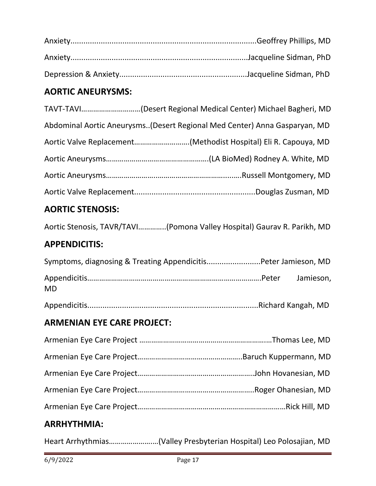#### **AORTIC ANEURYSMS:**

| TAVT-TAVI(Desert Regional Medical Center) Michael Bagheri, MD             |
|---------------------------------------------------------------------------|
| Abdominal Aortic Aneurysms(Desert Regional Med Center) Anna Gasparyan, MD |
| Aortic Valve Replacement(Methodist Hospital) Eli R. Capouya, MD           |
|                                                                           |
|                                                                           |
|                                                                           |

#### **AORTIC STENOSIS:**

Aortic Stenosis, TAVR/TAVI…………..(Pomona Valley Hospital) Gaurav R. Parikh, MD

#### **APPENDICITIS:**

| Symptoms, diagnosing & Treating AppendicitisPeter Jamieson, MD |  |
|----------------------------------------------------------------|--|
| MD.                                                            |  |

Appendicitis...............................................................................Richard Kangah, MD

#### **ARMENIAN EYE CARE PROJECT:**

#### **ARRHYTHMIA:**

Heart Arrhythmias………………….…(Valley Presbyterian Hospital) Leo Polosajian, MD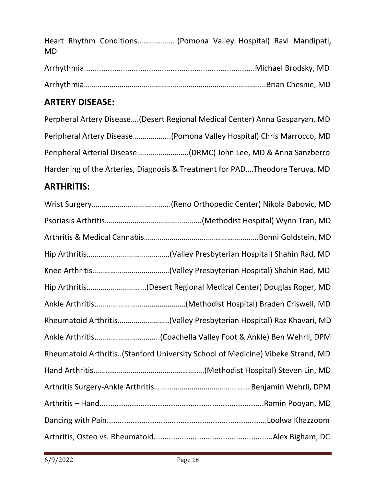Heart Rhythm Conditions………………..(Pomona Valley Hospital) Ravi Mandipati, MD

#### **ARTERY DISEASE:**

Perpheral Artery Disease….(Desert Regional Medical Center) Anna Gasparyan, MD Peripheral Artery Disease……………....(Pomona Valley Hospital) Chris Marrocco, MD Peripheral Arterial Disease……………………..(DRMC) John Lee, MD & Anna Sanzberro Hardening of the Arteries, Diagnosis & Treatment for PAD….Theodore Teruya, MD

#### **ARTHRITIS:**

| Hip Arthritis(Desert Regional Medical Center) Douglas Roger, MD                |
|--------------------------------------------------------------------------------|
|                                                                                |
| Rheumatoid Arthritis(Valley Presbyterian Hospital) Raz Khavari, MD             |
|                                                                                |
| Rheumatoid Arthritis(Stanford University School of Medicine) Vibeke Strand, MD |
|                                                                                |
|                                                                                |
|                                                                                |
|                                                                                |
|                                                                                |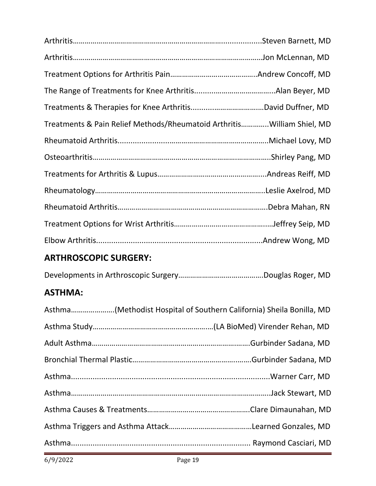| Treatments & Pain Relief Methods/Rheumatoid ArthritisWilliam Shiel, MD |  |
|------------------------------------------------------------------------|--|
|                                                                        |  |
|                                                                        |  |
|                                                                        |  |
|                                                                        |  |
|                                                                        |  |
|                                                                        |  |
|                                                                        |  |

#### **ARTHROSCOPIC SURGERY:**

Developments in Arthroscopic Surgery…………………………………….Douglas Roger, MD

#### **ASTHMA:**

| Asthma(Methodist Hospital of Southern California) Sheila Bonilla, MD |  |
|----------------------------------------------------------------------|--|
|                                                                      |  |
|                                                                      |  |
|                                                                      |  |
|                                                                      |  |
|                                                                      |  |
|                                                                      |  |
|                                                                      |  |
|                                                                      |  |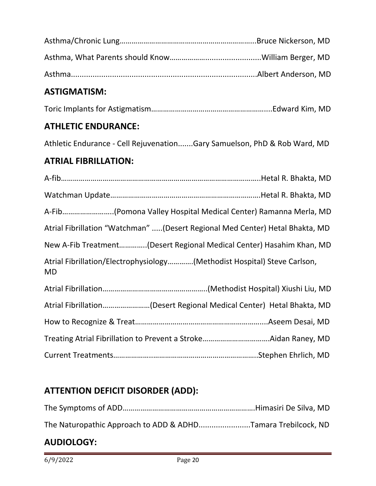#### **ASTIGMATISM:**

Toric Implants for Astigmatism…………………………………………………....Edward Kim, MD

#### **ATHLETIC ENDURANCE:**

Athletic Endurance - Cell Rejuvenation.......Gary Samuelson, PhD & Rob Ward, MD

#### **ATRIAL FIBRILLATION:**

A-fib………………………………………………………………………………………..Hetal R. Bhakta, MD Watchman Update………………………………………………………………….Hetal R. Bhakta, MD A-Fib……………………..(Pomona Valley Hospital Medical Center) Ramanna Merla, MD Atrial Fibrillation "Watchman" .....(Desert Regional Med Center) Hetal Bhakta, MD New A-Fib Treatment…………..(Desert Regional Medical Center) Hasahim Khan, MD Atrial Fibrillation/Electrophysiology………….(Methodist Hospital) Steve Carlson, MD Atrial Fibrillation……………………………………………..(Methodist Hospital) Xiushi Liu, MD Atrial Fibrillation……………………(Desert Regional Medical Center) Hetal Bhakta, MD How to Recognize & Treat………………………………………………………....Aseem Desai, MD Treating Atrial Fibrillation to Prevent a Stroke…………………………….Aidan Raney, MD Current Treatments………………..……………………………………………..Stephen Ehrlich, MD

#### **ATTENTION DEFICIT DISORDER (ADD):**

| <b>AUDIOLOGY:</b>                                            |  |
|--------------------------------------------------------------|--|
| The Naturopathic Approach to ADD & ADHDTamara Trebilcock, ND |  |
|                                                              |  |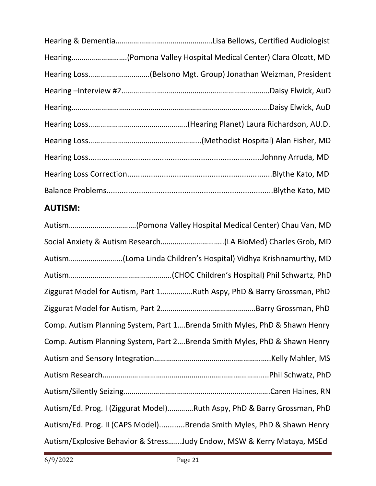| Hearing(Pomona Valley Hospital Medical Center) Clara Olcott, MD |  |
|-----------------------------------------------------------------|--|
| Hearing Loss(Belsono Mgt. Group) Jonathan Weizman, President    |  |
|                                                                 |  |
|                                                                 |  |
|                                                                 |  |
|                                                                 |  |
|                                                                 |  |
|                                                                 |  |
|                                                                 |  |

#### **AUTISM:**

| Ziggurat Model for Autism, Part 1Ruth Aspy, PhD & Barry Grossman, PhD     |
|---------------------------------------------------------------------------|
|                                                                           |
| Comp. Autism Planning System, Part 1Brenda Smith Myles, PhD & Shawn Henry |
| Comp. Autism Planning System, Part 2Brenda Smith Myles, PhD & Shawn Henry |
|                                                                           |
|                                                                           |
|                                                                           |
| Autism/Ed. Prog. I (Ziggurat Model)Ruth Aspy, PhD & Barry Grossman, PhD   |
| Autism/Ed. Prog. II (CAPS Model)Brenda Smith Myles, PhD & Shawn Henry     |
| Autism/Explosive Behavior & StressJudy Endow, MSW & Kerry Mataya, MSEd    |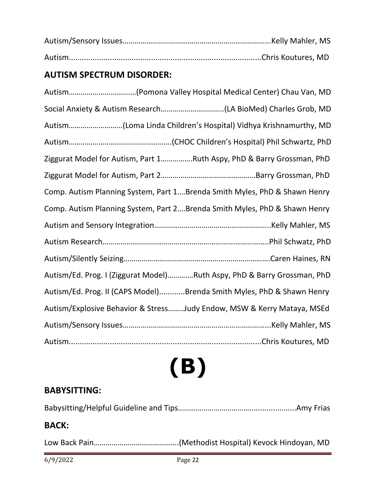#### **AUTISM SPECTRUM DISORDER:**

| Social Anxiety & Autism Research(LA BioMed) Charles Grob, MD              |
|---------------------------------------------------------------------------|
|                                                                           |
|                                                                           |
| Ziggurat Model for Autism, Part 1Ruth Aspy, PhD & Barry Grossman, PhD     |
|                                                                           |
| Comp. Autism Planning System, Part 1Brenda Smith Myles, PhD & Shawn Henry |
| Comp. Autism Planning System, Part 2Brenda Smith Myles, PhD & Shawn Henry |
|                                                                           |
|                                                                           |
|                                                                           |
| Autism/Ed. Prog. I (Ziggurat Model)Ruth Aspy, PhD & Barry Grossman, PhD   |
| Autism/Ed. Prog. II (CAPS Model)Brenda Smith Myles, PhD & Shawn Henry     |
| Autism/Explosive Behavior & StressJudy Endow, MSW & Kerry Mataya, MSEd    |
|                                                                           |
|                                                                           |

# **(B)**

#### **BABYSITTING:**

Babysitting/Helpful Guideline and Tips………………………………................…...Amy Frias

#### **BACK:**

Low Back Pain…………………………………….(Methodist Hospital) Kevock Hindoyan, MD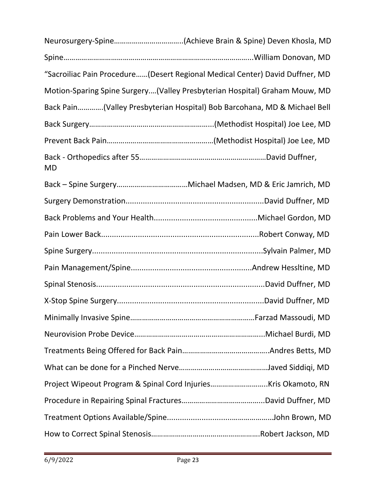|           | "Sacroiliac Pain Procedure(Desert Regional Medical Center) David Duffner, MD |
|-----------|------------------------------------------------------------------------------|
|           | Motion-Sparing Spine Surgery(Valley Presbyterian Hospital) Graham Mouw, MD   |
|           | Back Pain(Valley Presbyterian Hospital) Bob Barcohana, MD & Michael Bell     |
|           |                                                                              |
|           |                                                                              |
| <b>MD</b> |                                                                              |
|           |                                                                              |
|           |                                                                              |
|           |                                                                              |
|           |                                                                              |
|           |                                                                              |
|           |                                                                              |
|           |                                                                              |
|           |                                                                              |
|           |                                                                              |
|           |                                                                              |
|           |                                                                              |
|           |                                                                              |
|           |                                                                              |
|           |                                                                              |
|           |                                                                              |
|           |                                                                              |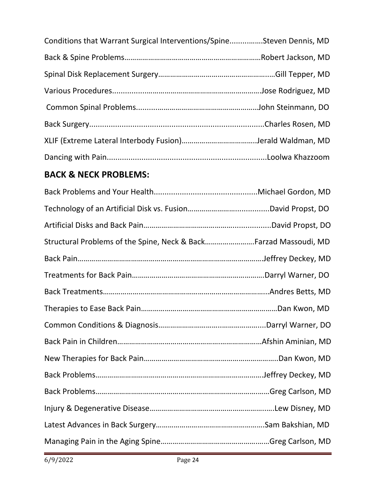| Conditions that Warrant Surgical Interventions/SpineSteven Dennis, MD |  |
|-----------------------------------------------------------------------|--|
|                                                                       |  |
|                                                                       |  |
|                                                                       |  |
|                                                                       |  |
|                                                                       |  |
|                                                                       |  |
|                                                                       |  |

#### **BACK & NECK PROBLEMS:**

| Structural Problems of the Spine, Neck & BackFarzad Massoudi, MD |  |
|------------------------------------------------------------------|--|
|                                                                  |  |
|                                                                  |  |
|                                                                  |  |
|                                                                  |  |
|                                                                  |  |
|                                                                  |  |
|                                                                  |  |
|                                                                  |  |
|                                                                  |  |
|                                                                  |  |
|                                                                  |  |
|                                                                  |  |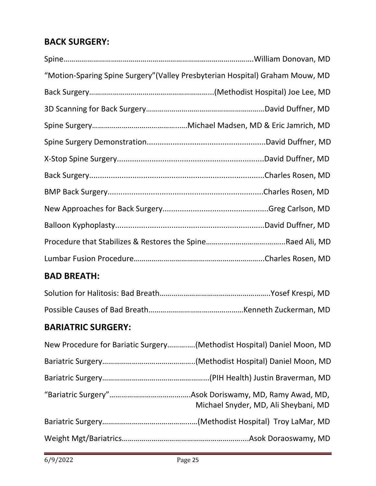#### **BACK SURGERY:**

| "Motion-Sparing Spine Surgery" (Valley Presbyterian Hospital) Graham Mouw, MD |
|-------------------------------------------------------------------------------|
|                                                                               |
|                                                                               |
|                                                                               |
|                                                                               |
|                                                                               |
|                                                                               |
|                                                                               |
|                                                                               |
|                                                                               |
|                                                                               |
|                                                                               |
|                                                                               |

#### **BAD BREATH:**

#### **BARIATRIC SURGERY:**

| New Procedure for Bariatic Surgery(Methodist Hospital) Daniel Moon, MD |
|------------------------------------------------------------------------|
|                                                                        |
|                                                                        |
| Michael Snyder, MD, Ali Sheybani, MD                                   |
|                                                                        |
|                                                                        |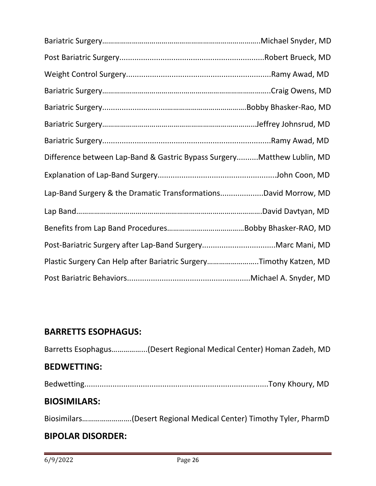| Difference between Lap-Band & Gastric Bypass SurgeryMatthew Lublin, MD |  |
|------------------------------------------------------------------------|--|
|                                                                        |  |
| Lap-Band Surgery & the Dramatic TransformationsDavid Morrow, MD        |  |
|                                                                        |  |
|                                                                        |  |
|                                                                        |  |
| Plastic Surgery Can Help after Bariatric SurgeryTimothy Katzen, MD     |  |
|                                                                        |  |

#### **BARRETTS ESOPHAGUS:**

Barretts Esophagus……………...(Desert Regional Medical Center) Homan Zadeh, MD **BEDWETTING:** Bedwetting.....................................................................................Tony Khoury, MD **BIOSIMILARS:**

Biosimilars…………………….(Desert Regional Medical Center) Timothy Tyler, PharmD

#### **BIPOLAR DISORDER:**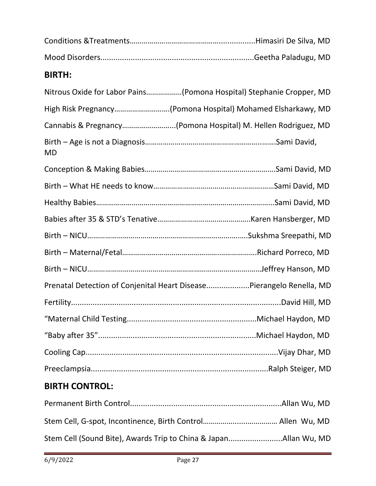| <b>BIRTH:</b>                                                        |  |
|----------------------------------------------------------------------|--|
| Nitrous Oxide for Labor Pains(Pomona Hospital) Stephanie Cropper, MD |  |
| High Risk Pregnancy(Pomona Hospital) Mohamed Elsharkawy, MD          |  |
| Cannabis & Pregnancy(Pomona Hospital) M. Hellen Rodriguez, MD        |  |
| <b>MD</b>                                                            |  |
|                                                                      |  |
|                                                                      |  |
|                                                                      |  |
|                                                                      |  |
|                                                                      |  |
|                                                                      |  |
|                                                                      |  |
| Prenatal Detection of Conjenital Heart DiseasePierangelo Renella, MD |  |
|                                                                      |  |
|                                                                      |  |
|                                                                      |  |
|                                                                      |  |
|                                                                      |  |
|                                                                      |  |

#### **BIRTH CONTROL:**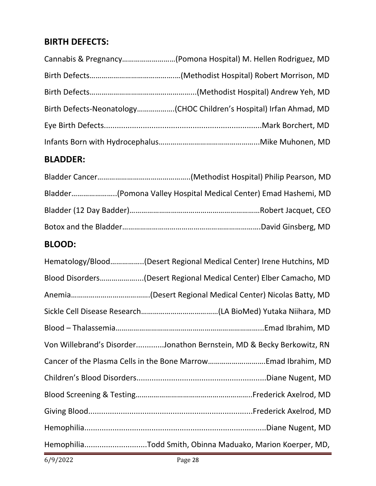#### **BIRTH DEFECTS:**

| Cannabis & Pregnancy(Pomona Hospital) M. Hellen Rodriguez, MD       |
|---------------------------------------------------------------------|
|                                                                     |
|                                                                     |
| Birth Defects-Neonatology(CHOC Children's Hospital) Irfan Ahmad, MD |
|                                                                     |
|                                                                     |

#### **BLADDER:**

| Bladder(Pomona Valley Hospital Medical Center) Emad Hashemi, MD |  |
|-----------------------------------------------------------------|--|
|                                                                 |  |
|                                                                 |  |

#### **BLOOD:**

| Hematology/Blood(Desert Regional Medical Center) Irene Hutchins, MD   |
|-----------------------------------------------------------------------|
| Blood Disorders(Desert Regional Medical Center) Elber Camacho, MD     |
|                                                                       |
|                                                                       |
|                                                                       |
| Von Willebrand's DisorderJonathon Bernstein, MD & Becky Berkowitz, RN |
|                                                                       |
|                                                                       |
|                                                                       |
|                                                                       |
|                                                                       |
| HemophiliaTodd Smith, Obinna Maduako, Marion Koerper, MD,             |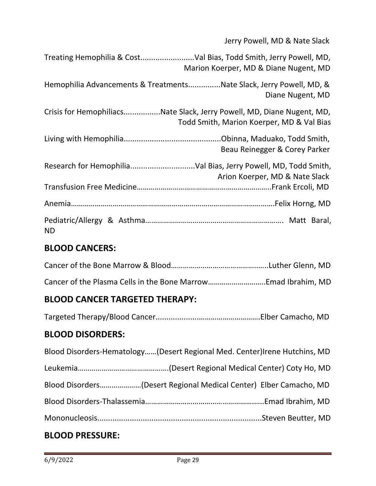Jerry Powell, MD & Nate Slack

|                                                                        | Marion Koerper, MD & Diane Nugent, MD     |
|------------------------------------------------------------------------|-------------------------------------------|
| Hemophilia Advancements & TreatmentsNate Slack, Jerry Powell, MD, &    | Diane Nugent, MD                          |
| Crisis for HemophiliacsNate Slack, Jerry Powell, MD, Diane Nugent, MD, | Todd Smith, Marion Koerper, MD & Val Bias |
|                                                                        | Beau Reinegger & Corey Parker             |
|                                                                        | Arion Koerper, MD & Nate Slack            |
|                                                                        |                                           |
|                                                                        |                                           |
| <b>ND</b>                                                              |                                           |

#### **BLOOD CANCERS:**

#### **BLOOD CANCER TARGETED THERAPY:**

Targeted Therapy/Blood Cancer....................………………………….Elber Camacho, MD

#### **BLOOD DISORDERS:**

| Blood Disorders-Hematology(Desert Regional Med. Center)Irene Hutchins, MD |
|---------------------------------------------------------------------------|
|                                                                           |
| Blood Disorders(Desert Regional Medical Center) Elber Camacho, MD         |
|                                                                           |
|                                                                           |
|                                                                           |

#### **BLOOD PRESSURE:**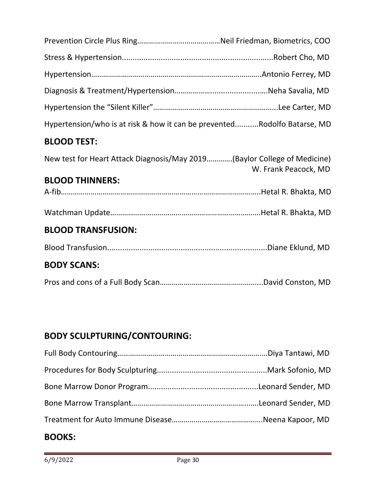| Hypertension/who is at risk & how it can be preventedRodolfo Batarse, MD                         |
|--------------------------------------------------------------------------------------------------|
| <b>BLOOD TEST:</b>                                                                               |
| New test for Heart Attack Diagnosis/May 2019(Baylor College of Medicine)<br>W. Frank Peacock, MD |
| <b>BLOOD THINNERS:</b>                                                                           |
|                                                                                                  |
|                                                                                                  |
| <b>BLOOD TRANSFUSION:</b>                                                                        |
|                                                                                                  |
| <b>BODY SCANS:</b>                                                                               |
|                                                                                                  |

#### **BODY SCULPTURING/CONTOURING:**

| $\mathbf{A} \mathbf{A} \mathbf{B}$ |  |
|------------------------------------|--|

#### **BOOKS:**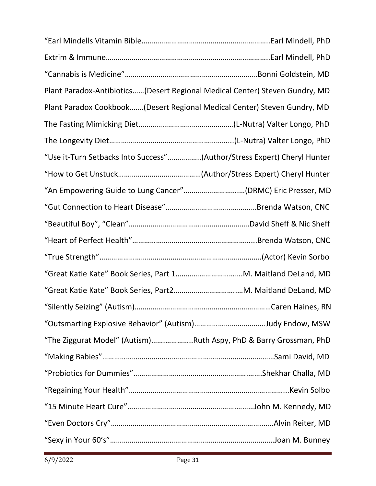| Plant Paradox-Antibiotics (Desert Regional Medical Center) Steven Gundry, MD |  |
|------------------------------------------------------------------------------|--|
| Plant Paradox Cookbook(Desert Regional Medical Center) Steven Gundry, MD     |  |
|                                                                              |  |
|                                                                              |  |
| "Use it-Turn Setbacks Into Success"(Author/Stress Expert) Cheryl Hunter      |  |
|                                                                              |  |
| "An Empowering Guide to Lung Cancer"(DRMC) Eric Presser, MD                  |  |
|                                                                              |  |
|                                                                              |  |
|                                                                              |  |
|                                                                              |  |
|                                                                              |  |
|                                                                              |  |
|                                                                              |  |
|                                                                              |  |
| "The Ziggurat Model" (Autism)Ruth Aspy, PhD & Barry Grossman, PhD            |  |
|                                                                              |  |
|                                                                              |  |
|                                                                              |  |
|                                                                              |  |
|                                                                              |  |
|                                                                              |  |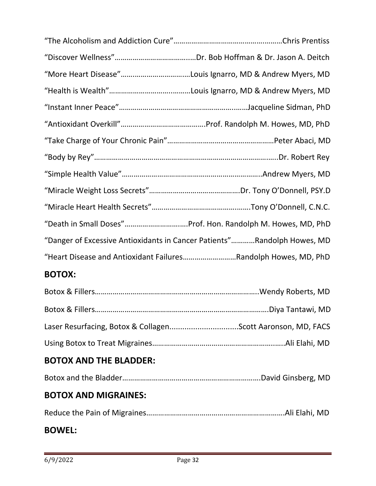| "Danger of Excessive Antioxidants in Cancer Patients"Randolph Howes, MD |
|-------------------------------------------------------------------------|
| "Heart Disease and Antioxidant FailuresRandolph Howes, MD, PhD          |

#### **BOTOX:**

| <b>BOTOX AND THE BLADDER:</b> |  |
|-------------------------------|--|
|                               |  |

#### **BOTOX AND MIGRAINES:**

Reduce the Pain of Migraines…………………………………………………………….Ali Elahi, MD

#### **BOWEL:**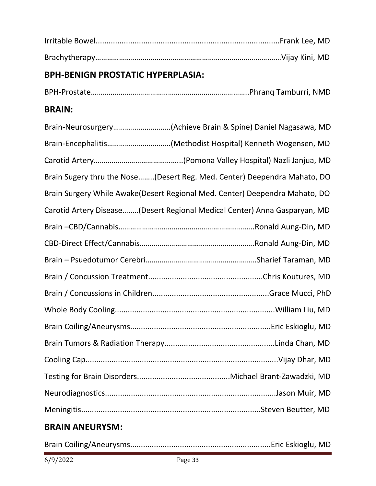#### **BPH-BENIGN PROSTATIC HYPERPLASIA:**

BPH-Prostate……………………………………………………………………..Phranq Tamburri, NMD

#### **BRAIN:**

| Brain-Neurosurgery(Achieve Brain & Spine) Daniel Nagasawa, MD               |
|-----------------------------------------------------------------------------|
| Brain-Encephalitis(Methodist Hospital) Kenneth Wogensen, MD                 |
|                                                                             |
| Brain Sugery thru the Nose(Desert Reg. Med. Center) Deependra Mahato, DO    |
| Brain Surgery While Awake(Desert Regional Med. Center) Deependra Mahato, DO |
| Carotid Artery Disease(Desert Regional Medical Center) Anna Gasparyan, MD   |
|                                                                             |
|                                                                             |
|                                                                             |
|                                                                             |
|                                                                             |
|                                                                             |
|                                                                             |
|                                                                             |
|                                                                             |
|                                                                             |
|                                                                             |
|                                                                             |

#### **BRAIN ANEURYSM:**

|--|--|--|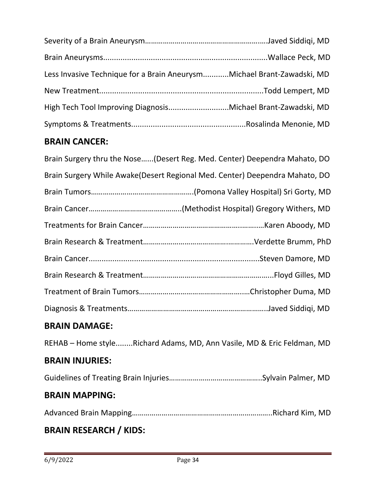| Less Invasive Technique for a Brain AneurysmMichael Brant-Zawadski, MD |  |
|------------------------------------------------------------------------|--|
|                                                                        |  |
|                                                                        |  |
|                                                                        |  |

#### **BRAIN CANCER:**

| Brain Surgery thru the Nose(Desert Reg. Med. Center) Deependra Mahato, DO    |
|------------------------------------------------------------------------------|
| Brain Surgery While Awake (Desert Regional Med. Center) Deependra Mahato, DO |
|                                                                              |
|                                                                              |
|                                                                              |
|                                                                              |
|                                                                              |
|                                                                              |
|                                                                              |
|                                                                              |
| <b>BRAIN DAMAGE:</b>                                                         |
| REHAB - Home styleRichard Adams, MD, Ann Vasile, MD & Eric Feldman, MD       |

#### **BRAIN INJURIES:**

Guidelines of Treating Brain Injuries………………………………………..Sylvain Palmer, MD

#### **BRAIN MAPPING:**

Advanced Brain Mapping……………………………………………………………..Richard Kim, MD

#### **BRAIN RESEARCH / KIDS:**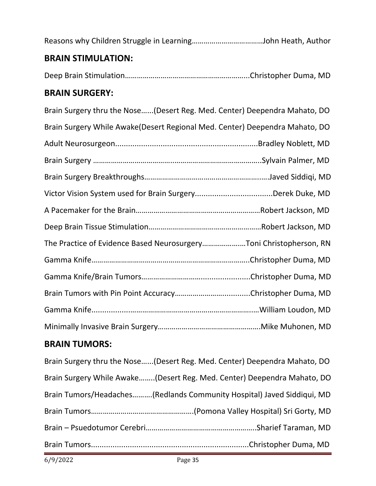| Brain Tumors/Headaches(Redlands Community Hospital) Javed Siddiqui, MD    |
|---------------------------------------------------------------------------|
| Brain Surgery While Awake(Desert Reg. Med. Center) Deependra Mahato, DO   |
| Drain Jurgery thru the NOSE(Desert Keg. Meu. Center) Deependra Manato, DO |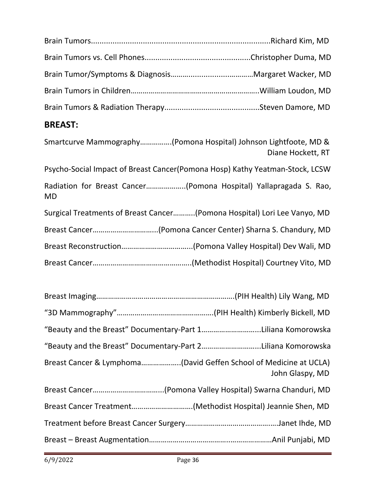#### **BREAST:**

| Smartcurve Mammography(Pomona Hospital) Johnson Lightfoote, MD &<br>Diane Hockett, RT |
|---------------------------------------------------------------------------------------|
| Psycho-Social Impact of Breast Cancer(Pomona Hosp) Kathy Yeatman-Stock, LCSW          |
| Radiation for Breast Cancer(Pomona Hospital) Yallapragada S. Rao,<br><b>MD</b>        |
| Surgical Treatments of Breast Cancer(Pomona Hospital) Lori Lee Vanyo, MD              |
|                                                                                       |
|                                                                                       |
|                                                                                       |

| "Beauty and the Breast" Documentary-Part 1Liliana Komorowska |
|--------------------------------------------------------------|
| "Beauty and the Breast" Documentary-Part 2Liliana Komorowska |
| John Glaspy, MD                                              |
|                                                              |
|                                                              |
|                                                              |
|                                                              |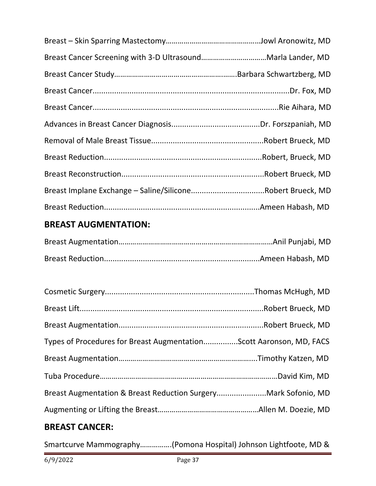| Breast Implane Exchange - Saline/SiliconeRobert Brueck, MD          |  |
|---------------------------------------------------------------------|--|
|                                                                     |  |
| <b>BREAST AUGMENTATION:</b>                                         |  |
|                                                                     |  |
|                                                                     |  |
|                                                                     |  |
|                                                                     |  |
|                                                                     |  |
|                                                                     |  |
| Types of Procedures for Breast AugmentationScott Aaronson, MD, FACS |  |
|                                                                     |  |
|                                                                     |  |
| Breast Augmentation & Breast Reduction SurgeryMark Sofonio, MD      |  |
|                                                                     |  |
|                                                                     |  |

# **BREAST CANCER:**

Smartcurve Mammography…………….(Pomona Hospital) Johnson Lightfoote, MD &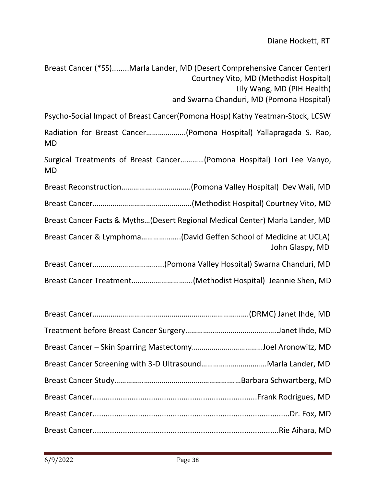Breast Cancer (\*SS)........Marla Lander, MD (Desert Comprehensive Cancer Center) Courtney Vito, MD (Methodist Hospital) Lily Wang, MD (PIH Health) and Swarna Chanduri, MD (Pomona Hospital)

Psycho-Social Impact of Breast Cancer(Pomona Hosp) Kathy Yeatman-Stock, LCSW

Radiation for Breast Cancer………………..(Pomona Hospital) Yallapragada S. Rao, MD

Surgical Treatments of Breast Cancer…………(Pomona Hospital) Lori Lee Vanyo, MD

Breast Reconstruction……………………………..(Pomona Valley Hospital) Dev Wali, MD

Breast Cancer…………………………………………..(Methodist Hospital) Courtney Vito, MD

Breast Cancer Facts & Myths…(Desert Regional Medical Center) Marla Lander, MD

Breast Cancer & Lymphoma………………..(David Geffen School of Medicine at UCLA) John Glaspy, MD

Breast Cancer……………………………...(Pomona Valley Hospital) Swarna Chanduri, MD

Breast Cancer Treatment………………………….(Methodist Hospital) Jeannie Shen, MD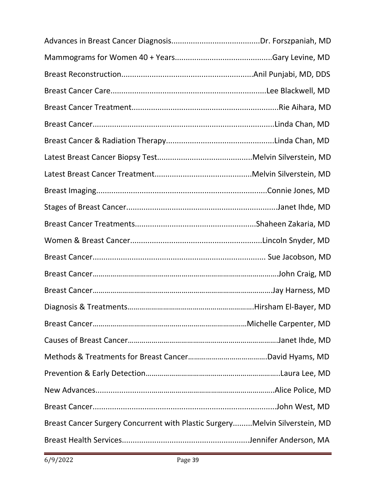|                                                                             | Hirsham El-Bayer, MD |
|-----------------------------------------------------------------------------|----------------------|
|                                                                             |                      |
|                                                                             |                      |
|                                                                             |                      |
|                                                                             |                      |
|                                                                             |                      |
|                                                                             |                      |
| Breast Cancer Surgery Concurrent with Plastic SurgeryMelvin Silverstein, MD |                      |
|                                                                             |                      |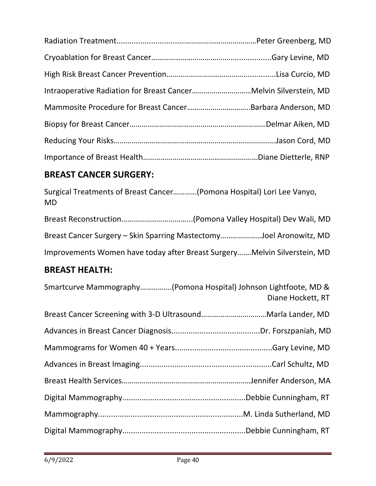# **BREAST CANCER SURGERY:**

Surgical Treatments of Breast Cancer…………(Pomona Hospital) Lori Lee Vanyo, MD

| Breast Cancer Surgery – Skin Sparring MastectomyJoel Aronowitz, MD       |  |
|--------------------------------------------------------------------------|--|
| Improvements Women have today after Breast SurgeryMelvin Silverstein, MD |  |

# **BREAST HEALTH:**

| Smartcurve Mammography(Pomona Hospital) Johnson Lightfoote, MD & | Diane Hockett, RT |
|------------------------------------------------------------------|-------------------|
|                                                                  |                   |
|                                                                  |                   |
|                                                                  |                   |
|                                                                  |                   |
|                                                                  |                   |
|                                                                  |                   |
|                                                                  |                   |
|                                                                  |                   |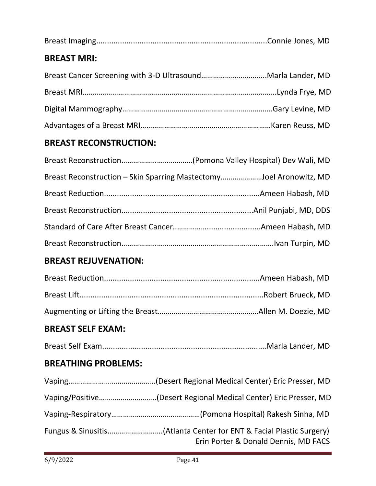| <b>BREAST MRI:</b>            |                                                                                                             |
|-------------------------------|-------------------------------------------------------------------------------------------------------------|
|                               | Breast Cancer Screening with 3-D UltrasoundMarla Lander, MD                                                 |
|                               |                                                                                                             |
|                               |                                                                                                             |
|                               |                                                                                                             |
| <b>BREAST RECONSTRUCTION:</b> |                                                                                                             |
|                               |                                                                                                             |
|                               | Breast Reconstruction - Skin Sparring MastectomyJoel Aronowitz, MD                                          |
|                               |                                                                                                             |
|                               |                                                                                                             |
|                               |                                                                                                             |
|                               |                                                                                                             |
| <b>BREAST REJUVENATION:</b>   |                                                                                                             |
|                               |                                                                                                             |
|                               |                                                                                                             |
|                               |                                                                                                             |
| <b>BREAST SELF EXAM:</b>      |                                                                                                             |
|                               |                                                                                                             |
| <b>BREATHING PROBLEMS:</b>    |                                                                                                             |
|                               |                                                                                                             |
|                               | Vaping/Positive(Desert Regional Medical Center) Eric Presser, MD                                            |
|                               |                                                                                                             |
|                               | Fungus & Sinusitis(Atlanta Center for ENT & Facial Plastic Surgery)<br>Erin Porter & Donald Dennis, MD FACS |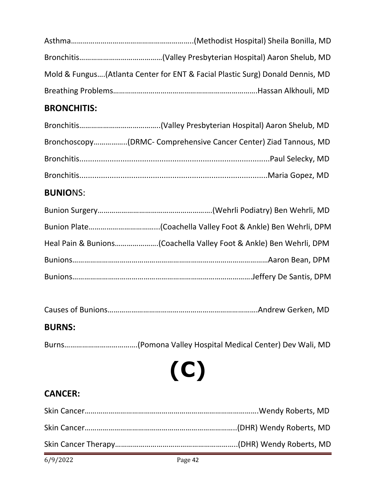| Mold & Fungus(Atlanta Center for ENT & Facial Plastic Surg) Donald Dennis, MD |
|-------------------------------------------------------------------------------|
|                                                                               |

# **BRONCHITIS:**

#### **BUNIO**NS:

|--|--|

### **BURNS:**

Burns……………………………….(Pomona Valley Hospital Medical Center) Dev Wali, MD

**(C)**

# **CANCER:**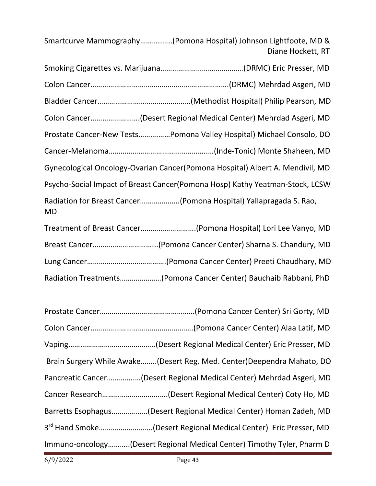Smartcurve Mammography………..…..(Pomona Hospital) Johnson Lightfoote, MD & Diane Hockett, RT

| Colon Cancer(Desert Regional Medical Center) Mehrdad Asgeri, MD                |  |
|--------------------------------------------------------------------------------|--|
| Prostate Cancer-New TestsPomona Valley Hospital) Michael Consolo, DO           |  |
|                                                                                |  |
| Gynecological Oncology-Ovarian Cancer(Pomona Hospital) Albert A. Mendivil, MD  |  |
| Psycho-Social Impact of Breast Cancer(Pomona Hosp) Kathy Yeatman-Stock, LCSW   |  |
| Radiation for Breast Cancer(Pomona Hospital) Yallapragada S. Rao,<br><b>MD</b> |  |
| Treatment of Breast Cancer(Pomona Hospital) Lori Lee Vanyo, MD                 |  |
|                                                                                |  |
|                                                                                |  |

Radiation Treatments…………………(Pomona Cancer Center) Bauchaib Rabbani, PhD

| Brain Surgery While Awake(Desert Reg. Med. Center)Deependra Mahato, DO      |
|-----------------------------------------------------------------------------|
| Pancreatic Cancer(Desert Regional Medical Center) Mehrdad Asgeri, MD        |
|                                                                             |
| Barretts Esophagus(Desert Regional Medical Center) Homan Zadeh, MD          |
| 3 <sup>rd</sup> Hand Smoke(Desert Regional Medical Center) Eric Presser, MD |
| Immuno-oncology(Desert Regional Medical Center) Timothy Tyler, Pharm D      |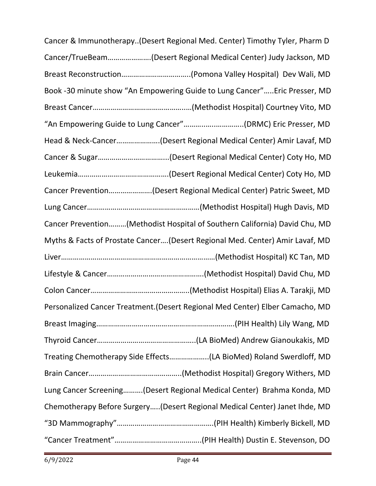Cancer & Immunotherapy..(Desert Regional Med. Center) Timothy Tyler, Pharm D Cancer/TrueBeam………………….(Desert Regional Medical Center) Judy Jackson, MD Breast Reconstruction……………………………..(Pomona Valley Hospital) Dev Wali, MD Book -30 minute show "An Empowering Guide to Lung Cancer"…..Eric Presser, MD Breast Cancer………………………………………..…(Methodist Hospital) Courtney Vito, MD "An Empowering Guide to Lung Cancer"………..…..…………..(DRMC) Eric Presser, MD Head & Neck-Cancer………………….(Desert Regional Medical Center) Amir Lavaf, MD Cancer & Sugar……………………………...(Desert Regional Medical Center) Coty Ho, MD Leukemia……………………………………….(Desert Regional Medical Center) Coty Ho, MD Cancer Prevention………………….(Desert Regional Medical Center) Patric Sweet, MD Lung Cancer…………………………………………………(Methodist Hospital) Hugh Davis, MD Cancer Prevention………(Methodist Hospital of Southern California) David Chu, MD Myths & Facts of Prostate Cancer….(Desert Regional Med. Center) Amir Lavaf, MD Liver……………………………………………………………………(Methodist Hospital) KC Tan, MD Lifestyle & Cancer………………………………………….(Methodist Hospital) David Chu, MD Colon Cancer…………………………………………..(Methodist Hospital) Elias A. Tarakji, MD Personalized Cancer Treatment.(Desert Regional Med Center) Elber Camacho, MD Breast Imaging…………………………………………………………….(PIH Health) Lily Wang, MD Thyroid Cancer…………………………………………..(LA BioMed) Andrew Gianoukakis, MD Treating Chemotherapy Side Effects………………..(LA BioMed) Roland Swerdloff, MD Brain Cancer………………………………………..(Methodist Hospital) Gregory Withers, MD Lung Cancer Screening……….(Desert Regional Medical Center) Brahma Konda, MD Chemotherapy Before Surgery…..(Desert Regional Medical Center) Janet Ihde, MD "3D Mammography"………………………………………….(PIH Health) Kimberly Bickell, MD "Cancer Treatment"……………………………………..(PIH Health) Dustin E. Stevenson, DO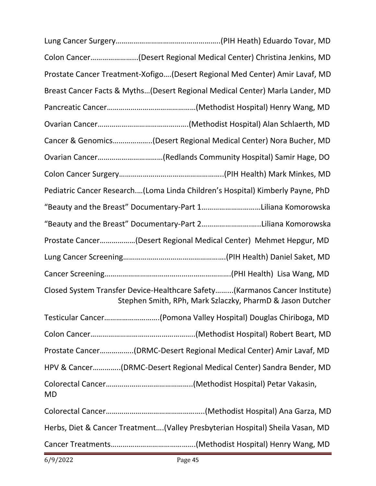|    | Colon Cancer(Desert Regional Medical Center) Christina Jenkins, MD                                                                      |
|----|-----------------------------------------------------------------------------------------------------------------------------------------|
|    | Prostate Cancer Treatment-Xofigo(Desert Regional Med Center) Amir Lavaf, MD                                                             |
|    | Breast Cancer Facts & Myths(Desert Regional Medical Center) Marla Lander, MD                                                            |
|    |                                                                                                                                         |
|    |                                                                                                                                         |
|    | Cancer & Genomics(Desert Regional Medical Center) Nora Bucher, MD                                                                       |
|    | Ovarian Cancer(Redlands Community Hospital) Samir Hage, DO                                                                              |
|    |                                                                                                                                         |
|    | Pediatric Cancer Research(Loma Linda Children's Hospital) Kimberly Payne, PhD                                                           |
|    | "Beauty and the Breast" Documentary-Part 1Liliana Komorowska                                                                            |
|    | "Beauty and the Breast" Documentary-Part 2Liliana Komorowska                                                                            |
|    | Prostate Cancer(Desert Regional Medical Center) Mehmet Hepgur, MD                                                                       |
|    |                                                                                                                                         |
|    |                                                                                                                                         |
|    | Closed System Transfer Device-Healthcare Safety(Karmanos Cancer Institute)<br>Stephen Smith, RPh, Mark Szlaczky, PharmD & Jason Dutcher |
|    | Testicular Cancer(Pomona Valley Hospital) Douglas Chiriboga, MD                                                                         |
|    |                                                                                                                                         |
|    | Prostate Cancer(DRMC-Desert Regional Medical Center) Amir Lavaf, MD                                                                     |
|    | HPV & Cancer(DRMC-Desert Regional Medical Center) Sandra Bender, MD                                                                     |
| MD |                                                                                                                                         |
|    |                                                                                                                                         |
|    | Herbs, Diet & Cancer Treatment(Valley Presbyterian Hospital) Sheila Vasan, MD                                                           |
|    |                                                                                                                                         |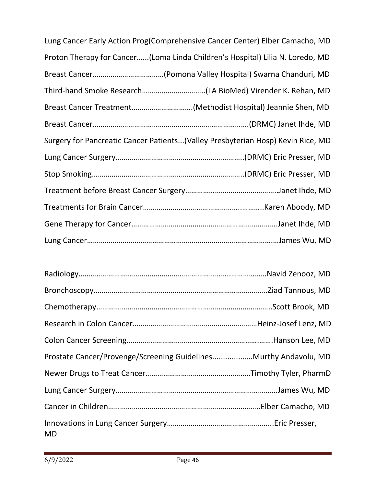| Lung Cancer Early Action Prog(Comprehensive Cancer Center) Elber Camacho, MD     |
|----------------------------------------------------------------------------------|
| Proton Therapy for Cancer(Loma Linda Children's Hospital) Lilia N. Loredo, MD    |
|                                                                                  |
|                                                                                  |
|                                                                                  |
|                                                                                  |
| Surgery for Pancreatic Cancer Patients (Valley Presbyterian Hosp) Kevin Rice, MD |
|                                                                                  |
|                                                                                  |
|                                                                                  |
|                                                                                  |
|                                                                                  |
|                                                                                  |

| Prostate Cancer/Provenge/Screening GuidelinesMurthy Andavolu, MD |  |
|------------------------------------------------------------------|--|
|                                                                  |  |
|                                                                  |  |
|                                                                  |  |
| <b>MD</b>                                                        |  |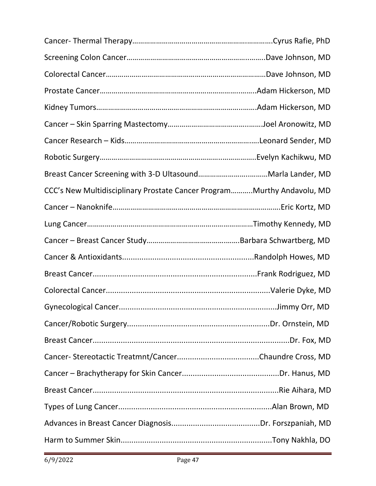| CCC's New Multidisciplinary Prostate Cancer ProgramMurthy Andavolu, MD |  |
|------------------------------------------------------------------------|--|
|                                                                        |  |
|                                                                        |  |
|                                                                        |  |
|                                                                        |  |
|                                                                        |  |
|                                                                        |  |
|                                                                        |  |
|                                                                        |  |
|                                                                        |  |
|                                                                        |  |
|                                                                        |  |
|                                                                        |  |
|                                                                        |  |
|                                                                        |  |
|                                                                        |  |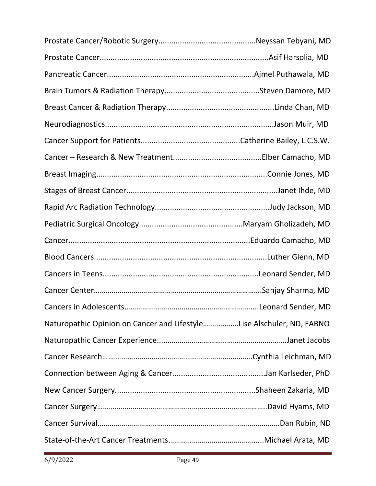|                                                                       | Leonard Sender, MD |
|-----------------------------------------------------------------------|--------------------|
| Naturopathic Opinion on Cancer and LifestyleLise Alschuler, ND, FABNO |                    |
|                                                                       |                    |
|                                                                       |                    |
|                                                                       |                    |
|                                                                       |                    |
|                                                                       |                    |
|                                                                       |                    |
|                                                                       |                    |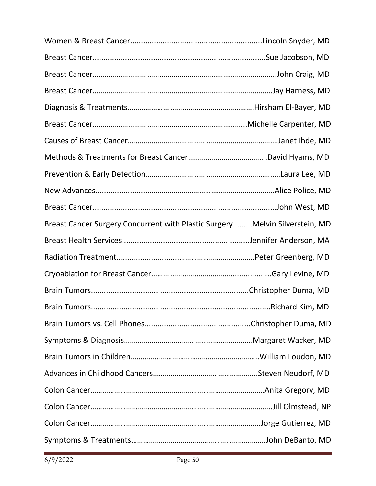| Breast Cancer Surgery Concurrent with Plastic SurgeryMelvin Silverstein, MD |                 |
|-----------------------------------------------------------------------------|-----------------|
|                                                                             |                 |
|                                                                             |                 |
|                                                                             |                 |
|                                                                             |                 |
|                                                                             | Richard Kim, MD |
|                                                                             |                 |
|                                                                             |                 |
|                                                                             |                 |
|                                                                             |                 |
|                                                                             |                 |
|                                                                             |                 |
|                                                                             |                 |
|                                                                             |                 |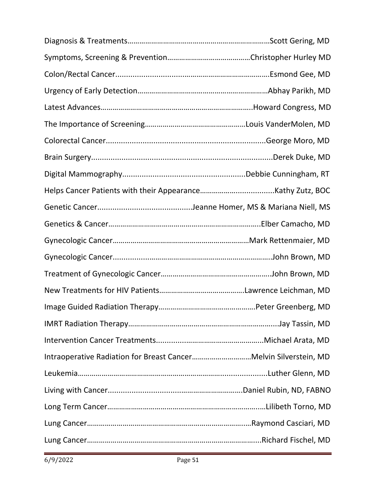| Intraoperative Radiation for Breast CancerMelvin Silverstein, MD |  |
|------------------------------------------------------------------|--|
|                                                                  |  |
|                                                                  |  |
|                                                                  |  |
|                                                                  |  |
|                                                                  |  |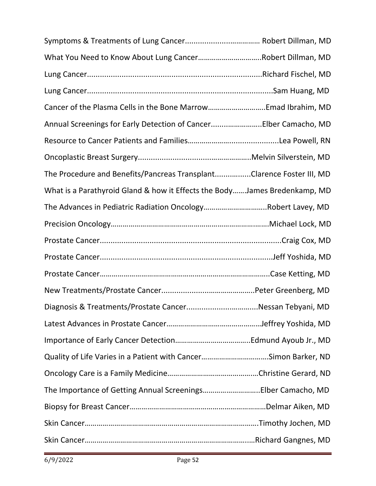| What You Need to Know About Lung CancerRobert Dillman, MD                 |  |
|---------------------------------------------------------------------------|--|
|                                                                           |  |
|                                                                           |  |
|                                                                           |  |
| Annual Screenings for Early Detection of CancerElber Camacho, MD          |  |
|                                                                           |  |
|                                                                           |  |
| The Procedure and Benefits/Pancreas TransplantClarence Foster III, MD     |  |
| What is a Parathyroid Gland & how it Effects the BodyJames Bredenkamp, MD |  |
| The Advances in Pediatric Radiation OncologyRobert Lavey, MD              |  |
|                                                                           |  |
|                                                                           |  |
|                                                                           |  |
|                                                                           |  |
|                                                                           |  |
|                                                                           |  |
|                                                                           |  |
|                                                                           |  |
| Quality of Life Varies in a Patient with CancerSimon Barker, ND           |  |
|                                                                           |  |
| The Importance of Getting Annual ScreeningsElber Camacho, MD              |  |
|                                                                           |  |
|                                                                           |  |
|                                                                           |  |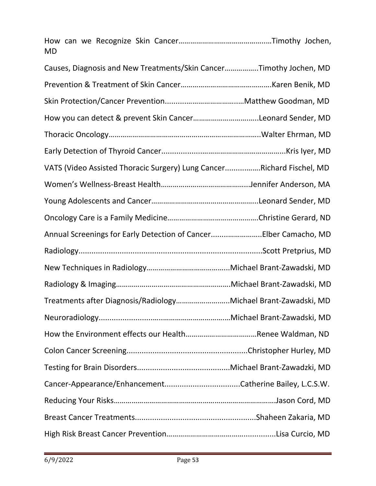| <b>MD</b>                                                             |  |
|-----------------------------------------------------------------------|--|
| Causes, Diagnosis and New Treatments/Skin CancerTimothy Jochen, MD    |  |
|                                                                       |  |
|                                                                       |  |
| How you can detect & prevent Skin CancerLeonard Sender, MD            |  |
|                                                                       |  |
|                                                                       |  |
| VATS (Video Assisted Thoracic Surgery) Lung CancerRichard Fischel, MD |  |
|                                                                       |  |
|                                                                       |  |
|                                                                       |  |
| Annual Screenings for Early Detection of CancerElber Camacho, MD      |  |
|                                                                       |  |
|                                                                       |  |
|                                                                       |  |
| Treatments after Diagnosis/RadiologyMichael Brant-Zawadski, MD        |  |
|                                                                       |  |
|                                                                       |  |
|                                                                       |  |
|                                                                       |  |
|                                                                       |  |
|                                                                       |  |
|                                                                       |  |
|                                                                       |  |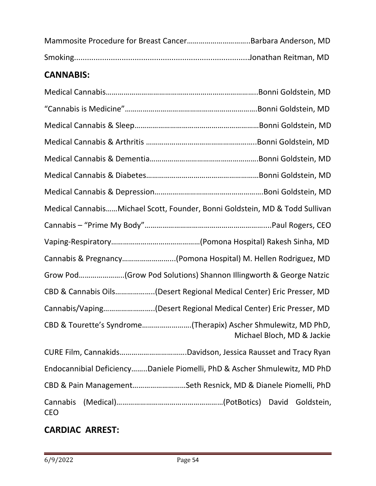# **CANNABIS:**

| Medical CannabisMichael Scott, Founder, Bonni Goldstein, MD & Todd Sullivan                  |
|----------------------------------------------------------------------------------------------|
|                                                                                              |
|                                                                                              |
| Cannabis & Pregnancy(Pomona Hospital) M. Hellen Rodriguez, MD                                |
| Grow Pod(Grow Pod Solutions) Shannon Illingworth & George Natzic                             |
| CBD & Cannabis Oils(Desert Regional Medical Center) Eric Presser, MD                         |
| Cannabis/Vaping(Desert Regional Medical Center) Eric Presser, MD                             |
| CBD & Tourette's Syndrome(Therapix) Ascher Shmulewitz, MD PhD,<br>Michael Bloch, MD & Jackie |
|                                                                                              |
| Endocannibial DeficiencyDaniele Piomelli, PhD & Ascher Shmulewitz, MD PhD                    |
| CBD & Pain ManagementSeth Resnick, MD & Dianele Piomelli, PhD                                |
| Cannabis<br>Goldstein,<br><b>CEO</b>                                                         |

# **CARDIAC ARREST:**

i,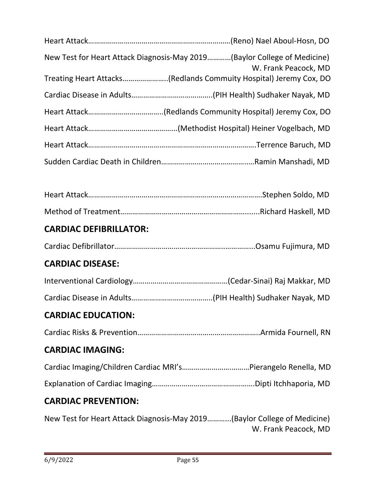| New Test for Heart Attack Diagnosis-May 2019(Baylor College of Medicine)<br>W. Frank Peacock, MD |
|--------------------------------------------------------------------------------------------------|
| Treating Heart Attacks(Redlands Commuity Hospital) Jeremy Cox, DO                                |
|                                                                                                  |
|                                                                                                  |
|                                                                                                  |
|                                                                                                  |
|                                                                                                  |
|                                                                                                  |
|                                                                                                  |
|                                                                                                  |
| <b>CARDIAC DEFIBRILLATOR:</b>                                                                    |
|                                                                                                  |
| <b>CARDIAC DISEASE:</b>                                                                          |
|                                                                                                  |
|                                                                                                  |
| <b>CARDIAC EDUCATION:</b>                                                                        |
|                                                                                                  |
| <b>CARDIAC IMAGING:</b>                                                                          |
|                                                                                                  |
|                                                                                                  |
| <b>CARDIAC PREVENTION:</b>                                                                       |
| New Test for Heart Attack Diagnosis-May 2019(Baylor College of Medicine)<br>W. Frank Peacock, MD |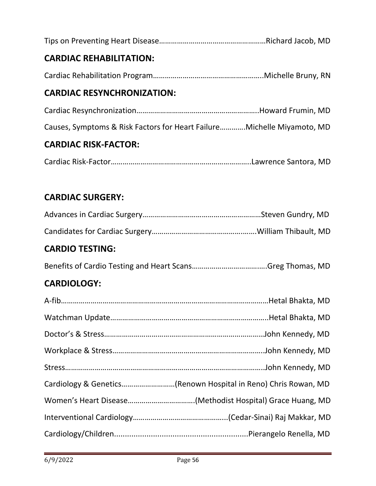| <b>CARDIAC REHABILITATION:</b>                                          |  |
|-------------------------------------------------------------------------|--|
|                                                                         |  |
| <b>CARDIAC RESYNCHRONIZATION:</b>                                       |  |
|                                                                         |  |
| Causes, Symptoms & Risk Factors for Heart Failure Michelle Miyamoto, MD |  |

# **CARDIAC RISK-FACTOR:**

Cardiac Risk-Factor……………………………………………………………..Lawrence Santora, MD

# **CARDIAC SURGERY:**

### **CARDIO TESTING:**

Benefits of Cardio Testing and Heart Scans…………………………….….Greg Thomas, MD

# **CARDIOLOGY:**

| Cardiology & Genetics(Renown Hospital in Reno) Chris Rowan, MD |
|----------------------------------------------------------------|
|                                                                |
|                                                                |
|                                                                |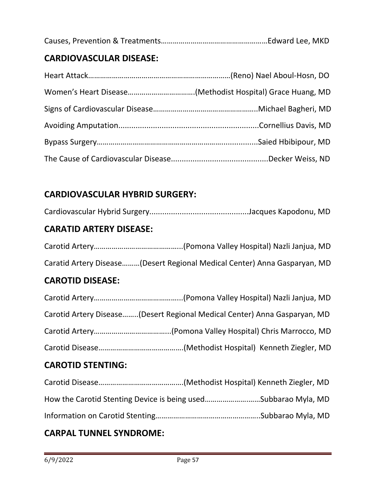|--|--|

# **CARDIOVASCULAR DISEASE:**

# **CARDIOVASCULAR HYBRID SURGERY:**

# **CARATID ARTERY DISEASE:**

| Caratid Artery Disease(Desert Regional Medical Center) Anna Gasparyan, MD |
|---------------------------------------------------------------------------|

# **CAROTID DISEASE:**

| Carotid Artery Disease(Desert Regional Medical Center) Anna Gasparyan, MD |
|---------------------------------------------------------------------------|
|                                                                           |
|                                                                           |

# **CAROTID STENTING:**

| How the Carotid Stenting Device is being usedSubbarao Myla, MD |
|----------------------------------------------------------------|
|                                                                |

# **CARPAL TUNNEL SYNDROME:**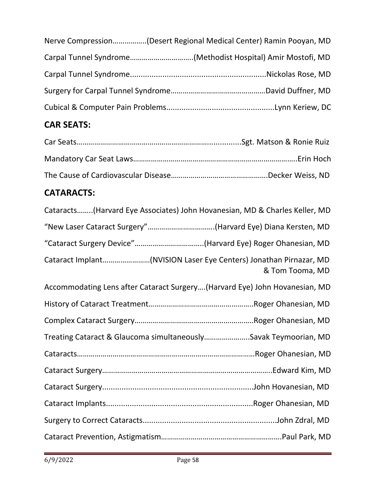| Nerve Compression(Desert Regional Medical Center) Ramin Pooyan, MD |
|--------------------------------------------------------------------|
|                                                                    |
|                                                                    |
|                                                                    |
|                                                                    |

# **CAR SEATS:**

# **CATARACTS:**

| Cataracts(Harvard Eye Associates) John Hovanesian, MD & Charles Keller, MD           |
|--------------------------------------------------------------------------------------|
| "New Laser Cataract Surgery"(Harvard Eye) Diana Kersten, MD                          |
| "Cataract Surgery Device"(Harvard Eye) Roger Ohanesian, MD                           |
| Cataract Implant(NVISION Laser Eye Centers) Jonathan Pirnazar, MD<br>& Tom Tooma, MD |
| Accommodating Lens after Cataract Surgery(Harvard Eye) John Hovanesian, MD           |
|                                                                                      |
|                                                                                      |
| Treating Cataract & Glaucoma simultaneouslySavak Teymoorian, MD                      |
|                                                                                      |
|                                                                                      |
|                                                                                      |
|                                                                                      |
|                                                                                      |
|                                                                                      |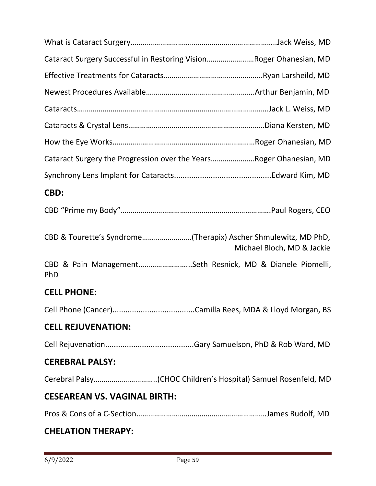| Cataract Surgery Successful in Restoring VisionRoger Ohanesian, MD                           |
|----------------------------------------------------------------------------------------------|
|                                                                                              |
|                                                                                              |
|                                                                                              |
|                                                                                              |
|                                                                                              |
| Cataract Surgery the Progression over the YearsRoger Ohanesian, MD                           |
|                                                                                              |
| CBD:                                                                                         |
|                                                                                              |
|                                                                                              |
| CBD & Tourette's Syndrome(Therapix) Ascher Shmulewitz, MD PhD,<br>Michael Bloch, MD & Jackie |
| CBD & Pain ManagementSeth Resnick, MD & Dianele Piomelli,<br>PhD                             |
| <b>CELL PHONE:</b>                                                                           |
|                                                                                              |
| <b>CELL REJUVENATION:</b>                                                                    |
|                                                                                              |
| <b>CEREBRAL PALSY:</b>                                                                       |
|                                                                                              |
| <b>CESEAREAN VS. VAGINAL BIRTH:</b>                                                          |

# **CHELATION THERAPY:**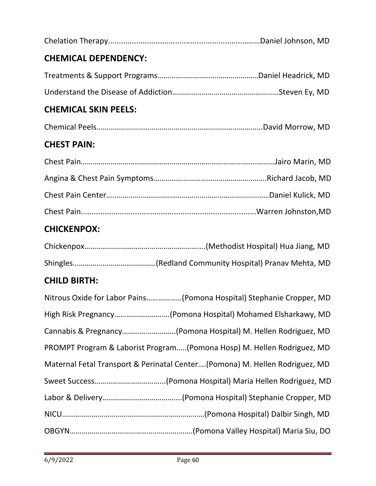# **CHICKENPOX:**

# **CHILD BIRTH:**

| Nitrous Oxide for Labor Pains(Pomona Hospital) Stephanie Cropper, MD        |
|-----------------------------------------------------------------------------|
| High Risk Pregnancy(Pomona Hospital) Mohamed Elsharkawy, MD                 |
| Cannabis & Pregnancy(Pomona Hospital) M. Hellen Rodriguez, MD               |
| PROMPT Program & Laborist Program(Pomona Hosp) M. Hellen Rodriguez, MD      |
| Maternal Fetal Transport & Perinatal Center(Pomona) M. Hellen Rodriguez, MD |
|                                                                             |
|                                                                             |
|                                                                             |
|                                                                             |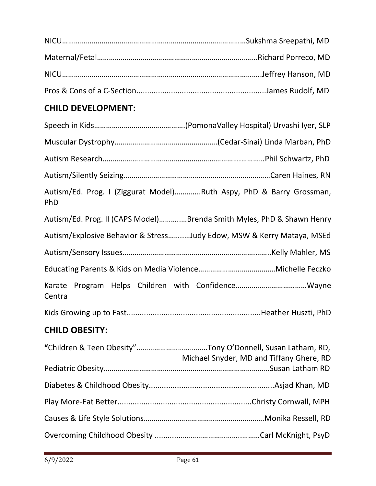# **CHILD DEVELOPMENT:**

| Autism/Ed. Prog. I (Ziggurat Model)Ruth Aspy, PhD & Barry Grossman,<br>PhD |  |
|----------------------------------------------------------------------------|--|
| Autism/Ed. Prog. II (CAPS Model)Brenda Smith Myles, PhD & Shawn Henry      |  |
| Autism/Explosive Behavior & StressJudy Edow, MSW & Kerry Mataya, MSEd      |  |
|                                                                            |  |
|                                                                            |  |
| Centra                                                                     |  |
|                                                                            |  |
|                                                                            |  |

# **CHILD OBESITY:**

| Michael Snyder, MD and Tiffany Ghere, RD |
|------------------------------------------|
|                                          |
|                                          |
|                                          |
|                                          |
|                                          |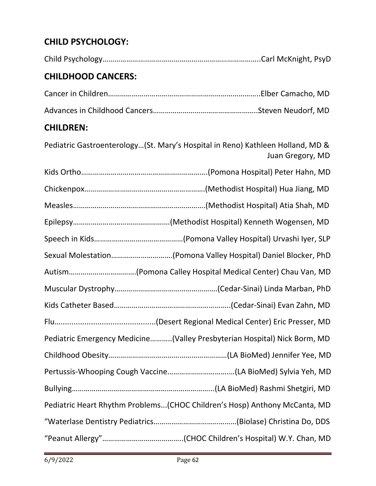# **CHILD PSYCHOLOGY:**

| <b>CHILDHOOD CANCERS:</b> |  |
|---------------------------|--|
|                           |  |
|                           |  |

# **CHILDREN:**

Pediatric Gastroenterology…(St. Mary's Hospital in Reno) Kathleen Holland, MD & Juan Gregory, MD

| Sexual Molestation(Pomona Valley Hospital) Daniel Blocker, PhD            |
|---------------------------------------------------------------------------|
| Autism(Pomona Calley Hospital Medical Center) Chau Van, MD                |
|                                                                           |
|                                                                           |
|                                                                           |
| Pediatric Emergency Medicine(Valley Presbyterian Hospital) Nick Borm, MD  |
|                                                                           |
|                                                                           |
|                                                                           |
| Pediatric Heart Rhythm Problems(CHOC Children's Hosp) Anthony McCanta, MD |
|                                                                           |
|                                                                           |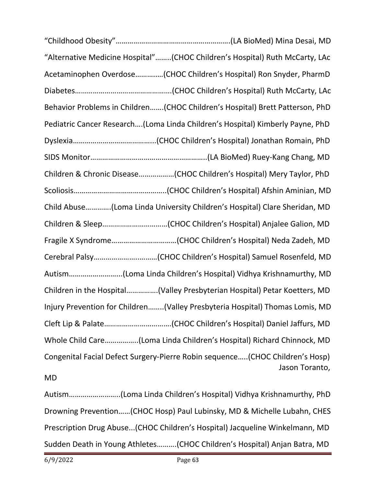| "Alternative Medicine Hospital"(CHOC Children's Hospital) Ruth McCarty, LAc   |
|-------------------------------------------------------------------------------|
| Acetaminophen Overdose(CHOC Children's Hospital) Ron Snyder, PharmD           |
|                                                                               |
| Behavior Problems in Children(CHOC Children's Hospital) Brett Patterson, PhD  |
| Pediatric Cancer Research(Loma Linda Children's Hospital) Kimberly Payne, PhD |
|                                                                               |
|                                                                               |
| Children & Chronic Disease(CHOC Children's Hospital) Mery Taylor, PhD         |
|                                                                               |
| Child Abuse(Loma Linda University Children's Hospital) Clare Sheridan, MD     |
|                                                                               |
|                                                                               |
|                                                                               |
|                                                                               |
| Children in the Hospital(Valley Presbyterian Hospital) Petar Koetters, MD     |
| Injury Prevention for Children(Valley Presbyteria Hospital) Thomas Lomis, MD  |
|                                                                               |
| Whole Child Care(Loma Linda Children's Hospital) Richard Chinnock, MD         |
| Congenital Facial Defect Surgery-Pierre Robin sequence(CHOC Children's Hosp)  |
| Jason Toranto,<br><b>MD</b>                                                   |
|                                                                               |
| Drowning Prevention(CHOC Hosp) Paul Lubinsky, MD & Michelle Lubahn, CHES      |
| Prescription Drug Abuse(CHOC Children's Hospital) Jacqueline Winkelmann, MD   |
| Sudden Death in Young Athletes(CHOC Children's Hospital) Anjan Batra, MD      |

"Childhood Obesity"………………………………………………….(LA BioMed) Mina Desai, MD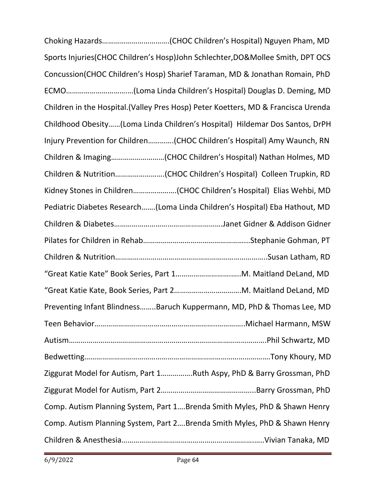Choking Hazards…………………………….(CHOC Children's Hospital) Nguyen Pham, MD Sports Injuries(CHOC Children's Hosp)John Schlechter,DO&Mollee Smith, DPT OCS Concussion(CHOC Children's Hosp) Sharief Taraman, MD & Jonathan Romain, PhD ECMO………………………….…(Loma Linda Children's Hospital) Douglas D. Deming, MD Children in the Hospital.(Valley Pres Hosp) Peter Koetters, MD & Francisca Urenda Childhood Obesity……(Loma Linda Children's Hospital) Hildemar Dos Santos, DrPH Injury Prevention for Children………….(CHOC Children's Hospital) Amy Waunch, RN Children & Imaging………………………(CHOC Children's Hospital) Nathan Holmes, MD Children & Nutrition…………………….(CHOC Children's Hospital) Colleen Trupkin, RD Kidney Stones in Children………………….(CHOC Children's Hospital) Elias Wehbi, MD Pediatric Diabetes Research…….(Loma Linda Children's Hospital) Eba Hathout, MD Children & Diabetes……………………………………………….Janet Gidner & Addison Gidner Pilates for Children in Rehab……………………………………………...Stephanie Gohman, PT Children & Nutrition…………………………………………………………………..Susan Latham, RD "Great Katie Kate" Book Series, Part 1……………………….…..M. Maitland DeLand, MD "Great Katie Kate, Book Series, Part 2…………………………….M. Maitland DeLand, MD Preventing Infant Blindness……..Baruch Kuppermann, MD, PhD & Thomas Lee, MD Teen Behavior……………………………………………………..…………..Michael Harmann, MSW Autism……………………………………………………………………………………….Phil Schwartz, MD Bedwetting………………………………………………………………………………….Tony Khoury, MD Ziggurat Model for Autism, Part 1…………….Ruth Aspy, PhD & Barry Grossman, PhD Ziggurat Model for Autism, Part 2………………………………………...Barry Grossman, PhD Comp. Autism Planning System, Part 1….Brenda Smith Myles, PhD & Shawn Henry Comp. Autism Planning System, Part 2….Brenda Smith Myles, PhD & Shawn Henry Children & Anesthesia………………………………………………………….…..Vivian Tanaka, MD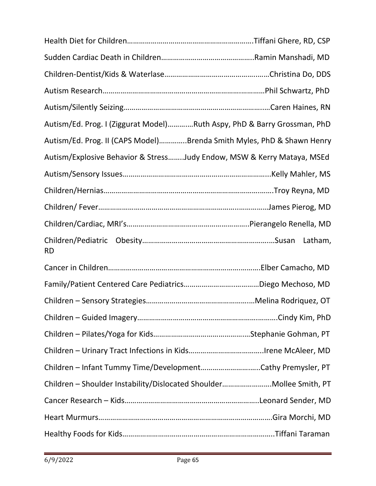| Autism/Ed. Prog. I (Ziggurat Model)Ruth Aspy, PhD & Barry Grossman, PhD |  |
|-------------------------------------------------------------------------|--|
| Autism/Ed. Prog. II (CAPS Model)Brenda Smith Myles, PhD & Shawn Henry   |  |
| Autism/Explosive Behavior & StressJudy Endow, MSW & Kerry Mataya, MSEd  |  |
|                                                                         |  |
|                                                                         |  |
|                                                                         |  |
|                                                                         |  |
| <b>RD</b>                                                               |  |
|                                                                         |  |
|                                                                         |  |
|                                                                         |  |
|                                                                         |  |
|                                                                         |  |
|                                                                         |  |
| Children - Infant Tummy Time/DevelopmentCathy Premysler, PT             |  |
| Children - Shoulder Instability/Dislocated ShoulderMollee Smith, PT     |  |
|                                                                         |  |
|                                                                         |  |
|                                                                         |  |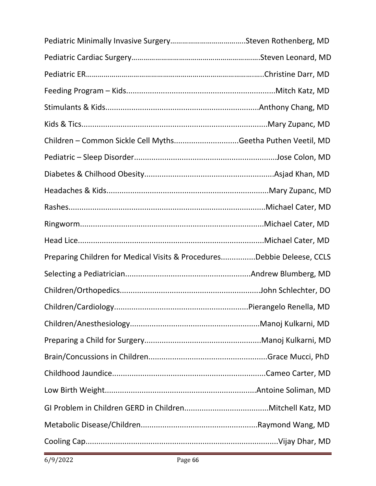| Children - Common Sickle Cell MythsGeetha Puthen Veetil, MD            |  |
|------------------------------------------------------------------------|--|
|                                                                        |  |
|                                                                        |  |
|                                                                        |  |
|                                                                        |  |
|                                                                        |  |
|                                                                        |  |
| Preparing Children for Medical Visits & ProceduresDebbie Deleese, CCLS |  |
|                                                                        |  |
|                                                                        |  |
|                                                                        |  |
|                                                                        |  |
|                                                                        |  |
|                                                                        |  |
|                                                                        |  |
|                                                                        |  |
|                                                                        |  |
|                                                                        |  |
|                                                                        |  |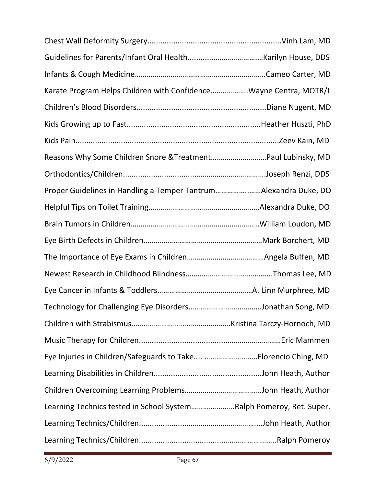| Karate Program Helps Children with ConfidenceWayne Centra, MOTR/L   |  |
|---------------------------------------------------------------------|--|
|                                                                     |  |
|                                                                     |  |
|                                                                     |  |
| Reasons Why Some Children Snore & TreatmentPaul Lubinsky, MD        |  |
|                                                                     |  |
| Proper Guidelines in Handling a Temper TantrumAlexandra Duke, DO    |  |
|                                                                     |  |
|                                                                     |  |
|                                                                     |  |
|                                                                     |  |
|                                                                     |  |
|                                                                     |  |
|                                                                     |  |
|                                                                     |  |
|                                                                     |  |
| Eye Injuries in Children/Safeguards to Take Florencio Ching, MD     |  |
|                                                                     |  |
|                                                                     |  |
| Learning Technics tested in School SystemRalph Pomeroy, Ret. Super. |  |
|                                                                     |  |
|                                                                     |  |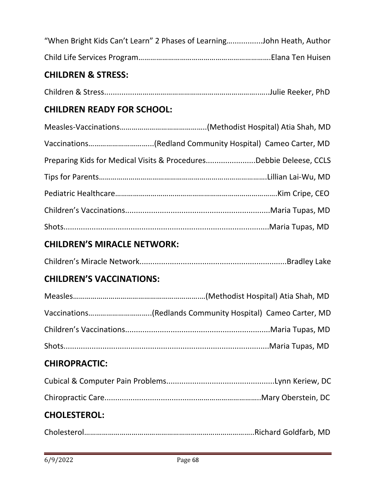| "When Bright Kids Can't Learn" 2 Phases of LearningJohn Heath, Author |  |  |
|-----------------------------------------------------------------------|--|--|
|                                                                       |  |  |

#### **CHILDREN & STRESS:**

|--|--|--|--|

### **CHILDREN READY FOR SCHOOL:**

| Preparing Kids for Medical Visits & ProceduresDebbie Deleese, CCLS |
|--------------------------------------------------------------------|
|                                                                    |
|                                                                    |
|                                                                    |
|                                                                    |

# **CHILDREN'S MIRACLE NETWORK:**

|--|--|

# **CHILDREN'S VACCINATIONS:**

# **CHIROPRACTIC:**

# **CHOLESTEROL:**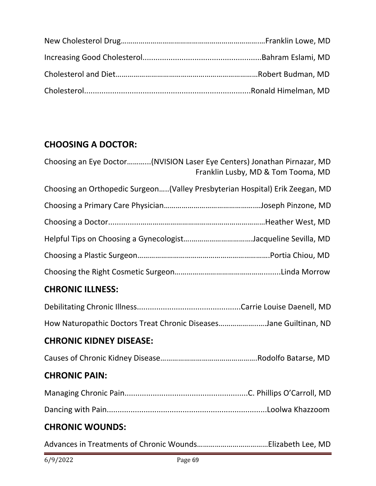# **CHOOSING A DOCTOR:**

| Choosing an Eye Doctor(NVISION Laser Eye Centers) Jonathan Pirnazar, MD       | Franklin Lusby, MD & Tom Tooma, MD |
|-------------------------------------------------------------------------------|------------------------------------|
| Choosing an Orthopedic Surgeon (Valley Presbyterian Hospital) Erik Zeegan, MD |                                    |
|                                                                               |                                    |
|                                                                               |                                    |
| Helpful Tips on Choosing a GynecologistJacqueline Sevilla, MD                 |                                    |
|                                                                               |                                    |
|                                                                               |                                    |
| <b>CHRONIC ILLNESS:</b>                                                       |                                    |
|                                                                               |                                    |
| How Naturopathic Doctors Treat Chronic DiseasesJane Guiltinan, ND             |                                    |
| <b>CHRONIC KIDNEY DISEASE:</b>                                                |                                    |
|                                                                               |                                    |
| <b>CHRONIC PAIN:</b>                                                          |                                    |
|                                                                               |                                    |
|                                                                               |                                    |
| <b>CHRONIC WOUNDS:</b>                                                        |                                    |

Advances in Treatments of Chronic Wounds………………………………Elizabeth Lee, MD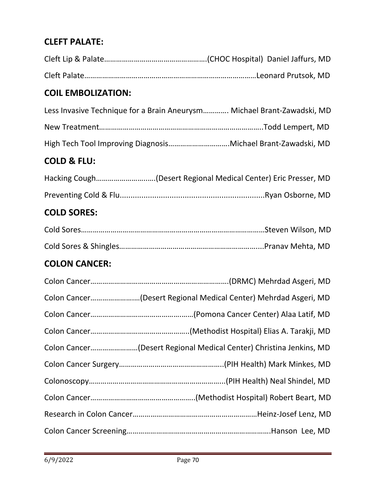# **CLEFT PALATE:**

| <b>COIL EMBOLIZATION:</b>                                               |
|-------------------------------------------------------------------------|
| Less Invasive Technique for a Brain Aneurysm Michael Brant-Zawadski, MD |
|                                                                         |
| High Tech Tool Improving DiagnosisMichael Brant-Zawadski, MD            |
| <b>COLD &amp; FLU:</b>                                                  |
| Hacking Cough(Desert Regional Medical Center) Eric Presser, MD          |
|                                                                         |
| <b>COLD SORES:</b>                                                      |
|                                                                         |
|                                                                         |
| <b>COLON CANCER:</b>                                                    |
|                                                                         |
| Colon Cancer(Desert Regional Medical Center) Mehrdad Asgeri, MD         |
|                                                                         |
|                                                                         |
| Colon Cancer(Desert Regional Medical Center) Christina Jenkins, MD      |
|                                                                         |
|                                                                         |
|                                                                         |
|                                                                         |
|                                                                         |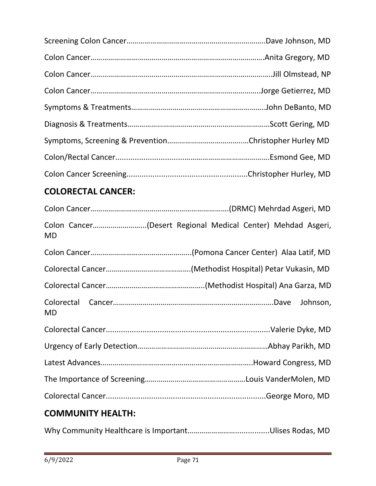# **COLORECTAL CANCER:**

| Colon Cancer(Desert Regional Medical Center) Mehdad Asgeri,<br>MD |
|-------------------------------------------------------------------|
|                                                                   |
|                                                                   |
|                                                                   |
| MD                                                                |
|                                                                   |
|                                                                   |
|                                                                   |
|                                                                   |
|                                                                   |
| <b>COMMUNITY HEALTH:</b>                                          |

Why Community Healthcare is Important……………………................Ulises Rodas, MD

ł,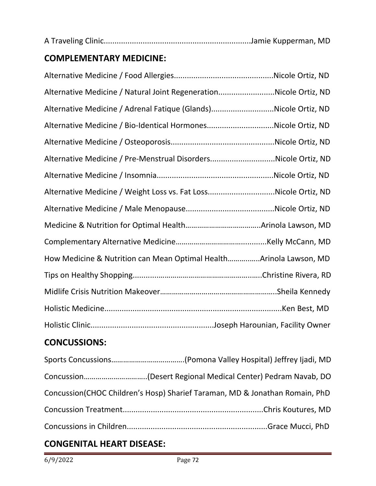|--|

# **COMPLEMENTARY MEDICINE:**

| Alternative Medicine / Natural Joint RegenerationNicole Ortiz, ND   |  |
|---------------------------------------------------------------------|--|
| Alternative Medicine / Adrenal Fatique (Glands)Nicole Ortiz, ND     |  |
| Alternative Medicine / Bio-Identical HormonesNicole Ortiz, ND       |  |
|                                                                     |  |
| Alternative Medicine / Pre-Menstrual DisordersNicole Ortiz, ND      |  |
|                                                                     |  |
| Alternative Medicine / Weight Loss vs. Fat LossNicole Ortiz, ND     |  |
|                                                                     |  |
|                                                                     |  |
|                                                                     |  |
| How Medicine & Nutrition can Mean Optimal Health Arinola Lawson, MD |  |
|                                                                     |  |
|                                                                     |  |
|                                                                     |  |
|                                                                     |  |

# **CONCUSSIONS:**

| Concussion(CHOC Children's Hosp) Sharief Taraman, MD & Jonathan Romain, PhD |
|-----------------------------------------------------------------------------|
|                                                                             |
|                                                                             |
|                                                                             |

# **CONGENITAL HEART DISEASE:**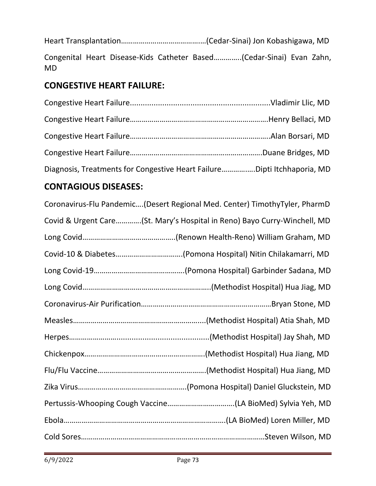Heart Transplantation………………………………….…(Cedar-Sinai) Jon Kobashigawa, MD Congenital Heart Disease-Kids Catheter Based…………..(Cedar-Sinai) Evan Zahn, MD

# **CONGESTIVE HEART FAILURE:**

| Diagnosis, Treatments for Congestive Heart FailureDipti Itchhaporia, MD |  |
|-------------------------------------------------------------------------|--|

# **CONTAGIOUS DISEASES:**

| Coronavirus-Flu Pandemic(Desert Regional Med. Center) TimothyTyler, PharmD |
|----------------------------------------------------------------------------|
| Covid & Urgent Care(St. Mary's Hospital in Reno) Bayo Curry-Winchell, MD   |
|                                                                            |
|                                                                            |
|                                                                            |
|                                                                            |
|                                                                            |
|                                                                            |
|                                                                            |
|                                                                            |
|                                                                            |
|                                                                            |
|                                                                            |
|                                                                            |
|                                                                            |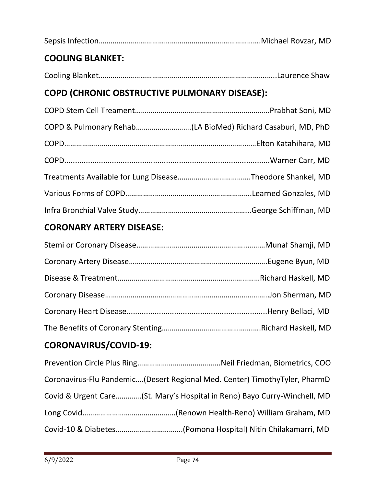| <b>COOLING BLANKET:</b>                              |  |
|------------------------------------------------------|--|
|                                                      |  |
| <b>COPD (CHRONIC OBSTRUCTIVE PULMONARY DISEASE):</b> |  |
|                                                      |  |
|                                                      |  |
|                                                      |  |
|                                                      |  |
|                                                      |  |
|                                                      |  |

# **CORONARY ARTERY DISEASE:**

Infra Bronchial Valve Study………………………………………………...George Schiffman, MD

# **CORONAVIRUS/COVID-19:**

| Coronavirus-Flu Pandemic(Desert Regional Med. Center) TimothyTyler, PharmD |  |
|----------------------------------------------------------------------------|--|
| Covid & Urgent Care(St. Mary's Hospital in Reno) Bayo Curry-Winchell, MD   |  |
|                                                                            |  |
|                                                                            |  |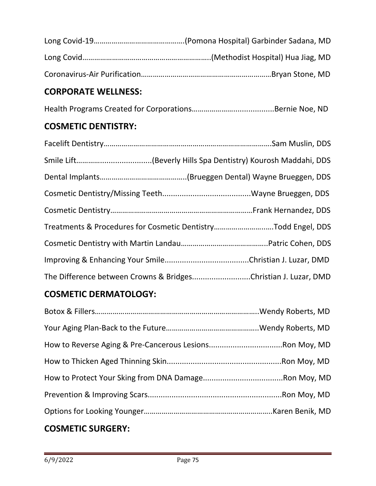# **CORPORATE WELLNESS:**

Health Programs Created for Corporations…………………...................Bernie Noe, ND

## **COSMETIC DENTISTRY:**

| Treatments & Procedures for Cosmetic DentistryTodd Engel, DDS  |  |
|----------------------------------------------------------------|--|
|                                                                |  |
|                                                                |  |
| The Difference between Crowns & BridgesChristian J. Luzar, DMD |  |

## **COSMETIC DERMATOLOGY:**

| --------------- |  |
|-----------------|--|

## **COSMETIC SURGERY:**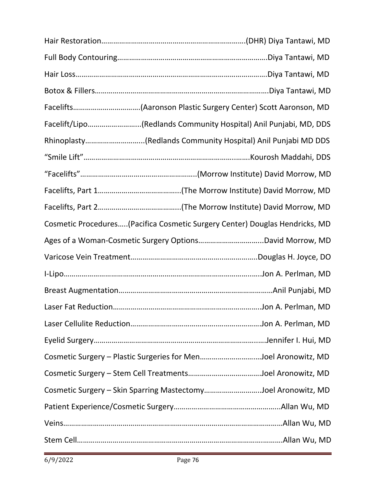| Facelift/Lipo(Redlands Community Hospital) Anil Punjabi, MD, DDS            |
|-----------------------------------------------------------------------------|
| Rhinoplasty(Redlands Community Hospital) Anil Punjabi MD DDS                |
|                                                                             |
|                                                                             |
|                                                                             |
|                                                                             |
| Cosmetic Procedures(Pacifica Cosmetic Surgery Center) Douglas Hendricks, MD |
|                                                                             |
|                                                                             |
|                                                                             |
|                                                                             |
|                                                                             |
|                                                                             |
|                                                                             |
| Cosmetic Surgery - Plastic Surgeries for MenJoel Aronowitz, MD              |
|                                                                             |
| Cosmetic Surgery - Skin Sparring MastectomyJoel Aronowitz, MD               |
|                                                                             |
|                                                                             |
|                                                                             |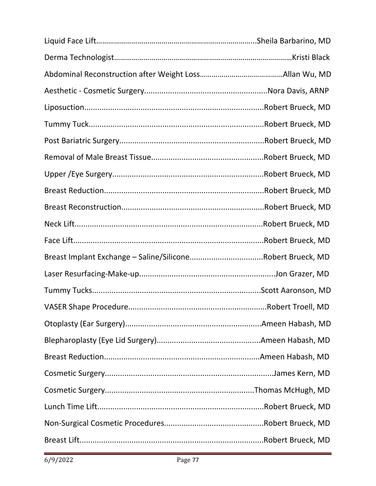| Breast Implant Exchange - Saline/SiliconeRobert Brueck, MD |                    |
|------------------------------------------------------------|--------------------|
|                                                            |                    |
|                                                            |                    |
|                                                            | Robert Troell, MD. |
|                                                            |                    |
|                                                            |                    |
|                                                            |                    |
|                                                            |                    |
|                                                            |                    |
|                                                            |                    |
|                                                            |                    |
|                                                            |                    |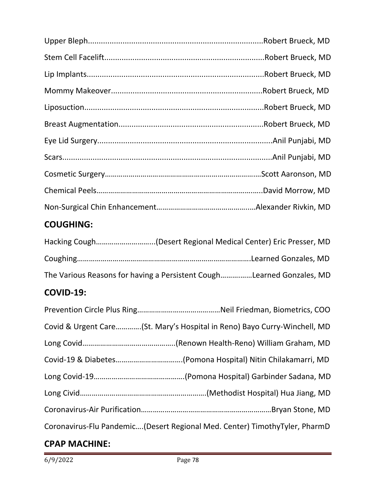# **COUGHING:**

| The Various Reasons for having a Persistent CoughLearned Gonzales, MD |  |
|-----------------------------------------------------------------------|--|

# **COVID-19:**

| Covid & Urgent Care(St. Mary's Hospital in Reno) Bayo Curry-Winchell, MD   |
|----------------------------------------------------------------------------|
|                                                                            |
|                                                                            |
|                                                                            |
|                                                                            |
|                                                                            |
| Coronavirus-Flu Pandemic(Desert Regional Med. Center) TimothyTyler, PharmD |

# **CPAP MACHINE:**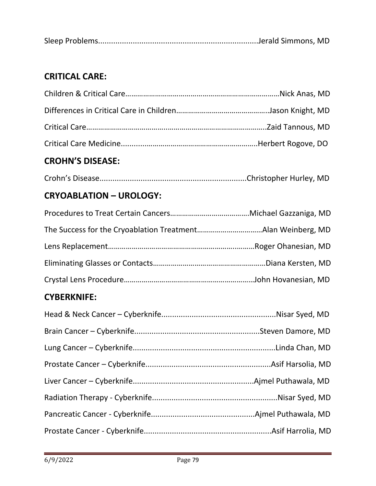|--|

# **CRITICAL CARE:**

# **CROHN'S DISEASE:**

# **CRYOABLATION – UROLOGY:**

## **CYBERKNIFE:**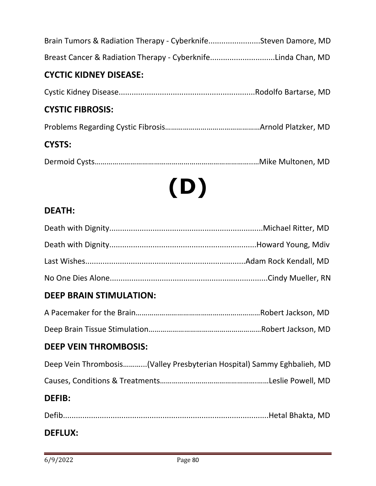| Brain Tumors & Radiation Therapy - CyberknifeSteven Damore, MD |  |
|----------------------------------------------------------------|--|
| Breast Cancer & Radiation Therapy - CyberknifeLinda Chan, MD   |  |

#### **CYCTIC KIDNEY DISEASE:**

Cystic Kidney Disease...............................................................Rodolfo Bartarse, MD

#### **CYSTIC FIBROSIS:**

Problems Regarding Cystic Fibrosis…………………………………………Arnold Platzker, MD

#### **CYSTS:**

|--|--|

# **(D)**

#### **DEATH:**

#### **DEEP BRAIN STIMULATION:**

#### **DEEP VEIN THROMBOSIS:**

|  | Deep Vein Thrombosis(Valley Presbyterian Hospital) Sammy Eghbalieh, MD |  |
|--|------------------------------------------------------------------------|--|
|  |                                                                        |  |

# **DEFIB:**

| <b>DEFLUX:</b> |  |
|----------------|--|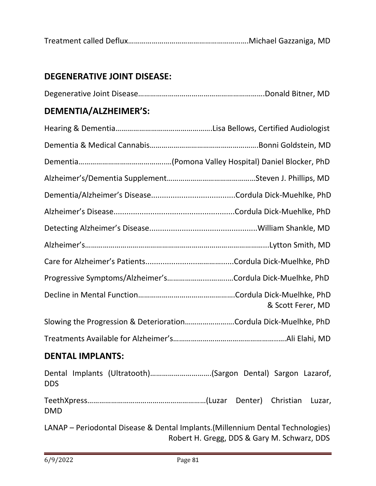|--|--|--|--|

#### **DEGENERATIVE JOINT DISEASE:**

|--|--|

#### **DEMENTIA/ALZHEIMER'S:**

| Progressive Symptoms/Alzheimer'sCordula Dick-Muelhke, PhD        |                   |
|------------------------------------------------------------------|-------------------|
|                                                                  | & Scott Ferer, MD |
| Slowing the Progression & DeteriorationCordula Dick-Muelhke, PhD |                   |
|                                                                  |                   |

#### **DENTAL IMPLANTS:**

Dental Implants (Ultratooth)………………………….(Sargon Dental) Sargon Lazarof, DDS TeethXpress……………………………………………………(Luzar Denter) Christian Luzar, DMD

LANAP – Periodontal Disease & Dental Implants.(Millennium Dental Technologies) Robert H. Gregg, DDS & Gary M. Schwarz, DDS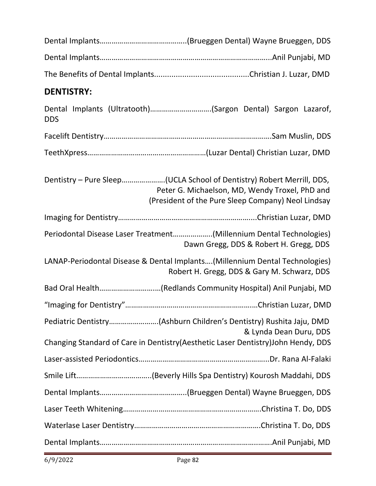| <b>DENTISTRY:</b>                                                                  |                                                    |                                                |
|------------------------------------------------------------------------------------|----------------------------------------------------|------------------------------------------------|
| Dental Implants (Ultratooth)(Sargon Dental) Sargon Lazarof,<br><b>DDS</b>          |                                                    |                                                |
|                                                                                    |                                                    |                                                |
|                                                                                    |                                                    |                                                |
| Dentistry - Pure Sleep(UCLA School of Dentistry) Robert Merrill, DDS,              | (President of the Pure Sleep Company) Neol Lindsay | Peter G. Michaelson, MD, Wendy Troxel, PhD and |
|                                                                                    |                                                    |                                                |
| Periodontal Disease Laser Treatment(Millennium Dental Technologies)                |                                                    | Dawn Gregg, DDS & Robert H. Gregg, DDS         |
| LANAP-Periodontal Disease & Dental Implants(Millennium Dental Technologies)        |                                                    | Robert H. Gregg, DDS & Gary M. Schwarz, DDS    |
| Bad Oral Health(Redlands Community Hospital) Anil Punjabi, MD                      |                                                    |                                                |
|                                                                                    |                                                    |                                                |
|                                                                                    |                                                    | & Lynda Dean Duru, DDS                         |
| Changing Standard of Care in Dentistry (Aesthetic Laser Dentistry) John Hendy, DDS |                                                    |                                                |
|                                                                                    |                                                    |                                                |
|                                                                                    |                                                    |                                                |
|                                                                                    |                                                    |                                                |
|                                                                                    |                                                    |                                                |
|                                                                                    |                                                    |                                                |
|                                                                                    |                                                    |                                                |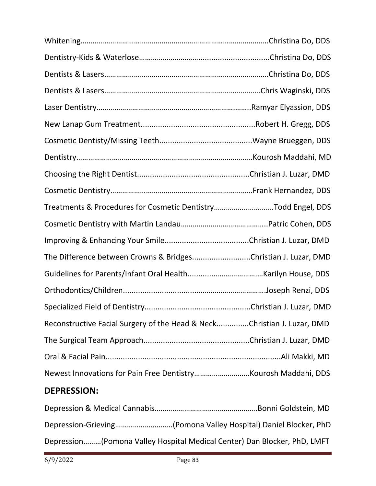| Treatments & Procedures for Cosmetic DentistryTodd Engel, DDS           |  |
|-------------------------------------------------------------------------|--|
|                                                                         |  |
|                                                                         |  |
| The Difference between Crowns & BridgesChristian J. Luzar, DMD          |  |
|                                                                         |  |
|                                                                         |  |
|                                                                         |  |
| Reconstructive Facial Surgery of the Head & NeckChristian J. Luzar, DMD |  |
|                                                                         |  |
|                                                                         |  |
|                                                                         |  |

# **DEPRESSION:**

| Depression(Pomona Valley Hospital Medical Center) Dan Blocker, PhD, LMFT |
|--------------------------------------------------------------------------|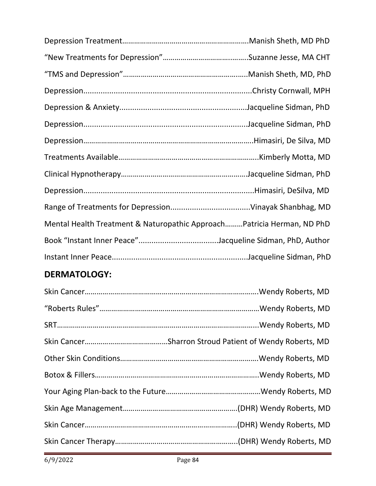| Mental Health Treatment & Naturopathic ApproachPatricia Herman, ND PhD |  |
|------------------------------------------------------------------------|--|
|                                                                        |  |
|                                                                        |  |
|                                                                        |  |

# **DERMATOLOGY:**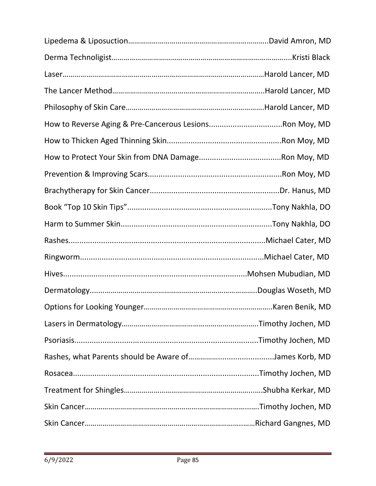| Karen Benik, MD |
|-----------------|
|                 |
|                 |
|                 |
|                 |
|                 |
|                 |
|                 |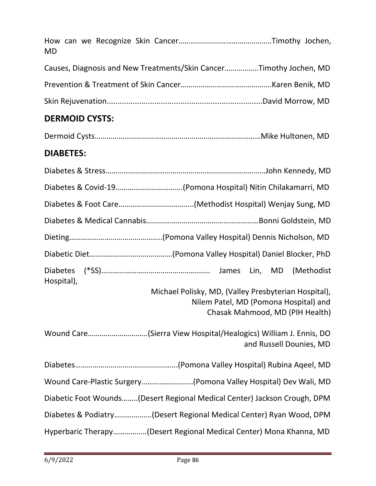| <b>MD</b>                                                                                                                        |
|----------------------------------------------------------------------------------------------------------------------------------|
| Causes, Diagnosis and New Treatments/Skin CancerTimothy Jochen, MD                                                               |
|                                                                                                                                  |
|                                                                                                                                  |
| <b>DERMOID CYSTS:</b>                                                                                                            |
|                                                                                                                                  |
| <b>DIABETES:</b>                                                                                                                 |
|                                                                                                                                  |
| Diabetes & Covid-19(Pomona Hospital) Nitin Chilakamarri, MD                                                                      |
|                                                                                                                                  |
|                                                                                                                                  |
|                                                                                                                                  |
|                                                                                                                                  |
| (Methodist<br>Hospital),                                                                                                         |
| Michael Polisky, MD, (Valley Presbyterian Hospital),<br>Nilem Patel, MD (Pomona Hospital) and<br>Chasak Mahmood, MD (PIH Health) |
| Wound Care(Sierra View Hospital/Healogics) William J. Ennis, DO<br>and Russell Dounies, MD                                       |
|                                                                                                                                  |
| Wound Care-Plastic Surgery(Pomona Valley Hospital) Dev Wali, MD                                                                  |

Diabetic Foot Wounds……..(Desert Regional Medical Center) Jackson Crough, DPM

Diabetes & Podiatry…………….…(Desert Regional Medical Center) Ryan Wood, DPM

Hyperbaric Therapy……………..(Desert Regional Medical Center) Mona Khanna, MD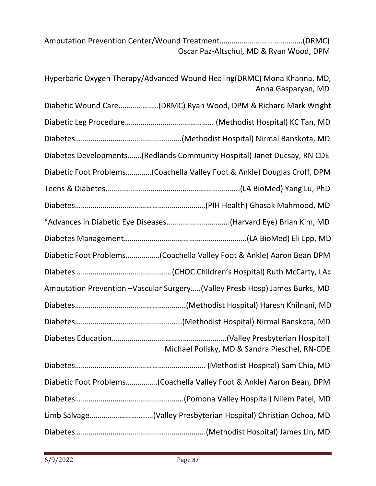Amputation Prevention Center/Wound Treatment……………………………………(DRMC) Oscar Paz-Altschul, MD & Ryan Wood, DPM

Hyperbaric Oxygen Therapy/Advanced Wound Healing(DRMC) Mona Khanna, MD, Anna Gasparyan, MD

Diabetic Wound Care………………..(DRMC) Ryan Wood, DPM & Richard Mark Wright Diabetic Leg Procedure……………………………………… (Methodist Hospital) KC Tan, MD Diabetes………………………………………………(Methodist Hospital) Nirmal Banskota, MD

Diabetes Developments…….(Redlands Community Hospital) Janet Ducsay, RN CDE

Diabetic Foot Problems……….…(Coachella Valley Foot & Ankle) Douglas Croff, DPM

Teens & Diabetes…………………………………………………………..(LA BioMed) Yang Lu, PhD

Diabetes…………………………………………………………(PIH Health) Ghasak Mahmood, MD

"Advances in Diabetic Eye Diseases…………………………..(Harvard Eye) Brian Kim, MD

Diabetes Management……………………………………………………..(LA BioMed) Eli Lpp, MD

Diabetic Foot Problems……………..(Coachella Valley Foot & Ankle) Aaron Bean DPM

Diabetes………………………………………….(CHOC Children's Hospital) Ruth McCarty, LAc

Amputation Prevention –Vascular Surgery…..(Valley Presb Hosp) James Burks, MD

Diabetes………………………………………………..(Methodist Hospital) Haresh Khilnani, MD

Diabetes……………………………………………...(Methodist Hospital) Nirmal Banskota, MD Diabetes Education………………………………………………….(Valley Presbyterian Hospital)

 Michael Polisky, MD & Sandra Pieschel, RN-CDE Diabetes………………………………………………………… (Methodist Hospital) Sam Chia, MD Diabetic Foot Problems…………….(Coachella Valley Foot & Ankle) Aaron Bean, DPM Diabetes……………………………………………….(Pomona Valley Hospital) Nilem Patel, MD

Limb Salvage………………………..…(Valley Presbyterian Hospital) Christian Ochoa, MD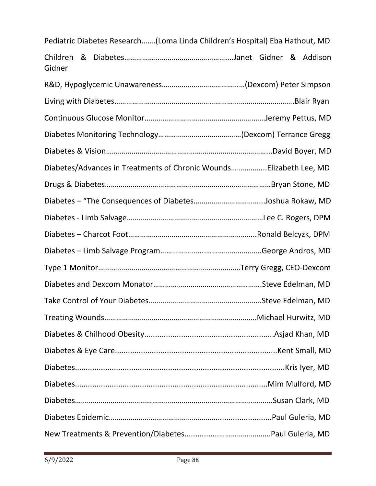| Pediatric Diabetes Research(Loma Linda Children's Hospital) Eba Hathout, MD |  |  |
|-----------------------------------------------------------------------------|--|--|
| Children<br>Gidner                                                          |  |  |
|                                                                             |  |  |
|                                                                             |  |  |
|                                                                             |  |  |
|                                                                             |  |  |
|                                                                             |  |  |
| Diabetes/Advances in Treatments of Chronic WoundsElizabeth Lee, MD          |  |  |
|                                                                             |  |  |
|                                                                             |  |  |
|                                                                             |  |  |
|                                                                             |  |  |
|                                                                             |  |  |
|                                                                             |  |  |
|                                                                             |  |  |
|                                                                             |  |  |
|                                                                             |  |  |
|                                                                             |  |  |
|                                                                             |  |  |
|                                                                             |  |  |
|                                                                             |  |  |
|                                                                             |  |  |
|                                                                             |  |  |
|                                                                             |  |  |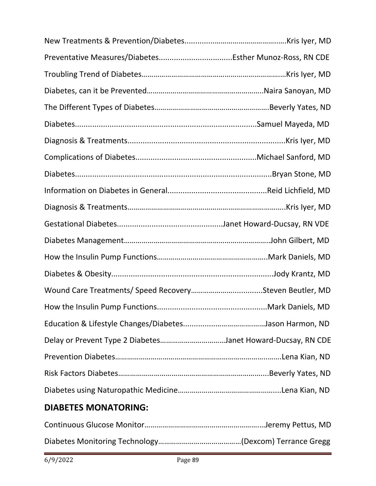| Delay or Prevent Type 2 DiabetesJanet Howard-Ducsay, RN CDE |  |
|-------------------------------------------------------------|--|
|                                                             |  |
|                                                             |  |

# **DIABETES MONATORING:**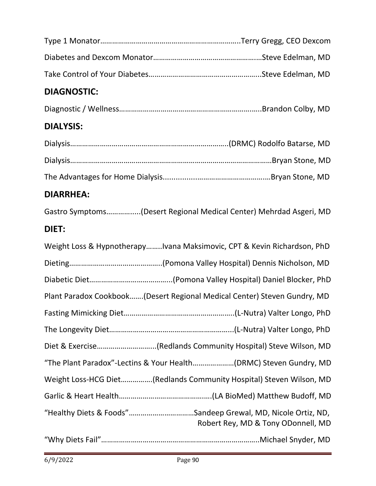| <b>DIAGNOSTIC:</b>                                                                                 |
|----------------------------------------------------------------------------------------------------|
|                                                                                                    |
| <b>DIALYSIS:</b>                                                                                   |
|                                                                                                    |
|                                                                                                    |
|                                                                                                    |
| <b>DIARRHEA:</b>                                                                                   |
| Gastro Symptoms(Desert Regional Medical Center) Mehrdad Asgeri, MD                                 |
| DIET:                                                                                              |
| Weight Loss & HypnotherapyIvana Maksimovic, CPT & Kevin Richardson, PhD                            |
|                                                                                                    |
|                                                                                                    |
| Plant Paradox Cookbook(Desert Regional Medical Center) Steven Gundry, MD                           |
|                                                                                                    |
|                                                                                                    |
| Diet & Exercise(Redlands Community Hospital) Steve Wilson, MD                                      |
| "The Plant Paradox"-Lectins & Your Health(DRMC) Steven Gundry, MD                                  |
| Weight Loss-HCG Diet(Redlands Community Hospital) Steven Wilson, MD                                |
|                                                                                                    |
| "Healthy Diets & Foods"Sandeep Grewal, MD, Nicole Ortiz, ND,<br>Robert Rey, MD & Tony ODonnell, MD |
|                                                                                                    |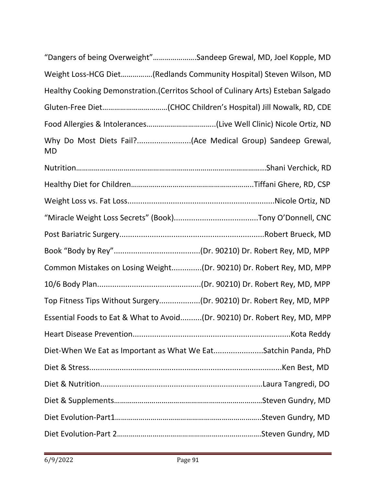| "Dangers of being Overweight"Sandeep Grewal, MD, Joel Kopple, MD                  |  |
|-----------------------------------------------------------------------------------|--|
| Weight Loss-HCG Diet(Redlands Community Hospital) Steven Wilson, MD               |  |
| Healthy Cooking Demonstration. (Cerritos School of Culinary Arts) Esteban Salgado |  |
|                                                                                   |  |
|                                                                                   |  |
| <b>MD</b>                                                                         |  |
|                                                                                   |  |
|                                                                                   |  |
|                                                                                   |  |
|                                                                                   |  |
|                                                                                   |  |
|                                                                                   |  |
| Common Mistakes on Losing Weight(Dr. 90210) Dr. Robert Rey, MD, MPP               |  |
|                                                                                   |  |
| Top Fitness Tips Without Surgery(Dr. 90210) Dr. Robert Rey, MD, MPP               |  |
| Essential Foods to Eat & What to Avoid(Dr. 90210) Dr. Robert Rey, MD, MPP         |  |
|                                                                                   |  |
| Diet-When We Eat as Important as What We EatSatchin Panda, PhD                    |  |
|                                                                                   |  |
|                                                                                   |  |
|                                                                                   |  |
|                                                                                   |  |
|                                                                                   |  |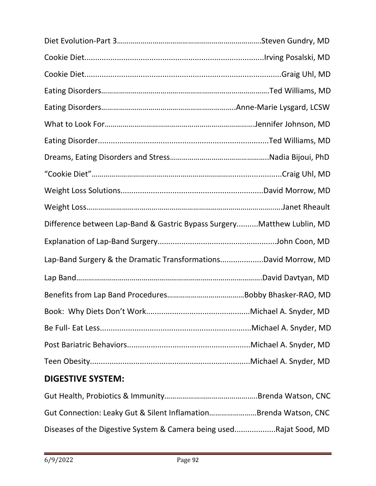| Difference between Lap-Band & Gastric Bypass SurgeryMatthew Lublin, MD |  |
|------------------------------------------------------------------------|--|
|                                                                        |  |
| Lap-Band Surgery & the Dramatic TransformationsDavid Morrow, MD        |  |
|                                                                        |  |
|                                                                        |  |
|                                                                        |  |
|                                                                        |  |
|                                                                        |  |
|                                                                        |  |

# **DIGESTIVE SYSTEM:**

| Gut Connection: Leaky Gut & Silent InflamationBrenda Watson, CNC   |  |
|--------------------------------------------------------------------|--|
| Diseases of the Digestive System & Camera being usedRajat Sood, MD |  |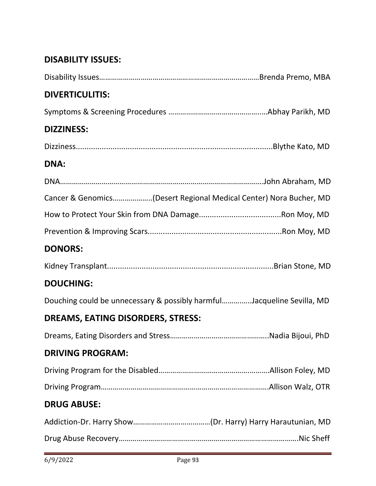## **DISABILITY ISSUES:**

| <b>DIVERTICULITIS:</b>                                                 |  |
|------------------------------------------------------------------------|--|
|                                                                        |  |
| <b>DIZZINESS:</b>                                                      |  |
|                                                                        |  |
| <b>DNA:</b>                                                            |  |
|                                                                        |  |
| Cancer & Genomics(Desert Regional Medical Center) Nora Bucher, MD      |  |
|                                                                        |  |
|                                                                        |  |
| <b>DONORS:</b>                                                         |  |
|                                                                        |  |
| <b>DOUCHING:</b>                                                       |  |
| Douching could be unnecessary & possibly harmfulJacqueline Sevilla, MD |  |
| DREAMS, EATING DISORDERS, STRESS:                                      |  |
|                                                                        |  |
| <b>DRIVING PROGRAM:</b>                                                |  |
|                                                                        |  |
|                                                                        |  |
| <b>DRUG ABUSE:</b>                                                     |  |
|                                                                        |  |
|                                                                        |  |
|                                                                        |  |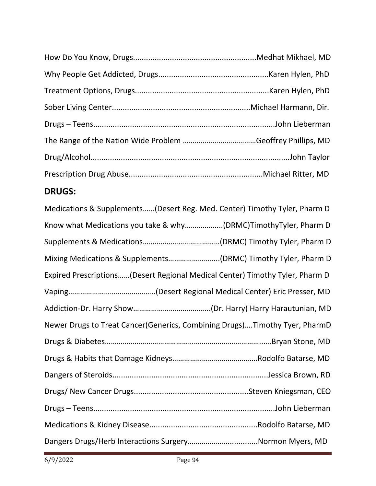# **DRUGS:**

| Medications & Supplements(Desert Reg. Med. Center) Timothy Tyler, Pharm D    |
|------------------------------------------------------------------------------|
| Know what Medications you take & why(DRMC)TimothyTyler, Pharm D              |
|                                                                              |
| Mixing Medications & Supplements(DRMC) Timothy Tyler, Pharm D                |
| Expired Prescriptions(Desert Regional Medical Center) Timothy Tyler, Pharm D |
|                                                                              |
|                                                                              |
| Newer Drugs to Treat Cancer (Generics, Combining Drugs)Timothy Tyer, PharmD  |
|                                                                              |
|                                                                              |
|                                                                              |
|                                                                              |
|                                                                              |
|                                                                              |
| Dangers Drugs/Herb Interactions SurgeryNormon Myers, MD                      |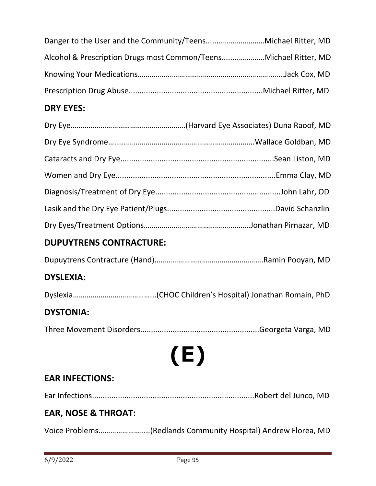| Alcohol & Prescription Drugs most Common/TeensMichael Ritter, MD |  |
|------------------------------------------------------------------|--|
|                                                                  |  |
|                                                                  |  |

#### **DRY EYES:**

# **DUPUYTRENS CONTRACTURE:**

|--|--|--|--|

#### **DYSLEXIA:**

Dyslexia…………………………………...(CHOC Children's Hospital) Jonathan Romain, PhD

#### **DYSTONIA:**

Three Movement Disorders.......................................................Georgeta Varga, MD

# **(E)**

## **EAR INFECTIONS:**

Ear Infections...........................................................................Robert del Junco, MD

## **EAR, NOSE & THROAT:**

Voice Problems……………………..(Redlands Community Hospital) Andrew Florea, MD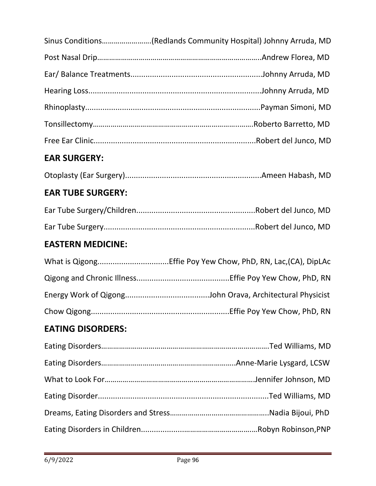|                          | Sinus Conditions(Redlands Community Hospital) Johnny Arruda, MD |
|--------------------------|-----------------------------------------------------------------|
|                          |                                                                 |
|                          |                                                                 |
|                          |                                                                 |
|                          |                                                                 |
|                          |                                                                 |
|                          |                                                                 |
| <b>EAR SURGERY:</b>      |                                                                 |
|                          |                                                                 |
| <b>EAR TUBE SURGERY:</b> |                                                                 |
|                          |                                                                 |
|                          |                                                                 |
| <b>EASTERN MEDICINE:</b> |                                                                 |
|                          |                                                                 |
|                          |                                                                 |
|                          |                                                                 |
|                          |                                                                 |
| <b>EATING DISORDERS:</b> |                                                                 |
|                          |                                                                 |
|                          |                                                                 |
|                          |                                                                 |
|                          |                                                                 |

Dreams, Eating Disorders and Stress…………………………………………..Nadia Bijoui, PhD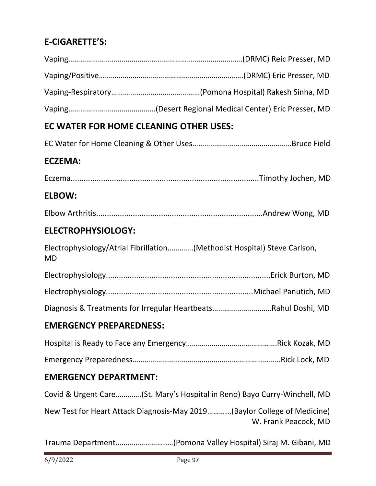# **E-CIGARETTE'S:**

# **EC WATER FOR HOME CLEANING OTHER USES:**

|--|--|

#### **ECZEMA:**

Eczema.......................................................................................Timothy Jochen, MD

#### **ELBOW:**

|--|

#### **ELECTROPHYSIOLOGY:**

|    | Electrophysiology/Atrial Fibrillation(Methodist Hospital) Steve Carlson, |
|----|--------------------------------------------------------------------------|
| MD |                                                                          |

|--|--|

Diagnosis & Treatments for Irregular Heartbeats…………………………Rahul Doshi, MD

#### **EMERGENCY PREPAREDNESS:**

#### **EMERGENCY DEPARTMENT:**

Covid & Urgent Care………….(St. Mary's Hospital in Reno) Bayo Curry-Winchell, MD

New Test for Heart Attack Diagnosis-May 2019………...(Baylor College of Medicine) W. Frank Peacock, MD

Trauma Department……………………..…(Pomona Valley Hospital) Siraj M. Gibani, MD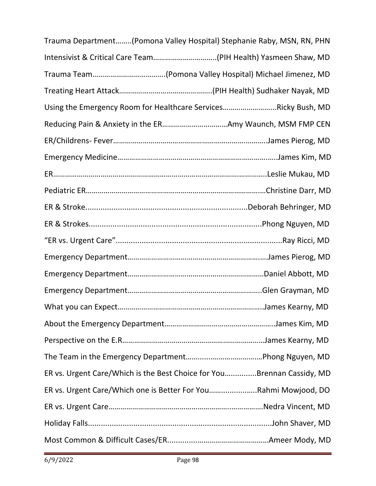| Trauma Department(Pomona Valley Hospital) Stephanie Raby, MSN, RN, PHN |  |
|------------------------------------------------------------------------|--|
|                                                                        |  |
|                                                                        |  |
|                                                                        |  |
| Using the Emergency Room for Healthcare ServicesRicky Bush, MD         |  |
|                                                                        |  |
|                                                                        |  |
|                                                                        |  |
|                                                                        |  |
|                                                                        |  |
|                                                                        |  |
|                                                                        |  |
|                                                                        |  |
|                                                                        |  |
|                                                                        |  |
|                                                                        |  |
|                                                                        |  |
|                                                                        |  |
|                                                                        |  |
|                                                                        |  |
| ER vs. Urgent Care/Which is the Best Choice for YouBrennan Cassidy, MD |  |
| ER vs. Urgent Care/Which one is Better For YouRahmi Mowjood, DO        |  |
|                                                                        |  |
|                                                                        |  |
|                                                                        |  |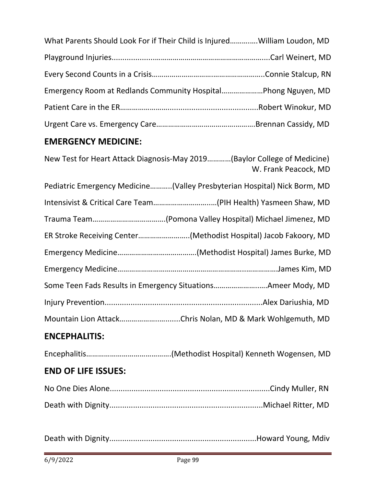| What Parents Should Look For if Their Child is InjuredWilliam Loudon, MD |  |
|--------------------------------------------------------------------------|--|
|                                                                          |  |
|                                                                          |  |
|                                                                          |  |
|                                                                          |  |
|                                                                          |  |

# **EMERGENCY MEDICINE:**

| New Test for Heart Attack Diagnosis-May 2019(Baylor College of Medicine)<br>W. Frank Peacock, MD |
|--------------------------------------------------------------------------------------------------|
| Pediatric Emergency Medicine(Valley Presbyterian Hospital) Nick Borm, MD                         |
|                                                                                                  |
|                                                                                                  |
| ER Stroke Receiving Center(Methodist Hospital) Jacob Fakoory, MD                                 |
|                                                                                                  |
|                                                                                                  |
| Some Teen Fads Results in Emergency SituationsAmeer Mody, MD                                     |
|                                                                                                  |
| Mountain Lion AttackChris Nolan, MD & Mark Wohlgemuth, MD                                        |
| <b>ENCEPHALITIS:</b>                                                                             |
|                                                                                                  |

## **END OF LIFE ISSUES:**

Death with Dignity....................................................................Howard Young, Mdiv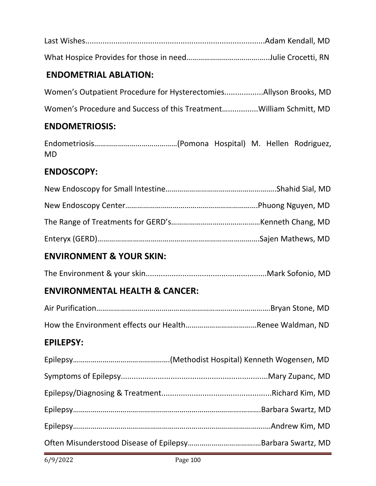#### **ENDOMETRIAL ABLATION:**

Women's Outpatient Procedure for Hysterectomies..................Allyson Brooks, MD

Women's Procedure and Success of this Treatment…..............William Schmitt, MD

#### **ENDOMETRIOSIS:**

Endometriosis……………………………………(Pomona Hospital) M. Hellen Rodriguez, MD

#### **ENDOSCOPY:**

#### **ENVIRONMENT & YOUR SKIN:**

The Environment & your skin........................................................Mark Sofonio, MD

#### **ENVIRONMENTAL HEALTH & CANCER:**

| <b>EPILEPSY:</b> |  |
|------------------|--|
|                  |  |
|                  |  |
|                  |  |
|                  |  |
|                  |  |
|                  |  |
|                  |  |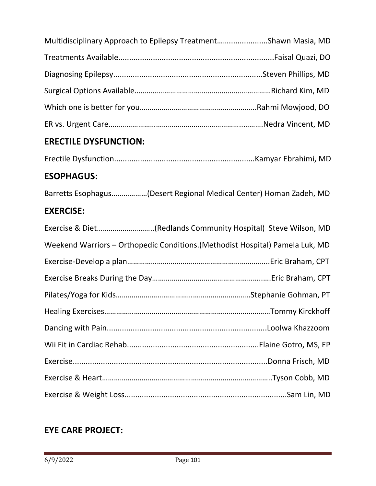| Multidisciplinary Approach to Epilepsy TreatmentShawn Masia, MD |  |
|-----------------------------------------------------------------|--|
|                                                                 |  |
|                                                                 |  |
|                                                                 |  |
|                                                                 |  |
|                                                                 |  |

# **ERECTILE DYSFUNCTION:**

|--|--|--|--|

#### **ESOPHAGUS:**

Barretts Esophagus………………(Desert Regional Medical Center) Homan Zadeh, MD

#### **EXERCISE:**

| Exercise & Diet(Redlands Community Hospital) Steve Wilson, MD                 |
|-------------------------------------------------------------------------------|
| Weekend Warriors - Orthopedic Conditions. (Methodist Hospital) Pamela Luk, MD |
|                                                                               |
|                                                                               |
|                                                                               |
|                                                                               |
|                                                                               |
|                                                                               |
|                                                                               |
|                                                                               |
|                                                                               |

## **EYE CARE PROJECT:**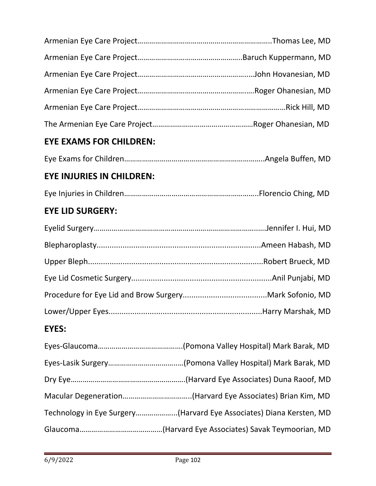| <b>EYE EXAMS FOR CHILDREN:</b>   |  |
|----------------------------------|--|
|                                  |  |
| <b>EYE INJURIES IN CHILDREN:</b> |  |
|                                  |  |
| <b>EYE LID SURGERY:</b>          |  |
|                                  |  |
|                                  |  |
|                                  |  |

# **EYES:**

| Technology in Eye Surgery(Harvard Eye Associates) Diana Kersten, MD |
|---------------------------------------------------------------------|
|                                                                     |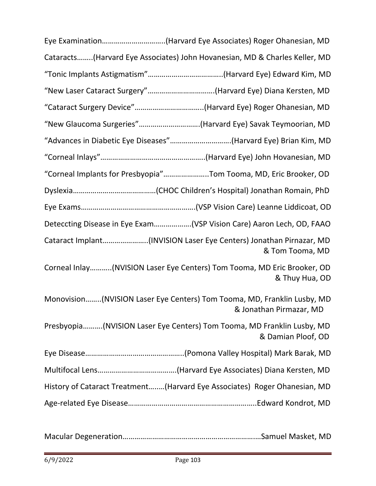| Eye Examination(Harvard Eye Associates) Roger Ohanesian, MD                                        |
|----------------------------------------------------------------------------------------------------|
| Cataracts(Harvard Eye Associates) John Hovanesian, MD & Charles Keller, MD                         |
|                                                                                                    |
| "New Laser Cataract Surgery"(Harvard Eye) Diana Kersten, MD                                        |
| "Cataract Surgery Device"(Harvard Eye) Roger Ohanesian, MD                                         |
| "New Glaucoma Surgeries"(Harvard Eye) Savak Teymoorian, MD                                         |
| "Advances in Diabetic Eye Diseases"(Harvard Eye) Brian Kim, MD                                     |
|                                                                                                    |
| "Corneal Implants for Presbyopia"Tom Tooma, MD, Eric Brooker, OD                                   |
|                                                                                                    |
|                                                                                                    |
| Deteccting Disease in Eye Exam(VSP Vision Care) Aaron Lech, OD, FAAO                               |
| Cataract Implant(INVISION Laser Eye Centers) Jonathan Pirnazar, MD<br>& Tom Tooma, MD              |
| Corneal Inlay(NVISION Laser Eye Centers) Tom Tooma, MD Eric Brooker, OD<br>& Thuy Hua, OD          |
| Monovision(NVISION Laser Eye Centers) Tom Tooma, MD, Franklin Lusby, MD<br>& Jonathan Pirmazar, MD |
| Presbyopia(NVISION Laser Eye Centers) Tom Tooma, MD Franklin Lusby, MD<br>& Damian Ploof, OD       |
|                                                                                                    |
|                                                                                                    |
| History of Cataract Treatment(Harvard Eye Associates) Roger Ohanesian, MD                          |
|                                                                                                    |

Macular Degeneration………………………………………………………….…Samuel Masket, MD

÷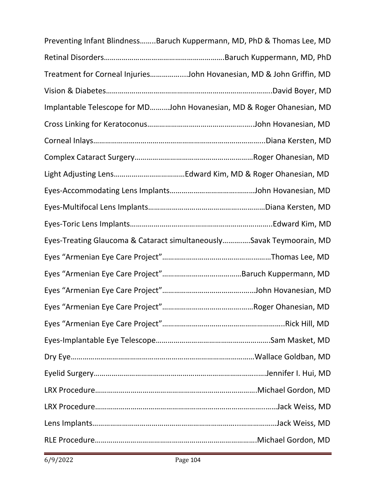| Preventing Infant BlindnessBaruch Kuppermann, MD, PhD & Thomas Lee, MD |  |
|------------------------------------------------------------------------|--|
|                                                                        |  |
| Treatment for Corneal InjuriesJohn Hovanesian, MD & John Griffin, MD   |  |
|                                                                        |  |
| Implantable Telescope for MDJohn Hovanesian, MD & Roger Ohanesian, MD  |  |
|                                                                        |  |
|                                                                        |  |
|                                                                        |  |
|                                                                        |  |
|                                                                        |  |
|                                                                        |  |
|                                                                        |  |
| Eyes-Treating Glaucoma & Cataract simultaneouslySavak Teymoorain, MD   |  |
|                                                                        |  |
|                                                                        |  |
|                                                                        |  |
|                                                                        |  |
|                                                                        |  |
|                                                                        |  |
|                                                                        |  |
|                                                                        |  |
|                                                                        |  |
|                                                                        |  |
|                                                                        |  |
|                                                                        |  |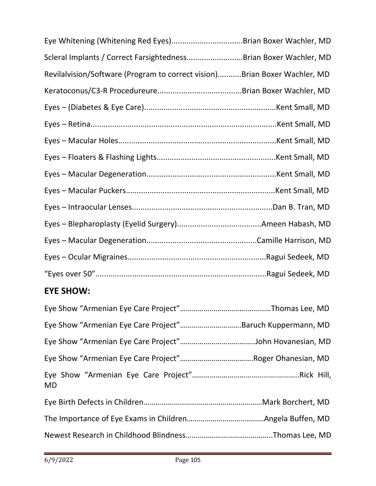| Eye Whitening (Whitening Red Eyes)Brian Boxer Wachler, MD                 |  |
|---------------------------------------------------------------------------|--|
| Scleral Implants / Correct FarsightednessBrian Boxer Wachler, MD          |  |
| Revilalvision/Software (Program to correct vision)Brian Boxer Wachler, MD |  |
|                                                                           |  |
|                                                                           |  |
|                                                                           |  |
|                                                                           |  |
|                                                                           |  |
|                                                                           |  |
|                                                                           |  |
|                                                                           |  |
|                                                                           |  |
|                                                                           |  |
|                                                                           |  |
|                                                                           |  |
| <b>EYE SHOW:</b>                                                          |  |
|                                                                           |  |
| Eye Show "Armenian Eye Care Project"Baruch Kuppermann, MD                 |  |
|                                                                           |  |
|                                                                           |  |
| MD                                                                        |  |
|                                                                           |  |
|                                                                           |  |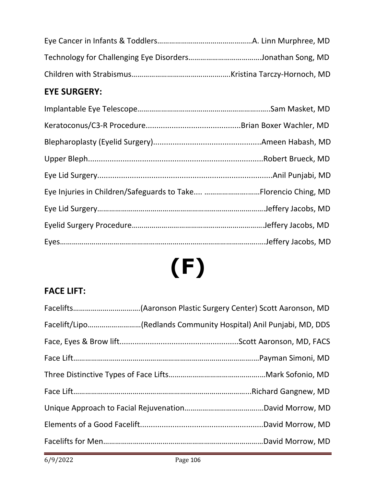# **EYE SURGERY:**

| Eye Injuries in Children/Safeguards to Take Florencio Ching, MD |
|-----------------------------------------------------------------|
|                                                                 |
|                                                                 |
|                                                                 |
|                                                                 |

# **(F)**

# **FACE LIFT:**

| Facelift/Lipo(Redlands Community Hospital) Anil Punjabi, MD, DDS |
|------------------------------------------------------------------|
|                                                                  |
|                                                                  |
|                                                                  |
|                                                                  |
|                                                                  |
|                                                                  |
|                                                                  |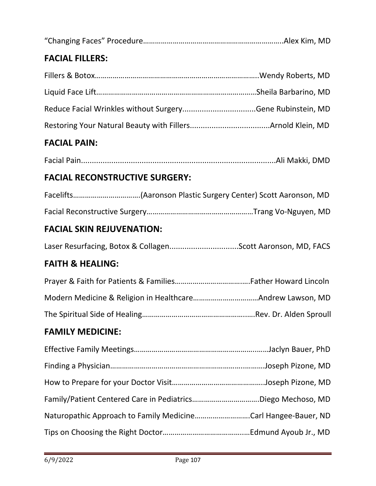| <b>FACIAL FILLERS:</b>                                        |  |
|---------------------------------------------------------------|--|
|                                                               |  |
|                                                               |  |
|                                                               |  |
|                                                               |  |
| <b>FACIAL PAIN:</b>                                           |  |
|                                                               |  |
| <b>FACIAL RECONSTRUCTIVE SURGERY:</b>                         |  |
| Facelifts(Aaronson Plastic Surgery Center) Scott Aaronson, MD |  |
|                                                               |  |
| <b>FACIAL SKIN REJUVENATION:</b>                              |  |
| Laser Resurfacing, Botox & CollagenScott Aaronson, MD, FACS   |  |
| <b>FAITH &amp; HEALING:</b>                                   |  |
|                                                               |  |
|                                                               |  |
|                                                               |  |
| <b>FAMILY MEDICINE:</b>                                       |  |
|                                                               |  |
|                                                               |  |
|                                                               |  |
| Family/Patient Centered Care in PediatricsDiego Mechoso, MD   |  |
| Naturopathic Approach to Family MedicineCarl Hangee-Bauer, ND |  |
|                                                               |  |
|                                                               |  |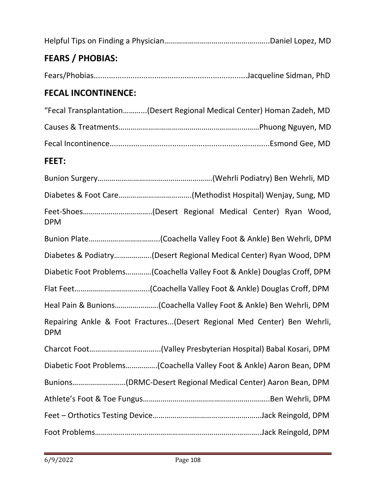| <b>FEARS / PHOBIAS:</b>                                                                |
|----------------------------------------------------------------------------------------|
|                                                                                        |
| <b>FECAL INCONTINENCE:</b>                                                             |
| "Fecal Transplantation(Desert Regional Medical Center) Homan Zadeh, MD                 |
|                                                                                        |
|                                                                                        |
| FEET:                                                                                  |
|                                                                                        |
|                                                                                        |
| <b>DPM</b>                                                                             |
|                                                                                        |
| Diabetes & Podiatry(Desert Regional Medical Center) Ryan Wood, DPM                     |
| Diabetic Foot Problems(Coachella Valley Foot & Ankle) Douglas Croff, DPM               |
|                                                                                        |
|                                                                                        |
| Repairing Ankle & Foot Fractures(Desert Regional Med Center) Ben Wehrli,<br><b>DPM</b> |
|                                                                                        |
| Diabetic Foot Problems(Coachella Valley Foot & Ankle) Aaron Bean, DPM                  |
| Bunions(DRMC-Desert Regional Medical Center) Aaron Bean, DPM                           |
|                                                                                        |
|                                                                                        |
|                                                                                        |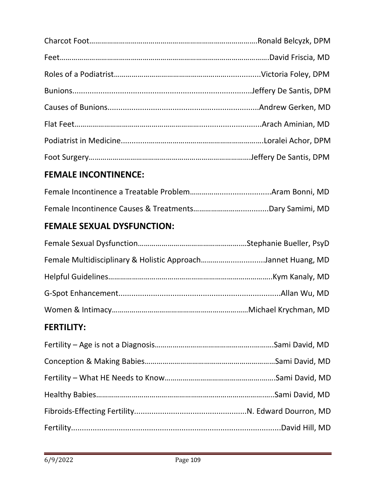# **FEMALE INCONTINENCE:**

# **FEMALE SEXUAL DYSFUNCTION:**

| Female Multidisciplinary & Holistic ApproachJannet Huang, MD |  |
|--------------------------------------------------------------|--|
|                                                              |  |
|                                                              |  |
|                                                              |  |

## **FERTILITY:**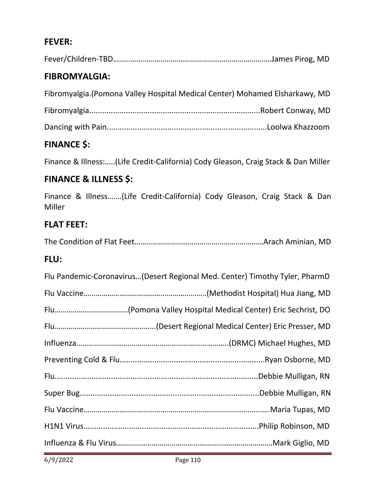# **FEVER:**

## **FIBROMYALGIA:**

| Fibromyalgia.(Pomona Valley Hospital Medical Center) Mohamed Elsharkawy, MD |  |  |  |  |
|-----------------------------------------------------------------------------|--|--|--|--|
|-----------------------------------------------------------------------------|--|--|--|--|

|--|

```
Dancing with Pain..........................................................................Loolwa Khazzoom
```
# **FINANCE \$:**

Finance & Illness:…..(Life Credit-California) Cody Gleason, Craig Stack & Dan Miller

## **FINANCE & ILLNESS \$:**

Finance & Illness…….(Life Credit-California) Cody Gleason, Craig Stack & Dan Miller

#### **FLAT FEET:**

|--|--|--|--|

#### **FLU:**

| Flu Pandemic-Coronavirus(Desert Regional Med. Center) Timothy Tyler, PharmD |
|-----------------------------------------------------------------------------|
|                                                                             |
|                                                                             |
|                                                                             |
|                                                                             |
|                                                                             |
|                                                                             |
|                                                                             |
|                                                                             |
|                                                                             |
|                                                                             |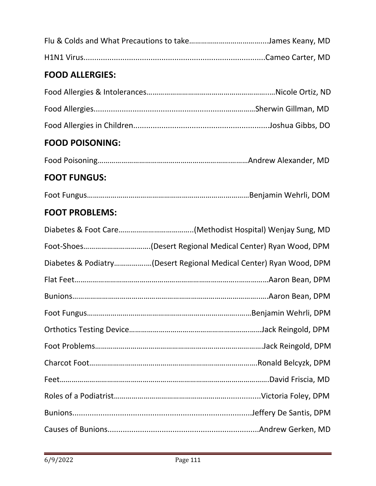# **FOOD ALLERGIES:**

# **FOOD POISONING:**

|--|--|--|--|--|

# **FOOT FUNGUS:**

|--|--|--|--|

# **FOOT PROBLEMS:**

| Diabetes & Podiatry(Desert Regional Medical Center) Ryan Wood, DPM |  |
|--------------------------------------------------------------------|--|
|                                                                    |  |
|                                                                    |  |
|                                                                    |  |
|                                                                    |  |
|                                                                    |  |
|                                                                    |  |
|                                                                    |  |
|                                                                    |  |
|                                                                    |  |
|                                                                    |  |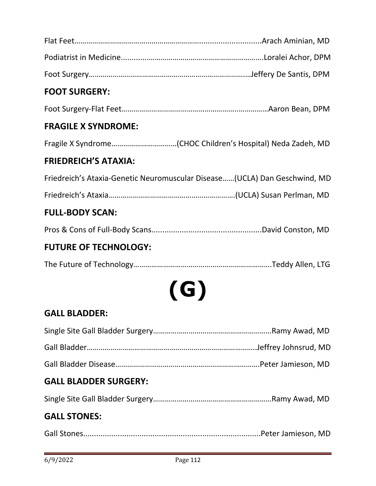| <b>FOOT SURGERY:</b>         |                                                                            |
|------------------------------|----------------------------------------------------------------------------|
|                              |                                                                            |
| <b>FRAGILE X SYNDROME:</b>   |                                                                            |
|                              |                                                                            |
| <b>FRIEDREICH'S ATAXIA:</b>  |                                                                            |
|                              | Friedreich's Ataxia-Genetic Neuromuscular Disease (UCLA) Dan Geschwind, MD |
|                              |                                                                            |
| <b>FULL-BODY SCAN:</b>       |                                                                            |
|                              |                                                                            |
| <b>FUTURE OF TECHNOLOGY:</b> |                                                                            |
|                              |                                                                            |
|                              |                                                                            |
|                              | ( G )                                                                      |
| <b>GALL BLADDER:</b>         |                                                                            |
|                              |                                                                            |
|                              |                                                                            |
|                              |                                                                            |
| <b>GALL BLADDER SURGERY:</b> |                                                                            |
|                              |                                                                            |
| <b>GALL STONES:</b>          |                                                                            |

Gall Stones..................................................................................Peter Jamieson, MD

÷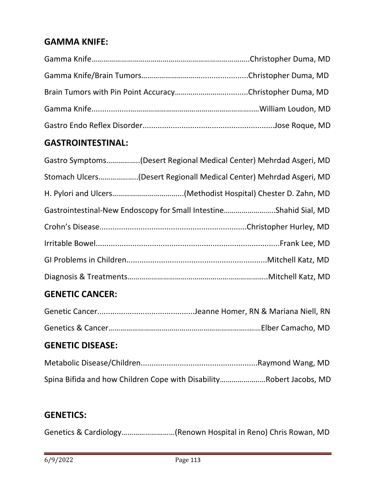# **GAMMA KNIFE:**

## **GASTROINTESTINAL:**

| Gastro Symptoms(Desert Regional Medical Center) Mehrdad Asgeri, MD |
|--------------------------------------------------------------------|
| Stomach Ulcers(Desert Regionall Medical Center) Mehrdad Asgeri, MD |
|                                                                    |
| Gastrointestinal-New Endoscopy for Small IntestineShahid Sial, MD  |
|                                                                    |
|                                                                    |
|                                                                    |
|                                                                    |
|                                                                    |

## **GENETIC CANCER:**

## **GENETIC DISEASE:**

| Spina Bifida and how Children Cope with DisabilityRobert Jacobs, MD |  |
|---------------------------------------------------------------------|--|

# **GENETICS:**

Genetics & Cardiology………………………(Renown Hospital in Reno) Chris Rowan, MD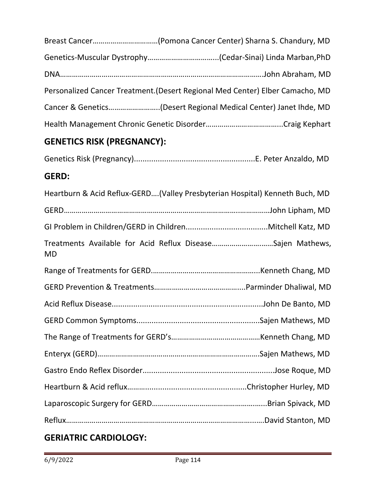| Personalized Cancer Treatment. (Desert Regional Med Center) Elber Camacho, MD |
|-------------------------------------------------------------------------------|
|                                                                               |
|                                                                               |
| <b>GENETICS RISK (PREGNANCY):</b>                                             |
|                                                                               |

# **GERD:**

|           | Heartburn & Acid Reflux-GERD(Valley Presbyterian Hospital) Kenneth Buch, MD |
|-----------|-----------------------------------------------------------------------------|
|           |                                                                             |
|           |                                                                             |
| <b>MD</b> | Treatments Available for Acid Reflux DiseaseSajen Mathews,                  |
|           |                                                                             |
|           |                                                                             |
|           |                                                                             |
|           |                                                                             |
|           |                                                                             |
|           |                                                                             |
|           |                                                                             |
|           |                                                                             |
|           |                                                                             |
|           |                                                                             |

# **GERIATRIC CARDIOLOGY:**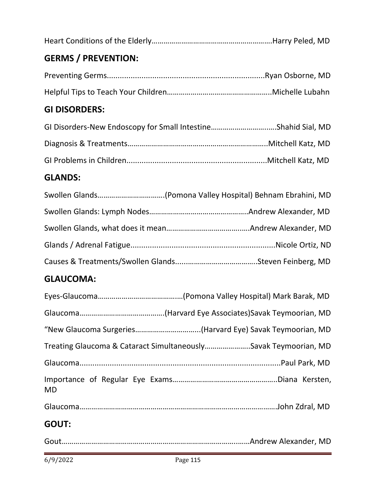|--|--|

# **GERMS / PREVENTION:**

# **GI DISORDERS:**

# **GLANDS:**

# **GLAUCOMA:**

| "New Glaucoma Surgeries(Harvard Eye) Savak Teymoorian, MD       |
|-----------------------------------------------------------------|
| Treating Glaucoma & Cataract SimultaneouslySavak Teymoorian, MD |
|                                                                 |
| <b>MD</b>                                                       |
|                                                                 |
| <b>GOUT:</b>                                                    |
|                                                                 |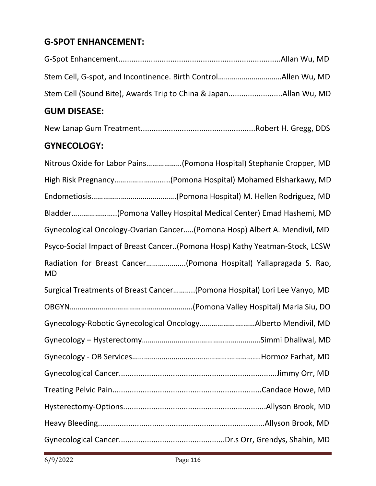# **G-SPOT ENHANCEMENT:**

| $        -$ |  |
|-------------|--|
|             |  |
|             |  |
|             |  |

## **GUM DISEASE:**

New Lanap Gum Treatment.....................................................Robert H. Gregg, DDS

## **GYNECOLOGY:**

| Nitrous Oxide for Labor Pains(Pomona Hospital) Stephanie Cropper, MD           |
|--------------------------------------------------------------------------------|
| High Risk Pregnancy(Pomona Hospital) Mohamed Elsharkawy, MD                    |
|                                                                                |
| Bladder(Pomona Valley Hospital Medical Center) Emad Hashemi, MD                |
| Gynecological Oncology-Ovarian Cancer(Pomona Hosp) Albert A. Mendivil, MD      |
| Psyco-Social Impact of Breast Cancer(Pomona Hosp) Kathy Yeatman-Stock, LCSW    |
| Radiation for Breast Cancer(Pomona Hospital) Yallapragada S. Rao,<br><b>MD</b> |
| Surgical Treatments of Breast Cancer(Pomona Hospital) Lori Lee Vanyo, MD       |
|                                                                                |
| Gynecology-Robotic Gynecological OncologyAlberto Mendivil, MD                  |
|                                                                                |
|                                                                                |
|                                                                                |
|                                                                                |
|                                                                                |
|                                                                                |
|                                                                                |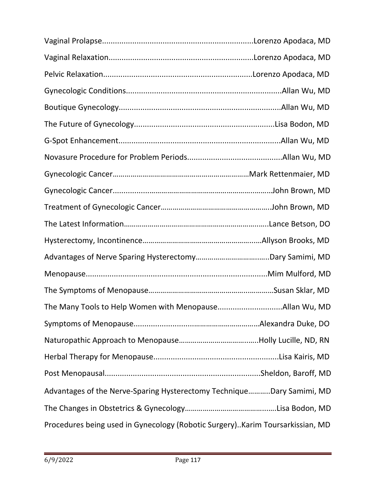| Advantages of the Nerve-Sparing Hysterectomy TechniqueDary Samimi, MD         |  |
|-------------------------------------------------------------------------------|--|
|                                                                               |  |
| Procedures being used in Gynecology (Robotic Surgery)Karim Toursarkissian, MD |  |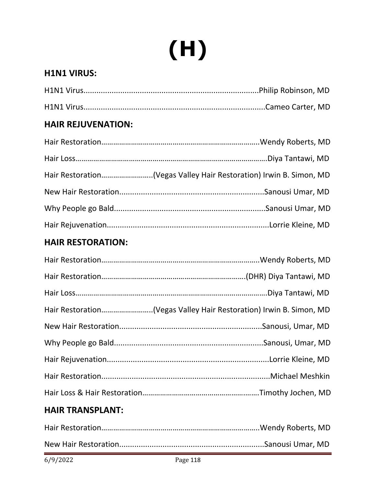# **(H)**

# **H1N1 VIRUS:**

# **HAIR REJUVENATION:**

## **HAIR RESTORATION:**

| Hair Restoration(Vegas Valley Hair Restoration) Irwin B. Simon, MD |  |
|--------------------------------------------------------------------|--|
|                                                                    |  |
|                                                                    |  |
|                                                                    |  |
|                                                                    |  |
|                                                                    |  |
|                                                                    |  |

## **HAIR TRANSPLANT:**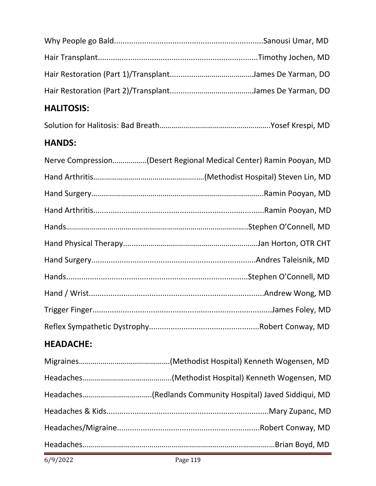# **HALITOSIS:**

|--|--|--|

## **HANDS:**

| Nerve Compression(Desert Regional Medical Center) Ramin Pooyan, MD |
|--------------------------------------------------------------------|
|                                                                    |
|                                                                    |
|                                                                    |
|                                                                    |
|                                                                    |
|                                                                    |
|                                                                    |
|                                                                    |
|                                                                    |
|                                                                    |

## **HEADACHE:**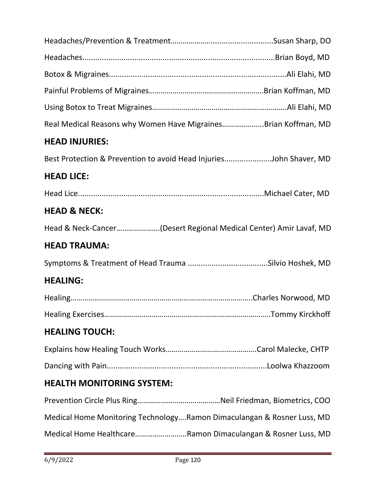| Real Medical Reasons why Women Have MigrainesBrian Koffman, MD         |  |
|------------------------------------------------------------------------|--|
| <b>HEAD INJURIES:</b>                                                  |  |
| Best Protection & Prevention to avoid Head InjuriesJohn Shaver, MD     |  |
| <b>HEAD LICE:</b>                                                      |  |
|                                                                        |  |
| <b>HEAD &amp; NECK:</b>                                                |  |
| Head & Neck-Cancer(Desert Regional Medical Center) Amir Lavaf, MD      |  |
| <b>HEAD TRAUMA:</b>                                                    |  |
|                                                                        |  |
| <b>HEALING:</b>                                                        |  |
|                                                                        |  |
|                                                                        |  |
| <b>HEALING TOUCH:</b>                                                  |  |
|                                                                        |  |
|                                                                        |  |
| <b>HEALTH MONITORING SYSTEM:</b>                                       |  |
|                                                                        |  |
| Medical Home Monitoring TechnologyRamon Dimaculangan & Rosner Luss, MD |  |
| Medical Home HealthcareRamon Dimaculangan & Rosner Luss, MD            |  |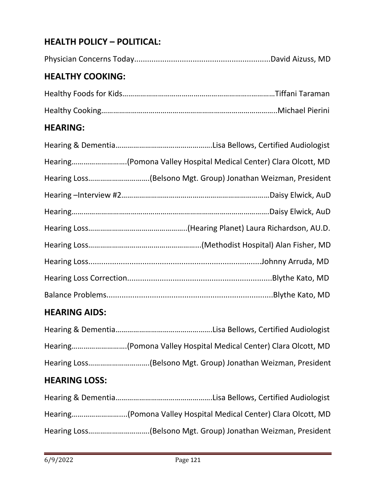# **HEALTH POLICY – POLITICAL:**

Physician Concerns Today...............................................................David Aizuss, MD

# **HEALTHY COOKING:**

## **HEARING:**

| Hearing(Pomona Valley Hospital Medical Center) Clara Olcott, MD |
|-----------------------------------------------------------------|
| Hearing Loss(Belsono Mgt. Group) Jonathan Weizman, President    |
|                                                                 |
|                                                                 |
|                                                                 |
|                                                                 |
|                                                                 |
|                                                                 |
|                                                                 |

#### **HEARING AIDS:**

| Hearing(Pomona Valley Hospital Medical Center) Clara Olcott, MD |
|-----------------------------------------------------------------|
|                                                                 |

## **HEARING LOSS:**

| Hearing(Pomona Valley Hospital Medical Center) Clara Olcott, MD |
|-----------------------------------------------------------------|
|                                                                 |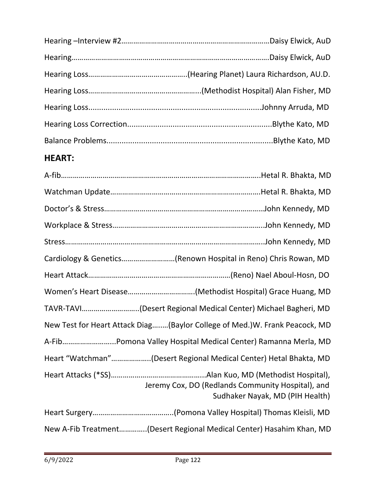# **HEART:**

| Cardiology & Genetics(Renown Hospital in Reno) Chris Rowan, MD                       |
|--------------------------------------------------------------------------------------|
|                                                                                      |
|                                                                                      |
| TAVR-TAVI(Desert Regional Medical Center) Michael Bagheri, MD                        |
| New Test for Heart Attack Diag(Baylor College of Med.)W. Frank Peacock, MD           |
|                                                                                      |
| Heart "Watchman"(Desert Regional Medical Center) Hetal Bhakta, MD                    |
| Jeremy Cox, DO (Redlands Community Hospital), and<br>Sudhaker Nayak, MD (PIH Health) |
|                                                                                      |
| New A-Fib Treatment(Desert Regional Medical Center) Hasahim Khan, MD                 |

ī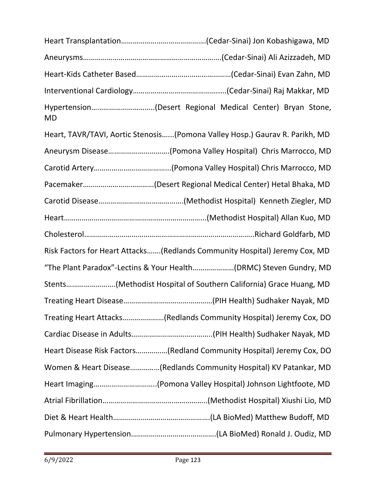| <b>MD</b> |                                                                             |
|-----------|-----------------------------------------------------------------------------|
|           | Heart, TAVR/TAVI, Aortic Stenosis(Pomona Valley Hosp.) Gaurav R. Parikh, MD |
|           | Aneurysm Disease(Pomona Valley Hospital) Chris Marrocco, MD                 |
|           |                                                                             |
|           |                                                                             |
|           |                                                                             |
|           |                                                                             |
|           |                                                                             |
|           | Risk Factors for Heart Attacks(Redlands Community Hospital) Jeremy Cox, MD  |
|           | "The Plant Paradox"-Lectins & Your Health(DRMC) Steven Gundry, MD           |
|           | Stents(Methodist Hospital of Southern California) Grace Huang, MD           |
|           |                                                                             |
|           | Treating Heart Attacks(Redlands Community Hospital) Jeremy Cox, DO          |
|           |                                                                             |
|           | Heart Disease Risk Factors(Redland Community Hospital) Jeremy Cox, DO       |
|           | Women & Heart Disease(Redlands Community Hospital) KV Patankar, MD          |
|           | Heart Imaging(Pomona Valley Hospital) Johnson Lightfoote, MD                |
|           |                                                                             |
|           |                                                                             |
|           |                                                                             |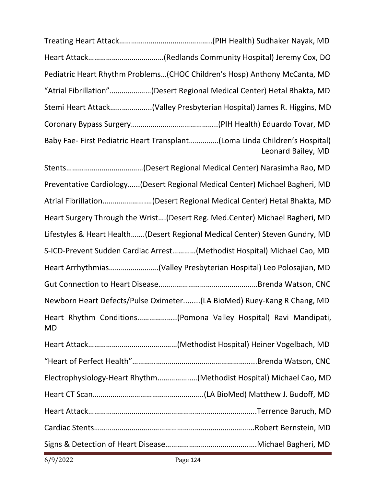| Pediatric Heart Rhythm Problems(CHOC Children's Hosp) Anthony McCanta, MD                        |
|--------------------------------------------------------------------------------------------------|
| "Atrial Fibrillation"(Desert Regional Medical Center) Hetal Bhakta, MD                           |
| Stemi Heart Attack(Valley Presbyterian Hospital) James R. Higgins, MD                            |
|                                                                                                  |
| Baby Fae- First Pediatric Heart Transplant(Loma Linda Children's Hospital)<br>Leonard Bailey, MD |
|                                                                                                  |
| Preventative Cardiology(Desert Regional Medical Center) Michael Bagheri, MD                      |
| Atrial Fibrillation(Desert Regional Medical Center) Hetal Bhakta, MD                             |
| Heart Surgery Through the Wrist (Desert Reg. Med.Center) Michael Bagheri, MD                     |
| Lifestyles & Heart Health(Desert Regional Medical Center) Steven Gundry, MD                      |
| S-ICD-Prevent Sudden Cardiac Arrest(Methodist Hospital) Michael Cao, MD                          |
| Heart Arrhythmias(Valley Presbyterian Hospital) Leo Polosajian, MD                               |
|                                                                                                  |
| Newborn Heart Defects/Pulse Oximeter(LA BioMed) Ruey-Kang R Chang, MD                            |
| Heart Rhythm Conditions(Pomona Valley Hospital) Ravi Mandipati,<br>MD                            |
|                                                                                                  |
|                                                                                                  |
| Electrophysiology-Heart Rhythm(Methodist Hospital) Michael Cao, MD                               |
|                                                                                                  |
|                                                                                                  |
|                                                                                                  |
|                                                                                                  |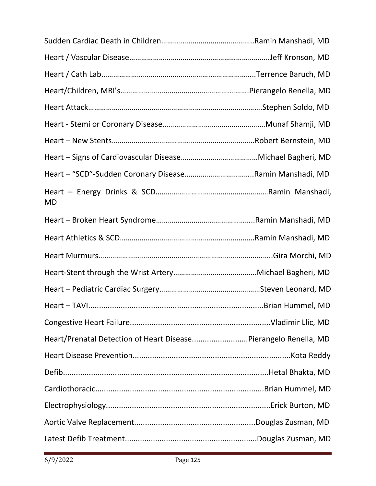| <b>MD</b>                                                       |  |
|-----------------------------------------------------------------|--|
|                                                                 |  |
|                                                                 |  |
|                                                                 |  |
|                                                                 |  |
|                                                                 |  |
|                                                                 |  |
|                                                                 |  |
| Heart/Prenatal Detection of Heart DiseasePierangelo Renella, MD |  |
|                                                                 |  |
|                                                                 |  |
|                                                                 |  |
|                                                                 |  |
|                                                                 |  |
|                                                                 |  |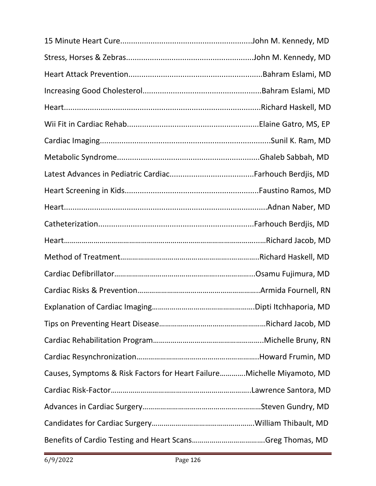| Causes, Symptoms & Risk Factors for Heart FailureMichelle Miyamoto, MD |  |
|------------------------------------------------------------------------|--|
|                                                                        |  |
|                                                                        |  |
|                                                                        |  |
|                                                                        |  |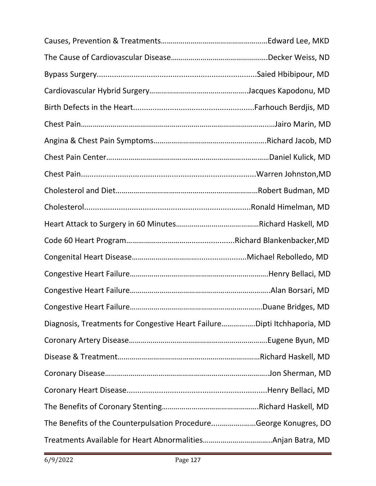| Diagnosis, Treatments for Congestive Heart FailureDipti Itchhaporia, MD |  |
|-------------------------------------------------------------------------|--|
|                                                                         |  |
|                                                                         |  |
|                                                                         |  |
|                                                                         |  |
|                                                                         |  |
| The Benefits of the Counterpulsation ProcedureGeorge Konugres, DO       |  |
|                                                                         |  |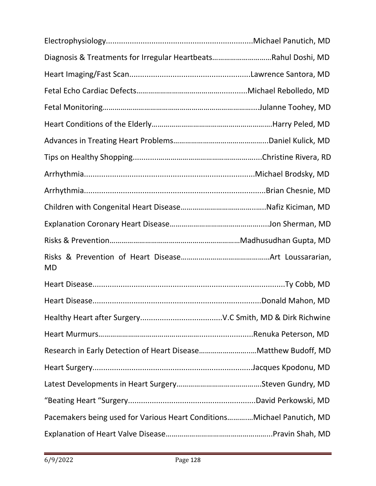| Diagnosis & Treatments for Irregular HeartbeatsRahul Doshi, MD         |  |
|------------------------------------------------------------------------|--|
|                                                                        |  |
|                                                                        |  |
|                                                                        |  |
|                                                                        |  |
|                                                                        |  |
|                                                                        |  |
|                                                                        |  |
|                                                                        |  |
|                                                                        |  |
|                                                                        |  |
|                                                                        |  |
| <b>MD</b>                                                              |  |
|                                                                        |  |
|                                                                        |  |
|                                                                        |  |
|                                                                        |  |
|                                                                        |  |
|                                                                        |  |
|                                                                        |  |
|                                                                        |  |
| Pacemakers being used for Various Heart ConditionsMichael Panutich, MD |  |
|                                                                        |  |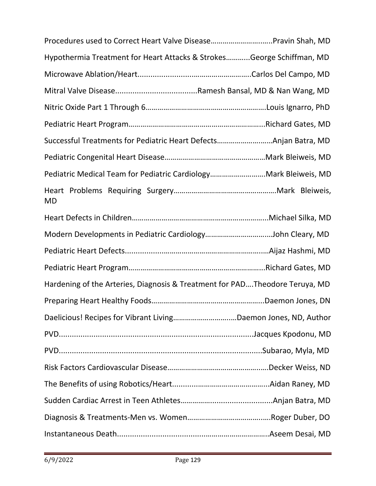| Procedures used to Correct Heart Valve DiseasePravin Shah, MD               |  |
|-----------------------------------------------------------------------------|--|
| Hypothermia Treatment for Heart Attacks & StrokesGeorge Schiffman, MD       |  |
|                                                                             |  |
|                                                                             |  |
|                                                                             |  |
|                                                                             |  |
| Successful Treatments for Pediatric Heart DefectsAnjan Batra, MD            |  |
|                                                                             |  |
| Pediatric Medical Team for Pediatric CardiologyMark Bleiweis, MD            |  |
| MD                                                                          |  |
|                                                                             |  |
| Modern Developments in Pediatric CardiologyJohn Cleary, MD                  |  |
|                                                                             |  |
|                                                                             |  |
| Hardening of the Arteries, Diagnosis & Treatment for PADTheodore Teruya, MD |  |
|                                                                             |  |
|                                                                             |  |
|                                                                             |  |
|                                                                             |  |
|                                                                             |  |
|                                                                             |  |
|                                                                             |  |
|                                                                             |  |
|                                                                             |  |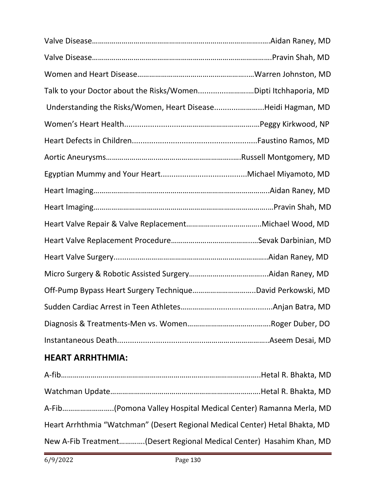| Talk to your Doctor about the Risks/WomenDipti Itchhaporia, MD |  |
|----------------------------------------------------------------|--|
| Understanding the Risks/Women, Heart DiseaseHeidi Hagman, MD   |  |
|                                                                |  |
|                                                                |  |
|                                                                |  |
|                                                                |  |
|                                                                |  |
|                                                                |  |
|                                                                |  |
|                                                                |  |
|                                                                |  |
|                                                                |  |
| Off-Pump Bypass Heart Surgery TechniqueDavid Perkowski, MD     |  |
|                                                                |  |
|                                                                |  |
|                                                                |  |

# **HEART ARRHTHMIA:**

| Heart Arrhthmia "Watchman" (Desert Regional Medical Center) Hetal Bhakta, MD |  |
|------------------------------------------------------------------------------|--|
| New A-Fib Treatment(Desert Regional Medical Center) Hasahim Khan, MD         |  |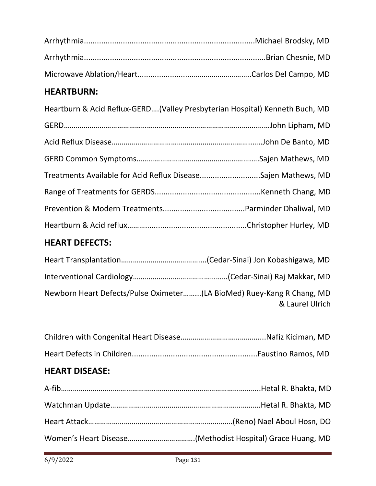# **HEARTBURN:**

| Heartburn & Acid Reflux-GERD(Valley Presbyterian Hospital) Kenneth Buch, MD |  |
|-----------------------------------------------------------------------------|--|
|                                                                             |  |
|                                                                             |  |
|                                                                             |  |
| Treatments Available for Acid Reflux DiseaseSajen Mathews, MD               |  |
|                                                                             |  |
|                                                                             |  |
|                                                                             |  |
|                                                                             |  |

# **HEART DEFECTS:**

| Newborn Heart Defects/Pulse Oximeter(LA BioMed) Ruey-Kang R Chang, MD | & Laurel Ulrich |
|-----------------------------------------------------------------------|-----------------|

# **HEART DISEASE:**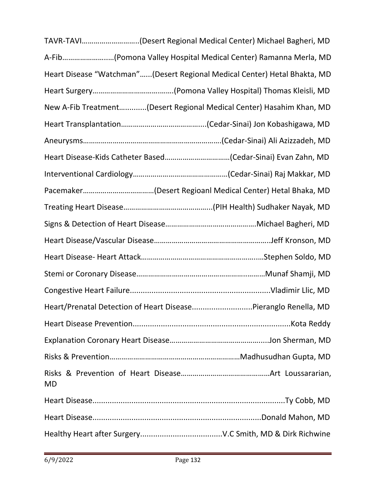|    | TAVR-TAVI(Desert Regional Medical Center) Michael Bagheri, MD             |  |
|----|---------------------------------------------------------------------------|--|
|    | A-Fib(Pomona Valley Hospital Medical Center) Ramanna Merla, MD            |  |
|    | Heart Disease "Watchman"(Desert Regional Medical Center) Hetal Bhakta, MD |  |
|    |                                                                           |  |
|    | New A-Fib Treatment(Desert Regional Medical Center) Hasahim Khan, MD      |  |
|    |                                                                           |  |
|    |                                                                           |  |
|    | Heart Disease-Kids Catheter Based(Cedar-Sinai) Evan Zahn, MD              |  |
|    |                                                                           |  |
|    |                                                                           |  |
|    |                                                                           |  |
|    |                                                                           |  |
|    |                                                                           |  |
|    |                                                                           |  |
|    |                                                                           |  |
|    |                                                                           |  |
|    | Heart/Prenatal Detection of Heart DiseasePieranglo Renella, MD            |  |
|    |                                                                           |  |
|    |                                                                           |  |
|    |                                                                           |  |
| MD |                                                                           |  |
|    |                                                                           |  |
|    |                                                                           |  |
|    |                                                                           |  |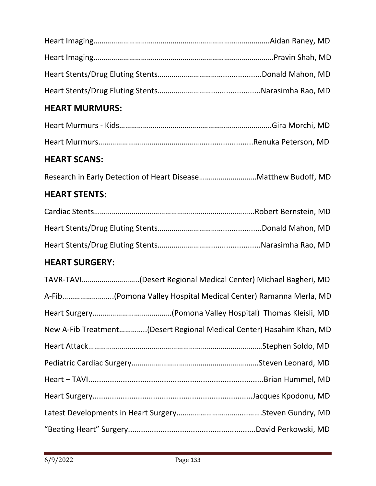# **HEART MURMURS:**

# **HEART SCANS:**

|--|--|--|--|--|

# **HEART STENTS:**

# **HEART SURGERY:**

| TAVR-TAVI(Desert Regional Medical Center) Michael Bagheri, MD        |
|----------------------------------------------------------------------|
| A-Fib(Pomona Valley Hospital Medical Center) Ramanna Merla, MD       |
|                                                                      |
| New A-Fib Treatment(Desert Regional Medical Center) Hasahim Khan, MD |
|                                                                      |
|                                                                      |
|                                                                      |
|                                                                      |
|                                                                      |
|                                                                      |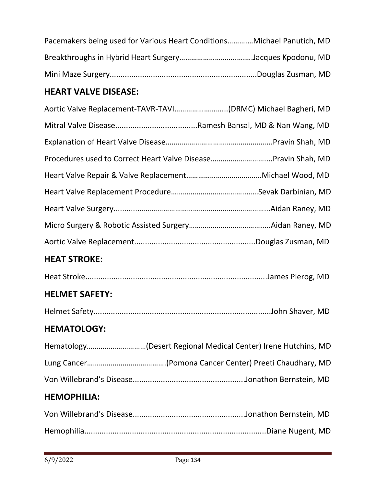| Pacemakers being used for Various Heart ConditionsMichael Panutich, MD |  |
|------------------------------------------------------------------------|--|
|                                                                        |  |
|                                                                        |  |

# **HEART VALVE DISEASE:**

| Aortic Valve Replacement-TAVR-TAVI(DRMC) Michael Bagheri, MD  |
|---------------------------------------------------------------|
|                                                               |
|                                                               |
| Procedures used to Correct Heart Valve DiseasePravin Shah, MD |
|                                                               |
|                                                               |
|                                                               |
|                                                               |
|                                                               |
| <b>HEAT STROKE:</b>                                           |
|                                                               |
| <b>HELMET SAFETY:</b>                                         |
|                                                               |
| <b>HEMATOLOGY:</b>                                            |
| Hematology(Desert Regional Medical Center) Irene Hutchins, MD |
|                                                               |
|                                                               |
| <b>HEMOPHILIA:</b>                                            |
|                                                               |
|                                                               |

ł,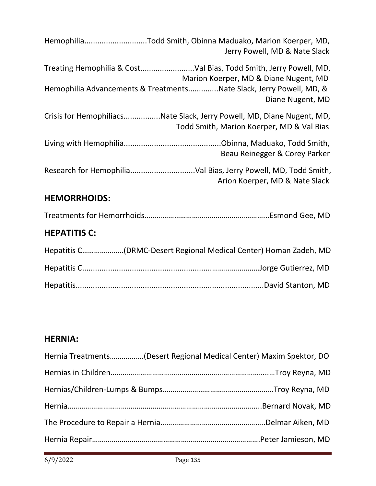| HemophiliaTodd Smith, Obinna Maduako, Marion Koerper, MD,<br>Jerry Powell, MD & Nate Slack                          |
|---------------------------------------------------------------------------------------------------------------------|
| Marion Koerper, MD & Diane Nugent, MD<br>Hemophilia Advancements & TreatmentsNate Slack, Jerry Powell, MD, &        |
| Diane Nugent, MD                                                                                                    |
| Crisis for HemophiliacsNate Slack, Jerry Powell, MD, Diane Nugent, MD,<br>Todd Smith, Marion Koerper, MD & Val Bias |
| Beau Reinegger & Corey Parker                                                                                       |
| Arion Koerper, MD & Nate Slack                                                                                      |
| <b>HEMORRHOIDS:</b>                                                                                                 |
|                                                                                                                     |
| <b>HEPATITIS C:</b>                                                                                                 |
| Hepatitis C(DRMC-Desert Regional Medical Center) Homan Zadeh, MD                                                    |
|                                                                                                                     |

# **HERNIA:**

| Hernia Treatments(Desert Regional Medical Center) Maxim Spektor, DO |  |
|---------------------------------------------------------------------|--|
|                                                                     |  |
|                                                                     |  |
|                                                                     |  |
|                                                                     |  |
|                                                                     |  |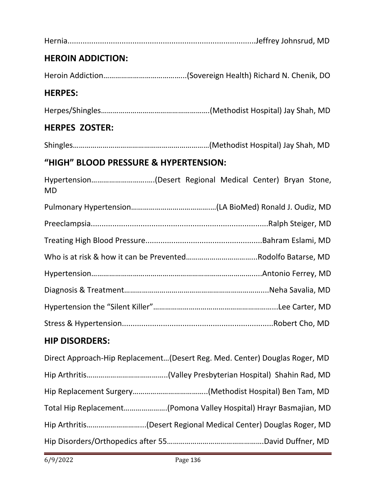|--|

## **HEROIN ADDICTION:**

Heroin Addiction…………………………………...(Sovereign Health) Richard N. Chenik, DO

#### **HERPES:**

Herpes/Shingles……………………………………………….(Methodist Hospital) Jay Shah, MD

## **HERPES ZOSTER:**

Shingles……………………………………………………………(Methodist Hospital) Jay Shah, MD

## **"HIGH" BLOOD PRESSURE & HYPERTENSION:**

Hypertension……………………….….(Desert Regional Medical Center) Bryan Stone, MD

## **HIP DISORDERS:**

| Direct Approach-Hip Replacement(Desert Reg. Med. Center) Douglas Roger, MD |
|----------------------------------------------------------------------------|
|                                                                            |
|                                                                            |
| Total Hip Replacement(Pomona Valley Hospital) Hrayr Basmajian, MD          |
| Hip Arthritis(Desert Regional Medical Center) Douglas Roger, MD            |
|                                                                            |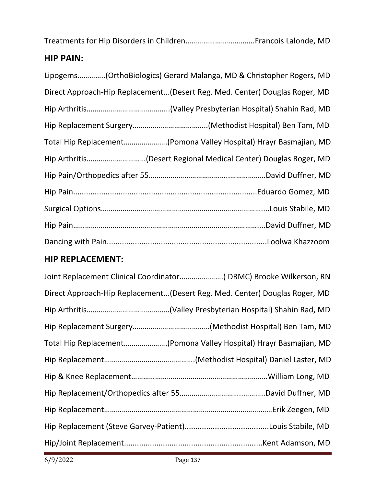Treatments for Hip Disorders in Children……………………………..Francois Lalonde, MD

# **HIP PAIN:**

| Lipogems(OrthoBiologics) Gerard Malanga, MD & Christopher Rogers, MD       |
|----------------------------------------------------------------------------|
| Direct Approach-Hip Replacement(Desert Reg. Med. Center) Douglas Roger, MD |
|                                                                            |
|                                                                            |
| Total Hip Replacement(Pomona Valley Hospital) Hrayr Basmajian, MD          |
|                                                                            |
|                                                                            |
|                                                                            |
|                                                                            |
|                                                                            |
|                                                                            |

# **HIP REPLACEMENT:**

| Direct Approach-Hip Replacement(Desert Reg. Med. Center) Douglas Roger, MD |
|----------------------------------------------------------------------------|
|                                                                            |
|                                                                            |
| Total Hip Replacement(Pomona Valley Hospital) Hrayr Basmajian, MD          |
|                                                                            |
|                                                                            |
|                                                                            |
|                                                                            |
|                                                                            |
|                                                                            |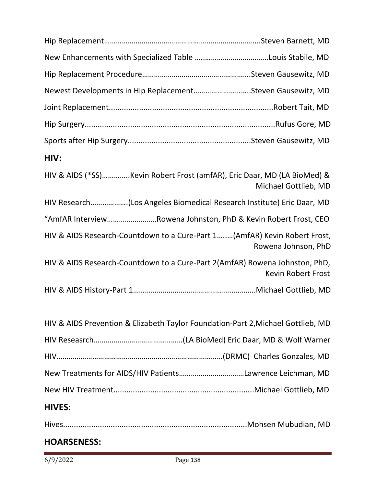| Newest Developments in Hip ReplacementSteven Gausewitz, MD                       |                           |
|----------------------------------------------------------------------------------|---------------------------|
|                                                                                  |                           |
|                                                                                  |                           |
|                                                                                  |                           |
| HIV:                                                                             |                           |
| HIV & AIDS (*SS)Kevin Robert Frost (amfAR), Eric Daar, MD (LA BioMed) &          | Michael Gottlieb, MD      |
| HIV Research(Los Angeles Biomedical Research Institute) Eric Daar, MD            |                           |
| "AmfAR InterviewRowena Johnston, PhD & Kevin Robert Frost, CEO                   |                           |
| HIV & AIDS Research-Countdown to a Cure-Part 1(AmfAR) Kevin Robert Frost,        | Rowena Johnson, PhD       |
| HIV & AIDS Research-Countdown to a Cure-Part 2(AmfAR) Rowena Johnston, PhD,      | <b>Kevin Robert Frost</b> |
|                                                                                  |                           |
| HIV & AIDS Prevention & Elizabeth Taylor Foundation-Part 2, Michael Gottlieb, MD |                           |
|                                                                                  |                           |
|                                                                                  |                           |
|                                                                                  |                           |
|                                                                                  |                           |
| <b>HIVES:</b>                                                                    |                           |
|                                                                                  |                           |

## **HOARSENESS:**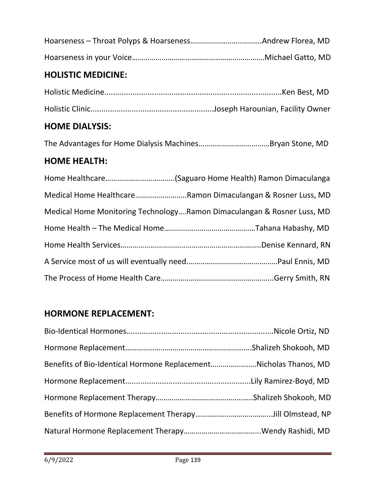## **HOLISTIC MEDICINE:**

#### **HOME DIALYSIS:**

The Advantages for Home Dialysis Machines………………………………Bryan Stone, MD

## **HOME HEALTH:**

| Medical Home HealthcareRamon Dimaculangan & Rosner Luss, MD            |
|------------------------------------------------------------------------|
| Medical Home Monitoring TechnologyRamon Dimaculangan & Rosner Luss, MD |
|                                                                        |
|                                                                        |
|                                                                        |
|                                                                        |

# **HORMONE REPLACEMENT:**

| Benefits of Bio-Identical Hormone ReplacementNicholas Thanos, MD |  |
|------------------------------------------------------------------|--|
|                                                                  |  |
|                                                                  |  |
|                                                                  |  |
|                                                                  |  |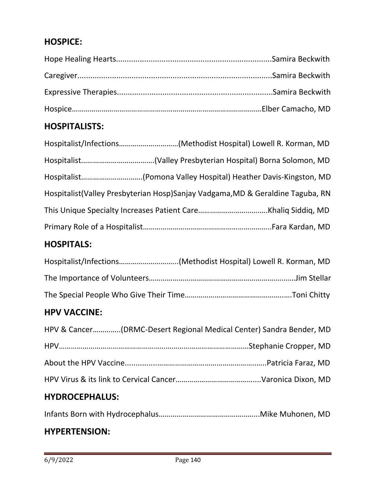# **HOSPICE:**

## **HOSPITALISTS:**

| Hospitalist/Infections(Methodist Hospital) Lowell R. Korman, MD                  |  |
|----------------------------------------------------------------------------------|--|
|                                                                                  |  |
|                                                                                  |  |
| Hospitalist (Valley Presbyterian Hosp) Sanjay Vadgama, MD & Geraldine Taguba, RN |  |
|                                                                                  |  |
|                                                                                  |  |

#### **HOSPITALS:**

| Hospitalist/Infections(Methodist Hospital) Lowell R. Korman, MD |
|-----------------------------------------------------------------|
|                                                                 |
|                                                                 |

#### **HPV VACCINE:**

| HPV & Cancer(DRMC-Desert Regional Medical Center) Sandra Bender, MD |
|---------------------------------------------------------------------|
|                                                                     |
|                                                                     |
|                                                                     |

# **HYDROCEPHALUS:**

Infants Born with Hydrocephalus…………………………………………...Mike Muhonen, MD

#### **HYPERTENSION:**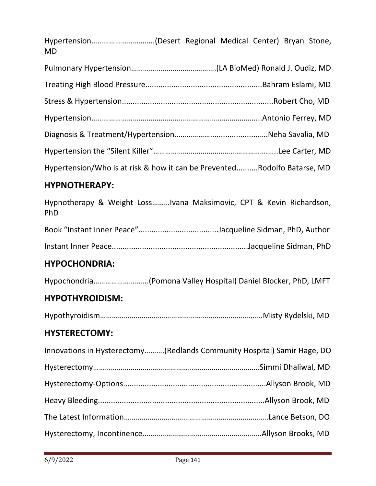Hypertension…………………………..(Desert Regional Medical Center) Bryan Stone, MD

| Hypertension/Who is at risk & how it can be PreventedRodolfo Batarse, MD |  |
|--------------------------------------------------------------------------|--|

# **HYPNOTHERAPY:**

Hypnotherapy & Weight Loss………Ivana Maksimovic, CPT & Kevin Richardson, PhD Book "Instant Inner Peace".....................................Jacqueline Sidman, PhD, Author Instant Inner Peace...............................................................Jacqueline Sidman, PhD

# **HYPOCHONDRIA:**

Hypochondria……………………….(Pomona Valley Hospital) Daniel Blocker, PhD, LMFT

## **HYPOTHYROIDISM:**

Hypothyroidism…………………………………………………………………....…Misty Rydelski, MD

## **HYSTERECTOMY:**

| Innovations in Hysterectomy(Redlands Community Hospital) Samir Hage, DO |
|-------------------------------------------------------------------------|
|                                                                         |
|                                                                         |
|                                                                         |
|                                                                         |
|                                                                         |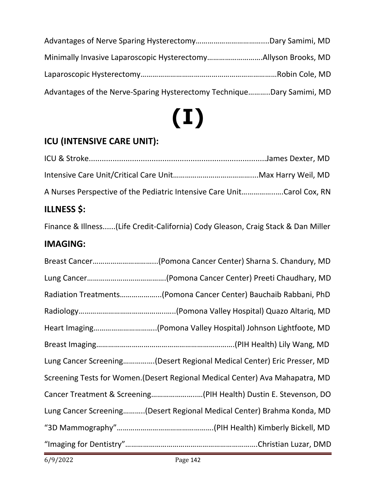| Advantages of the Nerve-Sparing Hysterectomy TechniqueDary Samimi, MD |  |
|-----------------------------------------------------------------------|--|

# **(I)**

# **ICU (INTENSIVE CARE UNIT):**

| <b>ILLNESS \$:</b>                                                     |  |
|------------------------------------------------------------------------|--|
| A Nurses Perspective of the Pediatric Intensive Care UnitCarol Cox, RN |  |
|                                                                        |  |
|                                                                        |  |

Finance & Illness......(Life Credit-California) Cody Gleason, Craig Stack & Dan Miller

# **IMAGING:**

| Breast Cancer(Pomona Cancer Center) Sharna S. Chandury, MD                    |
|-------------------------------------------------------------------------------|
|                                                                               |
| Radiation Treatments(Pomona Cancer Center) Bauchaib Rabbani, PhD              |
|                                                                               |
| Heart Imaging(Pomona Valley Hospital) Johnson Lightfoote, MD                  |
|                                                                               |
| Lung Cancer Screening(Desert Regional Medical Center) Eric Presser, MD        |
| Screening Tests for Women. (Desert Regional Medical Center) Ava Mahapatra, MD |
| Cancer Treatment & Screening(PIH Health) Dustin E. Stevenson, DO              |
| Lung Cancer Screening(Desert Regional Medical Center) Brahma Konda, MD        |
|                                                                               |
|                                                                               |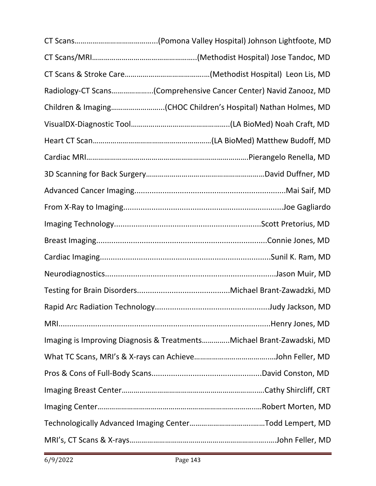| Radiology-CT Scans(Comprehensive Cancer Center) Navid Zanooz, MD      |
|-----------------------------------------------------------------------|
|                                                                       |
|                                                                       |
|                                                                       |
|                                                                       |
|                                                                       |
|                                                                       |
|                                                                       |
|                                                                       |
|                                                                       |
|                                                                       |
|                                                                       |
|                                                                       |
|                                                                       |
|                                                                       |
| Imaging is Improving Diagnosis & TreatmentsMichael Brant-Zawadski, MD |
|                                                                       |
|                                                                       |
|                                                                       |
|                                                                       |
|                                                                       |
|                                                                       |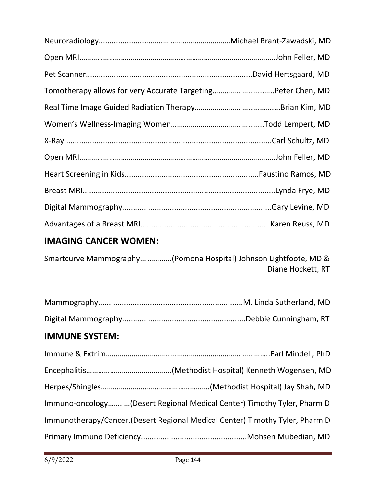| Tomotherapy allows for very Accurate TargetingPeter Chen, MD |  |
|--------------------------------------------------------------|--|
|                                                              |  |
|                                                              |  |
|                                                              |  |
|                                                              |  |
|                                                              |  |
|                                                              |  |
|                                                              |  |
|                                                              |  |

# **IMAGING CANCER WOMEN:**

Smartcurve Mammography…………….(Pomona Hospital) Johnson Lightfoote, MD & Diane Hockett, RT

# **IMMUNE SYSTEM:**

| Immuno-oncology(Desert Regional Medical Center) Timothy Tyler, Pharm D       |
|------------------------------------------------------------------------------|
| Immunotherapy/Cancer.(Desert Regional Medical Center) Timothy Tyler, Pharm D |
|                                                                              |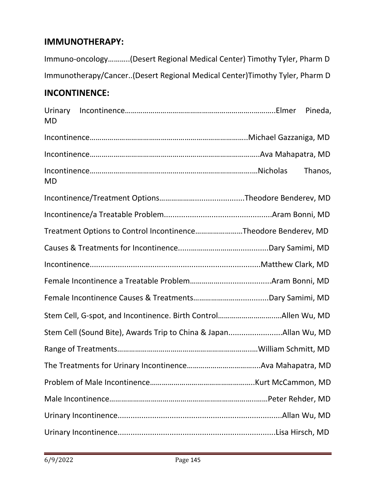#### **IMMUNOTHERAPY:**

Immuno-oncology………..(Desert Regional Medical Center) Timothy Tyler, Pharm D Immunotherapy/Cancer..(Desert Regional Medical Center)Timothy Tyler, Pharm D

## **INCONTINENCE:**

| <b>MD</b> |                                                                  |         |
|-----------|------------------------------------------------------------------|---------|
|           |                                                                  |         |
|           |                                                                  |         |
| <b>MD</b> |                                                                  | Thanos, |
|           |                                                                  |         |
|           |                                                                  |         |
|           | Treatment Options to Control IncontinenceTheodore Benderev, MD   |         |
|           |                                                                  |         |
|           |                                                                  |         |
|           |                                                                  |         |
|           |                                                                  |         |
|           | Stem Cell, G-spot, and Incontinence. Birth ControlAllen Wu, MD   |         |
|           | Stem Cell (Sound Bite), Awards Trip to China & JapanAllan Wu, MD |         |
|           |                                                                  |         |
|           |                                                                  |         |
|           |                                                                  |         |
|           |                                                                  |         |
|           |                                                                  |         |
|           |                                                                  |         |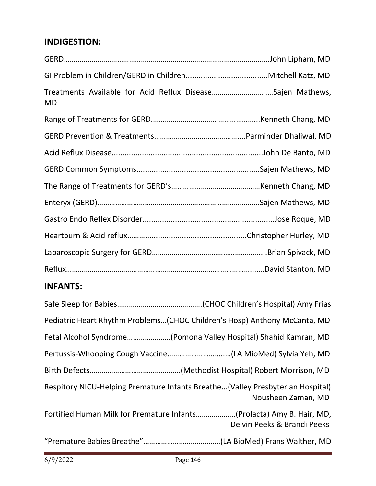#### **INDIGESTION:**

| MD | Treatments Available for Acid Reflux DiseaseSajen Mathews, |
|----|------------------------------------------------------------|
|    |                                                            |
|    |                                                            |
|    |                                                            |
|    |                                                            |
|    |                                                            |
|    |                                                            |
|    |                                                            |
|    |                                                            |
|    |                                                            |
|    |                                                            |

## **INFANTS:**

| Pediatric Heart Rhythm Problems(CHOC Children's Hosp) Anthony McCanta, MD                            |
|------------------------------------------------------------------------------------------------------|
| Fetal Alcohol Syndrome(Pomona Valley Hospital) Shahid Kamran, MD                                     |
|                                                                                                      |
|                                                                                                      |
| Respitory NICU-Helping Premature Infants Breathe(Valley Presbyterian Hospital)<br>Nousheen Zaman, MD |
| Fortified Human Milk for Premature Infants(Prolacta) Amy B. Hair, MD,<br>Delvin Peeks & Brandi Peeks |
|                                                                                                      |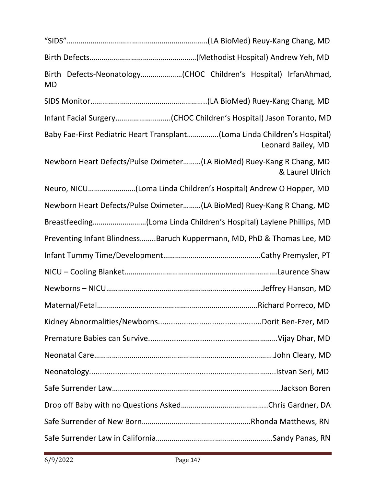| <b>MD</b>                                                                                       |                 |  |
|-------------------------------------------------------------------------------------------------|-----------------|--|
|                                                                                                 |                 |  |
| Infant Facial Surgery(CHOC Children's Hospital) Jason Toranto, MD                               |                 |  |
| Baby Fae-First Pediatric Heart Transplant(Loma Linda Children's Hospital)<br>Leonard Bailey, MD |                 |  |
| Newborn Heart Defects/Pulse Oximeter(LA BioMed) Ruey-Kang R Chang, MD                           | & Laurel Ulrich |  |
| Neuro, NICU(Loma Linda Children's Hospital) Andrew O Hopper, MD                                 |                 |  |
| Newborn Heart Defects/Pulse Oximeter(LA BioMed) Ruey-Kang R Chang, MD                           |                 |  |
| Breastfeeding(Loma Linda Children's Hospital) Laylene Phillips, MD                              |                 |  |
| Preventing Infant BlindnessBaruch Kuppermann, MD, PhD & Thomas Lee, MD                          |                 |  |
|                                                                                                 |                 |  |
|                                                                                                 |                 |  |
|                                                                                                 |                 |  |
|                                                                                                 |                 |  |
|                                                                                                 |                 |  |
|                                                                                                 |                 |  |
|                                                                                                 |                 |  |
|                                                                                                 |                 |  |
|                                                                                                 |                 |  |
|                                                                                                 |                 |  |
|                                                                                                 |                 |  |
|                                                                                                 |                 |  |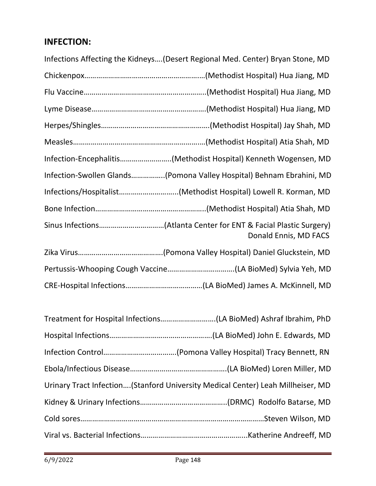## **INFECTION:**

| Infections Affecting the Kidneys (Desert Regional Med. Center) Bryan Stone, MD |
|--------------------------------------------------------------------------------|
|                                                                                |
|                                                                                |
|                                                                                |
|                                                                                |
|                                                                                |
| Infection-Encephalitis(Methodist Hospital) Kenneth Wogensen, MD                |
| Infection-Swollen Glands(Pomona Valley Hospital) Behnam Ebrahini, MD           |
| Infections/Hospitalist(Methodist Hospital) Lowell R. Korman, MD                |
|                                                                                |
| Donald Ennis, MD FACS                                                          |
|                                                                                |
|                                                                                |
|                                                                                |

| Urinary Tract Infection (Stanford University Medical Center) Leah Millheiser, MD |
|----------------------------------------------------------------------------------|
|                                                                                  |
|                                                                                  |
|                                                                                  |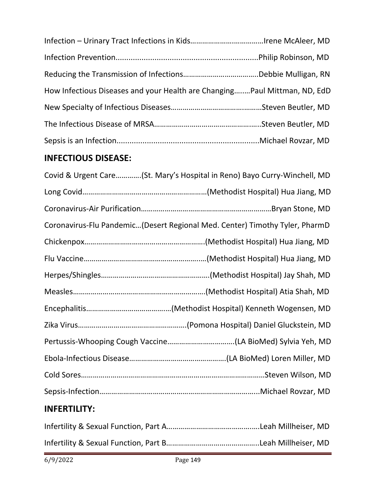| How Infectious Diseases and your Health are ChangingPaul Mittman, ND, EdD |  |
|---------------------------------------------------------------------------|--|
|                                                                           |  |
|                                                                           |  |
|                                                                           |  |

#### **INFECTIOUS DISEASE:**

| Covid & Urgent Care(St. Mary's Hospital in Reno) Bayo Curry-Winchell, MD    |
|-----------------------------------------------------------------------------|
|                                                                             |
|                                                                             |
| Coronavirus-Flu Pandemic(Desert Regional Med. Center) Timothy Tyler, PharmD |
|                                                                             |
|                                                                             |
|                                                                             |
|                                                                             |
|                                                                             |
|                                                                             |
|                                                                             |
|                                                                             |
|                                                                             |
|                                                                             |
|                                                                             |

## **INFERTILITY:**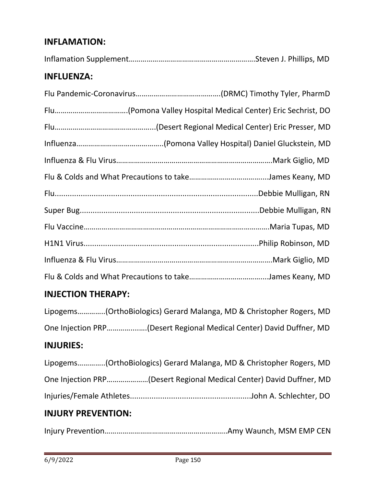#### **INFLAMATION:**

|--|--|

#### **INFLUENZA:**

#### **INJECTION THERAPY:**

Lipogems…………..(OrthoBiologics) Gerard Malanga, MD & Christopher Rogers, MD One Injection PRP…………....….(Desert Regional Medical Center) David Duffner, MD

## **INJURIES:**

|  | Lipogems(OrthoBiologics) Gerard Malanga, MD & Christopher Rogers, MD |
|--|----------------------------------------------------------------------|
|  | One Injection PRP(Desert Regional Medical Center) David Duffner, MD  |
|  |                                                                      |

#### **INJURY PREVENTION:**

Injury Prevention……………………………………………………..Amy Waunch, MSM EMP CEN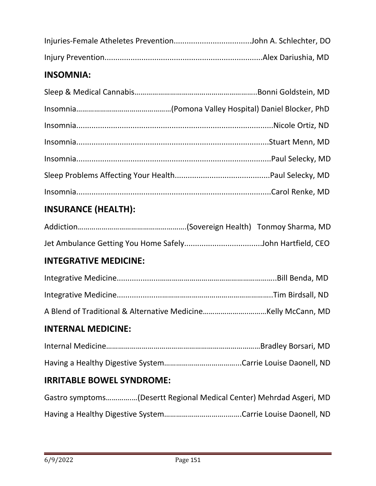#### **INSOMNIA:**

## **INSURANCE (HEALTH):**

#### **INTEGRATIVE MEDICINE:**

```
A Blend of Traditional & Alternative Medicine…………………..………Kelly McCann, MD
```
#### **INTERNAL MEDICINE:**

#### **IRRITABLE BOWEL SYNDROME:**

|  | Gastro symptoms(Desertt Regional Medical Center) Mehrdad Asgeri, MD |
|--|---------------------------------------------------------------------|
|  |                                                                     |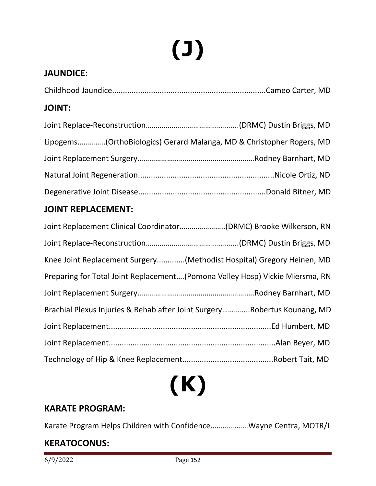# **(J)**

## **JAUNDICE:**

#### **JOINT:**

| Lipogems(OrthoBiologics) Gerard Malanga, MD & Christopher Rogers, MD |  |
|----------------------------------------------------------------------|--|
|                                                                      |  |
|                                                                      |  |
|                                                                      |  |
|                                                                      |  |

#### **JOINT REPLACEMENT:**

| Knee Joint Replacement Surgery(Methodist Hospital) Gregory Heinen, MD        |
|------------------------------------------------------------------------------|
| Preparing for Total Joint Replacement(Pomona Valley Hosp) Vickie Miersma, RN |
|                                                                              |
| Brachial Plexus Injuries & Rehab after Joint SurgeryRobertus Kounang, MD     |
|                                                                              |
|                                                                              |
|                                                                              |



#### **KARATE PROGRAM:**

Karate Program Helps Children with Confidence………….……Wayne Centra, MOTR/L

#### **KERATOCONUS:**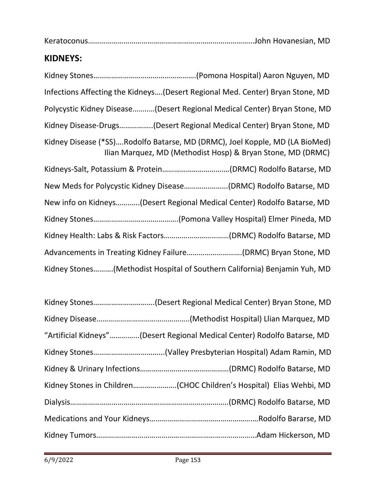Keratoconus………………………………………………………………………...John Hovanesian, MD

#### **KIDNEYS:**

| Infections Affecting the Kidneys(Desert Regional Med. Center) Bryan Stone, MD                                                              |
|--------------------------------------------------------------------------------------------------------------------------------------------|
| Polycystic Kidney Disease(Desert Regional Medical Center) Bryan Stone, MD                                                                  |
| Kidney Disease-Drugs(Desert Regional Medical Center) Bryan Stone, MD                                                                       |
| Kidney Disease (*SS)Rodolfo Batarse, MD (DRMC), Joel Kopple, MD (LA BioMed)<br>Ilian Marquez, MD (Methodist Hosp) & Bryan Stone, MD (DRMC) |
|                                                                                                                                            |
| New Meds for Polycystic Kidney Disease(DRMC) Rodolfo Batarse, MD                                                                           |
| New info on Kidneys(Desert Regional Medical Center) Rodolfo Batarse, MD                                                                    |
|                                                                                                                                            |
|                                                                                                                                            |
| Advancements in Treating Kidney Failure(DRMC) Bryan Stone, MD                                                                              |
| Kidney Stones(Methodist Hospital of Southern California) Benjamin Yuh, MD                                                                  |

| "Artificial Kidneys"(Desert Regional Medical Center) Rodolfo Batarse, MD |  |
|--------------------------------------------------------------------------|--|
|                                                                          |  |
|                                                                          |  |
|                                                                          |  |
|                                                                          |  |
|                                                                          |  |
|                                                                          |  |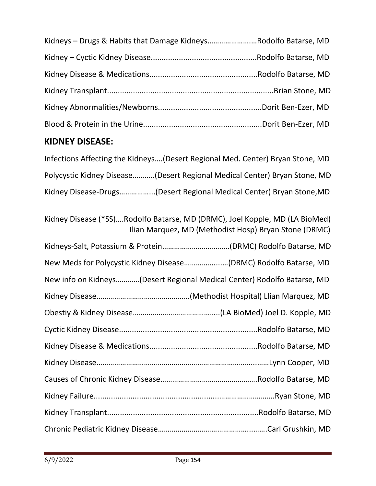| Kidneys - Drugs & Habits that Damage KidneysRodolfo Batarse, MD |  |
|-----------------------------------------------------------------|--|
|                                                                 |  |
|                                                                 |  |
|                                                                 |  |
|                                                                 |  |
|                                                                 |  |

## **KIDNEY DISEASE:**

Infections Affecting the Kidneys….(Desert Regional Med. Center) Bryan Stone, MD Polycystic Kidney Disease…….….(Desert Regional Medical Center) Bryan Stone, MD Kidney Disease-Drugs……………...(Desert Regional Medical Center) Bryan Stone,MD

| Kidney Disease (*SS)Rodolfo Batarse, MD (DRMC), Joel Kopple, MD (LA BioMed)<br>Ilian Marquez, MD (Methodist Hosp) Bryan Stone (DRMC) |
|--------------------------------------------------------------------------------------------------------------------------------------|
|                                                                                                                                      |
| New Meds for Polycystic Kidney Disease(DRMC) Rodolfo Batarse, MD                                                                     |
| New info on Kidneys(Desert Regional Medical Center) Rodolfo Batarse, MD                                                              |
|                                                                                                                                      |
|                                                                                                                                      |
|                                                                                                                                      |
|                                                                                                                                      |
|                                                                                                                                      |
|                                                                                                                                      |
|                                                                                                                                      |
|                                                                                                                                      |
|                                                                                                                                      |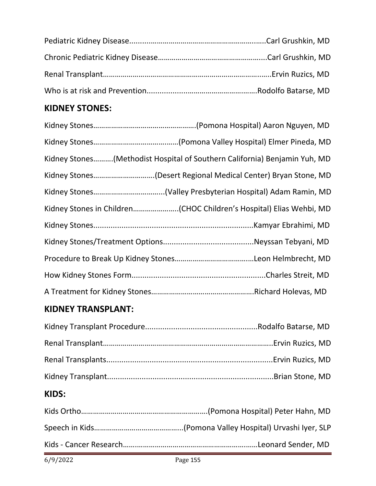## **KIDNEY STONES:**

| Kidney Stones(Methodist Hospital of Southern California) Benjamin Yuh, MD |
|---------------------------------------------------------------------------|
| Kidney Stones(Desert Regional Medical Center) Bryan Stone, MD             |
|                                                                           |
|                                                                           |
|                                                                           |
|                                                                           |
|                                                                           |
|                                                                           |
|                                                                           |

#### **KIDNEY TRANSPLANT:**

## **KIDS:**

| 6/9/2022 | Page 155 |
|----------|----------|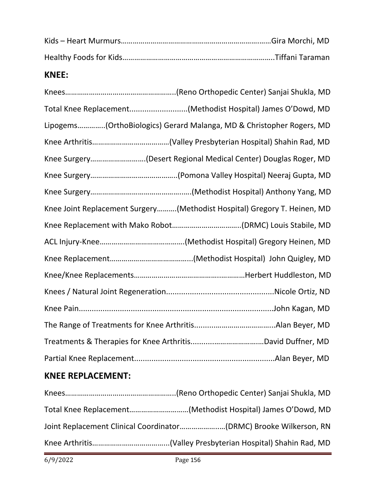#### **KNEE:**

| Total Knee Replacement(Methodist Hospital) James O'Dowd, MD              |
|--------------------------------------------------------------------------|
| Lipogems(OrthoBiologics) Gerard Malanga, MD & Christopher Rogers, MD     |
|                                                                          |
| Knee Surgery(Desert Regional Medical Center) Douglas Roger, MD           |
|                                                                          |
|                                                                          |
| Knee Joint Replacement Surgery(Methodist Hospital) Gregory T. Heinen, MD |
|                                                                          |
|                                                                          |
|                                                                          |
|                                                                          |
|                                                                          |
|                                                                          |
|                                                                          |
|                                                                          |
|                                                                          |

## **KNEE REPLACEMENT:**

| Total Knee Replacement(Methodist Hospital) James O'Dowd, MD |
|-------------------------------------------------------------|
|                                                             |
|                                                             |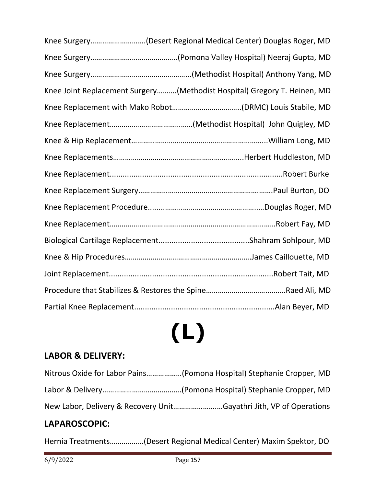| Knee Surgery(Desert Regional Medical Center) Douglas Roger, MD           |
|--------------------------------------------------------------------------|
|                                                                          |
|                                                                          |
| Knee Joint Replacement Surgery(Methodist Hospital) Gregory T. Heinen, MD |
|                                                                          |
|                                                                          |
|                                                                          |
|                                                                          |
|                                                                          |
|                                                                          |
|                                                                          |
|                                                                          |
|                                                                          |
|                                                                          |
|                                                                          |
|                                                                          |
|                                                                          |

## **(L)**

## **LABOR & DELIVERY:**

| Nitrous Oxide for Labor Pains(Pomona Hospital) Stephanie Cropper, MD |
|----------------------------------------------------------------------|
|                                                                      |
| New Labor, Delivery & Recovery UnitGayathri Jith, VP of Operations   |

#### **LAPAROSCOPIC:**

Hernia Treatments……………..(Desert Regional Medical Center) Maxim Spektor, DO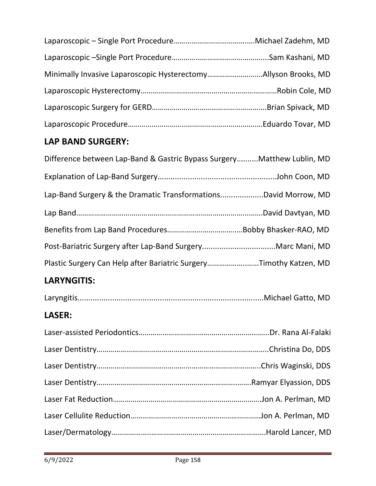| Minimally Invasive Laparoscopic HysterectomyAllyson Brooks, MD |  |
|----------------------------------------------------------------|--|
|                                                                |  |
|                                                                |  |
|                                                                |  |

## **LAP BAND SURGERY:**

| Difference between Lap-Band & Gastric Bypass SurgeryMatthew Lublin, MD |  |
|------------------------------------------------------------------------|--|
|                                                                        |  |
| Lap-Band Surgery & the Dramatic TransformationsDavid Morrow, MD        |  |
|                                                                        |  |
|                                                                        |  |
|                                                                        |  |
| Plastic Surgery Can Help after Bariatric SurgeryTimothy Katzen, MD     |  |

## **LARYNGITIS:**

|--|--|--|--|

## **LASER:**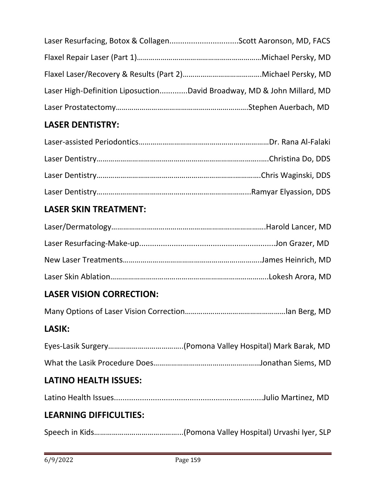| Laser High-Definition LiposuctionDavid Broadway, MD & John Millard, MD |  |
|------------------------------------------------------------------------|--|
|                                                                        |  |

## **LASER DENTISTRY:**

## **LASER SKIN TREATMENT:**

## **LASER VISION CORRECTION:**

Many Options of Laser Vision Correction……………………………………………lan Berg, MD

#### **LASIK:**

#### **LATINO HEALTH ISSUES:**

|--|--|--|--|

#### **LEARNING DIFFICULTIES:**

Speech in Kids……………………………………...(Pomona Valley Hospital) Urvashi Iyer, SLP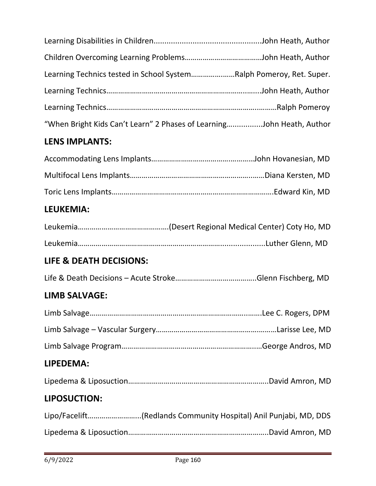| Learning Technics tested in School SystemRalph Pomeroy, Ret. Super.   |  |
|-----------------------------------------------------------------------|--|
|                                                                       |  |
|                                                                       |  |
| "When Bright Kids Can't Learn" 2 Phases of LearningJohn Heath, Author |  |
| <b>LENS IMPLANTS:</b>                                                 |  |
|                                                                       |  |
|                                                                       |  |
|                                                                       |  |
| <b>LEUKEMIA:</b>                                                      |  |
|                                                                       |  |
|                                                                       |  |
| LIFE & DEATH DECISIONS:                                               |  |
|                                                                       |  |
| <b>LIMB SALVAGE:</b>                                                  |  |
|                                                                       |  |
|                                                                       |  |
|                                                                       |  |
| LIPEDEMA:                                                             |  |
|                                                                       |  |
| LIPOSUCTION:                                                          |  |
| Lipo/Facelift(Redlands Community Hospital) Anil Punjabi, MD, DDS      |  |
|                                                                       |  |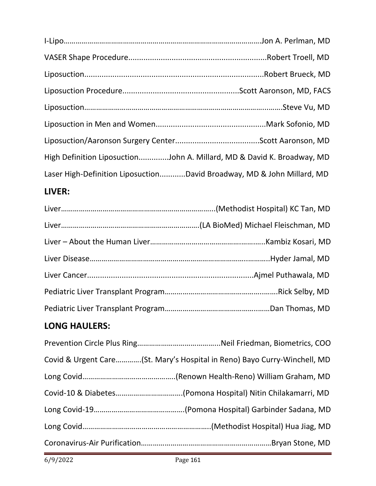| High Definition LiposuctionJohn A. Millard, MD & David K. Broadway, MD |  |
|------------------------------------------------------------------------|--|
| Laser High-Definition LiposuctionDavid Broadway, MD & John Millard, MD |  |

## **LIVER:**

## **LONG HAULERS:**

| Covid & Urgent Care(St. Mary's Hospital in Reno) Bayo Curry-Winchell, MD |
|--------------------------------------------------------------------------|
|                                                                          |
|                                                                          |
|                                                                          |
|                                                                          |
|                                                                          |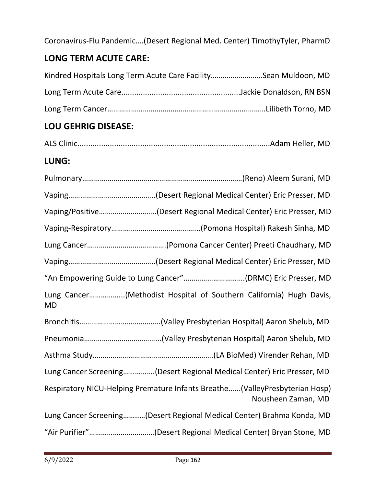Coronavirus-Flu Pandemic….(Desert Regional Med. Center) TimothyTyler, PharmD

## **LONG TERM ACUTE CARE:**

| Kindred Hospitals Long Term Acute Care FacilitySean Muldoon, MD |  |
|-----------------------------------------------------------------|--|
|                                                                 |  |
|                                                                 |  |

## **LOU GEHRIG DISEASE:**

|--|--|--|

#### **LUNG:**

| Vaping/Positive(Desert Regional Medical Center) Eric Presser, MD                                  |
|---------------------------------------------------------------------------------------------------|
|                                                                                                   |
|                                                                                                   |
|                                                                                                   |
| "An Empowering Guide to Lung Cancer"(DRMC) Eric Presser, MD                                       |
| Lung Cancer(Methodist Hospital of Southern California) Hugh Davis,<br><b>MD</b>                   |
|                                                                                                   |
|                                                                                                   |
|                                                                                                   |
| Lung Cancer Screening(Desert Regional Medical Center) Eric Presser, MD                            |
| Respiratory NICU-Helping Premature Infants Breathe(ValleyPresbyterian Hosp)<br>Nousheen Zaman, MD |
| Lung Cancer Screening(Desert Regional Medical Center) Brahma Konda, MD                            |
| "Air Purifier"(Desert Regional Medical Center) Bryan Stone, MD                                    |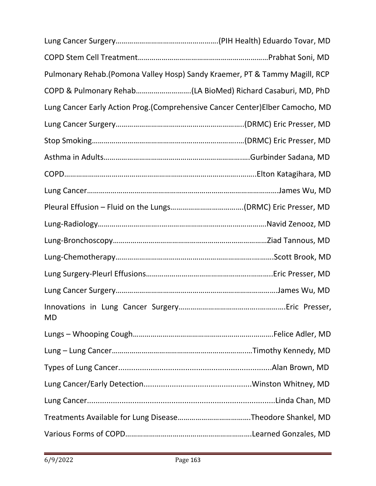| Pulmonary Rehab. (Pomona Valley Hosp) Sandy Kraemer, PT & Tammy Magill, RCP   |  |
|-------------------------------------------------------------------------------|--|
| COPD & Pulmonary Rehab(LA BioMed) Richard Casaburi, MD, PhD                   |  |
| Lung Cancer Early Action Prog. (Comprehensive Cancer Center)Elber Camocho, MD |  |
|                                                                               |  |
|                                                                               |  |
|                                                                               |  |
|                                                                               |  |
|                                                                               |  |
|                                                                               |  |
|                                                                               |  |
|                                                                               |  |
|                                                                               |  |
|                                                                               |  |
|                                                                               |  |
| <b>MD</b>                                                                     |  |
|                                                                               |  |
|                                                                               |  |
|                                                                               |  |
|                                                                               |  |
|                                                                               |  |
|                                                                               |  |
|                                                                               |  |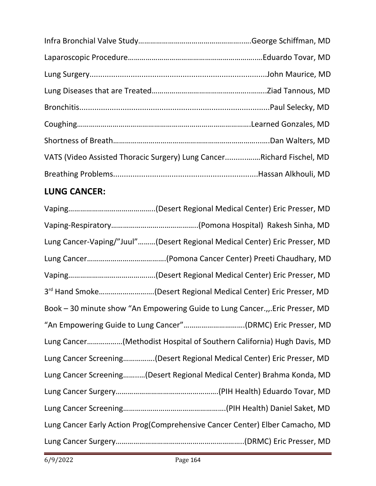| VATS (Video Assisted Thoracic Surgery) Lung CancerRichard Fischel, MD |
|-----------------------------------------------------------------------|
|                                                                       |
|                                                                       |

## **LUNG CANCER:**

| Lung Cancer-Vaping/"Juul"(Desert Regional Medical Center) Eric Presser, MD   |
|------------------------------------------------------------------------------|
|                                                                              |
|                                                                              |
| 3 <sup>rd</sup> Hand Smoke(Desert Regional Medical Center) Eric Presser, MD  |
| Book - 30 minute show "An Empowering Guide to Lung Cancer.,.Eric Presser, MD |
| "An Empowering Guide to Lung Cancer"(DRMC) Eric Presser, MD                  |
| Lung Cancer(Methodist Hospital of Southern California) Hugh Davis, MD        |
| Lung Cancer Screening(Desert Regional Medical Center) Eric Presser, MD       |
| Lung Cancer Screening(Desert Regional Medical Center) Brahma Konda, MD       |
|                                                                              |
|                                                                              |
| Lung Cancer Early Action Prog(Comprehensive Cancer Center) Elber Camacho, MD |
|                                                                              |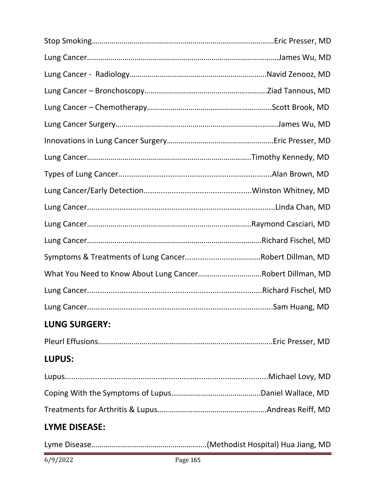| What You Need to Know About Lung CancerRobert Dillman, MD |  |
|-----------------------------------------------------------|--|
|                                                           |  |
|                                                           |  |
| <b>LUNG SURGERY:</b>                                      |  |
|                                                           |  |
| <b>LUPUS:</b>                                             |  |
|                                                           |  |
|                                                           |  |
|                                                           |  |
| <b>LYME DISEASE:</b>                                      |  |

Lyme Disease………………………………………………....(Methodist Hospital) Hua Jiang, MD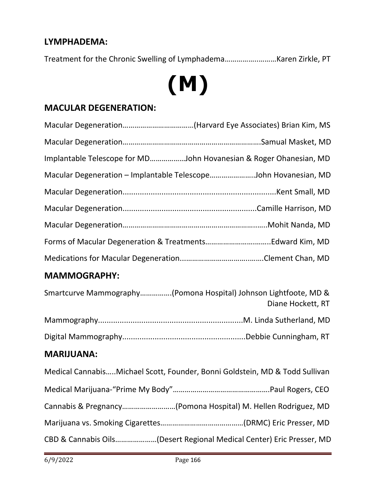#### **LYMPHADEMA:**

Treatment for the Chronic Swelling of Lymphadema……………..………Karen Zirkle, PT

## **(M)**

#### **MACULAR DEGENERATION:**

| Implantable Telescope for MDJohn Hovanesian & Roger Ohanesian, MD |  |
|-------------------------------------------------------------------|--|
| Macular Degeneration - Implantable TelescopeJohn Hovanesian, MD   |  |
|                                                                   |  |
|                                                                   |  |
|                                                                   |  |
|                                                                   |  |
|                                                                   |  |

#### **MAMMOGRAPHY:**

| Smartcurve Mammography(Pomona Hospital) Johnson Lightfoote, MD &<br>Diane Hockett, RT |
|---------------------------------------------------------------------------------------|
|                                                                                       |
|                                                                                       |
| <b>MARIJUANA:</b>                                                                     |
| Medical Cannabis Michael Scott, Founder, Bonni Goldstein, MD & Todd Sullivan          |
|                                                                                       |
| Cannabis & Pregnancy(Pomona Hospital) M. Hellen Rodriguez, MD                         |
|                                                                                       |

CBD & Cannabis Oils…………………(Desert Regional Medical Center) Eric Presser, MD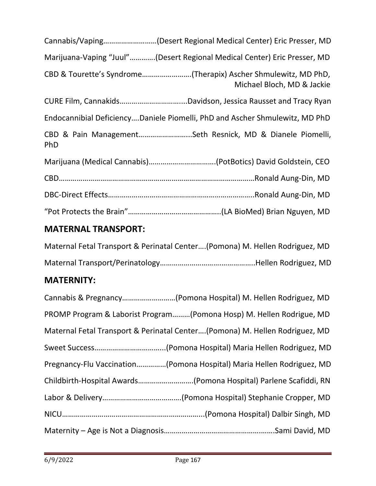| Cannabis/Vaping(Desert Regional Medical Center) Eric Presser, MD                             |
|----------------------------------------------------------------------------------------------|
| Marijuana-Vaping "Juul"(Desert Regional Medical Center) Eric Presser, MD                     |
| CBD & Tourette's Syndrome(Therapix) Ascher Shmulewitz, MD PhD,<br>Michael Bloch, MD & Jackie |
|                                                                                              |
| Endocannibial DeficiencyDaniele Piomelli, PhD and Ascher Shmulewitz, MD PhD                  |
| CBD & Pain ManagementSeth Resnick, MD & Dianele Piomelli,<br><b>PhD</b>                      |
|                                                                                              |
|                                                                                              |
|                                                                                              |
|                                                                                              |

#### **MATERNAL TRANSPORT:**

Maternal Fetal Transport & Perinatal Center….(Pomona) M. Hellen Rodriguez, MD Maternal Transport/Perinatology………………………….……………..Hellen Rodriguez, MD

#### **MATERNITY:**

| Cannabis & Pregnancy(Pomona Hospital) M. Hellen Rodriguez, MD               |
|-----------------------------------------------------------------------------|
| PROMP Program & Laborist Program(Pomona Hosp) M. Hellen Rodrigue, MD        |
| Maternal Fetal Transport & Perinatal Center(Pomona) M. Hellen Rodriguez, MD |
|                                                                             |
| Pregnancy-Flu Vaccination(Pomona Hospital) Maria Hellen Rodriguez, MD       |
| Childbirth-Hospital Awards(Pomona Hospital) Parlene Scafiddi, RN            |
|                                                                             |
|                                                                             |
|                                                                             |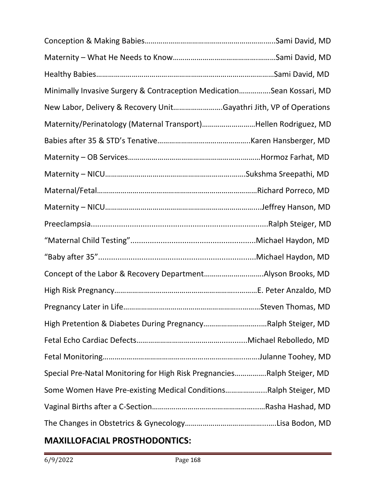| Minimally Invasive Surgery & Contraception MedicationSean Kossari, MD   |                    |
|-------------------------------------------------------------------------|--------------------|
| New Labor, Delivery & Recovery UnitGayathri Jith, VP of Operations      |                    |
| Maternity/Perinatology (Maternal Transport)Hellen Rodriguez, MD         |                    |
|                                                                         |                    |
|                                                                         |                    |
|                                                                         |                    |
|                                                                         |                    |
|                                                                         |                    |
|                                                                         |                    |
|                                                                         |                    |
|                                                                         |                    |
|                                                                         |                    |
|                                                                         |                    |
|                                                                         | .Steven Thomas, MD |
| High Pretention & Diabetes During PregnancyRalph Steiger, MD            |                    |
|                                                                         |                    |
|                                                                         |                    |
| Special Pre-Natal Monitoring for High Risk PregnanciesRalph Steiger, MD |                    |
| Some Women Have Pre-existing Medical ConditionsRalph Steiger, MD        |                    |
|                                                                         |                    |
|                                                                         |                    |

## **MAXILLOFACIAL PROSTHODONTICS:**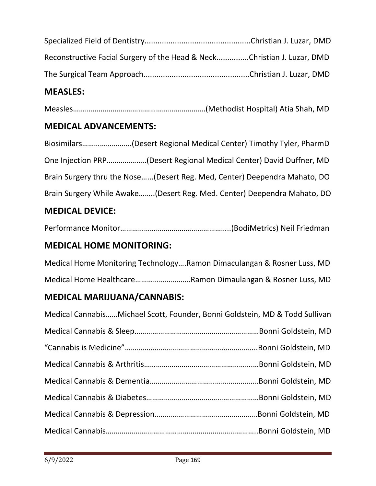| Reconstructive Facial Surgery of the Head & NeckChristian J. Luzar, DMD |  |
|-------------------------------------------------------------------------|--|
|                                                                         |  |

#### **MEASLES:**

Measles………………………………………………………….(Methodist Hospital) Atia Shah, MD

#### **MEDICAL ADVANCEMENTS:**

Biosimilars…………………….(Desert Regional Medical Center) Timothy Tyler, PharmD One Injection PRP………………..(Desert Regional Medical Center) David Duffner, MD Brain Surgery thru the Nose…...(Desert Reg. Med, Center) Deependra Mahato, DO Brain Surgery While Awake……..(Desert Reg. Med. Center) Deependra Mahato, DO

#### **MEDICAL DEVICE:**

Performance Monitor………………………………………………..(BodiMetrics) Neil Friedman

#### **MEDICAL HOME MONITORING:**

Medical Home Monitoring Technology….Ramon Dimaculangan & Rosner Luss, MD Medical Home Healthcare……………………….Ramon Dimaulangan & Rosner Luss, MD

#### **MEDICAL MARIJUANA/CANNABIS:**

| Medical Cannabis Michael Scott, Founder, Bonni Goldstein, MD & Todd Sullivan |  |
|------------------------------------------------------------------------------|--|
|                                                                              |  |
|                                                                              |  |
|                                                                              |  |
|                                                                              |  |
|                                                                              |  |
|                                                                              |  |
|                                                                              |  |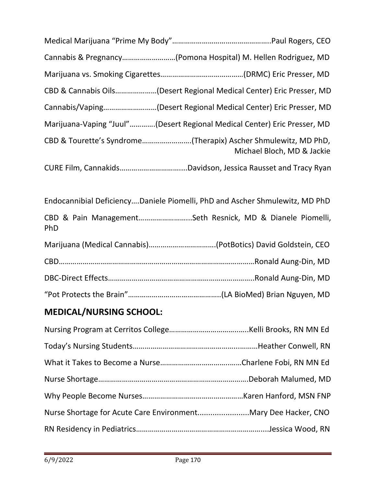| Cannabis & Pregnancy(Pomona Hospital) M. Hellen Rodriguez, MD            |                            |
|--------------------------------------------------------------------------|----------------------------|
|                                                                          |                            |
| CBD & Cannabis Oils(Desert Regional Medical Center) Eric Presser, MD     |                            |
| Cannabis/Vaping(Desert Regional Medical Center) Eric Presser, MD         |                            |
| Marijuana-Vaping "Juul"(Desert Regional Medical Center) Eric Presser, MD |                            |
| CBD & Tourette's Syndrome(Therapix) Ascher Shmulewitz, MD PhD,           | Michael Bloch, MD & Jackie |
|                                                                          |                            |
|                                                                          |                            |

Endocannibial Deficiency….Daniele Piomelli, PhD and Ascher Shmulewitz, MD PhD CBD & Pain Management……………………...Seth Resnick, MD & Dianele Piomelli, PhD

## **MEDICAL/NURSING SCHOOL:**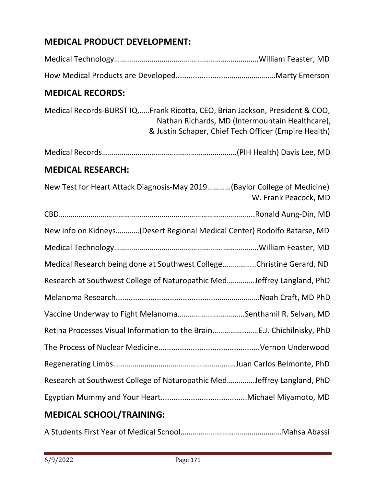## **MEDICAL PRODUCT DEVELOPMENT:**

| <b>MEDICAL RECORDS:</b>  |                                                                                                                                                                                        |
|--------------------------|----------------------------------------------------------------------------------------------------------------------------------------------------------------------------------------|
|                          | Medical Records-BURST IQFrank Ricotta, CEO, Brian Jackson, President & COO,<br>Nathan Richards, MD (Intermountain Healthcare),<br>& Justin Schaper, Chief Tech Officer (Empire Health) |
|                          |                                                                                                                                                                                        |
| <b>MEDICAL RESEARCH:</b> |                                                                                                                                                                                        |
|                          | New Test for Heart Attack Diagnosis-May 2019(Baylor College of Medicine)<br>W. Frank Peacock, MD                                                                                       |
|                          |                                                                                                                                                                                        |
|                          | New info on Kidneys(Desert Regional Medical Center) Rodolfo Batarse, MD                                                                                                                |
|                          |                                                                                                                                                                                        |
|                          | Medical Research being done at Southwest CollegeChristine Gerard, ND                                                                                                                   |
|                          | Research at Southwest College of Naturopathic MedJeffrey Langland, PhD                                                                                                                 |
|                          |                                                                                                                                                                                        |
|                          | Vaccine Underway to Fight MelanomaSenthamil R. Selvan, MD                                                                                                                              |
|                          | Retina Processes Visual Information to the BrainE.J. Chichilnisky, PhD                                                                                                                 |
|                          |                                                                                                                                                                                        |
|                          |                                                                                                                                                                                        |
|                          | Research at Southwest College of Naturopathic MedJeffrey Langland, PhD                                                                                                                 |
|                          |                                                                                                                                                                                        |
|                          |                                                                                                                                                                                        |

#### **MEDICAL SCHOOL/TRAINING:**

A Students First Year of Medical School………………………………………...…Mahsa Abassi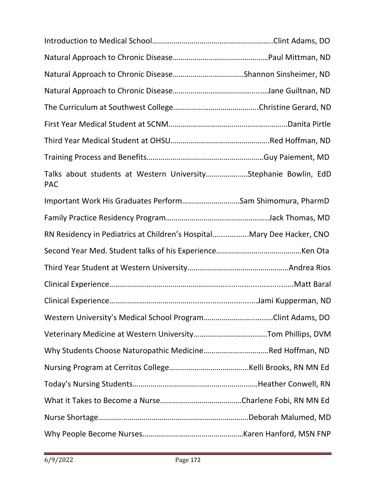| Talks about students at Western UniversityStephanie Bowlin, EdD<br><b>PAC</b> |  |
|-------------------------------------------------------------------------------|--|
| Important Work His Graduates PerformSam Shimomura, PharmD                     |  |
|                                                                               |  |
| RN Residency in Pediatrics at Children's HospitalMary Dee Hacker, CNO         |  |
|                                                                               |  |
|                                                                               |  |
|                                                                               |  |
|                                                                               |  |
|                                                                               |  |
|                                                                               |  |
|                                                                               |  |
|                                                                               |  |
|                                                                               |  |
|                                                                               |  |
|                                                                               |  |
|                                                                               |  |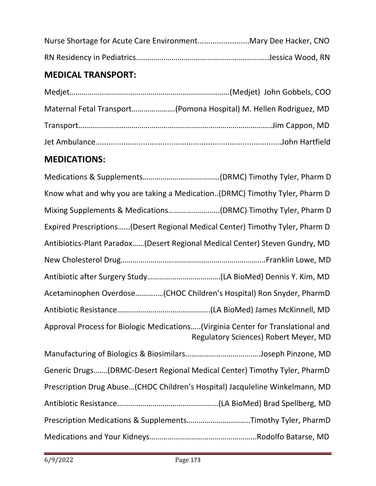## **MEDICAL TRANSPORT:**

| Maternal Fetal Transport(Pomona Hospital) M. Hellen Rodriguez, MD |
|-------------------------------------------------------------------|
|                                                                   |
|                                                                   |

#### **MEDICATIONS:**

| Know what and why you are taking a Medication(DRMC) Timothy Tyler, Pharm D                                                |
|---------------------------------------------------------------------------------------------------------------------------|
| Mixing Supplements & Medications(DRMC) Timothy Tyler, Pharm D                                                             |
| Expired Prescriptions(Desert Regional Medical Center) Timothy Tyler, Pharm D                                              |
| Antibiotics-Plant Paradox (Desert Regional Medical Center) Steven Gundry, MD                                              |
|                                                                                                                           |
|                                                                                                                           |
| Acetaminophen Overdose(CHOC Children's Hospital) Ron Snyder, PharmD                                                       |
|                                                                                                                           |
| Approval Process for Biologic Medications (Virginia Center for Translational and<br>Regulatory Sciences) Robert Meyer, MD |
|                                                                                                                           |
| Generic Drugs(DRMC-Desert Regional Medical Center) Timothy Tyler, PharmD                                                  |
| Prescription Drug Abuse(CHOC Children's Hospital) Jacquleline Winkelmann, MD                                              |
|                                                                                                                           |
| Prescription Medications & SupplementsTimothy Tyler, PharmD                                                               |
|                                                                                                                           |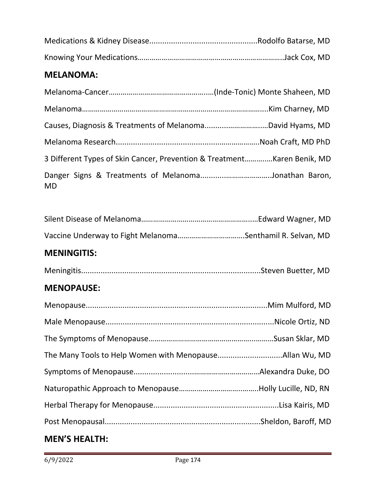#### **MELANOMA:**

| 3 Different Types of Skin Cancer, Prevention & Treatment Karen Benik, MD |  |
|--------------------------------------------------------------------------|--|
| <b>MD</b>                                                                |  |

#### **MENINGITIS:**

|--|--|

#### **MENOPAUSE:**

## **MEN'S HEALTH:**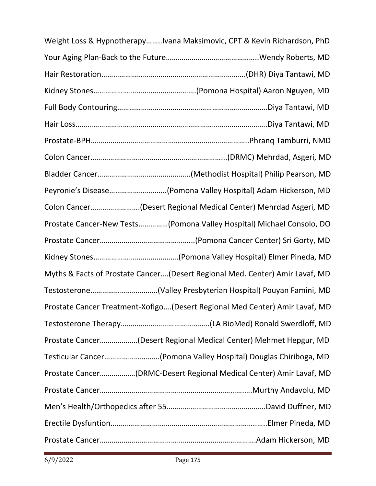| Weight Loss & HypnotherapyIvana Maksimovic, CPT & Kevin Richardson, PhD      |  |
|------------------------------------------------------------------------------|--|
|                                                                              |  |
|                                                                              |  |
|                                                                              |  |
|                                                                              |  |
|                                                                              |  |
|                                                                              |  |
|                                                                              |  |
|                                                                              |  |
| Peyronie's Disease(Pomona Valley Hospital) Adam Hickerson, MD                |  |
| Colon Cancer(Desert Regional Medical Center) Mehrdad Asgeri, MD              |  |
| Prostate Cancer-New Tests(Pomona Valley Hospital) Michael Consolo, DO        |  |
|                                                                              |  |
|                                                                              |  |
| Myths & Facts of Prostate Cancer(Desert Regional Med. Center) Amir Lavaf, MD |  |
|                                                                              |  |
| Prostate Cancer Treatment-Xofigo(Desert Regional Med Center) Amir Lavaf, MD  |  |
|                                                                              |  |
| Prostate Cancer(Desert Regional Medical Center) Mehmet Hepgur, MD            |  |
| Testicular Cancer(Pomona Valley Hospital) Douglas Chiriboga, MD              |  |
| Prostate Cancer(DRMC-Desert Regional Medical Center) Amir Lavaf, MD          |  |
|                                                                              |  |
|                                                                              |  |
|                                                                              |  |
|                                                                              |  |

i,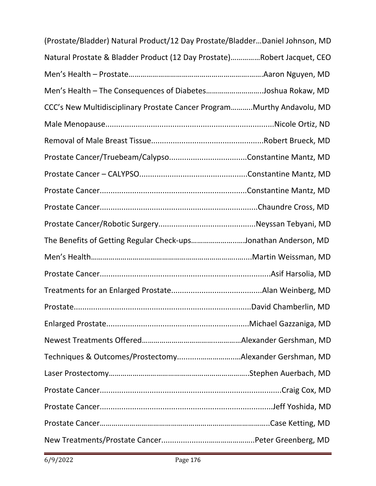| (Prostate/Bladder) Natural Product/12 Day Prostate/BladderDaniel Johnson, MD |  |
|------------------------------------------------------------------------------|--|
| Natural Prostate & Bladder Product (12 Day Prostate)Robert Jacquet, CEO      |  |
|                                                                              |  |
| Men's Health - The Consequences of DiabetesJoshua Rokaw, MD                  |  |
| CCC's New Multidisciplinary Prostate Cancer Program Murthy Andavolu, MD      |  |
|                                                                              |  |
|                                                                              |  |
|                                                                              |  |
|                                                                              |  |
|                                                                              |  |
|                                                                              |  |
|                                                                              |  |
| The Benefits of Getting Regular Check-upsJonathan Anderson, MD               |  |
|                                                                              |  |
|                                                                              |  |
|                                                                              |  |
|                                                                              |  |
|                                                                              |  |
|                                                                              |  |
| Techniques & Outcomes/ProstectomyAlexander Gershman, MD                      |  |
|                                                                              |  |
|                                                                              |  |
|                                                                              |  |
|                                                                              |  |
|                                                                              |  |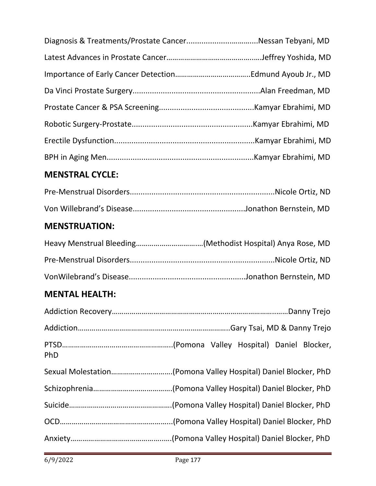| Diagnosis & Treatments/Prostate CancerNessan Tebyani, MD |  |
|----------------------------------------------------------|--|
|                                                          |  |
|                                                          |  |
|                                                          |  |
|                                                          |  |
|                                                          |  |
|                                                          |  |
|                                                          |  |

## **MENSTRAL CYCLE:**

## **MENSTRUATION:**

## **MENTAL HEALTH:**

| <b>PhD</b> |  |  |  |
|------------|--|--|--|
|            |  |  |  |
|            |  |  |  |
|            |  |  |  |
|            |  |  |  |
|            |  |  |  |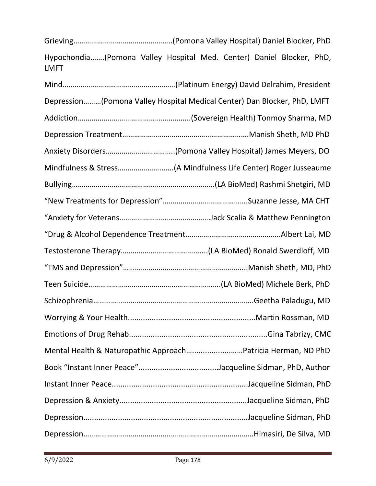| <b>LMFT</b>                                                              |
|--------------------------------------------------------------------------|
|                                                                          |
| Depression(Pomona Valley Hospital Medical Center) Dan Blocker, PhD, LMFT |
|                                                                          |
|                                                                          |
|                                                                          |
|                                                                          |
|                                                                          |
|                                                                          |
|                                                                          |
|                                                                          |
|                                                                          |
|                                                                          |
|                                                                          |
|                                                                          |
|                                                                          |
|                                                                          |
| Mental Health & Naturopathic ApproachPatricia Herman, ND PhD             |
|                                                                          |
|                                                                          |
|                                                                          |
|                                                                          |
|                                                                          |

Grieving…………………………………………..(Pomona Valley Hospital) Daniel Blocker, PhD

Hypochondia…….(Pomona Valley Hospital Med. Center) Daniel Blocker, PhD,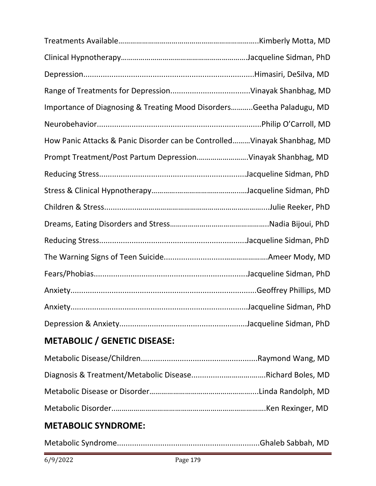| Importance of Diagnosing & Treating Mood DisordersGeetha Paladugu, MD     |  |
|---------------------------------------------------------------------------|--|
|                                                                           |  |
| How Panic Attacks & Panic Disorder can be Controlled Vinayak Shanbhag, MD |  |
| Prompt Treatment/Post Partum DepressionVinayak Shanbhag, MD               |  |
|                                                                           |  |
|                                                                           |  |
|                                                                           |  |
|                                                                           |  |
|                                                                           |  |
|                                                                           |  |
|                                                                           |  |
|                                                                           |  |
|                                                                           |  |
|                                                                           |  |
| METADOLIC / CENETIC DICEACE.                                              |  |

## **METABOLIC / GENETIC DISEASE:**

## **METABOLIC SYNDROME:**

|--|--|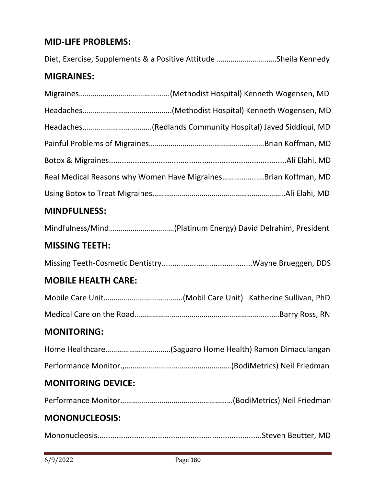#### **MID-LIFE PROBLEMS:**

Diet, Exercise, Supplements & a Positive Attitude ……………………..….Sheila Kennedy

## **MIGRAINES:**

|                            | Real Medical Reasons why Women Have MigrainesBrian Koffman, MD |
|----------------------------|----------------------------------------------------------------|
|                            |                                                                |
| <b>MINDFULNESS:</b>        |                                                                |
|                            |                                                                |
| <b>MISSING TEETH:</b>      |                                                                |
|                            |                                                                |
| <b>MOBILE HEALTH CARE:</b> |                                                                |
|                            |                                                                |
|                            |                                                                |
| <b>MONITORING:</b>         |                                                                |
|                            | Home Healthcare(Saguaro Home Health) Ramon Dimaculangan        |
|                            |                                                                |
| <b>MONITORING DEVICE:</b>  |                                                                |
|                            |                                                                |
| <b>MONONUCLEOSIS:</b>      |                                                                |
|                            |                                                                |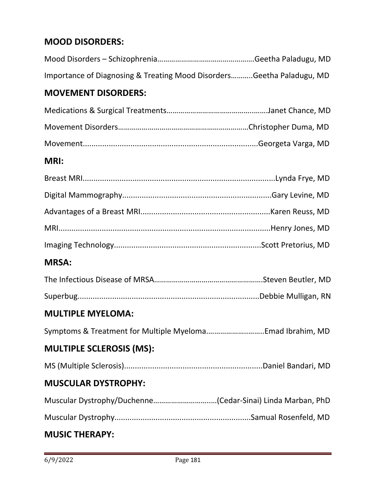## **MOOD DISORDERS:**

| Importance of Diagnosing & Treating Mood DisordersGeetha Paladugu, MD |  |
|-----------------------------------------------------------------------|--|

## **MOVEMENT DISORDERS:**

#### **MRI:**

## **MRSA:**

#### **MULTIPLE MYELOMA:**

Symptoms & Treatment for Multiple Myeloma.………………..……..Emad Ibrahim, MD

## **MULTIPLE SCLEROSIS (MS):**

|--|--|--|--|

## **MUSCULAR DYSTROPHY:**

|--|--|--|

Muscular Dystrophy...............................................................Samual Rosenfeld, MD

## **MUSIC THERAPY:**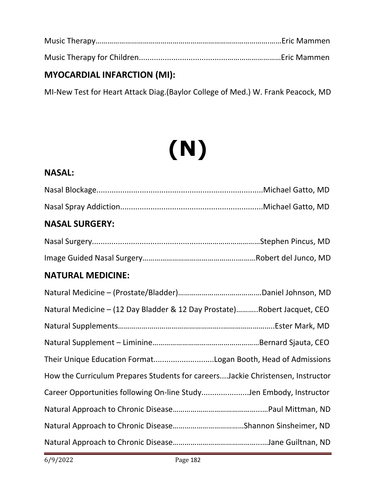Music Therapy…………………………………………………………………………….……Eric Mammen Music Therapy for Children.........................................………………………Eric Mammen

## **MYOCARDIAL INFARCTION (MI):**

MI-New Test for Heart Attack Diag.(Baylor College of Med.) W. Frank Peacock, MD

## **(N)**

#### **NASAL:**

| <b>NASAL SURGERY:</b> |  |
|-----------------------|--|

## **NATURAL MEDICINE:**

| Natural Medicine - (12 Day Bladder & 12 Day Prostate)Robert Jacquet, CEO        |
|---------------------------------------------------------------------------------|
|                                                                                 |
|                                                                                 |
| Their Unique Education FormatLogan Booth, Head of Admissions                    |
| How the Curriculum Prepares Students for careers Jackie Christensen, Instructor |
| Career Opportunities following On-line StudyJen Embody, Instructor              |
|                                                                                 |
|                                                                                 |
|                                                                                 |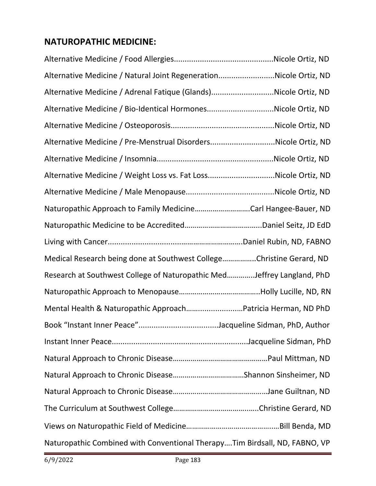## **NATUROPATHIC MEDICINE:**

| Alternative Medicine / Natural Joint RegenerationNicole Ortiz, ND          |  |
|----------------------------------------------------------------------------|--|
| Alternative Medicine / Adrenal Fatique (Glands)Nicole Ortiz, ND            |  |
| Alternative Medicine / Bio-Identical HormonesNicole Ortiz, ND              |  |
|                                                                            |  |
| Alternative Medicine / Pre-Menstrual DisordersNicole Ortiz, ND             |  |
|                                                                            |  |
| Alternative Medicine / Weight Loss vs. Fat LossNicole Ortiz, ND            |  |
|                                                                            |  |
| Naturopathic Approach to Family MedicineCarl Hangee-Bauer, ND              |  |
|                                                                            |  |
|                                                                            |  |
| Medical Research being done at Southwest CollegeChristine Gerard, ND       |  |
| Research at Southwest College of Naturopathic MedJeffrey Langland, PhD     |  |
|                                                                            |  |
| Mental Health & Naturopathic ApproachPatricia Herman, ND PhD               |  |
|                                                                            |  |
|                                                                            |  |
|                                                                            |  |
|                                                                            |  |
|                                                                            |  |
|                                                                            |  |
|                                                                            |  |
| Naturopathic Combined with Conventional TherapyTim Birdsall, ND, FABNO, VP |  |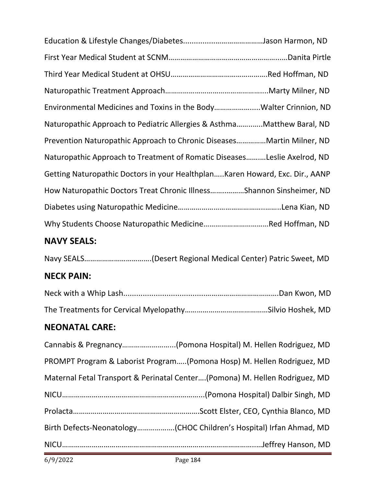| Environmental Medicines and Toxins in the BodyWalter Crinnion, ND             |  |
|-------------------------------------------------------------------------------|--|
| Naturopathic Approach to Pediatric Allergies & AsthmaMatthew Baral, ND        |  |
| Prevention Naturopathic Approach to Chronic Diseases Martin Milner, ND        |  |
| Naturopathic Approach to Treatment of Romatic DiseasesLeslie Axelrod, ND      |  |
| Getting Naturopathic Doctors in your Healthplan Karen Howard, Exc. Dir., AANP |  |
| How Naturopathic Doctors Treat Chronic IllnessShannon Sinsheimer, ND          |  |
|                                                                               |  |
|                                                                               |  |

## **NAVY SEALS:**

Navy SEALS…………………………….(Desert Regional Medical Center) Patric Sweet, MD

## **NECK PAIN:**

## **NEONATAL CARE:**

| Cannabis & Pregnancy(Pomona Hospital) M. Hellen Rodriguez, MD               |
|-----------------------------------------------------------------------------|
| PROMPT Program & Laborist Program(Pomona Hosp) M. Hellen Rodriguez, MD      |
| Maternal Fetal Transport & Perinatal Center(Pomona) M. Hellen Rodriguez, MD |
|                                                                             |
|                                                                             |
| Birth Defects-Neonatology(CHOC Children's Hospital) Irfan Ahmad, MD         |
|                                                                             |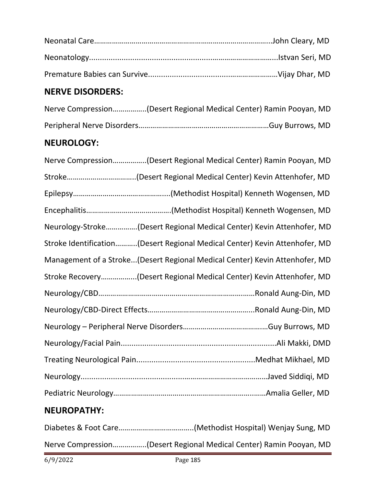## **NERVE DISORDERS:**

| Nerve Compression(Desert Regional Medical Center) Ramin Pooyan, MD |  |
|--------------------------------------------------------------------|--|
|                                                                    |  |

## **NEUROLOGY:**

## **NEUROPATHY:**

Diabetes & Foot Care………………………………..(Methodist Hospital) Wenjay Sung, MD Nerve Compression……………..(Desert Regional Medical Center) Ramin Pooyan, MD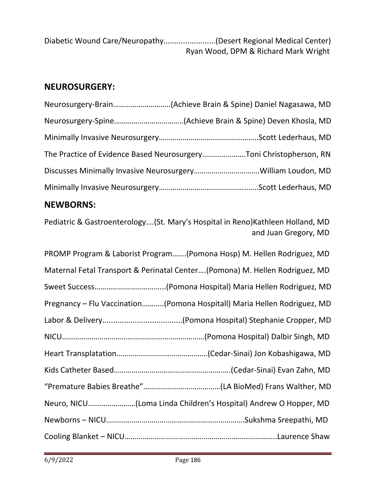| Diabetic Wound Care/Neuropathy(Desert Regional Medical Center) |
|----------------------------------------------------------------|
| Ryan Wood, DPM & Richard Mark Wright                           |

## **NEUROSURGERY:**

| The Practice of Evidence Based NeurosurgeryToni Christopherson, RN |
|--------------------------------------------------------------------|
|                                                                    |
|                                                                    |

## **NEWBORNS:**

Pediatric & Gastroenterology….(St. Mary's Hospital in Reno)Kathleen Holland, MD and Juan Gregory, MD

| PROMP Program & Laborist Program(Pomona Hosp) M. Hellen Rodriguez, MD       |
|-----------------------------------------------------------------------------|
| Maternal Fetal Transport & Perinatal Center(Pomona) M. Hellen Rodriguez, MD |
|                                                                             |
| Pregnancy - Flu Vaccination(Pomona Hospitall) Maria Hellen Rodriguez, MD    |
|                                                                             |
|                                                                             |
|                                                                             |
|                                                                             |
|                                                                             |
|                                                                             |
|                                                                             |
|                                                                             |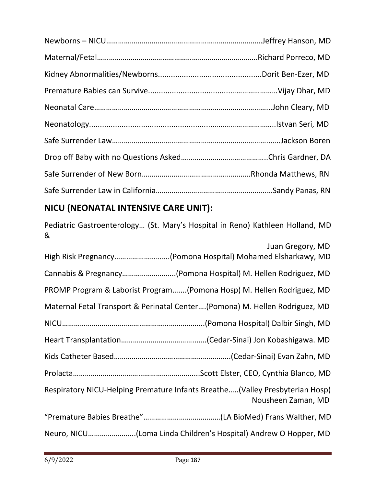## **NICU (NEONATAL INTENSIVE CARE UNIT):**

Pediatric Gastroenterology… (St. Mary's Hospital in Reno) Kathleen Holland, MD &

| Juan Gregory, MD                                                                                   |
|----------------------------------------------------------------------------------------------------|
| High Risk Pregnancy(Pomona Hospital) Mohamed Elsharkawy, MD                                        |
| Cannabis & Pregnancy(Pomona Hospital) M. Hellen Rodriguez, MD                                      |
| PROMP Program & Laborist Program(Pomona Hosp) M. Hellen Rodriguez, MD                              |
| Maternal Fetal Transport & Perinatal Center(Pomona) M. Hellen Rodriguez, MD                        |
|                                                                                                    |
|                                                                                                    |
|                                                                                                    |
|                                                                                                    |
| Respiratory NICU-Helping Premature Infants Breathe(Valley Presbyterian Hosp)<br>Nousheen Zaman, MD |
|                                                                                                    |
|                                                                                                    |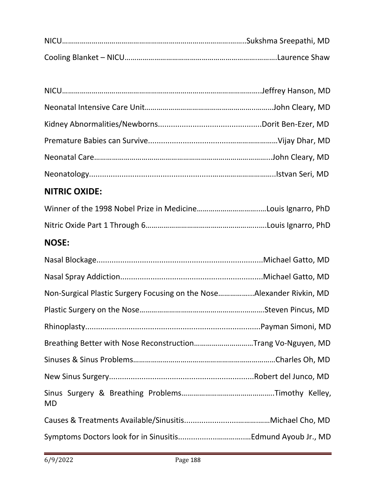| <b>NITRIC OXIDE:</b>                                                  |  |
|-----------------------------------------------------------------------|--|
|                                                                       |  |
|                                                                       |  |
| <b>NOSE:</b>                                                          |  |
|                                                                       |  |
|                                                                       |  |
| Non-Surgical Plastic Surgery Focusing on the NoseAlexander Rivkin, MD |  |
|                                                                       |  |
|                                                                       |  |
| Breathing Better with Nose ReconstructionTrang Vo-Nguyen, MD          |  |
|                                                                       |  |
|                                                                       |  |
| <b>MD</b>                                                             |  |
|                                                                       |  |
|                                                                       |  |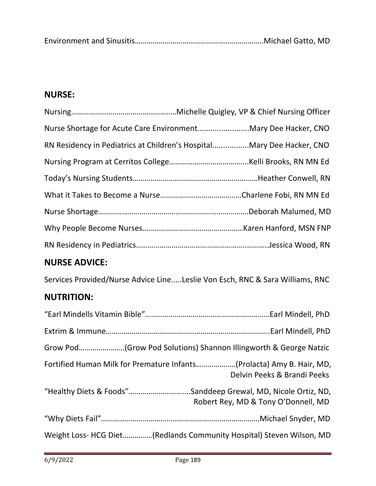|--|--|--|--|

## **NURSE:**

| Nurse Shortage for Acute Care EnvironmentMary Dee Hacker, CNO<br>RN Residency in Pediatrics at Children's HospitalMary Dee Hacker, CNO |  |
|----------------------------------------------------------------------------------------------------------------------------------------|--|
|                                                                                                                                        |  |
|                                                                                                                                        |  |
|                                                                                                                                        |  |
|                                                                                                                                        |  |
|                                                                                                                                        |  |
|                                                                                                                                        |  |
|                                                                                                                                        |  |
|                                                                                                                                        |  |

## **NURSE ADVICE:**

Services Provided/Nurse Advice Line.....Leslie Von Esch, RNC & Sara Williams, RNC

## **NUTRITION:**

| Fortified Human Milk for Premature Infants(Prolacta) Amy B. Hair, MD, | Delvin Peeks & Brandi Peeks         |
|-----------------------------------------------------------------------|-------------------------------------|
| "Healthy Diets & Foods"Sanddeep Grewal, MD, Nicole Ortiz, ND,         | Robert Rey, MD & Tony O'Donnell, MD |
|                                                                       |                                     |
| Weight Loss- HCG Diet(Redlands Community Hospital) Steven Wilson, MD  |                                     |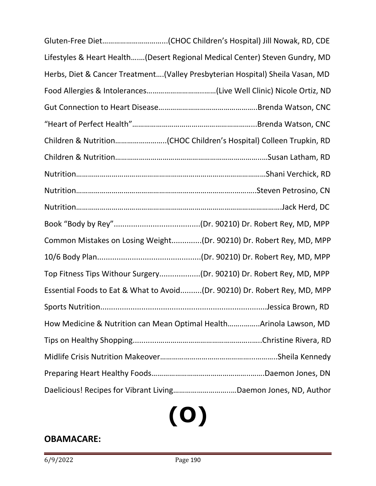| Lifestyles & Heart Health(Desert Regional Medical Center) Steven Gundry, MD   |
|-------------------------------------------------------------------------------|
| Herbs, Diet & Cancer Treatment(Valley Presbyterian Hospital) Sheila Vasan, MD |
|                                                                               |
|                                                                               |
|                                                                               |
|                                                                               |
|                                                                               |
|                                                                               |
|                                                                               |
|                                                                               |
|                                                                               |
| Common Mistakes on Losing Weight(Dr. 90210) Dr. Robert Rey, MD, MPP           |
|                                                                               |
| Top Fitness Tips Withour Surgery(Dr. 90210) Dr. Robert Rey, MD, MPP           |
| Essential Foods to Eat & What to Avoid(Dr. 90210) Dr. Robert Rey, MD, MPP     |
| Jessica Brown, RD<br>Sports Nutrition                                         |
| How Medicine & Nutrition can Mean Optimal HealthArinola Lawson, MD            |
|                                                                               |
|                                                                               |
|                                                                               |
|                                                                               |

# **(O)**

## **OBAMACARE:**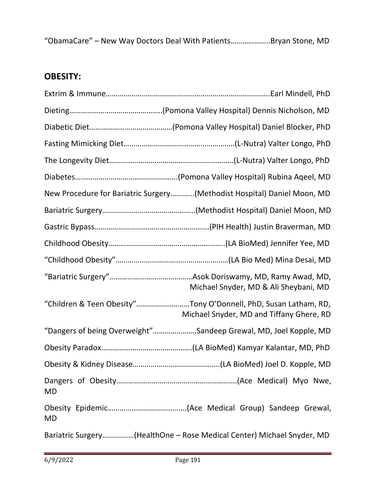"ObamaCare" – New Way Doctors Deal With Patients………………..Bryan Stone, MD

## **OBESITY:**

|           | New Procedure for Bariatric Surgery(Methodist Hospital) Daniel Moon, MD                                     |
|-----------|-------------------------------------------------------------------------------------------------------------|
|           |                                                                                                             |
|           |                                                                                                             |
|           |                                                                                                             |
|           |                                                                                                             |
|           | Michael Snyder, MD & Ali Sheybani, MD                                                                       |
|           | "Children & Teen Obesity"Tony O'Donnell, PhD, Susan Latham, RD,<br>Michael Snyder, MD and Tiffany Ghere, RD |
|           | "Dangers of being Overweight"Sandeep Grewal, MD, Joel Kopple, MD                                            |
|           |                                                                                                             |
|           |                                                                                                             |
| <b>MD</b> |                                                                                                             |
| <b>MD</b> |                                                                                                             |
|           | Bariatric Surgery(HealthOne - Rose Medical Center) Michael Snyder, MD                                       |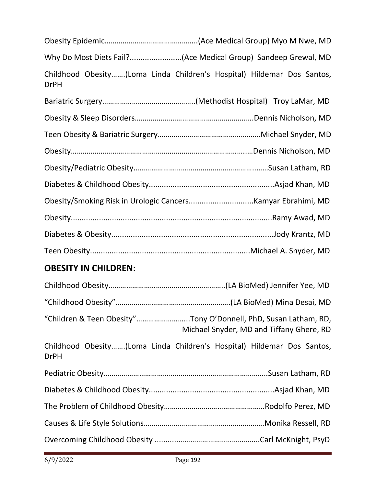| <b>DrPH</b>               | Childhood Obesity(Loma Linda Children's Hospital) Hildemar Dos Santos, |
|---------------------------|------------------------------------------------------------------------|
|                           |                                                                        |
|                           |                                                                        |
|                           |                                                                        |
|                           |                                                                        |
| Ohesity/Pediatric Ohesity | Susan Latham RD                                                        |

## **OBESITY IN CHILDREN:**

|             | "Children & Teen Obesity"Tony O'Donnell, PhD, Susan Latham, RD,<br>Michael Snyder, MD and Tiffany Ghere, RD |
|-------------|-------------------------------------------------------------------------------------------------------------|
| <b>DrPH</b> | Childhood Obesity(Loma Linda Children's Hospital) Hildemar Dos Santos,                                      |
|             |                                                                                                             |
|             |                                                                                                             |
|             |                                                                                                             |
|             |                                                                                                             |
|             |                                                                                                             |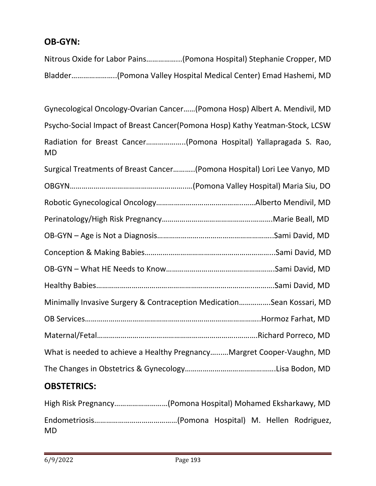## **OB-GYN:**

Nitrous Oxide for Labor Pains……………...(Pomona Hospital) Stephanie Cropper, MD Bladder…………………..(Pomona Valley Hospital Medical Center) Emad Hashemi, MD

Gynecological Oncology-Ovarian Cancer……(Pomona Hosp) Albert A. Mendivil, MD

Psycho-Social Impact of Breast Cancer(Pomona Hosp) Kathy Yeatman-Stock, LCSW

Radiation for Breast Cancer………………..(Pomona Hospital) Yallapragada S. Rao, MD

| Surgical Treatments of Breast Cancer(Pomona Hospital) Lori Lee Vanyo, MD |  |  |  |  |
|--------------------------------------------------------------------------|--|--|--|--|
|                                                                          |  |  |  |  |
|                                                                          |  |  |  |  |
|                                                                          |  |  |  |  |
|                                                                          |  |  |  |  |
|                                                                          |  |  |  |  |
|                                                                          |  |  |  |  |
|                                                                          |  |  |  |  |
| Minimally Invasive Surgery & Contraception MedicationSean Kossari, MD    |  |  |  |  |
|                                                                          |  |  |  |  |
|                                                                          |  |  |  |  |
| What is needed to achieve a Healthy Pregnancy Margret Cooper-Vaughn, MD  |  |  |  |  |
|                                                                          |  |  |  |  |
|                                                                          |  |  |  |  |

#### **OBSTETRICS:**

| High Risk Pregnancy(Pomona Hospital) Mohamed Eksharkawy, MD |  |  |  |
|-------------------------------------------------------------|--|--|--|
| MD.                                                         |  |  |  |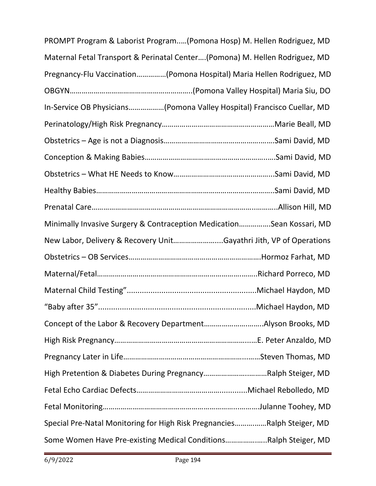| PROMPT Program & Laborist Program(Pomona Hosp) M. Hellen Rodriguez, MD      |  |  |  |  |
|-----------------------------------------------------------------------------|--|--|--|--|
| Maternal Fetal Transport & Perinatal Center(Pomona) M. Hellen Rodriguez, MD |  |  |  |  |
| Pregnancy-Flu Vaccination(Pomona Hospital) Maria Hellen Rodriguez, MD       |  |  |  |  |
|                                                                             |  |  |  |  |
| In-Service OB Physicians(Pomona Valley Hospital) Francisco Cuellar, MD      |  |  |  |  |
|                                                                             |  |  |  |  |
|                                                                             |  |  |  |  |
|                                                                             |  |  |  |  |
|                                                                             |  |  |  |  |
|                                                                             |  |  |  |  |
|                                                                             |  |  |  |  |
| Minimally Invasive Surgery & Contraception MedicationSean Kossari, MD       |  |  |  |  |
| New Labor, Delivery & Recovery UnitGayathri Jith, VP of Operations          |  |  |  |  |
|                                                                             |  |  |  |  |
|                                                                             |  |  |  |  |
|                                                                             |  |  |  |  |
|                                                                             |  |  |  |  |
|                                                                             |  |  |  |  |
|                                                                             |  |  |  |  |
|                                                                             |  |  |  |  |
| High Pretention & Diabetes During PregnancyRalph Steiger, MD                |  |  |  |  |
|                                                                             |  |  |  |  |
|                                                                             |  |  |  |  |
| Special Pre-Natal Monitoring for High Risk PregnanciesRalph Steiger, MD     |  |  |  |  |
| Some Women Have Pre-existing Medical ConditionsRalph Steiger, MD            |  |  |  |  |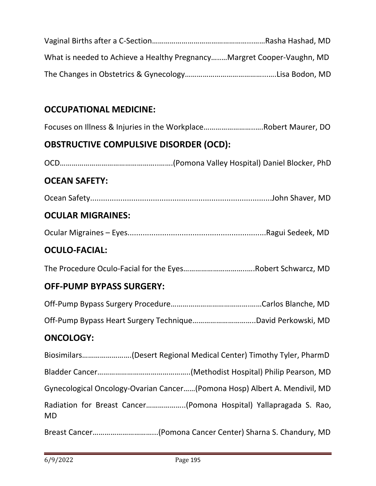| What is needed to Achieve a Healthy PregnancyMargret Cooper-Vaughn, MD |  |
|------------------------------------------------------------------------|--|
|                                                                        |  |

## **OCCUPATIONAL MEDICINE:**

Focuses on Illness & Injuries in the Workplace……………………..….Robert Maurer, DO

## **OBSTRUCTIVE COMPULSIVE DISORDER (OCD):**

OCD…………………………………………..…….(Pomona Valley Hospital) Daniel Blocker, PhD

#### **OCEAN SAFETY:**

Ocean Safety....................................................................................John Shaver, MD

## **OCULAR MIGRAINES:**

|--|--|--|

#### **OCULO-FACIAL:**

The Procedure Oculo-Facial for the Eyes…………………………..….Robert Schwarcz, MD

## **OFF-PUMP BYPASS SURGERY:**

Off-Pump Bypass Heart Surgery Technique…………………………..David Perkowski, MD

#### **ONCOLOGY:**

| $D - 221$ $C - 222$ | $(D_{\text{max}})$ $C_{\text{max}}$ $C_{\text{max}}$ $D_{\text{max}}$ $D_{\text{max}}$ $D_{\text{max}}$ |
|---------------------|---------------------------------------------------------------------------------------------------------|
| MD.                 |                                                                                                         |
|                     | Gynecological Oncology-Ovarian Cancer(Pomona Hosp) Albert A. Mendivil, MD                               |
|                     |                                                                                                         |
|                     | Biosimilars(Desert Regional Medical Center) Timothy Tyler, PharmD                                       |

Breast Cancer…………………………...(Pomona Cancer Center) Sharna S. Chandury, MD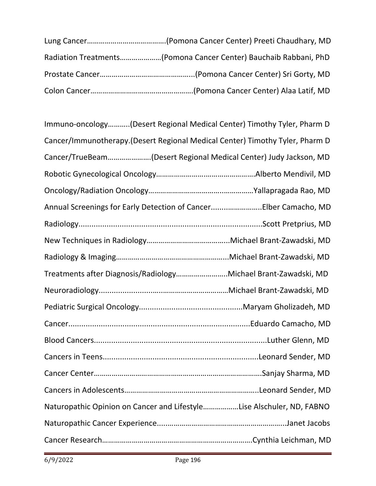| Radiation Treatments(Pomona Cancer Center) Bauchaib Rabbani, PhD |
|------------------------------------------------------------------|
|                                                                  |
|                                                                  |

| Immuno-oncology(Desert Regional Medical Center) Timothy Tyler, Pharm D       |
|------------------------------------------------------------------------------|
| Cancer/Immunotherapy.(Desert Regional Medical Center) Timothy Tyler, Pharm D |
| Cancer/TrueBeam(Desert Regional Medical Center) Judy Jackson, MD             |
|                                                                              |
|                                                                              |
| Annual Screenings for Early Detection of CancerElber Camacho, MD             |
|                                                                              |
|                                                                              |
|                                                                              |
| Treatments after Diagnosis/RadiologyMichael Brant-Zawadski, MD               |
|                                                                              |
|                                                                              |
|                                                                              |
|                                                                              |
|                                                                              |
|                                                                              |
|                                                                              |
| Naturopathic Opinion on Cancer and LifestyleLise Alschuler, ND, FABNO        |
|                                                                              |
|                                                                              |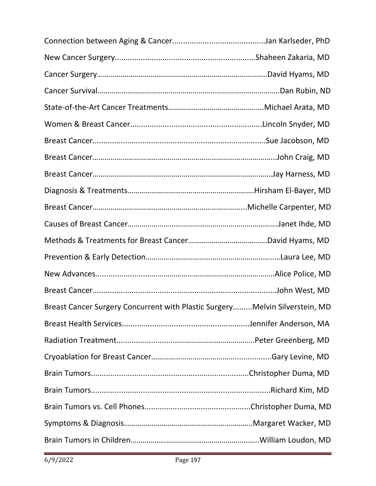| Breast Cancer Surgery Concurrent with Plastic SurgeryMelvin Silverstein, MD |  |
|-----------------------------------------------------------------------------|--|
|                                                                             |  |
|                                                                             |  |
|                                                                             |  |
|                                                                             |  |
|                                                                             |  |
|                                                                             |  |
|                                                                             |  |
|                                                                             |  |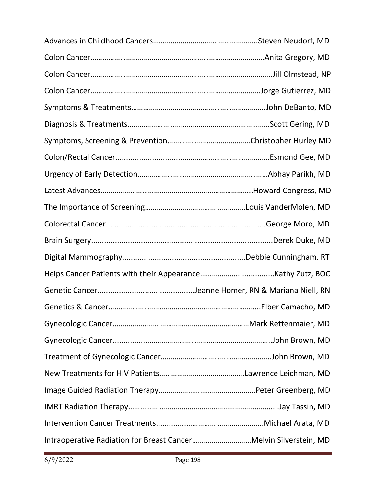| Intraoperative Radiation for Breast CancerMelvin Silverstein, MD |  |
|------------------------------------------------------------------|--|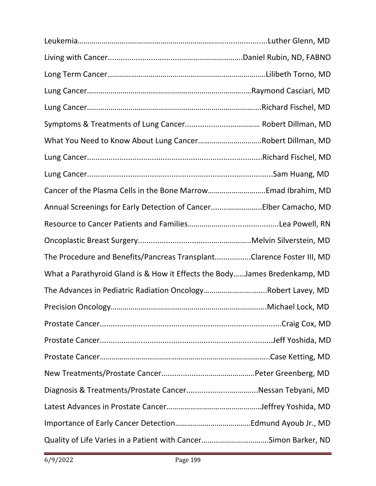| What You Need to Know About Lung CancerRobert Dillman, MD                 |  |
|---------------------------------------------------------------------------|--|
|                                                                           |  |
|                                                                           |  |
| Cancer of the Plasma Cells in the Bone MarrowEmad Ibrahim, MD             |  |
| Annual Screenings for Early Detection of CancerElber Camacho, MD          |  |
|                                                                           |  |
|                                                                           |  |
| The Procedure and Benefits/Pancreas TransplantClarence Foster III, MD     |  |
| What a Parathyroid Gland is & How it Effects the BodyJames Bredenkamp, MD |  |
| The Advances in Pediatric Radiation OncologyRobert Lavey, MD              |  |
|                                                                           |  |
|                                                                           |  |
|                                                                           |  |
|                                                                           |  |
|                                                                           |  |
|                                                                           |  |
|                                                                           |  |
|                                                                           |  |
|                                                                           |  |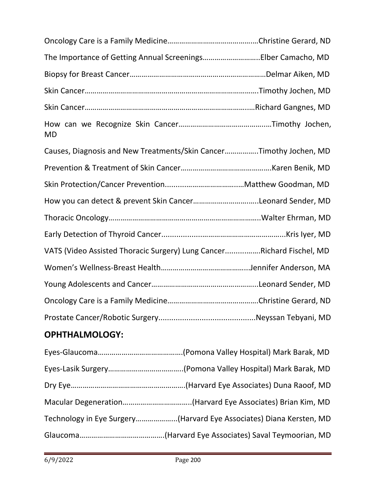| The Importance of Getting Annual ScreeningsElber Camacho, MD          |  |
|-----------------------------------------------------------------------|--|
|                                                                       |  |
|                                                                       |  |
|                                                                       |  |
| <b>MD</b>                                                             |  |
| Causes, Diagnosis and New Treatments/Skin CancerTimothy Jochen, MD    |  |
|                                                                       |  |
|                                                                       |  |
| How you can detect & prevent Skin CancerLeonard Sender, MD            |  |
|                                                                       |  |
|                                                                       |  |
| VATS (Video Assisted Thoracic Surgery) Lung CancerRichard Fischel, MD |  |
|                                                                       |  |
|                                                                       |  |
|                                                                       |  |
|                                                                       |  |

## **OPHTHALMOLOGY:**

| Technology in Eye Surgery(Harvard Eye Associates) Diana Kersten, MD |
|---------------------------------------------------------------------|
|                                                                     |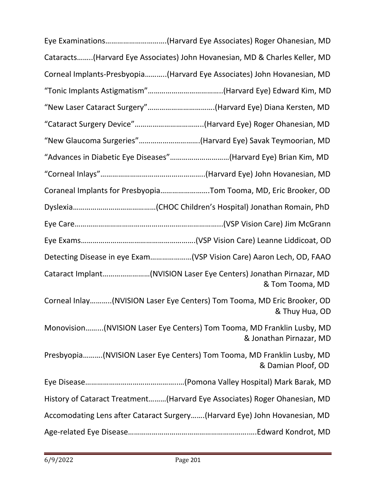| Eye Examinations(Harvard Eye Associates) Roger Ohanesian, MD                                      |
|---------------------------------------------------------------------------------------------------|
| Cataracts(Harvard Eye Associates) John Hovanesian, MD & Charles Keller, MD                        |
| Corneal Implants-Presbyopia(Harvard Eye Associates) John Hovanesian, MD                           |
|                                                                                                   |
| "New Laser Cataract Surgery"(Harvard Eye) Diana Kersten, MD                                       |
| "Cataract Surgery Device"(Harvard Eye) Roger Ohanesian, MD                                        |
| "New Glaucoma Surgeries"(Harvard Eye) Savak Teymoorian, MD                                        |
| "Advances in Diabetic Eye Diseases"(Harvard Eye) Brian Kim, MD                                    |
|                                                                                                   |
| Coraneal Implants for PresbyopiaTom Tooma, MD, Eric Brooker, OD                                   |
|                                                                                                   |
|                                                                                                   |
|                                                                                                   |
| Detecting Disease in eye Exam(VSP Vision Care) Aaron Lech, OD, FAAO                               |
| Cataract Implant(NVISION Laser Eye Centers) Jonathan Pirnazar, MD<br>& Tom Tooma, MD              |
| Corneal Inlay(NVISION Laser Eye Centers) Tom Tooma, MD Eric Brooker, OD<br>& Thuy Hua, OD         |
| Monovision(NVISION Laser Eye Centers) Tom Tooma, MD Franklin Lusby, MD<br>& Jonathan Pirnazar, MD |
| Presbyopia(NVISION Laser Eye Centers) Tom Tooma, MD Franklin Lusby, MD<br>& Damian Ploof, OD      |
|                                                                                                   |
| History of Cataract Treatment(Harvard Eye Associates) Roger Ohanesian, MD                         |
| Accomodating Lens after Cataract Surgery (Harvard Eye) John Hovanesian, MD                        |
|                                                                                                   |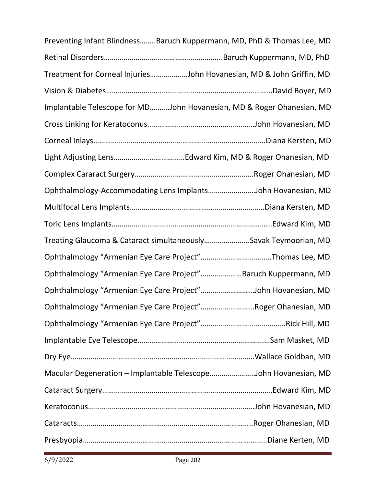| Preventing Infant BlindnessBaruch Kuppermann, MD, PhD & Thomas Lee, MD |  |
|------------------------------------------------------------------------|--|
|                                                                        |  |
| Treatment for Corneal InjuriesJohn Hovanesian, MD & John Griffin, MD   |  |
|                                                                        |  |
| Implantable Telescope for MDJohn Hovanesian, MD & Roger Ohanesian, MD  |  |
|                                                                        |  |
|                                                                        |  |
|                                                                        |  |
|                                                                        |  |
| Ophthalmology-Accommodating Lens ImplantsJohn Hovanesian, MD           |  |
|                                                                        |  |
|                                                                        |  |
| Treating Glaucoma & Cataract simultaneouslySavak Teymoorian, MD        |  |
| Ophthalmology "Armenian Eye Care Project"Thomas Lee, MD                |  |
| Ophthalmology "Armenian Eye Care Project"Baruch Kuppermann, MD         |  |
| Ophthalmology "Armenian Eye Care Project"John Hovanesian, MD           |  |
| Ophthalmology "Armenian Eye Care Project"Roger Ohanesian, MD           |  |
|                                                                        |  |
|                                                                        |  |
|                                                                        |  |
| Macular Degeneration - Implantable TelescopeJohn Hovanesian, MD        |  |
|                                                                        |  |
|                                                                        |  |
|                                                                        |  |
|                                                                        |  |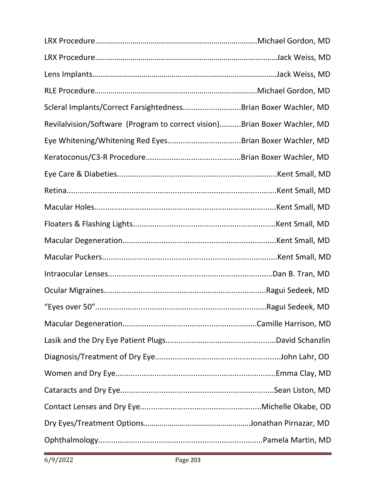| Scleral Implants/Correct FarsightednessBrian Boxer Wachler, MD            |  |
|---------------------------------------------------------------------------|--|
| Revilalvision/Software (Program to correct vision)Brian Boxer Wachler, MD |  |
| Eye Whitening/Whitening Red EyesBrian Boxer Wachler, MD                   |  |
|                                                                           |  |
|                                                                           |  |
|                                                                           |  |
|                                                                           |  |
|                                                                           |  |
|                                                                           |  |
|                                                                           |  |
|                                                                           |  |
|                                                                           |  |
|                                                                           |  |
|                                                                           |  |
|                                                                           |  |
|                                                                           |  |
|                                                                           |  |
|                                                                           |  |
|                                                                           |  |
|                                                                           |  |
|                                                                           |  |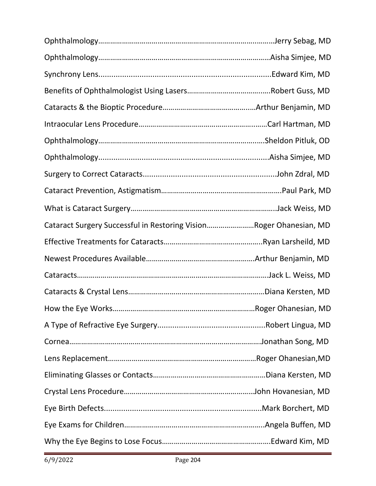| Cataract Surgery Successful in Restoring VisionRoger Ohanesian, MD |  |
|--------------------------------------------------------------------|--|
|                                                                    |  |
|                                                                    |  |
|                                                                    |  |
|                                                                    |  |
|                                                                    |  |
|                                                                    |  |
|                                                                    |  |
|                                                                    |  |
|                                                                    |  |
|                                                                    |  |
|                                                                    |  |
|                                                                    |  |
|                                                                    |  |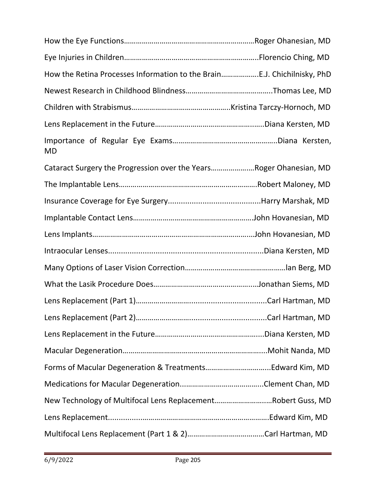| How the Retina Processes Information to the BrainE.J. Chichilnisky, PhD |  |
|-------------------------------------------------------------------------|--|
|                                                                         |  |
|                                                                         |  |
|                                                                         |  |
| <b>MD</b>                                                               |  |
| Cataract Surgery the Progression over the YearsRoger Ohanesian, MD      |  |
|                                                                         |  |
|                                                                         |  |
|                                                                         |  |
|                                                                         |  |
|                                                                         |  |
|                                                                         |  |
|                                                                         |  |
|                                                                         |  |
|                                                                         |  |
|                                                                         |  |
|                                                                         |  |
|                                                                         |  |
|                                                                         |  |
| New Technology of Multifocal Lens ReplacementRobert Guss, MD            |  |
|                                                                         |  |
|                                                                         |  |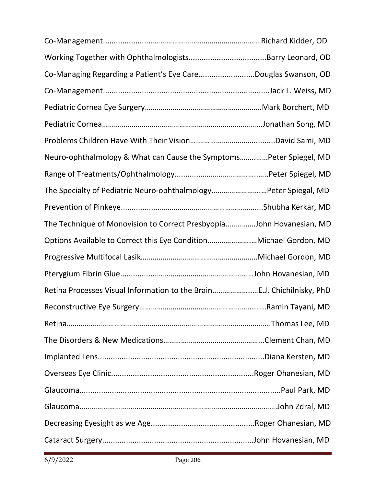| Co-Managing Regarding a Patient's Eye CareDouglas Swanson, OD          |  |
|------------------------------------------------------------------------|--|
|                                                                        |  |
|                                                                        |  |
|                                                                        |  |
|                                                                        |  |
| Neuro-ophthalmology & What can Cause the SymptomsPeter Spiegel, MD     |  |
|                                                                        |  |
| The Specialty of Pediatric Neuro-ophthalmologyPeter Spiegal, MD        |  |
|                                                                        |  |
| The Technique of Monovision to Correct PresbyopiaJohn Hovanesian, MD   |  |
| Options Available to Correct this Eye ConditionMichael Gordon, MD      |  |
|                                                                        |  |
|                                                                        |  |
| Retina Processes Visual Information to the BrainE.J. Chichilnisky, PhD |  |
|                                                                        |  |
|                                                                        |  |
|                                                                        |  |
|                                                                        |  |
|                                                                        |  |
|                                                                        |  |
|                                                                        |  |
|                                                                        |  |
|                                                                        |  |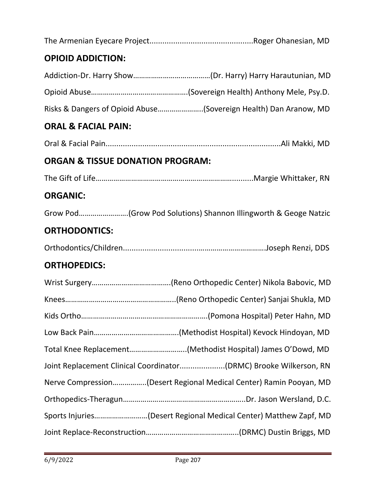| <b>OPIOID ADDICTION:</b>                    |                                                                    |
|---------------------------------------------|--------------------------------------------------------------------|
|                                             |                                                                    |
|                                             |                                                                    |
|                                             | Risks & Dangers of Opioid Abuse(Sovereign Health) Dan Aranow, MD   |
| <b>ORAL &amp; FACIAL PAIN:</b>              |                                                                    |
|                                             |                                                                    |
| <b>ORGAN &amp; TISSUE DONATION PROGRAM:</b> |                                                                    |
|                                             |                                                                    |
| <b>ORGANIC:</b>                             |                                                                    |
|                                             | Grow Pod(Grow Pod Solutions) Shannon Illingworth & Geoge Natzic    |
| <b>ORTHODONTICS:</b>                        |                                                                    |
|                                             |                                                                    |
| <b>ORTHOPEDICS:</b>                         |                                                                    |
|                                             |                                                                    |
|                                             |                                                                    |
|                                             |                                                                    |
|                                             |                                                                    |
|                                             | Total Knee Replacement(Methodist Hospital) James O'Dowd, MD        |
|                                             | Joint Replacement Clinical Coordinator(DRMC) Brooke Wilkerson, RN  |
|                                             | Nerve Compression(Desert Regional Medical Center) Ramin Pooyan, MD |
|                                             |                                                                    |
|                                             | Sports Injuries(Desert Regional Medical Center) Matthew Zapf, MD   |
|                                             |                                                                    |
|                                             |                                                                    |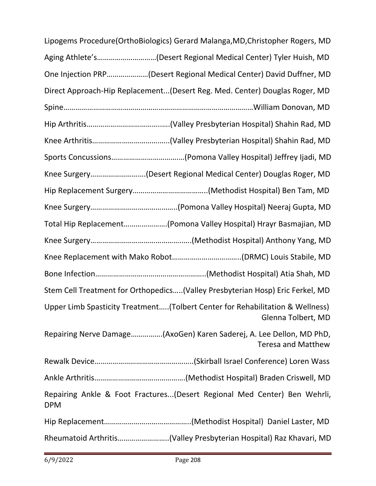| Lipogems Procedure(OrthoBiologics) Gerard Malanga, MD, Christopher Rogers, MD                       |
|-----------------------------------------------------------------------------------------------------|
| Aging Athlete's(Desert Regional Medical Center) Tyler Huish, MD                                     |
| One Injection PRP(Desert Regional Medical Center) David Duffner, MD                                 |
| Direct Approach-Hip Replacement(Desert Reg. Med. Center) Douglas Roger, MD                          |
|                                                                                                     |
|                                                                                                     |
|                                                                                                     |
|                                                                                                     |
| Knee Surgery(Desert Regional Medical Center) Douglas Roger, MD                                      |
|                                                                                                     |
|                                                                                                     |
| Total Hip Replacement(Pomona Valley Hospital) Hrayr Basmajian, MD                                   |
|                                                                                                     |
|                                                                                                     |
|                                                                                                     |
| Stem Cell Treatment for Orthopedics(Valley Presbyterian Hosp) Eric Ferkel, MD                       |
| Upper Limb Spasticity Treatment(Tolbert Center for Rehabilitation & Wellness)<br>Glenna Tolbert, MD |
| Repairing Nerve Damage(AxoGen) Karen Saderej, A. Lee Dellon, MD PhD,<br><b>Teresa and Matthew</b>   |
|                                                                                                     |
|                                                                                                     |
| Repairing Ankle & Foot Fractures(Desert Regional Med Center) Ben Wehrli,<br><b>DPM</b>              |
|                                                                                                     |
| Rheumatoid Arthritis(Valley Presbyterian Hospital) Raz Khavari, MD                                  |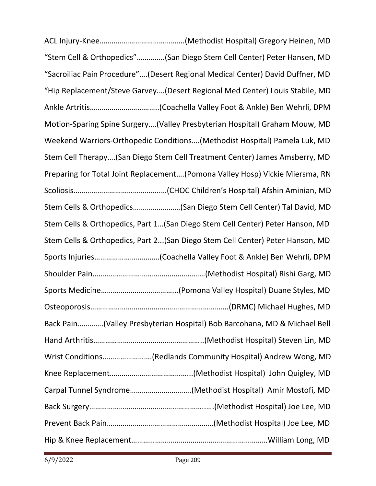ACL Injury-Knee…………………………………….(Methodist Hospital) Gregory Heinen, MD "Stem Cell & Orthopedics"…………..(San Diego Stem Cell Center) Peter Hansen, MD "Sacroiliac Pain Procedure"….(Desert Regional Medical Center) David Duffner, MD "Hip Replacement/Steve Garvey.…(Desert Regional Med Center) Louis Stabile, MD Ankle Artritis……………………………..(Coachella Valley Foot & Ankle) Ben Wehrli, DPM Motion-Sparing Spine Surgery….(Valley Presbyterian Hospital) Graham Mouw, MD Weekend Warriors-Orthopedic Conditions….(Methodist Hospital) Pamela Luk, MD Stem Cell Therapy….(San Diego Stem Cell Treatment Center) James Amsberry, MD Preparing for Total Joint Replacement….(Pomona Valley Hosp) Vickie Miersma, RN Scoliosis……………………………………..…(CHOC Children's Hospital) Afshin Aminian, MD Stem Cells & Orthopedics……………………(San Diego Stem Cell Center) Tal David, MD Stem Cells & Orthopedics, Part 1…(San Diego Stem Cell Center) Peter Hanson, MD Stem Cells & Orthopedics, Part 2...(San Diego Stem Cell Center) Peter Hanson, MD Sports Injuries……………………………(Coachella Valley Foot & Ankle) Ben Wehrli, DPM Shoulder Pain…………………………………………………(Methodist Hospital) Rishi Garg, MD Sports Medicine………………………………...(Pomona Valley Hospital) Duane Styles, MD Osteoporosis…………………………………………………………….(DRMC) Michael Hughes, MD Back Pain………….(Valley Presbyterian Hospital) Bob Barcohana, MD & Michael Bell Hand Arthritis………………………………………………..(Methodist Hospital) Steven Lin, MD Wrist Conditions…………………….(Redlands Community Hospital) Andrew Wong, MD Knee Replacement…………………………………...(Methodist Hospital) John Quigley, MD Carpal Tunnel Syndrome………………………….(Methodist Hospital) Amir Mostofi, MD Back Surgery…………………………………………………..….(Methodist Hospital) Joe Lee, MD Prevent Back Pain………………………………………………(Methodist Hospital) Joe Lee, MD Hip & Knee Replacement……………………………………………………………William Long, MD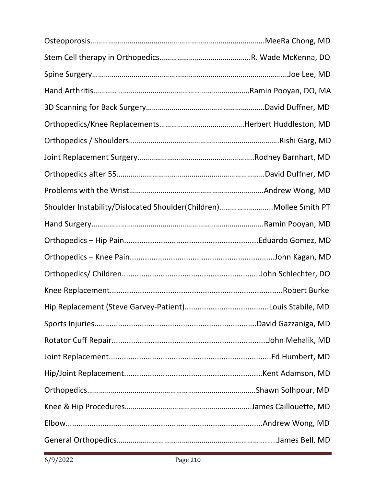| Shoulder Instability/Dislocated Shoulder(Children)Mollee Smith PT |  |
|-------------------------------------------------------------------|--|
|                                                                   |  |
|                                                                   |  |
|                                                                   |  |
|                                                                   |  |
|                                                                   |  |
|                                                                   |  |
|                                                                   |  |
|                                                                   |  |
|                                                                   |  |
|                                                                   |  |
|                                                                   |  |
|                                                                   |  |
|                                                                   |  |
|                                                                   |  |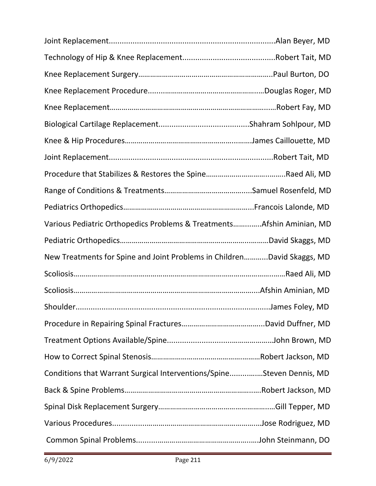| Various Pediatric Orthopedics Problems & TreatmentsAfshin Aminian, MD   |  |
|-------------------------------------------------------------------------|--|
|                                                                         |  |
| New Treatments for Spine and Joint Problems in ChildrenDavid Skaggs, MD |  |
|                                                                         |  |
|                                                                         |  |
|                                                                         |  |
|                                                                         |  |
|                                                                         |  |
|                                                                         |  |
| Conditions that Warrant Surgical Interventions/SpineSteven Dennis, MD   |  |
|                                                                         |  |
|                                                                         |  |
|                                                                         |  |
|                                                                         |  |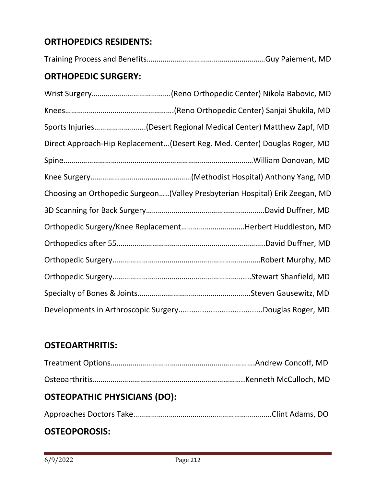## **ORTHOPEDICS RESIDENTS:**

Training Process and Benefits……………………………………………………Guy Paiement, MD

## **ORTHOPEDIC SURGERY:**

| Sports Injuries(Desert Regional Medical Center) Matthew Zapf, MD             |
|------------------------------------------------------------------------------|
| Direct Approach-Hip Replacement(Desert Reg. Med. Center) Douglas Roger, MD   |
|                                                                              |
|                                                                              |
| Choosing an Orthopedic Surgeon(Valley Presbyterian Hospital) Erik Zeegan, MD |
|                                                                              |
| Orthopedic Surgery/Knee ReplacementHerbert Huddleston, MD                    |
|                                                                              |
|                                                                              |
|                                                                              |
|                                                                              |
|                                                                              |

## **OSTEOARTHRITIS:**

## **OSTEOPATHIC PHYSICIANS (DO):**

|--|--|

## **OSTEOPOROSIS:**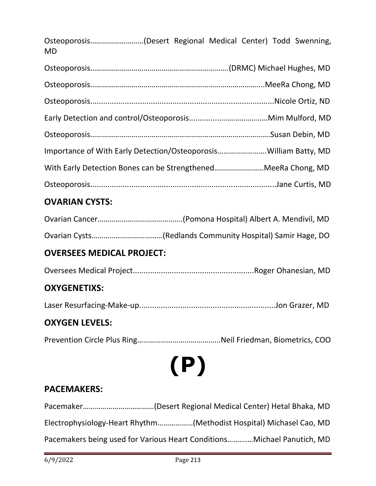Osteoporosis………………………(Desert Regional Medical Center) Todd Swenning, MD

| Importance of With Early Detection/OsteoporosisWilliam Batty, MD |  |
|------------------------------------------------------------------|--|
| With Early Detection Bones can be StrengthenedMeeRa Chong, MD    |  |
|                                                                  |  |

## **OVARIAN CYSTS:**

## **OVERSEES MEDICAL PROJECT:**

Oversees Medical Project........................................................Roger Ohanesian, MD

## **OXYGENETIXS:**

Laser Resurfacing-Make-up...............................................................Jon Grazer, MD

## **OXYGEN LEVELS:**

Prevention Circle Plus Ring…………………………………...Neil Friedman, Biometrics, COO

**(P)**

## **PACEMAKERS:**

Pacemaker………………………………(Desert Regional Medical Center) Hetal Bhaka, MD Electrophysiology-Heart Rhythm………………(Methodist Hospital) Michasel Cao, MD Pacemakers being used for Various Heart Conditions……….…Michael Panutich, MD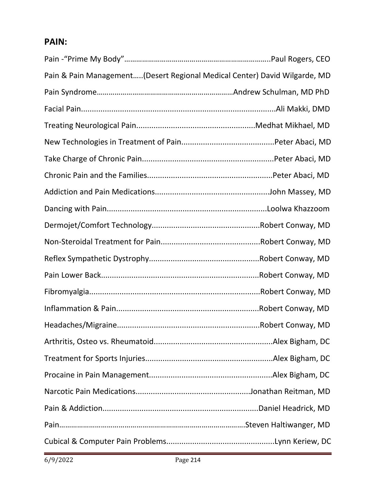## **PAIN:**

| Pain & Pain Management(Desert Regional Medical Center) David Wilgarde, MD |  |
|---------------------------------------------------------------------------|--|
|                                                                           |  |
|                                                                           |  |
|                                                                           |  |
|                                                                           |  |
|                                                                           |  |
|                                                                           |  |
|                                                                           |  |
|                                                                           |  |
|                                                                           |  |
|                                                                           |  |
|                                                                           |  |
|                                                                           |  |
|                                                                           |  |
|                                                                           |  |
|                                                                           |  |
|                                                                           |  |
|                                                                           |  |
|                                                                           |  |
|                                                                           |  |
|                                                                           |  |
|                                                                           |  |
|                                                                           |  |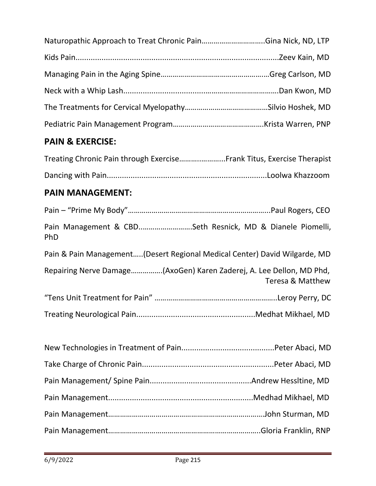## **PAIN & EXERCISE:**

## **PAIN MANAGEMENT:**

| Pain Management & CBDSeth Resnick, MD & Dianele Piomelli,<br>PhD          |                  |
|---------------------------------------------------------------------------|------------------|
| Pain & Pain Management(Desert Regional Medical Center) David Wilgarde, MD |                  |
| Repairing Nerve Damage(AxoGen) Karen Zaderej, A. Lee Dellon, MD Phd,      | Teresa & Matthew |
|                                                                           |                  |
|                                                                           |                  |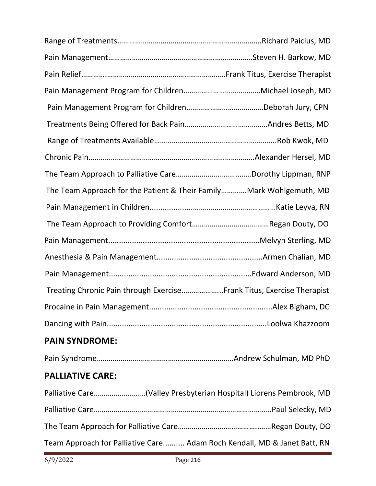| The Team Approach for the Patient & Their FamilyMark Wohlgemuth, MD   |  |
|-----------------------------------------------------------------------|--|
|                                                                       |  |
|                                                                       |  |
|                                                                       |  |
|                                                                       |  |
|                                                                       |  |
| Treating Chronic Pain through ExerciseFrank Titus, Exercise Therapist |  |
|                                                                       |  |
|                                                                       |  |
| <b>PAIN SYNDROME:</b>                                                 |  |
|                                                                       |  |
| <b>PALLIATIVE CARE:</b>                                               |  |

| Palliative Care(Valley Presbyterian Hospital) Liorens Pembrook, MD       |
|--------------------------------------------------------------------------|
|                                                                          |
|                                                                          |
| Team Approach for Palliative Care Adam Roch Kendall, MD & Janet Batt, RN |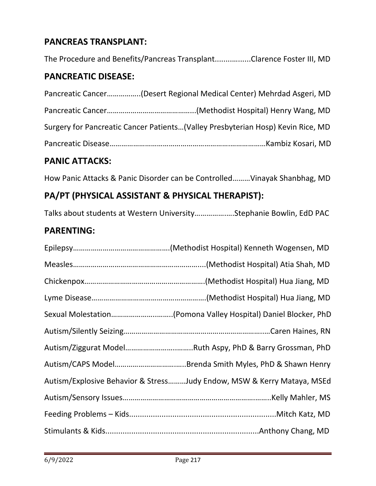## **PANCREAS TRANSPLANT:**

The Procedure and Benefits/Pancreas Transplant........…......Clarence Foster III, MD

#### **PANCREATIC DISEASE:**

| Pancreatic Cancer(Desert Regional Medical Center) Mehrdad Asgeri, MD            |
|---------------------------------------------------------------------------------|
|                                                                                 |
| Surgery for Pancreatic Cancer Patients(Valley Presbyterian Hosp) Kevin Rice, MD |
|                                                                                 |

#### **PANIC ATTACKS:**

How Panic Attacks & Panic Disorder can be Controlled………Vinayak Shanbhag, MD

#### **PA/PT (PHYSICAL ASSISTANT & PHYSICAL THERAPIST):**

Talks about students at Western University…………….….Stephanie Bowlin, EdD PAC

#### **PARENTING:**

| Sexual Molestation(Pomona Valley Hospital) Daniel Blocker, PhD         |
|------------------------------------------------------------------------|
|                                                                        |
|                                                                        |
|                                                                        |
| Autism/Explosive Behavior & StressJudy Endow, MSW & Kerry Mataya, MSEd |
|                                                                        |
|                                                                        |
|                                                                        |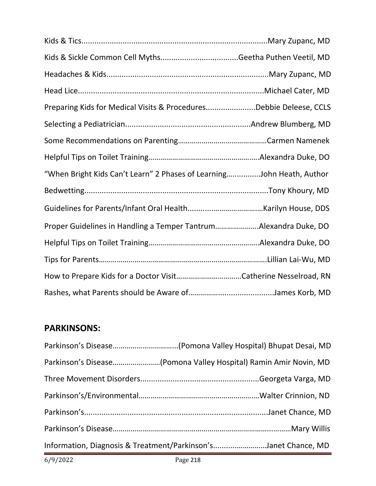| Preparing Kids for Medical Visits & ProceduresDebbie Deleese, CCLS    |  |
|-----------------------------------------------------------------------|--|
|                                                                       |  |
|                                                                       |  |
|                                                                       |  |
| "When Bright Kids Can't Learn" 2 Phases of LearningJohn Heath, Author |  |
|                                                                       |  |
|                                                                       |  |
| Proper Guidelines in Handling a Temper TantrumAlexandra Duke, DO      |  |
|                                                                       |  |
|                                                                       |  |
|                                                                       |  |
|                                                                       |  |

## **PARKINSONS:**

| 6/9/2022                                                       | Page 218 |  |
|----------------------------------------------------------------|----------|--|
| Information, Diagnosis & Treatment/Parkinson'sJanet Chance, MD |          |  |
|                                                                |          |  |
|                                                                |          |  |
|                                                                |          |  |
|                                                                |          |  |
|                                                                |          |  |
|                                                                |          |  |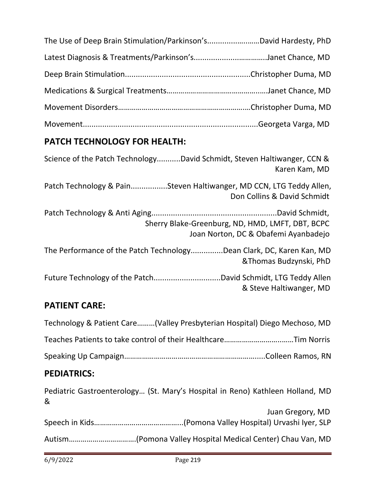| The Use of Deep Brain Stimulation/Parkinson'sDavid Hardesty, PhD |  |
|------------------------------------------------------------------|--|
|                                                                  |  |
|                                                                  |  |
|                                                                  |  |
|                                                                  |  |
|                                                                  |  |

## **PATCH TECHNOLOGY FOR HEALTH:**

| Science of the Patch TechnologyDavid Schmidt, Steven Haltiwanger, CCN &<br>Karen Kam, MD           |
|----------------------------------------------------------------------------------------------------|
| Patch Technology & PainSteven Haltiwanger, MD CCN, LTG Teddy Allen,<br>Don Collins & David Schmidt |
| Sherry Blake-Greenburg, ND, HMD, LMFT, DBT, BCPC<br>Joan Norton, DC & Obafemi Ayanbadejo           |
| The Performance of the Patch TechnologyDean Clark, DC, Karen Kan, MD<br>& Thomas Budzynski, PhD    |
| & Steve Haltiwanger, MD                                                                            |

# **PATIENT CARE:**

| Technology & Patient Care(Valley Presbyterian Hospital) Diego Mechoso, MD |  |
|---------------------------------------------------------------------------|--|
|                                                                           |  |
|                                                                           |  |

# **PEDIATRICS:**

| & | Pediatric Gastroenterology (St. Mary's Hospital in Reno) Kathleen Holland, MD |
|---|-------------------------------------------------------------------------------|
|   | Juan Gregory, MD                                                              |
|   |                                                                               |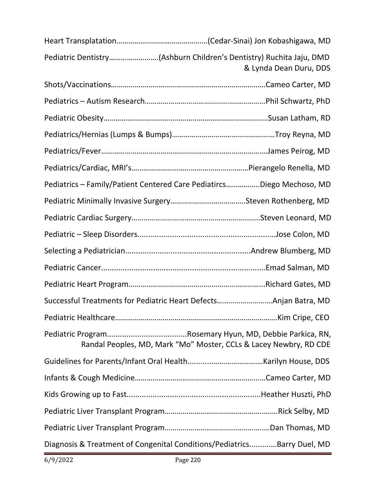| Pediatric Dentistry(Ashburn Children's Dentistry) Ruchita Jaju, DMD     | & Lynda Dean Duru, DDS |
|-------------------------------------------------------------------------|------------------------|
|                                                                         |                        |
|                                                                         |                        |
|                                                                         |                        |
|                                                                         |                        |
|                                                                         |                        |
|                                                                         |                        |
| Pediatrics - Family/Patient Centered Care PediatircsDiego Mechoso, MD   |                        |
|                                                                         |                        |
|                                                                         |                        |
|                                                                         |                        |
|                                                                         |                        |
|                                                                         |                        |
|                                                                         |                        |
| Successful Treatments for Pediatric Heart DefectsAnjan Batra, MD        |                        |
|                                                                         |                        |
| Randal Peoples, MD, Mark "Mo" Moster, CCLs & Lacey Newbry, RD CDE       |                        |
|                                                                         |                        |
|                                                                         |                        |
|                                                                         |                        |
|                                                                         |                        |
|                                                                         |                        |
| Diagnosis & Treatment of Congenital Conditions/PediatricsBarry Duel, MD |                        |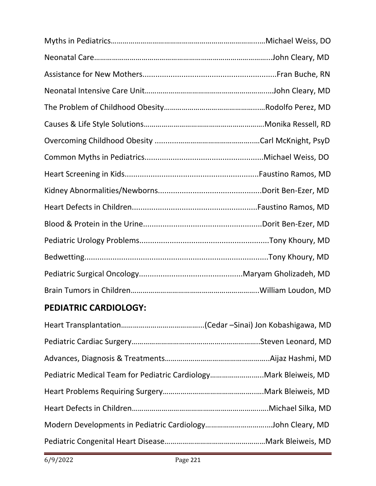# **PEDIATRIC CARDIOLOGY:**

| Pediatric Medical Team for Pediatric CardiologyMark Bleiweis, MD |  |
|------------------------------------------------------------------|--|
|                                                                  |  |
|                                                                  |  |
|                                                                  |  |
|                                                                  |  |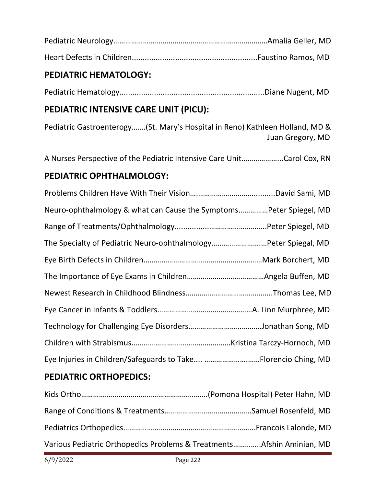#### **PEDIATRIC HEMATOLOGY:**

Pediatric Hematology...................................................................Diane Nugent, MD

## **PEDIATRIC INTENSIVE CARE UNIT (PICU):**

Pediatric Gastroenterogy…….(St. Mary's Hospital in Reno) Kathleen Holland, MD & Juan Gregory, MD

A Nurses Perspective of the Pediatric Intensive Care Unit………………...Carol Cox, RN

## **PEDIATRIC OPHTHALMOLOGY:**

| Neuro-ophthalmology & what can Cause the SymptomsPeter Spiegel, MD |  |
|--------------------------------------------------------------------|--|
|                                                                    |  |
| The Specialty of Pediatric Neuro-ophthalmologyPeter Spiegal, MD    |  |
|                                                                    |  |
|                                                                    |  |
|                                                                    |  |
|                                                                    |  |
|                                                                    |  |
|                                                                    |  |
| Eye Injuries in Children/Safeguards to Take Florencio Ching, MD    |  |

## **PEDIATRIC ORTHOPEDICS:**

| Various Pediatric Orthopedics Problems & TreatmentsAfshin Aminian, MD |  |
|-----------------------------------------------------------------------|--|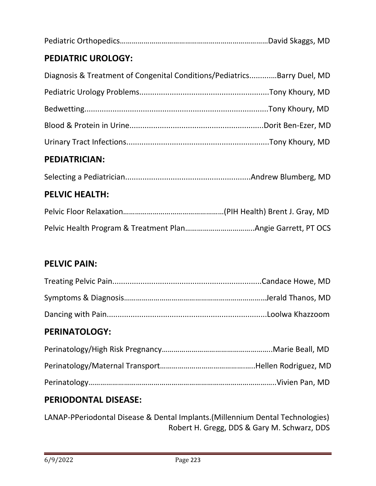|--|--|

## **PEDIATRIC UROLOGY:**

| Diagnosis & Treatment of Congenital Conditions/PediatricsBarry Duel, MD |  |
|-------------------------------------------------------------------------|--|
|                                                                         |  |
|                                                                         |  |
|                                                                         |  |
|                                                                         |  |

#### **PEDIATRICIAN:**

#### **PELVIC HEALTH:**

#### **PELVIC PAIN:**

#### **PERINATOLOGY:**

#### **PERIODONTAL DISEASE:**

LANAP-PPeriodontal Disease & Dental Implants.(Millennium Dental Technologies) Robert H. Gregg, DDS & Gary M. Schwarz, DDS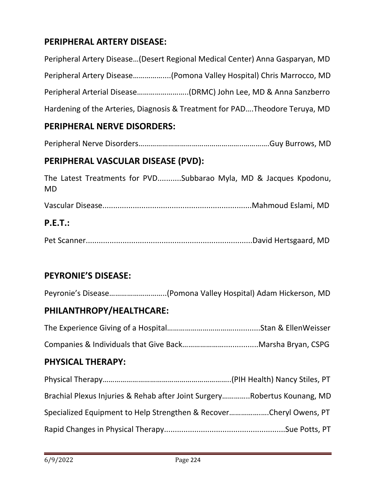## **PERIPHERAL ARTERY DISEASE:**

Peripheral Artery Disease…(Desert Regional Medical Center) Anna Gasparyan, MD Peripheral Artery Disease……………....(Pomona Valley Hospital) Chris Marrocco, MD Peripheral Arterial Disease……………………..(DRMC) John Lee, MD & Anna Sanzberro Hardening of the Arteries, Diagnosis & Treatment for PAD….Theodore Teruya, MD

#### **PERIPHERAL NERVE DISORDERS:**

Peripheral Nerve Disorders……………………………………………..………….Guy Burrows, MD

#### **PERIPHERAL VASCULAR DISEASE (PVD):**

The Latest Treatments for PVD...........Subbarao Myla, MD & Jacques Kpodonu, MD

Vascular Disease.....................................................................Mahmoud Eslami, MD

#### **P.E.T.:**

Pet Scanner.............................................................................David Hertsgaard, MD

#### **PEYRONIE'S DISEASE:**

Peyronie's Disease………………………..(Pomona Valley Hospital) Adam Hickerson, MD

#### **PHILANTHROPY/HEALTHCARE:**

The Experience Giving of a Hospital…………………………….............Stan & EllenWeisser

Companies & Individuals that Give Back…………………................Marsha Bryan, CSPG

#### **PHYSICAL THERAPY:**

| Brachial Plexus Injuries & Rehab after Joint SurgeryRobertus Kounang, MD |  |
|--------------------------------------------------------------------------|--|
| Specialized Equipment to Help Strengthen & RecoverCheryl Owens, PT       |  |
|                                                                          |  |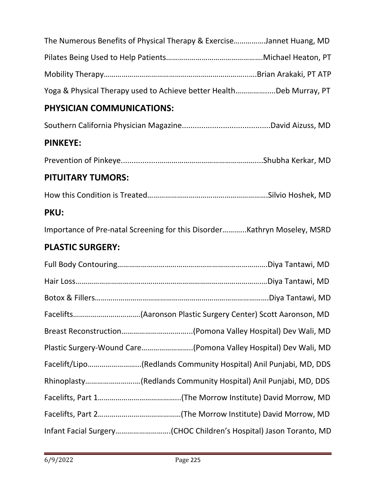|                                                                  | The Numerous Benefits of Physical Therapy & ExerciseJannet Huang, MD     |
|------------------------------------------------------------------|--------------------------------------------------------------------------|
|                                                                  |                                                                          |
|                                                                  |                                                                          |
|                                                                  | Yoga & Physical Therapy used to Achieve better HealthDeb Murray, PT      |
| PHYSICIAN COMMUNICATIONS:                                        |                                                                          |
|                                                                  |                                                                          |
| <b>PINKEYE:</b>                                                  |                                                                          |
|                                                                  |                                                                          |
| <b>PITUITARY TUMORS:</b>                                         |                                                                          |
|                                                                  |                                                                          |
| <b>PKU:</b>                                                      |                                                                          |
|                                                                  | Importance of Pre-natal Screening for this DisorderKathryn Moseley, MSRD |
| <b>PLASTIC SURGERY:</b>                                          |                                                                          |
|                                                                  |                                                                          |
|                                                                  |                                                                          |
|                                                                  |                                                                          |
| Facelifts(Aaronson Plastic Surgery Center) Scott Aaronson, MD    |                                                                          |
|                                                                  |                                                                          |
| Plastic Surgery-Wound Care(Pomona Valley Hospital) Dev Wali, MD  |                                                                          |
| Facelift/Lipo(Redlands Community Hospital) Anil Punjabi, MD, DDS |                                                                          |
| Rhinoplasty(Redlands Community Hospital) Anil Punjabi, MD, DDS   |                                                                          |
|                                                                  |                                                                          |
|                                                                  |                                                                          |
|                                                                  | Infant Facial Surgery(CHOC Children's Hospital) Jason Toranto, MD        |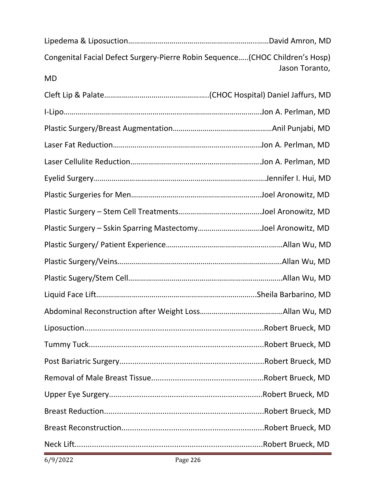| Congenital Facial Defect Surgery-Pierre Robin Sequence(CHOC Children's Hosp) | Jason Toranto, |
|------------------------------------------------------------------------------|----------------|
| <b>MD</b>                                                                    |                |
|                                                                              |                |
|                                                                              |                |
|                                                                              |                |
|                                                                              |                |
|                                                                              |                |
|                                                                              |                |
|                                                                              |                |
|                                                                              |                |
| Plastic Surgery - Sskin Sparring MastectomyJoel Aronowitz, MD                |                |
|                                                                              |                |
|                                                                              |                |
|                                                                              |                |
|                                                                              |                |
|                                                                              |                |
|                                                                              |                |
|                                                                              |                |
|                                                                              |                |
|                                                                              |                |
|                                                                              |                |
|                                                                              |                |
|                                                                              |                |
|                                                                              |                |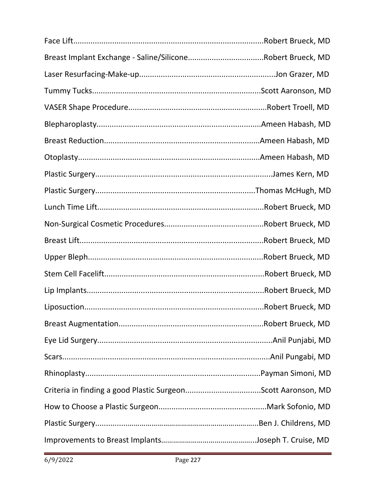| Liposuction                                                  | Robert Brueck, MD |
|--------------------------------------------------------------|-------------------|
|                                                              |                   |
|                                                              |                   |
|                                                              |                   |
|                                                              |                   |
| Criteria in finding a good Plastic SurgeonScott Aaronson, MD |                   |
|                                                              |                   |
|                                                              |                   |
|                                                              |                   |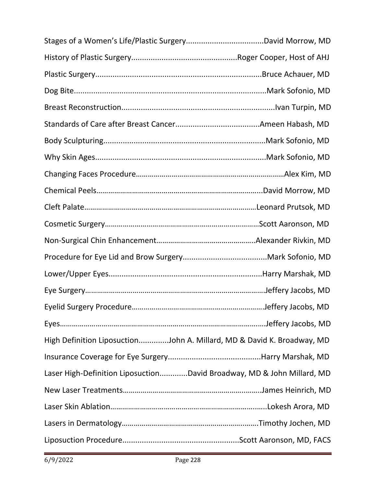| High Definition LiposuctionJohn A. Millard, MD & David K. Broadway, MD |  |
|------------------------------------------------------------------------|--|
|                                                                        |  |
| Laser High-Definition LiposuctionDavid Broadway, MD & John Millard, MD |  |
|                                                                        |  |
|                                                                        |  |
|                                                                        |  |
|                                                                        |  |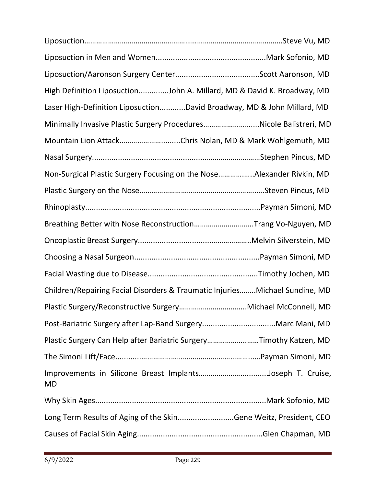| High Definition LiposuctionJohn A. Millard, MD & David K. Broadway, MD      |  |
|-----------------------------------------------------------------------------|--|
| Laser High-Definition LiposuctionDavid Broadway, MD & John Millard, MD      |  |
| Minimally Invasive Plastic Surgery ProceduresNicole Balistreri, MD          |  |
| Mountain Lion AttackChris Nolan, MD & Mark Wohlgemuth, MD                   |  |
|                                                                             |  |
| Non-Surgical Plastic Surgery Focusing on the NoseAlexander Rivkin, MD       |  |
|                                                                             |  |
|                                                                             |  |
| Breathing Better with Nose ReconstructionTrang Vo-Nguyen, MD                |  |
|                                                                             |  |
|                                                                             |  |
|                                                                             |  |
| Children/Repairing Facial Disorders & Traumatic InjuriesMichael Sundine, MD |  |
|                                                                             |  |
|                                                                             |  |
| Plastic Surgery Can Help after Bariatric SurgeryTimothy Katzen, MD          |  |
|                                                                             |  |
| Improvements in Silicone Breast ImplantsJoseph T. Cruise,<br><b>MD</b>      |  |
|                                                                             |  |
| Long Term Results of Aging of the SkinGene Weitz, President, CEO            |  |
|                                                                             |  |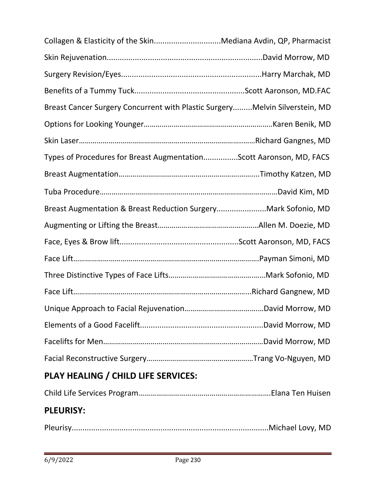| Collagen & Elasticity of the SkinMediana Avdin, QP, Pharmacist              |  |
|-----------------------------------------------------------------------------|--|
|                                                                             |  |
|                                                                             |  |
|                                                                             |  |
| Breast Cancer Surgery Concurrent with Plastic SurgeryMelvin Silverstein, MD |  |
|                                                                             |  |
|                                                                             |  |
| Types of Procedures for Breast AugmentationScott Aaronson, MD, FACS         |  |
|                                                                             |  |
|                                                                             |  |
| Breast Augmentation & Breast Reduction SurgeryMark Sofonio, MD              |  |
|                                                                             |  |
|                                                                             |  |
|                                                                             |  |
|                                                                             |  |
|                                                                             |  |
|                                                                             |  |
|                                                                             |  |
|                                                                             |  |
|                                                                             |  |
| PLAY HEALING / CHILD LIFE SERVICES:                                         |  |

|--|--|

## **PLEURISY:**

|--|--|--|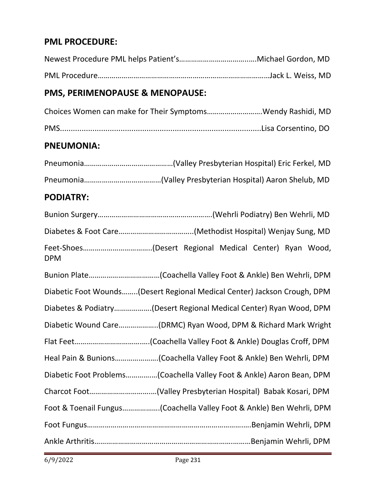#### **PML PROCEDURE:**

## **PMS, PERIMENOPAUSE & MENOPAUSE:**

| Choices Women can make for Their SymptomsWendy Rashidi, MD |  |
|------------------------------------------------------------|--|
|                                                            |  |

#### **PNEUMONIA:**

## **PODIATRY:**

| <b>DPM</b>                                                               |
|--------------------------------------------------------------------------|
|                                                                          |
| Diabetic Foot Wounds(Desert Regional Medical Center) Jackson Crough, DPM |
| Diabetes & Podiatry(Desert Regional Medical Center) Ryan Wood, DPM       |
| Diabetic Wound Care(DRMC) Ryan Wood, DPM & Richard Mark Wright           |
|                                                                          |
|                                                                          |
| Diabetic Foot Problems(Coachella Valley Foot & Ankle) Aaron Bean, DPM    |
|                                                                          |
| Foot & Toenail Fungus(Coachella Valley Foot & Ankle) Ben Wehrli, DPM     |
|                                                                          |
|                                                                          |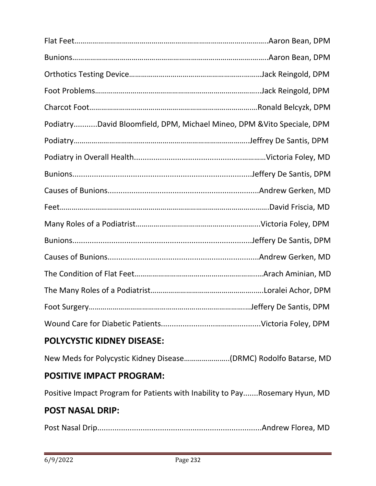| PodiatryDavid Bloomfield, DPM, Michael Mineo, DPM & Vito Speciale, DPM |  |
|------------------------------------------------------------------------|--|
|                                                                        |  |
|                                                                        |  |
|                                                                        |  |
|                                                                        |  |
|                                                                        |  |
|                                                                        |  |
|                                                                        |  |
|                                                                        |  |
|                                                                        |  |
|                                                                        |  |
|                                                                        |  |
|                                                                        |  |

## **POLYCYSTIC KIDNEY DISEASE:**

New Meds for Polycystic Kidney Disease…………………..(DRMC) Rodolfo Batarse, MD

#### **POSITIVE IMPACT PROGRAM:**

Positive Impact Program for Patients with Inability to Pay.......Rosemary Hyun, MD

#### **POST NASAL DRIP:**

Post Nasal Drip............................................................................Andrew Florea, MD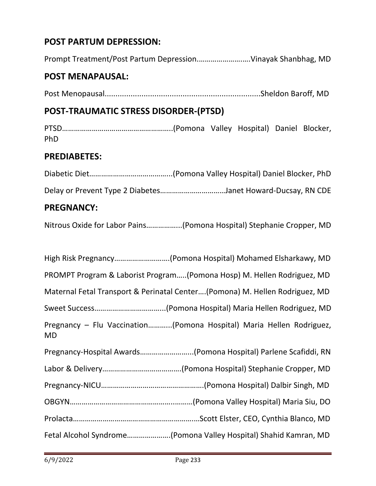## **POST PARTUM DEPRESSION:**

Prompt Treatment/Post Partum Depression.………………….….Vinayak Shanbhag, MD

#### **POST MENAPAUSAL:**

Post Menopausal........................................................................Sheldon Baroff, MD

#### **POST-TRAUMATIC STRESS DISORDER-(PTSD)**

PTSD………………………………………………..(Pomona Valley Hospital) Daniel Blocker, PhD

#### **PREDIABETES:**

| <b>PREGNANCY:</b> |                                                             |
|-------------------|-------------------------------------------------------------|
|                   | Delay or Prevent Type 2 DiabetesJanet Howard-Ducsay, RN CDE |
|                   |                                                             |

Nitrous Oxide for Labor Pains……………...(Pomona Hospital) Stephanie Cropper, MD

| High Risk Pregnancy(Pomona Hospital) Mohamed Elsharkawy, MD                       |
|-----------------------------------------------------------------------------------|
| PROMPT Program & Laborist Program(Pomona Hosp) M. Hellen Rodriguez, MD            |
| Maternal Fetal Transport & Perinatal Center(Pomona) M. Hellen Rodriguez, MD       |
|                                                                                   |
| Pregnancy - Flu Vaccination(Pomona Hospital) Maria Hellen Rodriguez,<br><b>MD</b> |
| Pregnancy-Hospital Awards(Pomona Hospital) Parlene Scafiddi, RN                   |
|                                                                                   |
|                                                                                   |
|                                                                                   |
|                                                                                   |
| Fetal Alcohol Syndrome(Pomona Valley Hospital) Shahid Kamran, MD                  |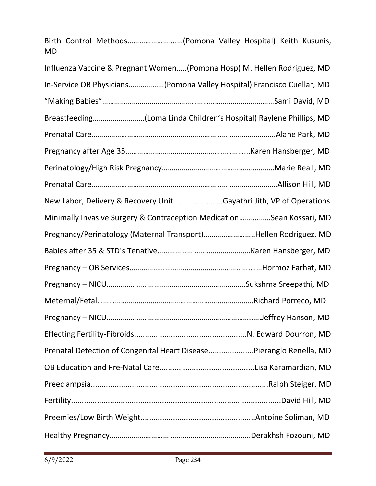| Birth Control Methods(Pomona Valley Hospital) Keith Kusunis,<br><b>MD</b> |  |
|---------------------------------------------------------------------------|--|
| Influenza Vaccine & Pregnant Women(Pomona Hosp) M. Hellen Rodriguez, MD   |  |
| In-Service OB Physicians(Pomona Valley Hospital) Francisco Cuellar, MD    |  |
|                                                                           |  |
| Breastfeeding(Loma Linda Children's Hospital) Raylene Phillips, MD        |  |
|                                                                           |  |
|                                                                           |  |
|                                                                           |  |
|                                                                           |  |
| New Labor, Delivery & Recovery UnitGayathri Jith, VP of Operations        |  |
| Minimally Invasive Surgery & Contraception MedicationSean Kossari, MD     |  |
| Pregnancy/Perinatology (Maternal Transport)Hellen Rodriguez, MD           |  |
|                                                                           |  |
|                                                                           |  |
|                                                                           |  |
|                                                                           |  |
|                                                                           |  |
|                                                                           |  |
| Prenatal Detection of Congenital Heart DiseasePieranglo Renella, MD       |  |
|                                                                           |  |
|                                                                           |  |
|                                                                           |  |
|                                                                           |  |
|                                                                           |  |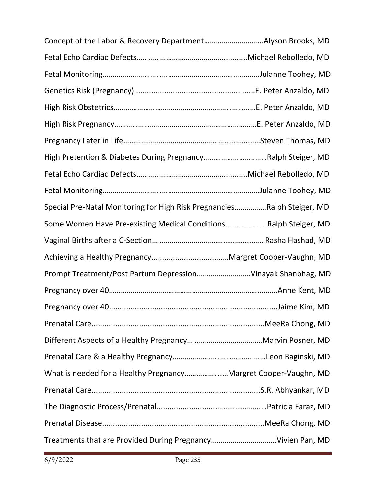| High Pretention & Diabetes During PregnancyRalph Steiger, MD            |  |
|-------------------------------------------------------------------------|--|
|                                                                         |  |
|                                                                         |  |
| Special Pre-Natal Monitoring for High Risk PregnanciesRalph Steiger, MD |  |
| Some Women Have Pre-existing Medical ConditionsRalph Steiger, MD        |  |
|                                                                         |  |
|                                                                         |  |
| Prompt Treatment/Post Partum DepressionVinayak Shanbhag, MD             |  |
|                                                                         |  |
|                                                                         |  |
|                                                                         |  |
|                                                                         |  |
|                                                                         |  |
| What is needed for a Healthy PregnancyMargret Cooper-Vaughn, MD         |  |
|                                                                         |  |
|                                                                         |  |
|                                                                         |  |
|                                                                         |  |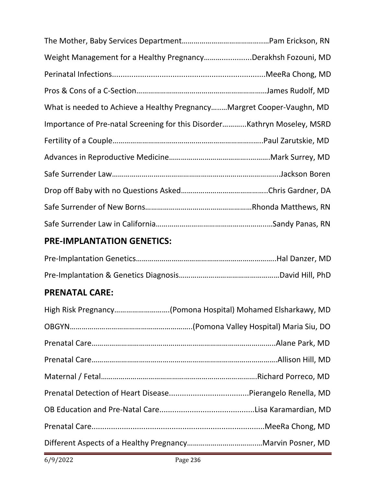| Weight Management for a Healthy PregnancyDerakhsh Fozouni, MD          |  |
|------------------------------------------------------------------------|--|
|                                                                        |  |
|                                                                        |  |
| What is needed to Achieve a Healthy PregnancyMargret Cooper-Vaughn, MD |  |
|                                                                        |  |
|                                                                        |  |
|                                                                        |  |
|                                                                        |  |
|                                                                        |  |
|                                                                        |  |
|                                                                        |  |

## **PRE-IMPLANTATION GENETICS:**

## **PRENATAL CARE:**

| High Risk Pregnancy(Pomona Hospital) Mohamed Elsharkawy, MD |
|-------------------------------------------------------------|
|                                                             |
|                                                             |
|                                                             |
|                                                             |
|                                                             |
|                                                             |
|                                                             |
|                                                             |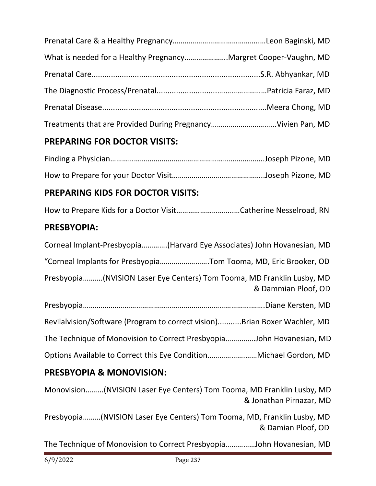| What is needed for a Healthy PregnancyMargret Cooper-Vaughn, MD |  |
|-----------------------------------------------------------------|--|
|                                                                 |  |
|                                                                 |  |
|                                                                 |  |
|                                                                 |  |

## **PREPARING FOR DOCTOR VISITS:**

## **PREPARING KIDS FOR DOCTOR VISITS:**

How to Prepare Kids for a Doctor Visit………………………..…Catherine Nesselroad, RN

## **PRESBYOPIA:**

| Corneal Implant-Presbyopia(Harvard Eye Associates) John Hovanesian, MD                        |
|-----------------------------------------------------------------------------------------------|
| "Corneal Implants for PresbyopiaTom Tooma, MD, Eric Brooker, OD                               |
| Presbyopia(NVISION Laser Eye Centers) Tom Tooma, MD Franklin Lusby, MD<br>& Dammian Ploof, OD |
|                                                                                               |
| Revilalvision/Software (Program to correct vision)Brian Boxer Wachler, MD                     |
| The Technique of Monovision to Correct PresbyopiaJohn Hovanesian, MD                          |
|                                                                                               |

## **PRESBYOPIA & MONOVISION:**

Monovision……...(NVISION Laser Eye Centers) Tom Tooma, MD Franklin Lusby, MD & Jonathan Pirnazar, MD

Presbyopia………(NVISION Laser Eye Centers) Tom Tooma, MD, Franklin Lusby, MD & Damian Ploof, OD

The Technique of Monovision to Correct Presbyopia……………John Hovanesian, MD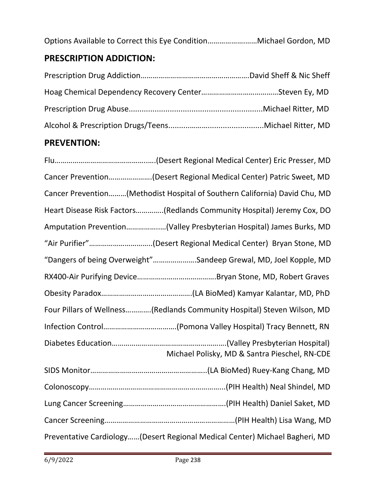Options Available to Correct this Eye Condition……………….……Michael Gordon, MD

## **PRESCRIPTION ADDICTION:**

## **PREVENTION:**

| Cancer Prevention(Desert Regional Medical Center) Patric Sweet, MD          |
|-----------------------------------------------------------------------------|
| Cancer Prevention(Methodist Hospital of Southern California) David Chu, MD  |
| Heart Disease Risk Factors(Redlands Community Hospital) Jeremy Cox, DO      |
| Amputation Prevention(Valley Presbyterian Hospital) James Burks, MD         |
| "Air Purifier"(Desert Regional Medical Center) Bryan Stone, MD              |
| "Dangers of being Overweight"Sandeep Grewal, MD, Joel Kopple, MD            |
|                                                                             |
|                                                                             |
| Four Pillars of Wellness(Redlands Community Hospital) Steven Wilson, MD     |
|                                                                             |
| Michael Polisky, MD & Santra Pieschel, RN-CDE                               |
|                                                                             |
|                                                                             |
|                                                                             |
|                                                                             |
| Preventative Cardiology(Desert Regional Medical Center) Michael Bagheri, MD |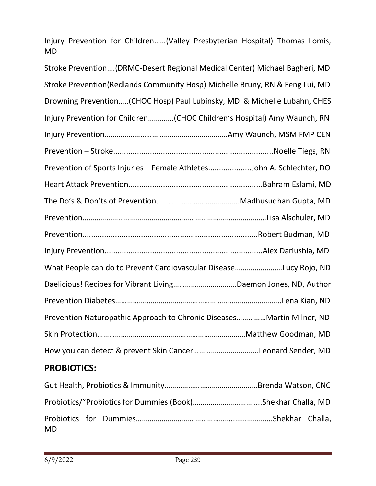Injury Prevention for Children……(Valley Presbyterian Hospital) Thomas Lomis, MD

| Stroke Prevention (DRMC-Desert Regional Medical Center) Michael Bagheri, MD  |
|------------------------------------------------------------------------------|
| Stroke Prevention(Redlands Community Hosp) Michelle Bruny, RN & Feng Lui, MD |
| Drowning Prevention(CHOC Hosp) Paul Lubinsky, MD & Michelle Lubahn, CHES     |
| Injury Prevention for Children(CHOC Children's Hospital) Amy Waunch, RN      |
|                                                                              |
|                                                                              |
| Prevention of Sports Injuries - Female AthletesJohn A. Schlechter, DO        |
|                                                                              |
|                                                                              |
|                                                                              |
|                                                                              |
|                                                                              |
| What People can do to Prevent Cardiovascular DiseaseLucy Rojo, ND            |
| Daelicious! Recipes for Vibrant LivingDaemon Jones, ND, Author               |
|                                                                              |
| Prevention Naturopathic Approach to Chronic DiseasesMartin Milner, ND        |
|                                                                              |
| How you can detect & prevent Skin CancerLeonard Sender, MD                   |
|                                                                              |

## **PROBIOTICS:**

| <b>MD</b> |  |  |
|-----------|--|--|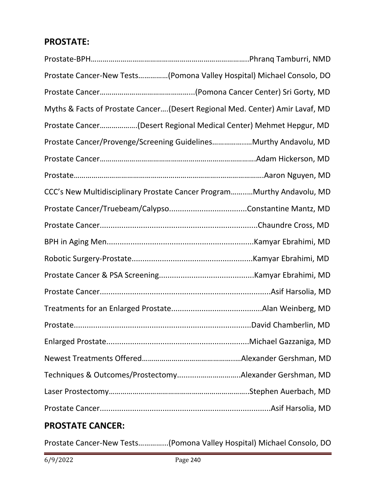## **PROSTATE:**

| Prostate Cancer-New Tests(Pomona Valley Hospital) Michael Consolo, DO        |  |
|------------------------------------------------------------------------------|--|
|                                                                              |  |
| Myths & Facts of Prostate Cancer(Desert Regional Med. Center) Amir Lavaf, MD |  |
| Prostate Cancer(Desert Regional Medical Center) Mehmet Hepgur, MD            |  |
| Prostate Cancer/Provenge/Screening GuidelinesMurthy Andavolu, MD             |  |
|                                                                              |  |
|                                                                              |  |
| CCC's New Multidisciplinary Prostate Cancer ProgramMurthy Andavolu, MD       |  |
|                                                                              |  |
|                                                                              |  |
|                                                                              |  |
|                                                                              |  |
|                                                                              |  |
|                                                                              |  |
|                                                                              |  |
|                                                                              |  |
|                                                                              |  |
|                                                                              |  |
| Techniques & Outcomes/ProstectomyAlexander Gershman, MD                      |  |
|                                                                              |  |
|                                                                              |  |
|                                                                              |  |

## **PROSTATE CANCER:**

Prostate Cancer-New Tests…………...(Pomona Valley Hospital) Michael Consolo, DO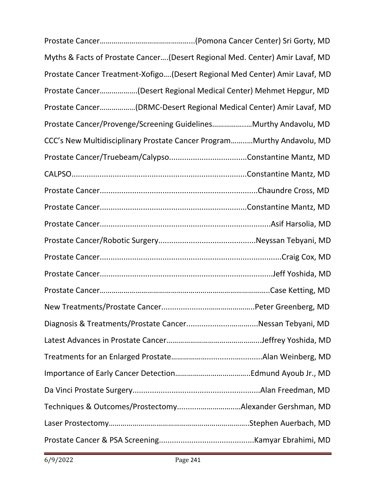| Myths & Facts of Prostate Cancer(Desert Regional Med. Center) Amir Lavaf, MD |  |
|------------------------------------------------------------------------------|--|
| Prostate Cancer Treatment-Xofigo(Desert Regional Med Center) Amir Lavaf, MD  |  |
| Prostate Cancer(Desert Regional Medical Center) Mehmet Hepgur, MD            |  |
| Prostate Cancer(DRMC-Desert Regional Medical Center) Amir Lavaf, MD          |  |
| Prostate Cancer/Provenge/Screening GuidelinesMurthy Andavolu, MD             |  |
| CCC's New Multidisciplinary Prostate Cancer ProgramMurthy Andavolu, MD       |  |
|                                                                              |  |
|                                                                              |  |
|                                                                              |  |
|                                                                              |  |
|                                                                              |  |
|                                                                              |  |
|                                                                              |  |
|                                                                              |  |
|                                                                              |  |
|                                                                              |  |
| Diagnosis & Treatments/Prostate CancerNessan Tebyani, MD                     |  |
|                                                                              |  |
|                                                                              |  |
|                                                                              |  |
|                                                                              |  |
| Techniques & Outcomes/ProstectomyAlexander Gershman, MD                      |  |
|                                                                              |  |
|                                                                              |  |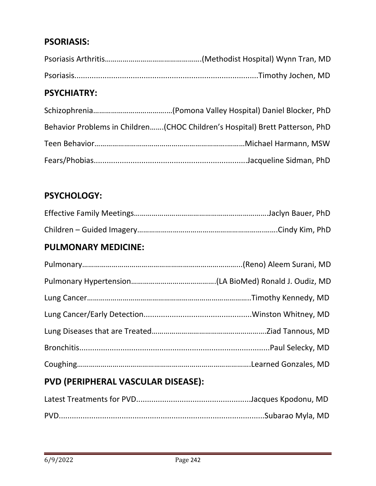#### **PSORIASIS:**

## **PSYCHIATRY:**

| Behavior Problems in Children(CHOC Children's Hospital) Brett Patterson, PhD |
|------------------------------------------------------------------------------|
|                                                                              |
|                                                                              |

#### **PSYCHOLOGY:**

#### **PULMONARY MEDICINE:**

# **PVD (PERIPHERAL VASCULAR DISEASE):**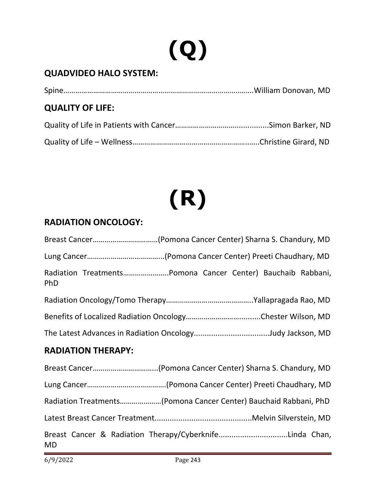# **(Q)**

## **QUADVIDEO HALO SYSTEM:**

| <b>QUALITY OF LIFE:</b> |  |
|-------------------------|--|
|                         |  |
|                         |  |

# **(R)**

#### **RADIATION ONCOLOGY:**

| Breast Cancer(Pomona Cancer Center) Sharna S. Chandury, MD           |
|----------------------------------------------------------------------|
|                                                                      |
| Radiation TreatmentsPomona Cancer Center) Bauchaib Rabbani,<br>PhD   |
|                                                                      |
|                                                                      |
| The Latest Advances in Radiation OncologyJudy Jackson, MD            |
| <b>RADIATION THERAPY:</b>                                            |
| Breast Cancer(Pomona Cancer Center) Sharna S. Chandury, MD           |
|                                                                      |
| Radiation Treatments(Pomona Cancer Center) Bauchaid Rabbani, PhD     |
|                                                                      |
| Breast Cancer & Radiation Therapy/CyberknifeLinda Chan,<br><b>MD</b> |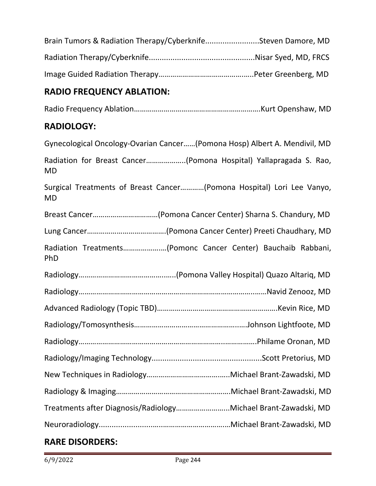| Brain Tumors & Radiation Therapy/CyberknifeSteven Damore, MD |  |
|--------------------------------------------------------------|--|
|                                                              |  |
|                                                              |  |

## **RADIO FREQUENCY ABLATION:**

Radio Frequency Ablation……………………………………………………….Kurt Openshaw, MD

#### **RADIOLOGY:**

| Gynecological Oncology-Ovarian Cancer(Pomona Hosp) Albert A. Mendivil, MD          |
|------------------------------------------------------------------------------------|
| Radiation for Breast Cancer(Pomona Hospital) Yallapragada S. Rao,<br><b>MD</b>     |
| Surgical Treatments of Breast Cancer(Pomona Hospital) Lori Lee Vanyo,<br><b>MD</b> |
| Breast Cancer(Pomona Cancer Center) Sharna S. Chandury, MD                         |
|                                                                                    |
| Radiation Treatments(Pomonc Cancer Center) Bauchaib Rabbani,<br>PhD                |
|                                                                                    |
|                                                                                    |
|                                                                                    |
|                                                                                    |
|                                                                                    |
|                                                                                    |
|                                                                                    |
|                                                                                    |
| Treatments after Diagnosis/RadiologyMichael Brant-Zawadski, MD                     |
|                                                                                    |

#### **RARE DISORDERS:**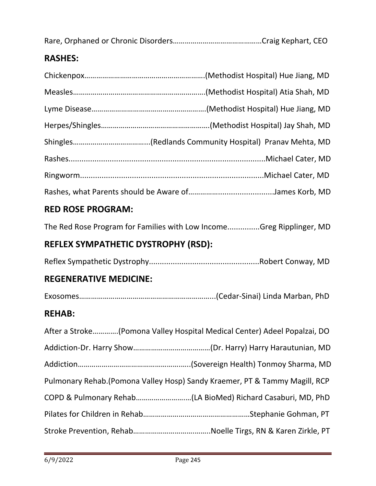|--|--|

## **RASHES:**

## **RED ROSE PROGRAM:**

The Red Rose Program for Families with Low Income...............Greg Ripplinger, MD

## **REFLEX SYMPATHETIC DYSTROPHY (RSD):**

|--|--|--|

## **REGENERATIVE MEDICINE:**

Exosomes…………………………………………………………...(Cedar-Sinai) Linda Marban, PhD

## **REHAB:**

| After a Stroke(Pomona Valley Hospital Medical Center) Adeel Popalzai, DO    |  |
|-----------------------------------------------------------------------------|--|
|                                                                             |  |
|                                                                             |  |
| Pulmonary Rehab. (Pomona Valley Hosp) Sandy Kraemer, PT & Tammy Magill, RCP |  |
|                                                                             |  |
|                                                                             |  |
|                                                                             |  |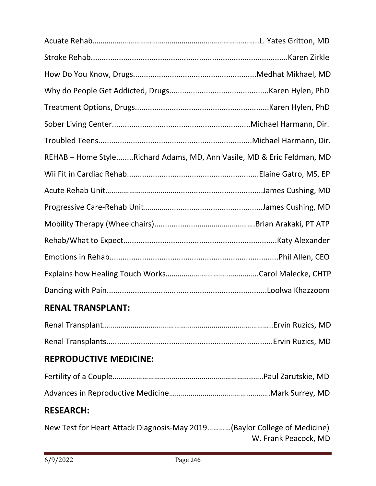| REHAB - Home StyleRichard Adams, MD, Ann Vasile, MD & Eric Feldman, MD |  |
|------------------------------------------------------------------------|--|
|                                                                        |  |
|                                                                        |  |
|                                                                        |  |
|                                                                        |  |
|                                                                        |  |
|                                                                        |  |
|                                                                        |  |
|                                                                        |  |

## **RENAL TRANSPLANT:**

## **REPRODUCTIVE MEDICINE:**

## **RESEARCH:**

New Test for Heart Attack Diagnosis-May 2019…………(Baylor College of Medicine) W. Frank Peacock, MD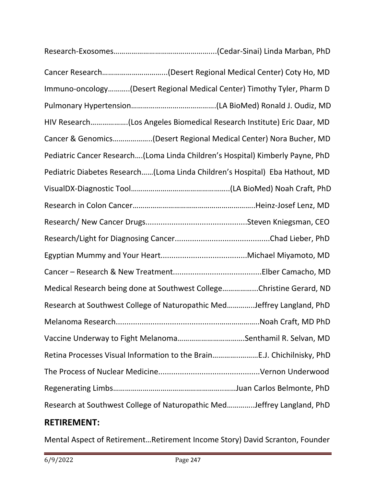| Immuno-oncology(Desert Regional Medical Center) Timothy Tyler, Pharm D        |
|-------------------------------------------------------------------------------|
|                                                                               |
| HIV Research(Los Angeles Biomedical Research Institute) Eric Daar, MD         |
| Cancer & Genomics(Desert Regional Medical Center) Nora Bucher, MD             |
| Pediatric Cancer Research(Loma Linda Children's Hospital) Kimberly Payne, PhD |
| Pediatric Diabetes Research(Loma Linda Children's Hospital) Eba Hathout, MD   |
|                                                                               |
|                                                                               |
|                                                                               |
|                                                                               |
|                                                                               |
|                                                                               |
| Medical Research being done at Southwest CollegeChristine Gerard, ND          |
| Research at Southwest College of Naturopathic MedJeffrey Langland, PhD        |
|                                                                               |
|                                                                               |
| Retina Processes Visual Information to the BrainE.J. Chichilnisky, PhD        |
|                                                                               |
|                                                                               |
| Research at Southwest College of Naturopathic MedJeffrey Langland, PhD        |
| <b>RETIREMENT:</b>                                                            |

Mental Aspect of Retirement…Retirement Income Story) David Scranton, Founder

ī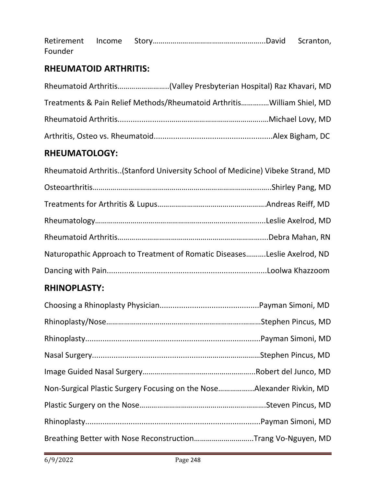| Founder |  |  |
|---------|--|--|

#### **RHEUMATOID ARTHRITIS:**

| Treatments & Pain Relief Methods/Rheumatoid ArthritisWilliam Shiel, MD |  |
|------------------------------------------------------------------------|--|
|                                                                        |  |
|                                                                        |  |

## **RHEUMATOLOGY:**

| Naturopathic Approach to Treatment of Romatic DiseasesLeslie Axelrod, ND |
|--------------------------------------------------------------------------|
|                                                                          |

## **RHINOPLASTY:**

| Non-Surgical Plastic Surgery Focusing on the NoseAlexander Rivkin, MD |  |
|-----------------------------------------------------------------------|--|
|                                                                       |  |
|                                                                       |  |
| Breathing Better with Nose ReconstructionTrang Vo-Nguyen, MD          |  |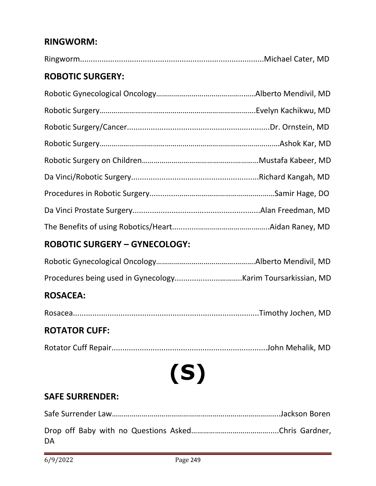#### **RINGWORM:**

#### **ROBOTIC SURGERY:**

#### **ROBOTIC SURGERY – GYNECOLOGY:**

#### **ROSACEA:**

|--|--|--|--|

#### **ROTATOR CUFF:**

**(S)**

#### **SAFE SURRENDER:**

| DA |  |
|----|--|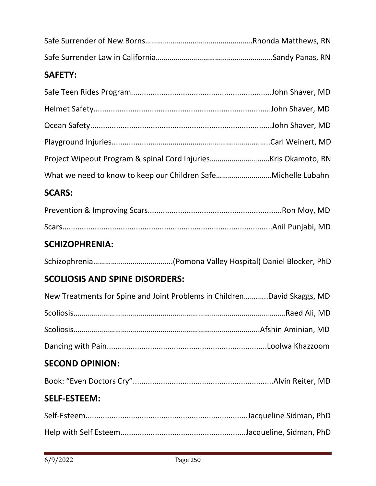#### **SAFETY:**

## **SCARS:**

## **SCHIZOPHRENIA:**

|--|--|--|--|

## **SCOLIOSIS AND SPINE DISORDERS:**

| <b>SECOND OPINION:</b>                                                  |  |
|-------------------------------------------------------------------------|--|
|                                                                         |  |
|                                                                         |  |
|                                                                         |  |
| New Treatments for Spine and Joint Problems in ChildrenDavid Skaggs, MD |  |

# Book: "Even Doctors Cry".................................................................Alvin Reiter, MD

## **SELF-ESTEEM:**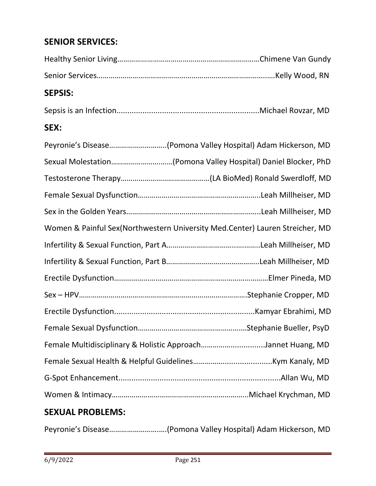## **SENIOR SERVICES:**

#### **SEPSIS:**

|--|--|--|--|

#### **SEX:**

| Peyronie's Disease(Pomona Valley Hospital) Adam Hickerson, MD                |  |
|------------------------------------------------------------------------------|--|
| Sexual Molestation(Pomona Valley Hospital) Daniel Blocker, PhD               |  |
|                                                                              |  |
|                                                                              |  |
|                                                                              |  |
| Women & Painful Sex(Northwestern University Med.Center) Lauren Streicher, MD |  |
|                                                                              |  |
|                                                                              |  |
|                                                                              |  |
|                                                                              |  |
|                                                                              |  |
|                                                                              |  |
| Female Multidisciplinary & Holistic ApproachJannet Huang, MD                 |  |
|                                                                              |  |
|                                                                              |  |
|                                                                              |  |
|                                                                              |  |

#### **SEXUAL PROBLEMS:**

Peyronie's Disease…………………….….(Pomona Valley Hospital) Adam Hickerson, MD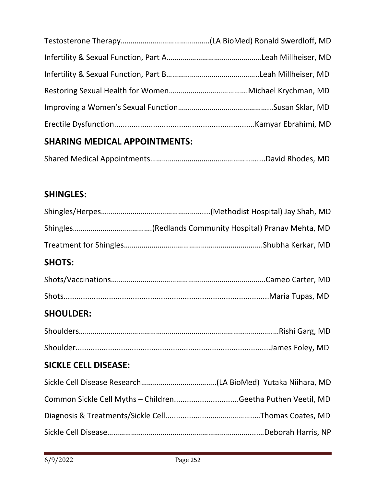# **SHARING MEDICAL APPOINTMENTS:**

|--|--|--|

## **SHINGLES:**

| <b>SHOTS:</b>               |                                                             |
|-----------------------------|-------------------------------------------------------------|
|                             |                                                             |
|                             |                                                             |
| <b>SHOULDER:</b>            |                                                             |
|                             |                                                             |
|                             |                                                             |
| <b>SICKLE CELL DISEASE:</b> |                                                             |
|                             |                                                             |
|                             | Common Sickle Cell Myths - ChildrenGeetha Puthen Veetil, MD |
|                             |                                                             |
|                             |                                                             |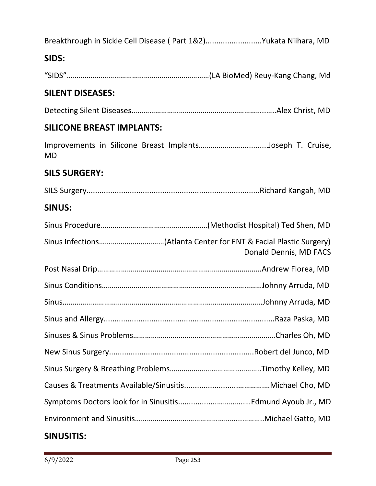| Breakthrough in Sickle Cell Disease (Part 1&2)Yukata Niihara, MD |  |
|------------------------------------------------------------------|--|
|------------------------------------------------------------------|--|

## **SIDS:**

"SIDS"………………………………………………………………(LA BioMed) Reuy-Kang Chang, Md

## **SILENT DISEASES:**

Detecting Silent Diseases…………………………………………………………..…..Alex Christ, MD

#### **SILICONE BREAST IMPLANTS:**

Improvements in Silicone Breast Implants………………….............Joseph T. Cruise, MD

#### **SILS SURGERY:**

SILS Surgery................................................................................Richard Kangah, MD

#### **SINUS:**

| Donald Dennis, MD FACS |
|------------------------|
|                        |
|                        |
|                        |
|                        |
|                        |
|                        |
|                        |
|                        |
|                        |
|                        |
|                        |

#### **SINUSITIS:**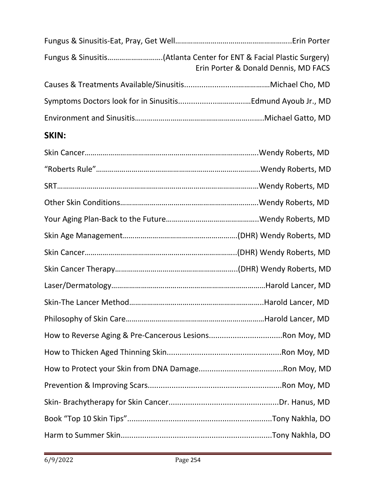| Fungus & Sinusitis(Atlanta Center for ENT & Facial Plastic Surgery) | Erin Porter & Donald Dennis, MD FACS |
|---------------------------------------------------------------------|--------------------------------------|
|                                                                     |                                      |
|                                                                     |                                      |
|                                                                     |                                      |
| <b>SKIN:</b>                                                        |                                      |
|                                                                     |                                      |
|                                                                     |                                      |
|                                                                     |                                      |
|                                                                     |                                      |
|                                                                     |                                      |
|                                                                     |                                      |
|                                                                     |                                      |
|                                                                     |                                      |
|                                                                     |                                      |
|                                                                     |                                      |
|                                                                     |                                      |
|                                                                     |                                      |
|                                                                     |                                      |
|                                                                     |                                      |
|                                                                     |                                      |
|                                                                     |                                      |
|                                                                     |                                      |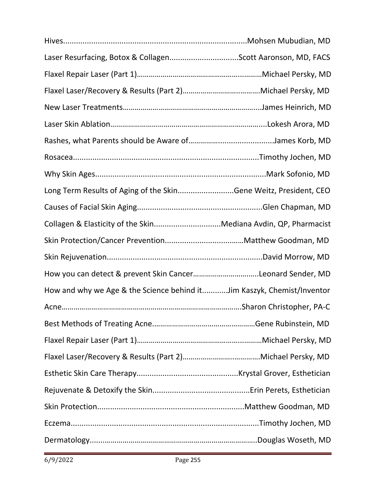| Laser Resurfacing, Botox & CollagenScott Aaronson, MD, FACS            |  |
|------------------------------------------------------------------------|--|
|                                                                        |  |
|                                                                        |  |
|                                                                        |  |
|                                                                        |  |
|                                                                        |  |
|                                                                        |  |
|                                                                        |  |
| Long Term Results of Aging of the SkinGene Weitz, President, CEO       |  |
|                                                                        |  |
| Collagen & Elasticity of the SkinMediana Avdin, QP, Pharmacist         |  |
|                                                                        |  |
|                                                                        |  |
| How you can detect & prevent Skin CancerLeonard Sender, MD             |  |
| How and why we Age & the Science behind itJim Kaszyk, Chemist/Inventor |  |
|                                                                        |  |
|                                                                        |  |
|                                                                        |  |
|                                                                        |  |
|                                                                        |  |
|                                                                        |  |
|                                                                        |  |
|                                                                        |  |
|                                                                        |  |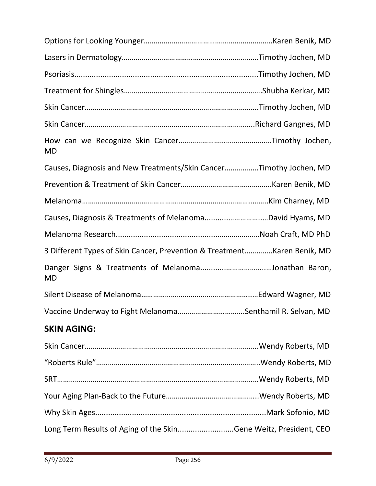| <b>MD</b>                                                                |  |
|--------------------------------------------------------------------------|--|
| Causes, Diagnosis and New Treatments/Skin CancerTimothy Jochen, MD       |  |
|                                                                          |  |
|                                                                          |  |
|                                                                          |  |
|                                                                          |  |
| 3 Different Types of Skin Cancer, Prevention & Treatment Karen Benik, MD |  |
| Danger Signs & Treatments of MelanomaJonathan Baron,<br>MD               |  |
|                                                                          |  |
| Vaccine Underway to Fight MelanomaSenthamil R. Selvan, MD                |  |
| <b>SKIN AGING:</b>                                                       |  |
|                                                                          |  |
|                                                                          |  |
|                                                                          |  |
|                                                                          |  |
|                                                                          |  |
| Long Term Results of Aging of the SkinGene Weitz, President, CEO         |  |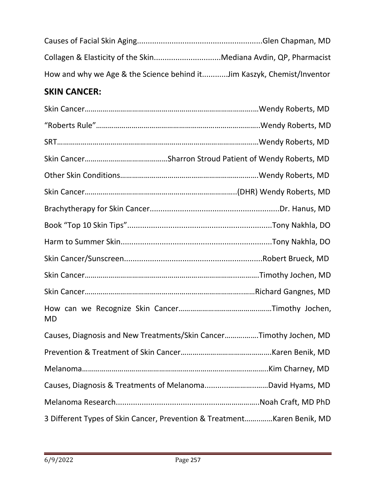| How and why we Age & the Science behind itJim Kaszyk, Chemist/Inventor |  |
|------------------------------------------------------------------------|--|

# **SKIN CANCER:**

| <b>MD</b> |                                                                          |
|-----------|--------------------------------------------------------------------------|
|           | Causes, Diagnosis and New Treatments/Skin CancerTimothy Jochen, MD       |
|           |                                                                          |
|           |                                                                          |
|           |                                                                          |
|           |                                                                          |
|           | 3 Different Types of Skin Cancer, Prevention & Treatment Karen Benik, MD |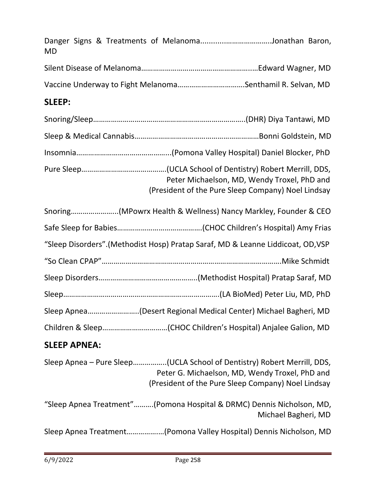| Danger Signs & Treatments of MelanomaJonathan Baron,                                                                                                                            |
|---------------------------------------------------------------------------------------------------------------------------------------------------------------------------------|
|                                                                                                                                                                                 |
| Vaccine Underway to Fight MelanomaSenthamil R. Selvan, MD                                                                                                                       |
|                                                                                                                                                                                 |
|                                                                                                                                                                                 |
|                                                                                                                                                                                 |
|                                                                                                                                                                                 |
| Peter Michaelson, MD, Wendy Troxel, PhD and<br>(President of the Pure Sleep Company) Noel Lindsay                                                                               |
| Snoring(MPowrx Health & Wellness) Nancy Markley, Founder & CEO                                                                                                                  |
|                                                                                                                                                                                 |
| "Sleep Disorders".(Methodist Hosp) Pratap Saraf, MD & Leanne Liddicoat, OD,VSP                                                                                                  |
|                                                                                                                                                                                 |
|                                                                                                                                                                                 |
|                                                                                                                                                                                 |
| Sleep Apnea(Desert Regional Medical Center) Michael Bagheri, MD                                                                                                                 |
|                                                                                                                                                                                 |
|                                                                                                                                                                                 |
| Sleep Apnea - Pure Sleep(UCLA School of Dentistry) Robert Merrill, DDS,<br>Peter G. Michaelson, MD, Wendy Troxel, PhD and<br>(President of the Pure Sleep Company) Noel Lindsay |
| "Sleep Apnea Treatment"(Pomona Hospital & DRMC) Dennis Nicholson, MD,<br>Michael Bagheri, MD                                                                                    |
| Sleep Apnea Treatment(Pomona Valley Hospital) Dennis Nicholson, MD                                                                                                              |
|                                                                                                                                                                                 |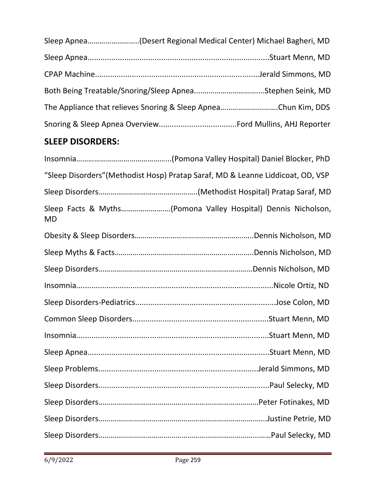|  | The Appliance that relieves Snoring & Sleep ApneaChun Kim, DDS |
|--|----------------------------------------------------------------|
|  |                                                                |

# **SLEEP DISORDERS:**

| "Sleep Disorders" (Methodist Hosp) Pratap Saraf, MD & Leanne Liddicoat, OD, VSP |  |
|---------------------------------------------------------------------------------|--|
|                                                                                 |  |
| Sleep Facts & Myths(Pomona Valley Hospital) Dennis Nicholson,<br><b>MD</b>      |  |
|                                                                                 |  |
|                                                                                 |  |
|                                                                                 |  |
|                                                                                 |  |
|                                                                                 |  |
|                                                                                 |  |
|                                                                                 |  |
|                                                                                 |  |
|                                                                                 |  |
|                                                                                 |  |
|                                                                                 |  |
|                                                                                 |  |
|                                                                                 |  |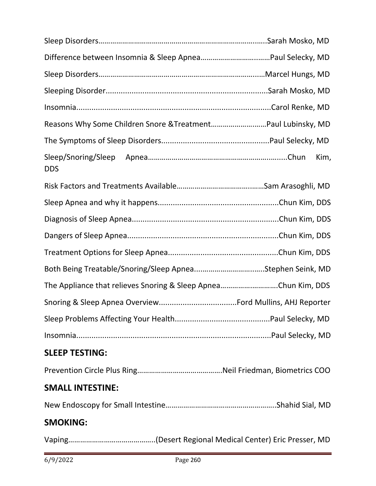| Reasons Why Some Children Snore & TreatmentPaul Lubinsky, MD   |      |
|----------------------------------------------------------------|------|
|                                                                |      |
| <b>DDS</b>                                                     | Kim, |
|                                                                |      |
|                                                                |      |
|                                                                |      |
|                                                                |      |
|                                                                |      |
| Both Being Treatable/Snoring/Sleep ApneaStephen Seink, MD      |      |
| The Appliance that relieves Snoring & Sleep ApneaChun Kim, DDS |      |
|                                                                |      |
|                                                                |      |
|                                                                |      |
| <b>SLEEP TESTING:</b>                                          |      |
|                                                                |      |
| <b>SMALL INTESTINE:</b>                                        |      |
|                                                                |      |
| <b>SMOKING:</b>                                                |      |
|                                                                |      |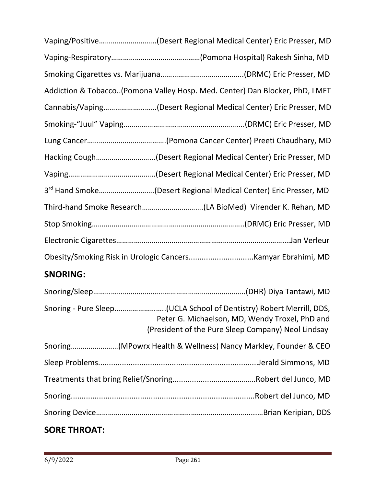| Vaping/Positive(Desert Regional Medical Center) Eric Presser, MD            |
|-----------------------------------------------------------------------------|
|                                                                             |
|                                                                             |
| Addiction & Tobacco(Pomona Valley Hosp. Med. Center) Dan Blocker, PhD, LMFT |
| Cannabis/Vaping(Desert Regional Medical Center) Eric Presser, MD            |
|                                                                             |
|                                                                             |
| Hacking Cough(Desert Regional Medical Center) Eric Presser, MD              |
|                                                                             |
| 3rd Hand Smoke(Desert Regional Medical Center) Eric Presser, MD             |
|                                                                             |
|                                                                             |
|                                                                             |
|                                                                             |
|                                                                             |

# **SNORING:**

| Snoring - Pure Sleep(UCLA School of Dentistry) Robert Merrill, DDS,<br>Peter G. Michaelson, MD, Wendy Troxel, PhD and<br>(President of the Pure Sleep Company) Neol Lindsay |
|-----------------------------------------------------------------------------------------------------------------------------------------------------------------------------|
| Snoring(MPowrx Health & Wellness) Nancy Markley, Founder & CEO                                                                                                              |
|                                                                                                                                                                             |
|                                                                                                                                                                             |
|                                                                                                                                                                             |
|                                                                                                                                                                             |
|                                                                                                                                                                             |

# **SORE THROAT:**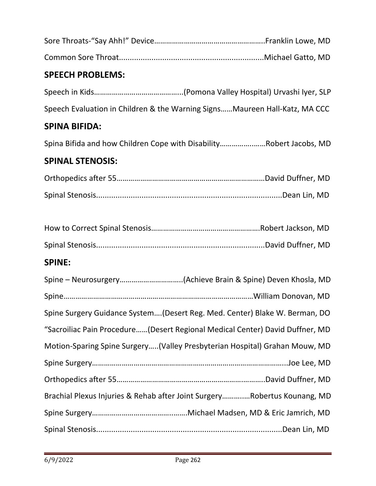## **SPEECH PROBLEMS:**

Speech in Kids……………………………………...(Pomona Valley Hospital) Urvashi Iyer, SLP Speech Evaluation in Children & the Warning Signs……Maureen Hall-Katz, MA CCC

### **SPINA BIFIDA:**

Spina Bifida and how Children Cope with Disability……………..……Robert Jacobs, MD

#### **SPINAL STENOSIS:**

### **SPINE:**

| Spine Surgery Guidance System(Desert Reg. Med. Center) Blake W. Berman, DO   |
|------------------------------------------------------------------------------|
| "Sacroiliac Pain Procedure(Desert Regional Medical Center) David Duffner, MD |
| Motion-Sparing Spine Surgery(Valley Presbyterian Hospital) Grahan Mouw, MD   |
|                                                                              |
|                                                                              |
| Brachial Plexus Injuries & Rehab after Joint SurgeryRobertus Kounang, MD     |
|                                                                              |
|                                                                              |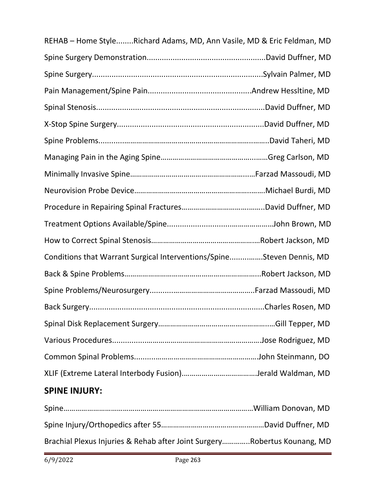| REHAB - Home StyleRichard Adams, MD, Ann Vasile, MD & Eric Feldman, MD |  |
|------------------------------------------------------------------------|--|
|                                                                        |  |
|                                                                        |  |
|                                                                        |  |
|                                                                        |  |
|                                                                        |  |
|                                                                        |  |
|                                                                        |  |
|                                                                        |  |
|                                                                        |  |
|                                                                        |  |
|                                                                        |  |
|                                                                        |  |
| Conditions that Warrant Surgical Interventions/SpineSteven Dennis, MD  |  |
|                                                                        |  |
|                                                                        |  |
|                                                                        |  |
|                                                                        |  |
|                                                                        |  |
|                                                                        |  |
|                                                                        |  |
|                                                                        |  |

# **SPINE INJURY:**

| Brachial Plexus Injuries & Rehab after Joint SurgeryRobertus Kounang, MD |  |
|--------------------------------------------------------------------------|--|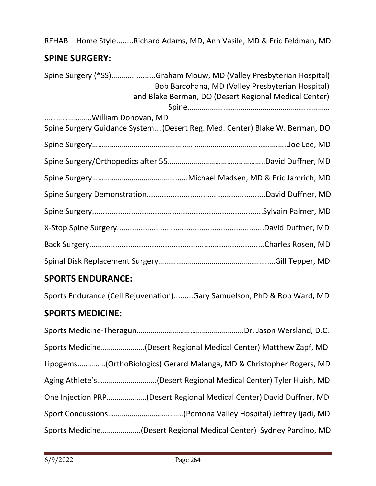REHAB – Home Style........Richard Adams, MD, Ann Vasile, MD & Eric Feldman, MD

# **SPINE SURGERY:**

| Spine Surgery (*SS)Graham Mouw, MD (Valley Presbyterian Hospital)<br>Bob Barcohana, MD (Valley Presbyterian Hospital)<br>and Blake Berman, DO (Desert Regional Medical Center) |
|--------------------------------------------------------------------------------------------------------------------------------------------------------------------------------|
| William Donovan, MD                                                                                                                                                            |
| Spine Surgery Guidance System(Desert Reg. Med. Center) Blake W. Berman, DO                                                                                                     |
|                                                                                                                                                                                |
|                                                                                                                                                                                |
|                                                                                                                                                                                |
|                                                                                                                                                                                |
|                                                                                                                                                                                |
|                                                                                                                                                                                |
|                                                                                                                                                                                |
|                                                                                                                                                                                |

## **SPORTS ENDURANCE:**

Sports Endurance (Cell Rejuvenation).........Gary Samuelson, PhD & Rob Ward, MD

# **SPORTS MEDICINE:**

| Sports Medicine(Desert Regional Medical Center) Matthew Zapf, MD |                                                                      |
|------------------------------------------------------------------|----------------------------------------------------------------------|
|                                                                  | Lipogems(OrthoBiologics) Gerard Malanga, MD & Christopher Rogers, MD |
|                                                                  | Aging Athlete's(Desert Regional Medical Center) Tyler Huish, MD      |
|                                                                  | One Injection PRP(Desert Regional Medical Center) David Duffner, MD  |
|                                                                  |                                                                      |
|                                                                  | Sports Medicine(Desert Regional Medical Center) Sydney Pardino, MD   |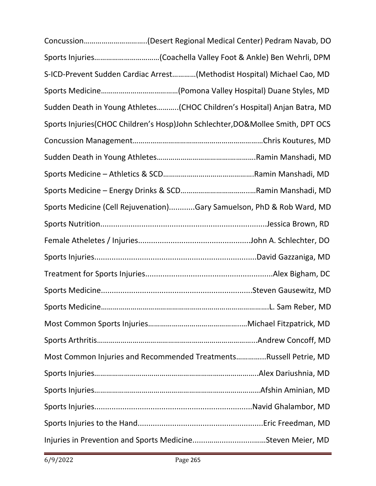| Concussion(Desert Regional Medical Center) Pedram Navab, DO                    |  |
|--------------------------------------------------------------------------------|--|
| Sports Injuries(Coachella Valley Foot & Ankle) Ben Wehrli, DPM                 |  |
| S-ICD-Prevent Sudden Cardiac Arrest(Methodist Hospital) Michael Cao, MD        |  |
|                                                                                |  |
| Sudden Death in Young Athletes(CHOC Children's Hospital) Anjan Batra, MD       |  |
| Sports Injuries(CHOC Children's Hosp)John Schlechter, DO&Mollee Smith, DPT OCS |  |
|                                                                                |  |
|                                                                                |  |
|                                                                                |  |
|                                                                                |  |
| Sports Medicine (Cell Rejuvenation)Gary Samuelson, PhD & Rob Ward, MD          |  |
|                                                                                |  |
|                                                                                |  |
|                                                                                |  |
|                                                                                |  |
|                                                                                |  |
|                                                                                |  |
|                                                                                |  |
|                                                                                |  |
| Most Common Injuries and Recommended TreatmentsRussell Petrie, MD              |  |
|                                                                                |  |
|                                                                                |  |
|                                                                                |  |
|                                                                                |  |
|                                                                                |  |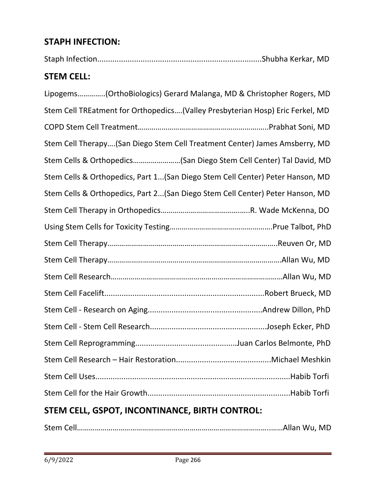## **STAPH INFECTION:**

| <b>STEM CELL:</b>                                                              |
|--------------------------------------------------------------------------------|
| Lipogems(OrthoBiologics) Gerard Malanga, MD & Christopher Rogers, MD           |
| Stem Cell TREatment for Orthopedics (Valley Presbyterian Hosp) Eric Ferkel, MD |
|                                                                                |
| Stem Cell Therapy(San Diego Stem Cell Treatment Center) James Amsberry, MD     |
| Stem Cells & Orthopedics(San Diego Stem Cell Center) Tal David, MD             |
| Stem Cells & Orthopedics, Part 1(San Diego Stem Cell Center) Peter Hanson, MD  |
| Stem Cells & Orthopedics, Part 2(San Diego Stem Cell Center) Peter Hanson, MD  |
|                                                                                |
|                                                                                |
|                                                                                |
|                                                                                |
|                                                                                |
|                                                                                |
|                                                                                |
|                                                                                |
|                                                                                |
|                                                                                |
|                                                                                |
|                                                                                |

# **STEM CELL, GSPOT, INCONTINANCE, BIRTH CONTROL:**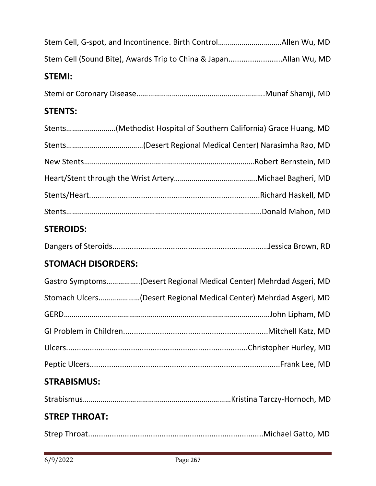| Stem Cell, G-spot, and Incontinence. Birth ControlAllen Wu, MD     |
|--------------------------------------------------------------------|
| Stem Cell (Sound Bite), Awards Trip to China & JapanAllan Wu, MD   |
| <b>STEMI:</b>                                                      |
|                                                                    |
| <b>STENTS:</b>                                                     |
| Stents(Methodist Hospital of Southern California) Grace Huang, MD  |
|                                                                    |
|                                                                    |
|                                                                    |
|                                                                    |
|                                                                    |
| <b>STEROIDS:</b>                                                   |
|                                                                    |
| <b>STOMACH DISORDERS:</b>                                          |
| Gastro Symptoms(Desert Regional Medical Center) Mehrdad Asgeri, MD |
| Stomach Ulcers(Desert Regional Medical Center) Mehrdad Asgeri, MD  |
|                                                                    |
|                                                                    |
|                                                                    |
|                                                                    |
| <b>STRABISMUS:</b>                                                 |

|--|--|--|--|

# **STREP THROAT:**

|--|--|--|--|--|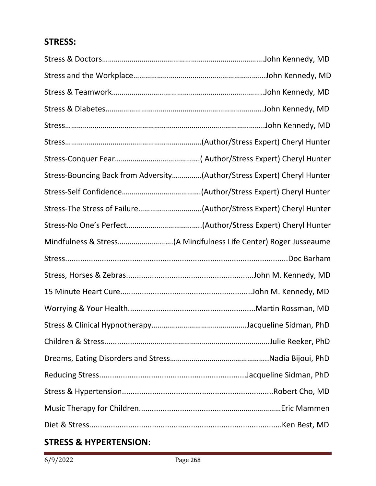## **STRESS:**

| Stress-Bouncing Back from Adversity(Author/Stress Expert) Cheryl Hunter |  |
|-------------------------------------------------------------------------|--|
|                                                                         |  |
| Stress-The Stress of Failure(Author/Stress Expert) Cheryl Hunter        |  |
|                                                                         |  |
|                                                                         |  |
|                                                                         |  |
|                                                                         |  |
|                                                                         |  |
|                                                                         |  |
|                                                                         |  |
|                                                                         |  |
|                                                                         |  |
|                                                                         |  |
|                                                                         |  |
|                                                                         |  |
|                                                                         |  |

## **STRESS & HYPERTENSION:**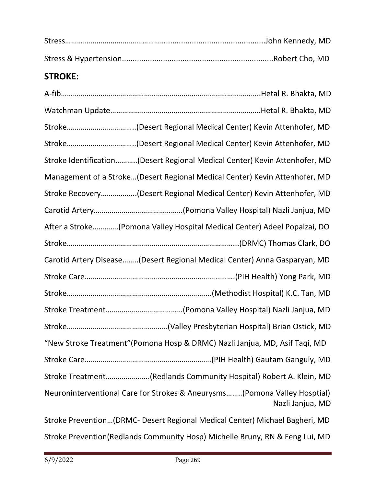## **STROKE:**

|             | Stroke Identification(Desert Regional Medical Center) Kevin Attenhofer, MD                    |
|-------------|-----------------------------------------------------------------------------------------------|
|             | Management of a Stroke(Desert Regional Medical Center) Kevin Attenhofer, MD                   |
|             | Stroke Recovery(Desert Regional Medical Center) Kevin Attenhofer, MD                          |
|             |                                                                                               |
|             | After a Stroke(Pomona Valley Hospital Medical Center) Adeel Popalzai, DO                      |
|             |                                                                                               |
|             | Carotid Artery Disease(Desert Regional Medical Center) Anna Gasparyan, MD                     |
|             |                                                                                               |
|             |                                                                                               |
|             |                                                                                               |
|             |                                                                                               |
|             | "New Stroke Treatment" (Pomona Hosp & DRMC) Nazli Janjua, MD, Asif Taqi, MD                   |
| Stroke Care |                                                                                               |
|             | Stroke Treatment(Redlands Community Hospital) Robert A. Klein, MD                             |
|             | Neuroninterventional Care for Strokes & Aneurysms(Pomona Valley Hosptial)<br>Nazli Janjua, MD |

Stroke Prevention…(DRMC- Desert Regional Medical Center) Michael Bagheri, MD Stroke Prevention(Redlands Community Hosp) Michelle Bruny, RN & Feng Lui, MD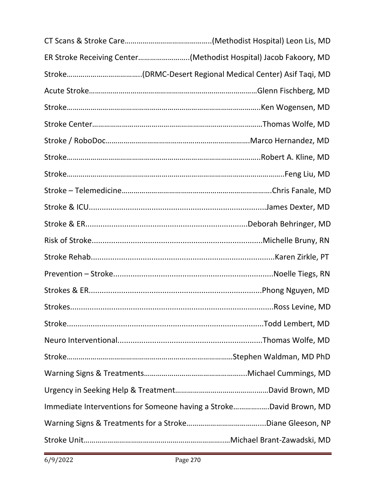| ER Stroke Receiving Center(Methodist Hospital) Jacob Fakoory, MD   |
|--------------------------------------------------------------------|
|                                                                    |
|                                                                    |
|                                                                    |
|                                                                    |
|                                                                    |
|                                                                    |
|                                                                    |
|                                                                    |
|                                                                    |
|                                                                    |
|                                                                    |
|                                                                    |
|                                                                    |
|                                                                    |
|                                                                    |
|                                                                    |
|                                                                    |
|                                                                    |
|                                                                    |
|                                                                    |
| Immediate Interventions for Someone having a StrokeDavid Brown, MD |
|                                                                    |
|                                                                    |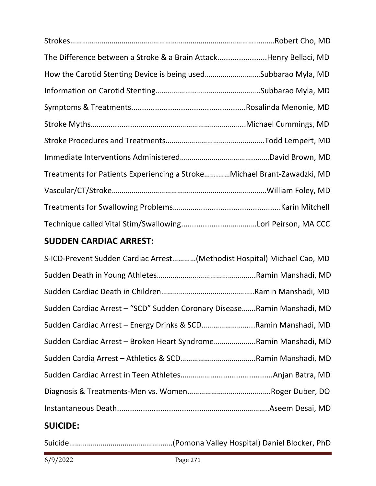| The Difference between a Stroke & a Brain AttackHenry Bellaci, MD       |  |
|-------------------------------------------------------------------------|--|
| How the Carotid Stenting Device is being usedSubbarao Myla, MD          |  |
|                                                                         |  |
|                                                                         |  |
|                                                                         |  |
|                                                                         |  |
|                                                                         |  |
| Treatments for Patients Experiencing a StrokeMichael Brant-Zawadzki, MD |  |
|                                                                         |  |
|                                                                         |  |
|                                                                         |  |

## **SUDDEN CARDIAC ARREST:**

| S-ICD-Prevent Sudden Cardiac Arrest(Methodist Hospital) Michael Cao, MD |
|-------------------------------------------------------------------------|
|                                                                         |
|                                                                         |
| Sudden Cardiac Arrest - "SCD" Sudden Coronary DiseaseRamin Manshadi, MD |
| Sudden Cardiac Arrest - Energy Drinks & SCDRamin Manshadi, MD           |
| Sudden Cardiac Arrest - Broken Heart SyndromeRamin Manshadi, MD         |
|                                                                         |
|                                                                         |
|                                                                         |
|                                                                         |
|                                                                         |

### **SUICIDE:**

Suicide………………………………………..…..(Pomona Valley Hospital) Daniel Blocker, PhD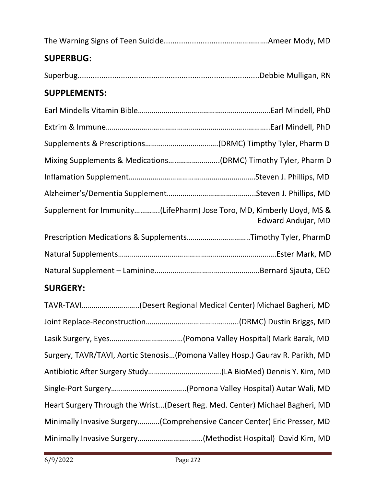| <b>SUPERBUG:</b>                                                       |                    |
|------------------------------------------------------------------------|--------------------|
|                                                                        |                    |
| <b>SUPPLEMENTS:</b>                                                    |                    |
|                                                                        |                    |
|                                                                        |                    |
|                                                                        |                    |
| Mixing Supplements & Medications(DRMC) Timothy Tyler, Pharm D          |                    |
|                                                                        |                    |
|                                                                        |                    |
| Supplement for Immunity(LifePharm) Jose Toro, MD, Kimberly Lloyd, MS & | Edward Andujar, MD |
| Prescription Medications & SupplementsTimothy Tyler, PharmD            |                    |
|                                                                        |                    |
|                                                                        |                    |
| <b>SURGERY:</b>                                                        |                    |

| TAVR-TAVI(Desert Regional Medical Center) Michael Bagheri, MD                 |
|-------------------------------------------------------------------------------|
|                                                                               |
|                                                                               |
| Surgery, TAVR/TAVI, Aortic Stenosis(Pomona Valley Hosp.) Gaurav R. Parikh, MD |
|                                                                               |
|                                                                               |
| Heart Surgery Through the Wrist(Desert Reg. Med. Center) Michael Bagheri, MD  |
| Minimally Invasive Surgery(Comprehensive Cancer Center) Eric Presser, MD      |
|                                                                               |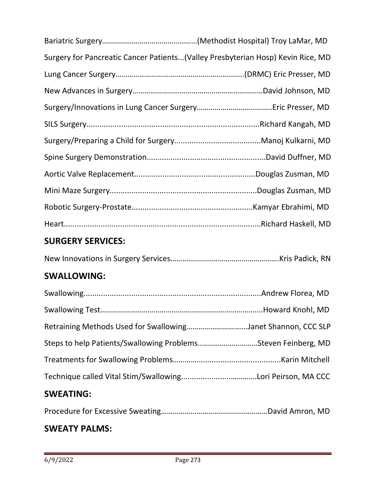| Surgery for Pancreatic Cancer Patients (Valley Presbyterian Hosp) Kevin Rice, MD |  |
|----------------------------------------------------------------------------------|--|
|                                                                                  |  |
|                                                                                  |  |
|                                                                                  |  |
|                                                                                  |  |
|                                                                                  |  |
|                                                                                  |  |
|                                                                                  |  |
|                                                                                  |  |
|                                                                                  |  |
|                                                                                  |  |

## **SURGERY SERVICES:**

|--|--|--|

## **SWALLOWING:**

| Retraining Methods Used for SwallowingJanet Shannon, CCC SLP  |  |
|---------------------------------------------------------------|--|
| Steps to help Patients/Swallowing ProblemsSteven Feinberg, MD |  |
|                                                               |  |
|                                                               |  |
|                                                               |  |

# **SWEATING:**

|--|--|

## **SWEATY PALMS:**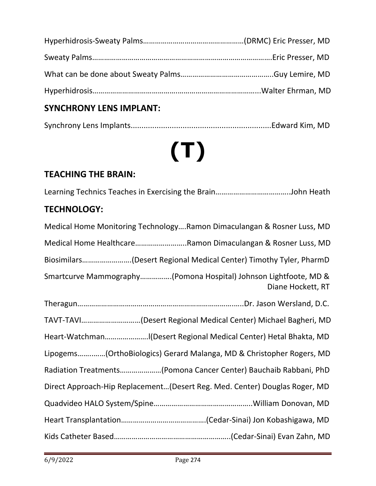# **SYNCHRONY LENS IMPLANT:**

|--|--|

# **(T)**

# **TEACHING THE BRAIN:**

|--|--|--|

### **TECHNOLOGY:**

| Medical Home Monitoring TechnologyRamon Dimaculangan & Rosner Luss, MD                |
|---------------------------------------------------------------------------------------|
| Medical Home HealthcareRamon Dimaculangan & Rosner Luss, MD                           |
| Biosimilars(Desert Regional Medical Center) Timothy Tyler, PharmD                     |
| Smartcurve Mammography(Pomona Hospital) Johnson Lightfoote, MD &<br>Diane Hockett, RT |
|                                                                                       |
| TAVT-TAVI(Desert Regional Medical Center) Michael Bagheri, MD                         |
|                                                                                       |
| Lipogems(OrthoBiologics) Gerard Malanga, MD & Christopher Rogers, MD                  |
| Radiation Treatments(Pomona Cancer Center) Bauchaib Rabbani, PhD                      |
| Direct Approach-Hip Replacement(Desert Reg. Med. Center) Douglas Roger, MD            |
|                                                                                       |
|                                                                                       |
|                                                                                       |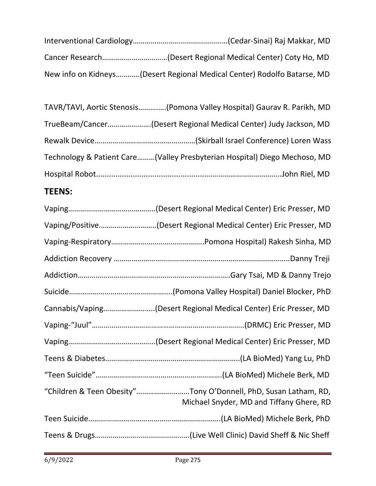| New info on Kidneys(Desert Regional Medical Center) Rodolfo Batarse, MD |
|-------------------------------------------------------------------------|

| TAVR/TAVI, Aortic Stenosis(Pomona Valley Hospital) Gaurav R. Parikh, MD   |
|---------------------------------------------------------------------------|
| TrueBeam/Cancer(Desert Regional Medical Center) Judy Jackson, MD          |
|                                                                           |
| Technology & Patient Care(Valley Presbyterian Hospital) Diego Mechoso, MD |
|                                                                           |

# **TEENS:**

| Vaping/Positive(Desert Regional Medical Center) Eric Presser, MD                                            |
|-------------------------------------------------------------------------------------------------------------|
|                                                                                                             |
|                                                                                                             |
|                                                                                                             |
|                                                                                                             |
| Cannabis/Vaping(Desert Regional Medical Center) Eric Presser, MD                                            |
|                                                                                                             |
|                                                                                                             |
|                                                                                                             |
|                                                                                                             |
| "Children & Teen Obesity"Tony O'Donnell, PhD, Susan Latham, RD,<br>Michael Snyder, MD and Tiffany Ghere, RD |
|                                                                                                             |
|                                                                                                             |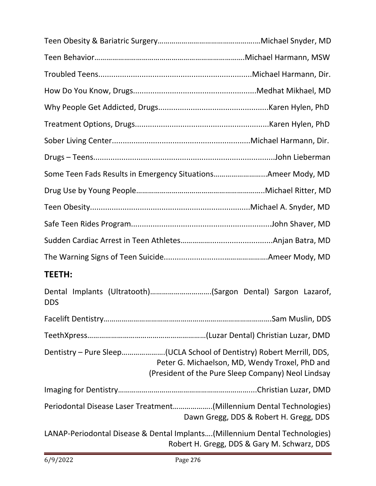| Some Teen Fads Results in Emergency SituationsAmeer Mody, MD                |                                                                                                      |
|-----------------------------------------------------------------------------|------------------------------------------------------------------------------------------------------|
|                                                                             |                                                                                                      |
|                                                                             |                                                                                                      |
|                                                                             |                                                                                                      |
|                                                                             |                                                                                                      |
|                                                                             |                                                                                                      |
| <b>TEETH:</b>                                                               |                                                                                                      |
| Dental Implants (Ultratooth)(Sargon Dental) Sargon Lazarof,<br><b>DDS</b>   |                                                                                                      |
|                                                                             |                                                                                                      |
|                                                                             |                                                                                                      |
| Dentistry - Pure Sleep(UCLA School of Dentistry) Robert Merrill, DDS,       | Peter G. Michaelson, MD, Wendy Troxel, PhD and<br>(President of the Pure Sleep Company) Neol Lindsay |
|                                                                             |                                                                                                      |
| Periodontal Disease Laser Treatment(Millennium Dental Technologies)         | Dawn Gregg, DDS & Robert H. Gregg, DDS                                                               |
| LANAP-Periodontal Disease & Dental Implants(Millennium Dental Technologies) | Robert H. Gregg, DDS & Gary M. Schwarz, DDS                                                          |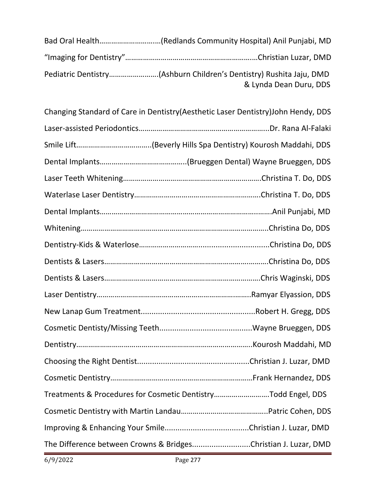| & Lynda Dean Duru, DDS |
|------------------------|

| Changing Standard of Care in Dentistry (Aesthetic Laser Dentistry) John Hendy, DDS |  |
|------------------------------------------------------------------------------------|--|
|                                                                                    |  |
|                                                                                    |  |
|                                                                                    |  |
|                                                                                    |  |
|                                                                                    |  |
|                                                                                    |  |
|                                                                                    |  |
|                                                                                    |  |
|                                                                                    |  |
|                                                                                    |  |
|                                                                                    |  |
|                                                                                    |  |
|                                                                                    |  |
|                                                                                    |  |
|                                                                                    |  |
|                                                                                    |  |
| Treatments & Procedures for Cosmetic DentistryTodd Engel, DDS                      |  |
|                                                                                    |  |
|                                                                                    |  |
| The Difference between Crowns & BridgesChristian J. Luzar, DMD                     |  |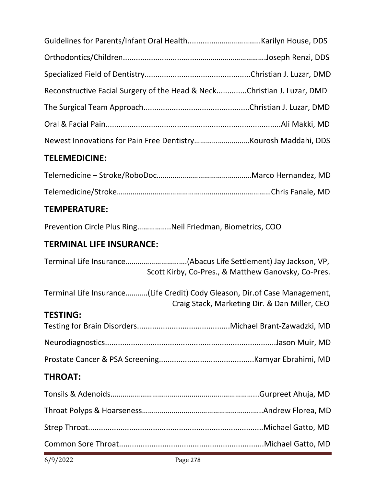| Reconstructive Facial Surgery of the Head & NeckChristian J. Luzar, DMD |  |
|-------------------------------------------------------------------------|--|
|                                                                         |  |
|                                                                         |  |
|                                                                         |  |
| <b>TELEMEDICINE:</b>                                                    |  |
|                                                                         |  |

# **TEMPERATURE:**

Prevention Circle Plus Ring……………..Neil Friedman, Biometrics, COO

# **TERMINAL LIFE INSURANCE:**

|                 | Scott Kirby, Co-Pres., & Matthew Ganovsky, Co-Pres.                                                                          |
|-----------------|------------------------------------------------------------------------------------------------------------------------------|
|                 | Terminal Life Insurance(Life Credit) Cody Gleason, Dir. of Case Management,<br>Craig Stack, Marketing Dir. & Dan Miller, CEO |
| <b>TESTING:</b> |                                                                                                                              |
|                 |                                                                                                                              |
|                 |                                                                                                                              |
|                 |                                                                                                                              |
| <b>THROAT:</b>  |                                                                                                                              |
|                 |                                                                                                                              |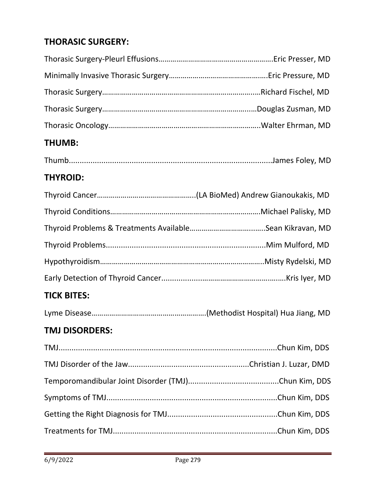# **THORASIC SURGERY:**

| <b>THUMB:</b>         |  |
|-----------------------|--|
|                       |  |
| <b>THYROID:</b>       |  |
|                       |  |
|                       |  |
|                       |  |
|                       |  |
|                       |  |
|                       |  |
| <b>TICK BITES:</b>    |  |
|                       |  |
| <b>TMJ DISORDERS:</b> |  |
|                       |  |
|                       |  |
|                       |  |
|                       |  |
|                       |  |
|                       |  |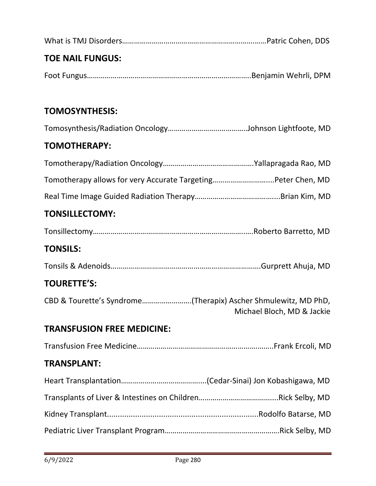| <b>TOE NAIL FUNGUS:</b>                                        |                            |
|----------------------------------------------------------------|----------------------------|
|                                                                |                            |
|                                                                |                            |
| <b>TOMOSYNTHESIS:</b>                                          |                            |
|                                                                |                            |
| <b>TOMOTHERAPY:</b>                                            |                            |
|                                                                |                            |
| Tomotherapy allows for very Accurate TargetingPeter Chen, MD   |                            |
|                                                                |                            |
| <b>TONSILLECTOMY:</b>                                          |                            |
|                                                                |                            |
| <b>TONSILS:</b>                                                |                            |
|                                                                |                            |
| <b>TOURETTE'S:</b>                                             |                            |
| CBD & Tourette's Syndrome(Therapix) Ascher Shmulewitz, MD PhD, | Michael Bloch, MD & Jackie |
| <b>TRANSFUSION FREE MEDICINE:</b>                              |                            |
|                                                                |                            |
| <b>TRANSPLANT:</b>                                             |                            |
|                                                                |                            |
|                                                                |                            |
|                                                                |                            |
|                                                                |                            |
|                                                                |                            |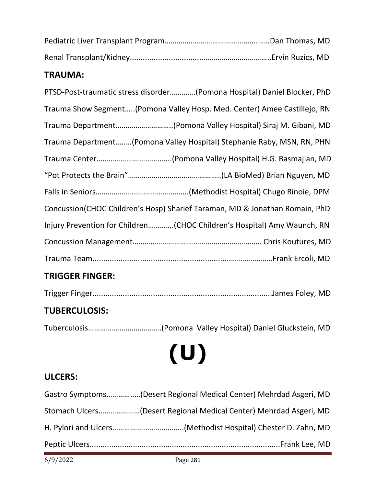#### **TRAUMA:**

| PTSD-Post-traumatic stress disorder(Pomona Hospital) Daniel Blocker, PhD    |
|-----------------------------------------------------------------------------|
| Trauma Show Segment(Pomona Valley Hosp. Med. Center) Amee Castillejo, RN    |
|                                                                             |
| Trauma Department(Pomona Valley Hospital) Stephanie Raby, MSN, RN, PHN      |
|                                                                             |
|                                                                             |
|                                                                             |
| Concussion(CHOC Children's Hosp) Sharief Taraman, MD & Jonathan Romain, PhD |
| Injury Prevention for Children(CHOC Children's Hospital) Amy Waunch, RN     |
|                                                                             |
|                                                                             |

# **TRIGGER FINGER:**

|--|

## **TUBERCULOSIS:**

Tuberculosis……………………………….(Pomona Valley Hospital) Daniel Gluckstein, MD

# **(U)**

# **ULCERS:**

| Gastro Symptoms(Desert Regional Medical Center) Mehrdad Asgeri, MD |
|--------------------------------------------------------------------|
| Stomach Ulcers(Desert Regional Medical Center) Mehrdad Asgeri, MD  |
|                                                                    |
|                                                                    |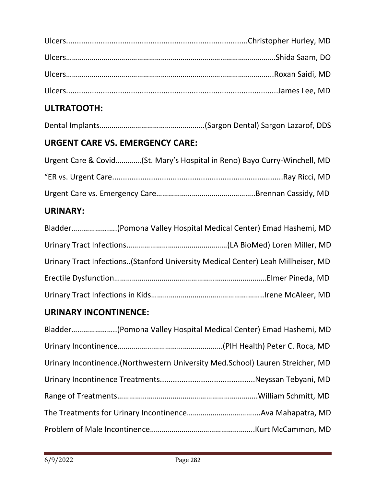# **ULTRATOOTH:**

|--|--|--|--|--|

## **URGENT CARE VS. EMERGENCY CARE:**

| Urgent Care & Covid(St. Mary's Hospital in Reno) Bayo Curry-Winchell, MD |  |
|--------------------------------------------------------------------------|--|
|                                                                          |  |
|                                                                          |  |

# **URINARY:**

|  | Urinary Tract Infections(Stanford University Medical Center) Leah Millheiser, MD |
|--|----------------------------------------------------------------------------------|
|  |                                                                                  |
|  |                                                                                  |

## **URINARY INCONTINENCE:**

| Urinary Incontinence. (Northwestern University Med. School) Lauren Streicher, MD |  |
|----------------------------------------------------------------------------------|--|
|                                                                                  |  |
|                                                                                  |  |
|                                                                                  |  |
|                                                                                  |  |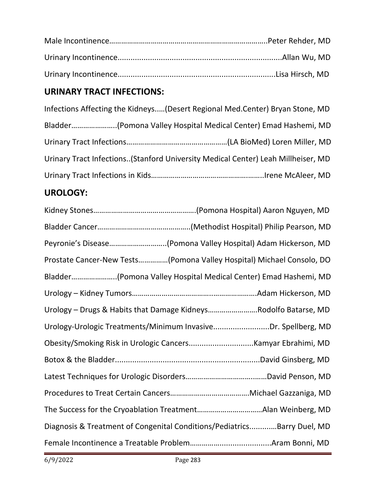# **URINARY TRACT INFECTIONS:**

| Infections Affecting the Kidneys(Desert Regional Med.Center) Bryan Stone, MD     |
|----------------------------------------------------------------------------------|
|                                                                                  |
|                                                                                  |
| Urinary Tract Infections(Stanford University Medical Center) Leah Millheiser, MD |
|                                                                                  |
|                                                                                  |

# **UROLOGY:**

| Peyronie's Disease(Pomona Valley Hospital) Adam Hickerson, MD           |
|-------------------------------------------------------------------------|
| Prostate Cancer-New Tests(Pomona Valley Hospital) Michael Consolo, DO   |
| Bladder(Pomona Valley Hospital Medical Center) Emad Hashemi, MD         |
|                                                                         |
| Urology - Drugs & Habits that Damage KidneysRodolfo Batarse, MD         |
| Urology-Urologic Treatments/Minimum InvasiveDr. Spellberg, MD           |
|                                                                         |
|                                                                         |
|                                                                         |
|                                                                         |
|                                                                         |
| Diagnosis & Treatment of Congenital Conditions/PediatricsBarry Duel, MD |
|                                                                         |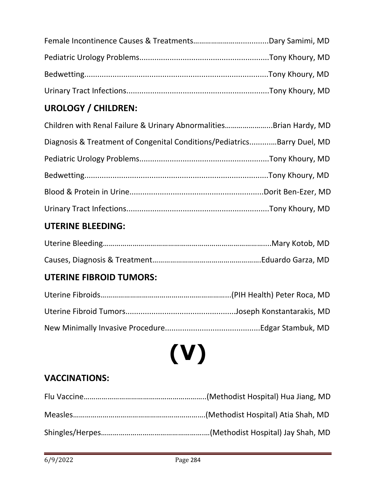# **UROLOGY / CHILDREN:**

| Children with Renal Failure & Urinary AbnormalitiesBrian Hardy, MD      |  |
|-------------------------------------------------------------------------|--|
| Diagnosis & Treatment of Congenital Conditions/PediatricsBarry Duel, MD |  |
|                                                                         |  |
|                                                                         |  |
|                                                                         |  |
|                                                                         |  |

# **UTERINE BLEEDING:**

# **UTERINE FIBROID TUMORS:**

# **(V)**

# **VACCINATIONS:**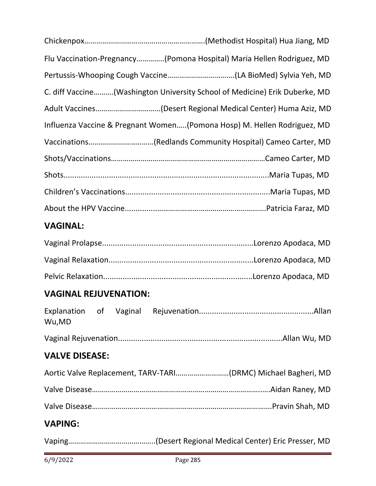| Flu Vaccination-Pregnancy(Pomona Hospital) Maria Hellen Rodriguez, MD      |
|----------------------------------------------------------------------------|
|                                                                            |
| C. diff Vaccine(Washington University School of Medicine) Erik Duberke, MD |
|                                                                            |
| Influenza Vaccine & Pregnant Women(Pomona Hosp) M. Hellen Rodriguez, MD    |
|                                                                            |
|                                                                            |
|                                                                            |
|                                                                            |
|                                                                            |

# **VAGINAL:**

## **VAGINAL REJUVENATION:**

| Wu,MD                 |  |  |
|-----------------------|--|--|
|                       |  |  |
| <b>VALVE DISEASE:</b> |  |  |
|                       |  |  |
|                       |  |  |
|                       |  |  |
| <b>VAPING:</b>        |  |  |
|                       |  |  |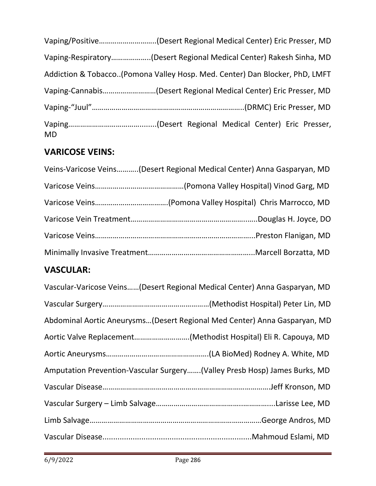| Vaping/Positive(Desert Regional Medical Center) Eric Presser, MD            |  |
|-----------------------------------------------------------------------------|--|
| Vaping-Respiratory(Desert Regional Medical Center) Rakesh Sinha, MD         |  |
| Addiction & Tobacco(Pomona Valley Hosp. Med. Center) Dan Blocker, PhD, LMFT |  |
|                                                                             |  |
|                                                                             |  |
| <b>MD</b>                                                                   |  |

# **VARICOSE VEINS:**

| Veins-Varicose Veins(Desert Regional Medical Center) Anna Gasparyan, MD |
|-------------------------------------------------------------------------|
|                                                                         |
|                                                                         |
|                                                                         |
|                                                                         |
|                                                                         |

## **VASCULAR:**

| Vascular-Varicose Veins(Desert Regional Medical Center) Anna Gasparyan, MD |
|----------------------------------------------------------------------------|
|                                                                            |
| Abdominal Aortic Aneurysms(Desert Regional Med Center) Anna Gasparyan, MD  |
| Aortic Valve Replacement(Methodist Hospital) Eli R. Capouya, MD            |
|                                                                            |
| Amputation Prevention-Vascular Surgery(Valley Presb Hosp) James Burks, MD  |
|                                                                            |
|                                                                            |
|                                                                            |
|                                                                            |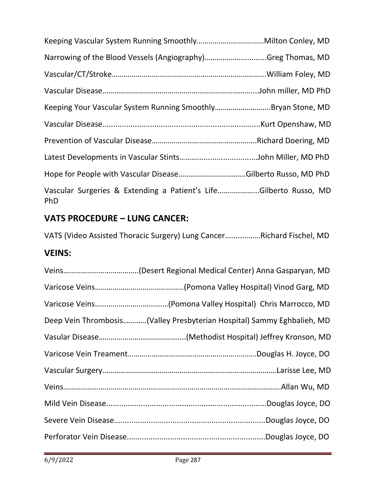| Narrowing of the Blood Vessels (Angiography)Greg Thomas, MD                     |  |
|---------------------------------------------------------------------------------|--|
|                                                                                 |  |
|                                                                                 |  |
| Keeping Your Vascular System Running SmoothlyBryan Stone, MD                    |  |
|                                                                                 |  |
|                                                                                 |  |
|                                                                                 |  |
|                                                                                 |  |
| Vascular Surgeries & Extending a Patient's LifeGilberto Russo, MD<br><b>PhD</b> |  |

## **VATS PROCEDURE – LUNG CANCER:**

VATS (Video Assisted Thoracic Surgery) Lung Cancer..........….…Richard Fischel, MD

### **VEINS:**

| Deep Vein Thrombosis(Valley Presbyterian Hospital) Sammy Eghbalieh, MD |
|------------------------------------------------------------------------|
|                                                                        |
|                                                                        |
|                                                                        |
|                                                                        |
|                                                                        |
|                                                                        |
|                                                                        |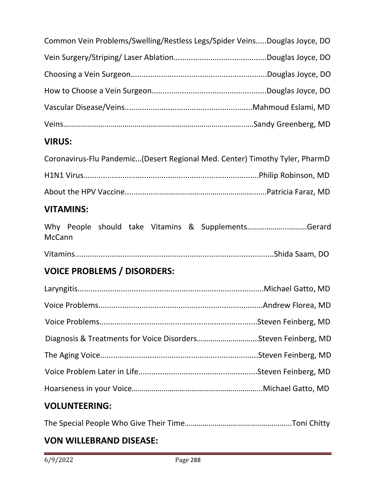| Common Vein Problems/Swelling/Restless Legs/Spider VeinsDouglas Joyce, DO   |                   |
|-----------------------------------------------------------------------------|-------------------|
|                                                                             |                   |
|                                                                             |                   |
|                                                                             |                   |
|                                                                             |                   |
|                                                                             |                   |
| <b>VIRUS:</b>                                                               |                   |
| Coronavirus-Flu Pandemic(Desert Regional Med. Center) Timothy Tyler, PharmD |                   |
|                                                                             |                   |
|                                                                             |                   |
| <b>VITAMINS:</b>                                                            |                   |
| Why People should take Vitamins & SupplementsGerard<br><b>McCann</b>        |                   |
|                                                                             |                   |
| <b>VOICE PROBLEMS / DISORDERS:</b>                                          |                   |
|                                                                             |                   |
| Voice Problems                                                              | Andrew Florea, MD |
|                                                                             |                   |
| Diagnosis & Treatments for Voice DisordersSteven Feinberg, MD               |                   |
|                                                                             |                   |
|                                                                             |                   |

# **VOLUNTEERING:**

|--|--|

### **VON WILLEBRAND DISEASE:**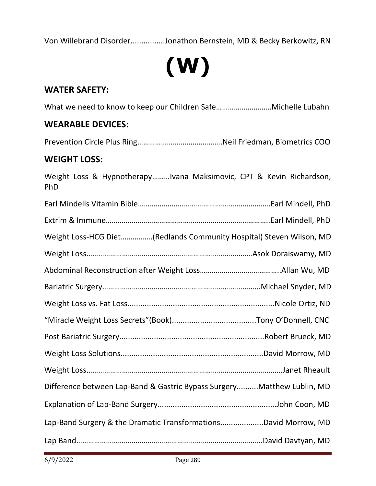Von Willebrand Disorder................Jonathon Bernstein, MD & Becky Berkowitz, RN



#### **WATER SAFETY:**

What we need to know to keep our Children Safe………………….……Michelle Lubahn

#### **WEARABLE DEVICES:**

Prevention Circle Plus Ring…………………………………….Neil Friedman, Biometrics COO

#### **WEIGHT LOSS:**

Weight Loss & Hypnotherapy………Ivana Maksimovic, CPT & Kevin Richardson, PhD Earl Mindells Vitamin Bible………………………………………………………….Earl Mindell, PhD Extrim & Immune………………………………………………………………………..Earl Mindell, PhD Weight Loss-HCG Diet…………….(Redlands Community Hospital) Steven Wilson, MD Weight Loss…………………………………………………………………………Asok Doraiswamy, MD Abdominal Reconstruction after Weight Loss…………………………………..Allan Wu, MD Bariatric Surgery……………………………………………………….…………….Michael Snyder, MD Weight Loss vs. Fat Loss....................................................................Nicole Ortiz, ND "Miracle Weight Loss Secrets"(Book).......................................Tony O'Donnell, CNC Post Bariatric Surgery...................................................................Robert Brueck, MD Weight Loss Solutions..................................................................David Morrow, MD Weight Loss………………………………………………………………………………..…….Janet Rheault Difference between Lap-Band & Gastric Bypass Surgery..........Matthew Lublin, MD Explanation of Lap-Band Surgery.......................................................John Coon, MD Lap-Band Surgery & the Dramatic Transformations....................David Morrow, MD Lap Band……………………………………………………………………………...….David Davtyan, MD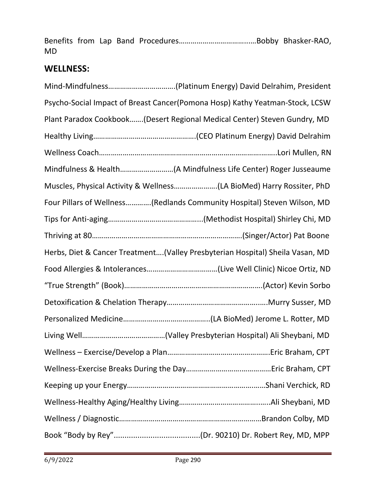Benefits from Lap Band Procedures……………………………...…Bobby Bhasker-RAO, MD

#### **WELLNESS:**

| Psycho-Social Impact of Breast Cancer(Pomona Hosp) Kathy Yeatman-Stock, LCSW  |  |
|-------------------------------------------------------------------------------|--|
| Plant Paradox Cookbook(Desert Regional Medical Center) Steven Gundry, MD      |  |
|                                                                               |  |
|                                                                               |  |
|                                                                               |  |
| Muscles, Physical Activity & Wellness(LA BioMed) Harry Rossiter, PhD          |  |
| Four Pillars of Wellness(Redlands Community Hospital) Steven Wilson, MD       |  |
|                                                                               |  |
|                                                                               |  |
| Herbs, Diet & Cancer Treatment(Valley Presbyterian Hospital) Sheila Vasan, MD |  |
|                                                                               |  |
|                                                                               |  |
|                                                                               |  |
|                                                                               |  |
|                                                                               |  |
|                                                                               |  |
|                                                                               |  |
|                                                                               |  |
|                                                                               |  |
|                                                                               |  |
|                                                                               |  |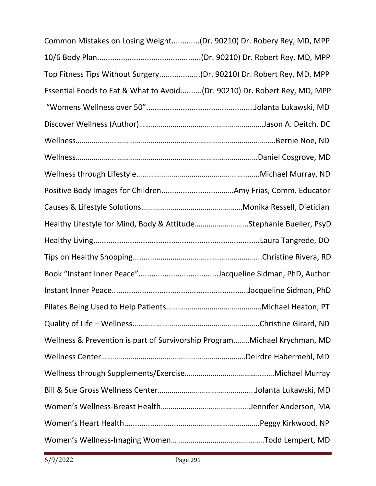| Common Mistakes on Losing Weight(Dr. 90210) Dr. Robery Rey, MD, MPP       |  |
|---------------------------------------------------------------------------|--|
|                                                                           |  |
| Top Fitness Tips Without Surgery(Dr. 90210) Dr. Robert Rey, MD, MPP       |  |
| Essential Foods to Eat & What to Avoid(Dr. 90210) Dr. Robert Rey, MD, MPP |  |
|                                                                           |  |
|                                                                           |  |
|                                                                           |  |
|                                                                           |  |
|                                                                           |  |
|                                                                           |  |
|                                                                           |  |
| Healthy Lifestyle for Mind, Body & AttitudeStephanie Bueller, PsyD        |  |
|                                                                           |  |
|                                                                           |  |
|                                                                           |  |
|                                                                           |  |
|                                                                           |  |
|                                                                           |  |
| Wellness & Prevention is part of Survivorship ProgramMichael Krychman, MD |  |
|                                                                           |  |
|                                                                           |  |
|                                                                           |  |
|                                                                           |  |
|                                                                           |  |
|                                                                           |  |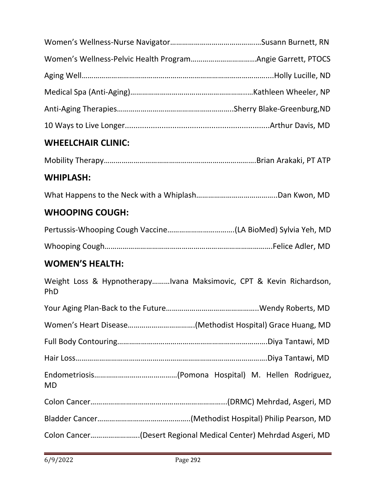| <b>WHEELCHAIR CLINIC:</b>                                                  |
|----------------------------------------------------------------------------|
|                                                                            |
| <b>WHIPLASH:</b>                                                           |
|                                                                            |
| <b>WHOOPING COUGH:</b>                                                     |
|                                                                            |
|                                                                            |
| <b>WOMEN'S HEALTH:</b>                                                     |
| Weight Loss & HypnotherapyIvana Maksimovic, CPT & Kevin Richardson,<br>PhD |
|                                                                            |
|                                                                            |
|                                                                            |
|                                                                            |
| <b>MD</b>                                                                  |
|                                                                            |
|                                                                            |
| Colon Cancer(Desert Regional Medical Center) Mehrdad Asgeri, MD            |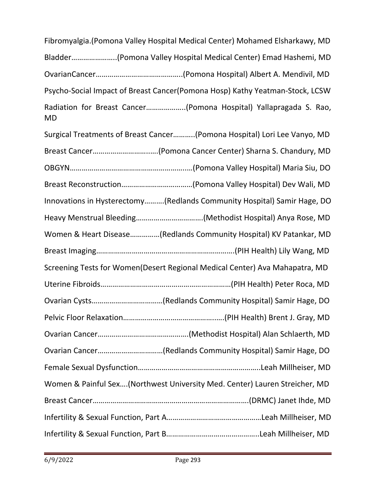Bladder…………………..(Pomona Valley Hospital Medical Center) Emad Hashemi, MD OvarianCancer……………………………………..(Pomona Hospital) Albert A. Mendivil, MD Psycho-Social Impact of Breast Cancer(Pomona Hosp) Kathy Yeatman-Stock, LCSW Radiation for Breast Cancer………………..(Pomona Hospital) Yallapragada S. Rao, MD Surgical Treatments of Breast Cancer………..(Pomona Hospital) Lori Lee Vanyo, MD Breast Cancer………………………..….(Pomona Cancer Center) Sharna S. Chandury, MD OBGYN…………………………………………………..…(Pomona Valley Hospital) Maria Siu, DO Breast Reconstruction………………………………(Pomona Valley Hospital) Dev Wali, MD Innovations in Hysterectomy……….(Redlands Community Hospital) Samir Hage, DO Heavy Menstrual Bleeding…………………………….(Methodist Hospital) Anya Rose, MD Women & Heart Disease……………(Redlands Community Hospital) KV Patankar, MD Breast Imaging…………………………………………………………….(PIH Health) Lily Wang, MD Screening Tests for Women(Desert Regional Medical Center) Ava Mahapatra, MD Uterine Fibroids…………………………………………………………(PIH Health) Peter Roca, MD Ovarian Cysts………………………………(Redlands Community Hospital) Samir Hage, DO Pelvic Floor Relaxation………………………………………..….(PIH Health) Brent J. Gray, MD Ovarian Cancer……………………………………….(Methodist Hospital) Alan Schlaerth, MD Ovarian Cancer……………………………(Redlands Community Hospital) Samir Hage, DO Female Sexual Dysfunction……………………………………………………..Leah Millheiser, MD Women & Painful Sex….(Northwest University Med. Center) Lauren Streicher, MD Breast Cancer…………………………………………………………………….(DRMC) Janet Ihde, MD Infertility & Sexual Function, Part A…………………………………………Leah Millheiser, MD Infertility & Sexual Function, Part B………………………………………..Leah Millheiser, MD

Fibromyalgia.(Pomona Valley Hospital Medical Center) Mohamed Elsharkawy, MD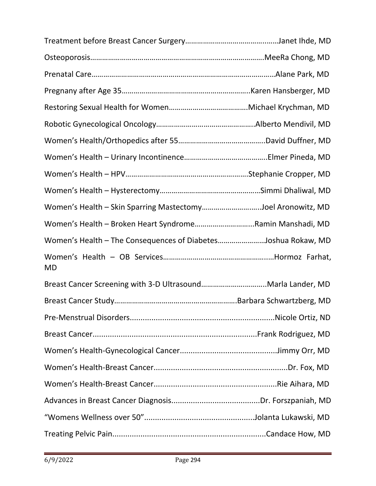| Women's Health - Skin Sparring MastectomyJoel Aronowitz, MD   |  |
|---------------------------------------------------------------|--|
| Women's Health - Broken Heart SyndromeRamin Manshadi, MD      |  |
| Women's Health - The Consequences of DiabetesJoshua Rokaw, MD |  |
| <b>MD</b>                                                     |  |
|                                                               |  |
|                                                               |  |
|                                                               |  |
|                                                               |  |
|                                                               |  |
|                                                               |  |
|                                                               |  |
|                                                               |  |
|                                                               |  |
|                                                               |  |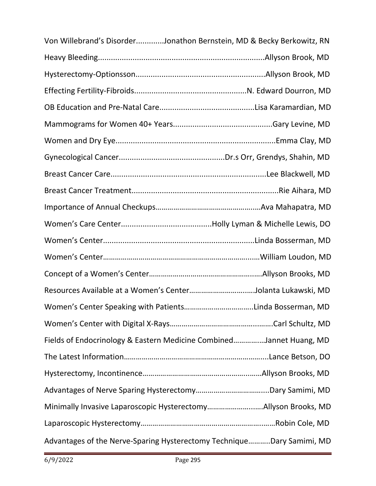| Von Willebrand's DisorderJonathon Bernstein, MD & Becky Berkowitz, RN |  |
|-----------------------------------------------------------------------|--|
|                                                                       |  |
|                                                                       |  |
|                                                                       |  |
|                                                                       |  |
|                                                                       |  |
|                                                                       |  |
|                                                                       |  |
|                                                                       |  |
|                                                                       |  |
|                                                                       |  |
|                                                                       |  |
|                                                                       |  |
|                                                                       |  |
|                                                                       |  |
| Resources Available at a Women's CenterJolanta Lukawski, MD           |  |
|                                                                       |  |
|                                                                       |  |
| Fields of Endocrinology & Eastern Medicine CombinedJannet Huang, MD   |  |
|                                                                       |  |
|                                                                       |  |
|                                                                       |  |
| Minimally Invasive Laparoscopic HysterectomyAllyson Brooks, MD        |  |
|                                                                       |  |
| Advantages of the Nerve-Sparing Hysterectomy TechniqueDary Samimi, MD |  |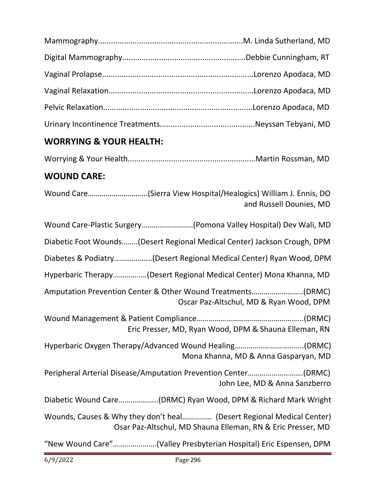#### **WORRYING & YOUR HEALTH:**

|--|--|--|--|

#### **WOUND CARE:**

Wound Care………………………...(Sierra View Hospital/Healogics) William J. Ennis, DO and Russell Dounies, MD

| Diabetic Foot Wounds(Desert Regional Medical Center) Jackson Crough, DPM |                                         |
|--------------------------------------------------------------------------|-----------------------------------------|
|                                                                          |                                         |
| Hyperbaric Therapy(Desert Regional Medical Center) Mona Khanna, MD       |                                         |
|                                                                          | Oscar Paz-Altschul, MD & Ryan Wood, DPM |
|                                                                          |                                         |

Wound Management & Patient Compliance……………………………………………...(DRMC) Eric Presser, MD, Ryan Wood, DPM & Shauna Elleman, RN

Hyperbaric Oxygen Therapy/Advanced Wound Healing……………………………..(DRMC) Mona Khanna, MD & Anna Gasparyan, MD

Peripheral Arterial Disease/Amputation Prevention Center……………………….(DRMC) John Lee, MD & Anna Sanzberro

Diabetic Wound Care………………..(DRMC) Ryan Wood, DPM & Richard Mark Wright

Wounds, Causes & Why they don't heal…………… (Desert Regional Medical Center) Osar Paz-Altschul, MD Shauna Elleman, RN & Eric Presser, MD

"New Wound Care"………………….(Valley Presbyterian Hospital) Eric Espensen, DPM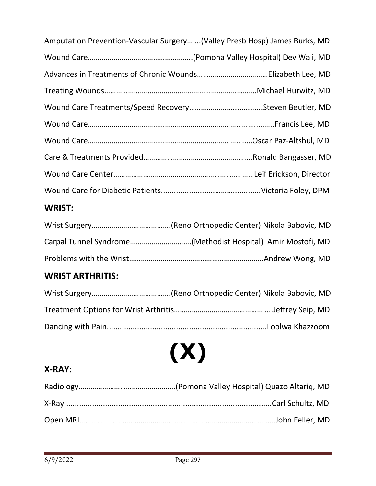| <b>WRIST:</b>                                                             |
|---------------------------------------------------------------------------|
|                                                                           |
|                                                                           |
|                                                                           |
|                                                                           |
|                                                                           |
|                                                                           |
|                                                                           |
|                                                                           |
|                                                                           |
| Amputation Prevention-Vascular Surgery(Valley Presb Hosp) James Burks, MD |

### Wrist Surgery………………………………….(Reno Orthopedic Center) Nikola Babovic, MD Carpal Tunnel Syndrome………………………….(Methodist Hospital) Amir Mostofi, MD Problems with the Wrist…………………………………………………………..Andrew Wong, MD

#### **WRIST ARTHRITIS:**

# **(X)**

#### **X-RAY:**